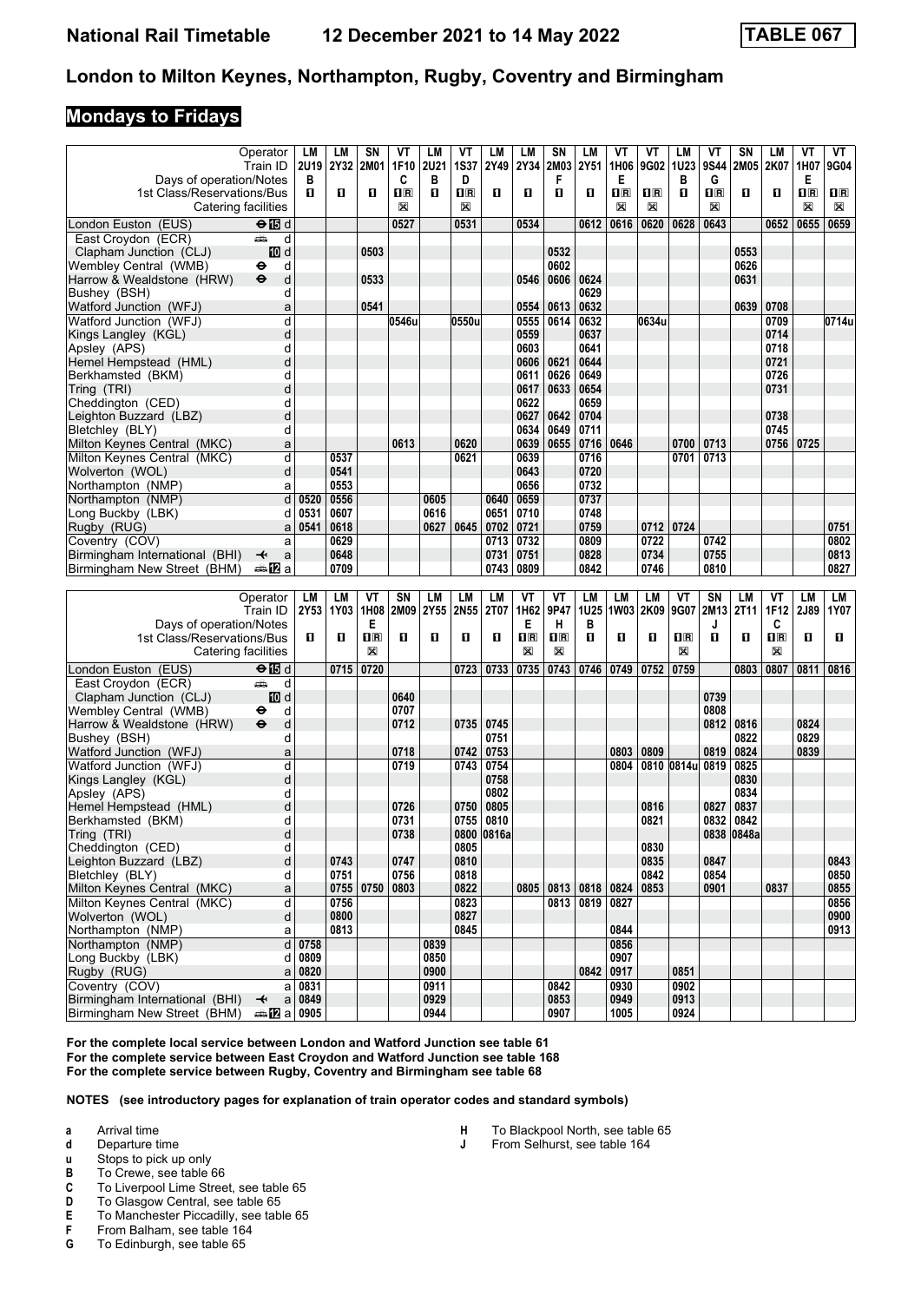## **Mondays to Fridays**

|                                                               | Operator                                     | LM            | LМ             | SΝ                      | ٧T    | <b>LM</b>    | VT                      | LM         | LM          | <b>SN</b>        | LM          | ۷T           | ۷T      | LМ               | ۷T                      | SN         | LM          | VT                      | VT                                                   |
|---------------------------------------------------------------|----------------------------------------------|---------------|----------------|-------------------------|-------|--------------|-------------------------|------------|-------------|------------------|-------------|--------------|---------|------------------|-------------------------|------------|-------------|-------------------------|------------------------------------------------------|
|                                                               | Train ID                                     |               | 2U19 2Y32 2M01 |                         | 1F10  | 2U21         | <b>1S37</b>             | 2Y49       | 2Y34        | 2M03             | 2Y51        | 1H06         | 9G02    | 1U23             | 9S44                    | 2M05       | 2K07        | 1H07                    | <b>9G04</b>                                          |
| Days of operation/Notes                                       |                                              | В             |                |                         | C     | в            | D                       |            |             | F                |             | Е            |         | В                | G                       |            |             | Е                       |                                                      |
| 1st Class/Reservations/Bus                                    |                                              | п             | п              | П                       | 1R    | O.           | $\overline{\mathbf{H}}$ | 0          | п           | п                | 0           | $n_{\rm R}$  | $\Pi$ R | O                | $\overline{\mathbf{R}}$ | О          | п           | $\overline{\mathbf{H}}$ | 0 R                                                  |
|                                                               | Catering facilities                          |               |                |                         | X     |              | X                       |            |             |                  |             | $\boxtimes$  | X       |                  | X                       |            |             | X                       | X                                                    |
|                                                               |                                              |               |                |                         |       |              |                         |            |             |                  |             |              |         |                  |                         |            |             |                         |                                                      |
| London Euston (EUS)                                           | $\Theta$ $\blacksquare$ d                    |               |                |                         | 0527  |              | 0531                    |            | 0534        |                  | 0612        | 0616         | 0620    | 0628             | 0643                    |            | 0652        | 0655                    | 0659                                                 |
| East Croydon (ECR)                                            | پیش<br>d                                     |               |                |                         |       |              |                         |            |             |                  |             |              |         |                  |                         |            |             |                         |                                                      |
| Clapham Junction (CLJ)                                        | III d                                        |               |                | 0503                    |       |              |                         |            |             | 0532             |             |              |         |                  |                         | 0553       |             |                         |                                                      |
| Wembley Central (WMB)                                         | d<br>⊖                                       |               |                |                         |       |              |                         |            |             | 0602             |             |              |         |                  |                         | 0626       |             |                         |                                                      |
| Harrow & Wealdstone (HRW)                                     | $\bullet$<br>d                               |               |                | 0533                    |       |              |                         |            | 0546        | 0606             | 0624        |              |         |                  |                         | 0631       |             |                         |                                                      |
|                                                               |                                              |               |                |                         |       |              |                         |            |             |                  |             |              |         |                  |                         |            |             |                         |                                                      |
| Bushey (BSH)                                                  | d                                            |               |                |                         |       |              |                         |            |             |                  | 0629        |              |         |                  |                         |            |             |                         |                                                      |
| Watford Junction (WFJ)                                        | a                                            |               |                | 0541                    |       |              |                         |            | 0554        | 0613             | 0632        |              |         |                  |                         | 0639       | 0708        |                         |                                                      |
| Watford Junction (WFJ)                                        | d                                            |               |                |                         | 0546u |              | 0550u                   |            | 0555        | 0614             | 0632        |              | 0634u   |                  |                         |            | 0709        |                         | 0714u                                                |
| Kings Langley (KGL)                                           | d                                            |               |                |                         |       |              |                         |            | 0559        |                  | 0637        |              |         |                  |                         |            | 0714        |                         |                                                      |
| Apsley (APS)                                                  | d                                            |               |                |                         |       |              |                         |            | 0603        |                  | 0641        |              |         |                  |                         |            | 0718        |                         |                                                      |
| Hemel Hempstead (HML)                                         | d                                            |               |                |                         |       |              |                         |            | 0606        | 0621             | 0644        |              |         |                  |                         |            | 0721        |                         |                                                      |
| Berkhamsted (BKM)                                             | d                                            |               |                |                         |       |              |                         |            | 0611        | 0626             | 0649        |              |         |                  |                         |            | 0726        |                         |                                                      |
|                                                               | d                                            |               |                |                         |       |              |                         |            | 0617        | 0633             | 0654        |              |         |                  |                         |            | 0731        |                         |                                                      |
| Tring (TRI)                                                   |                                              |               |                |                         |       |              |                         |            |             |                  |             |              |         |                  |                         |            |             |                         |                                                      |
| Cheddington (CED)                                             | d                                            |               |                |                         |       |              |                         |            | 0622        |                  | 0659        |              |         |                  |                         |            |             |                         |                                                      |
| Leighton Buzzard (LBZ)                                        | d                                            |               |                |                         |       |              |                         |            | 0627        | 0642             | 0704        |              |         |                  |                         |            | 0738        |                         |                                                      |
| Bletchley (BLY)                                               | d                                            |               |                |                         |       |              |                         |            | 0634        | 0649             | 0711        |              |         |                  |                         |            | 0745        |                         |                                                      |
| Milton Keynes Central (MKC)                                   | a                                            |               |                |                         | 0613  |              | 0620                    |            | 0639        | 0655             | 0716        | 0646         |         | 0700             | 0713                    |            | 0756        | 0725                    |                                                      |
| Milton Keynes Central (MKC)                                   | d                                            |               | 0537           |                         |       |              | 0621                    |            | 0639        |                  | 0716        |              |         | 0701             | 0713                    |            |             |                         |                                                      |
| Wolverton (WOL)                                               | d                                            |               | 0541           |                         |       |              |                         |            | 0643        |                  | 0720        |              |         |                  |                         |            |             |                         |                                                      |
| Northampton (NMP)                                             | a                                            |               | 0553           |                         |       |              |                         |            | 0656        |                  | 0732        |              |         |                  |                         |            |             |                         |                                                      |
|                                                               |                                              |               |                |                         |       |              |                         |            |             |                  |             |              |         |                  |                         |            |             |                         |                                                      |
| Northampton (NMP)                                             | d                                            | 0520          | 0556           |                         |       | 0605         |                         | 0640       | 0659        |                  | 0737        |              |         |                  |                         |            |             |                         |                                                      |
| Long Buckby (LBK)                                             | d                                            | 0531          | 0607           |                         |       | 0616         |                         | 0651       | 0710        |                  | 0748        |              |         |                  |                         |            |             |                         |                                                      |
| Rugby (RUG)                                                   | a                                            | 0541          | 0618           |                         |       | 0627         | 0645                    | 0702       | 0721        |                  | 0759        |              | 0712    | 0724             |                         |            |             |                         | 0751                                                 |
| Coventry (COV)                                                | a                                            |               | 0629           |                         |       |              |                         | 0713       | 0732        |                  | 0809        |              | 0722    |                  | 0742                    |            |             |                         | 0802                                                 |
| Birmingham International (BHI)                                | a<br>↞                                       |               | 0648           |                         |       |              |                         | 0731       | 0751        |                  | 0828        |              | 0734    |                  | 0755                    |            |             |                         | 0813                                                 |
| Birmingham New Street (BHM)                                   | des <mark>n</mark> ⊒ a                       |               | 0709           |                         |       |              |                         | 0743       | 0809        |                  | 0842        |              | 0746    |                  | 0810                    |            |             |                         | 0827                                                 |
|                                                               |                                              |               |                |                         |       |              |                         |            |             |                  |             |              |         |                  |                         |            |             |                         |                                                      |
|                                                               |                                              |               |                |                         |       |              |                         |            |             |                  |             |              |         |                  |                         |            |             |                         |                                                      |
|                                                               |                                              |               |                |                         |       |              |                         |            |             |                  |             |              |         |                  |                         |            |             |                         |                                                      |
|                                                               | Operator                                     | LM            | <b>LM</b>      | ۷Τ                      | SN    | LM           | LM                      | LM         | VT          | VT               | <b>LM</b>   | <b>LM</b>    | LM      | VT               | SN                      | LM         | ۷T          | LM                      | LM                                                   |
|                                                               | Train ID                                     | 2Y53          | 1Y03           | 1H08                    | 2M09  | 2Y55         | 2N55                    | 2T07       | 1H62        | 9P47             | <b>1U25</b> | 1W03         | 2K09    | 9G07             | 2M13                    | 2T11       | 1F12        | 2J89                    |                                                      |
| Days of operation/Notes                                       |                                              |               |                | Е                       |       |              |                         |            | Е           | н                | в           |              |         |                  | J                       |            | C           |                         |                                                      |
| 1st Class/Reservations/Bus                                    |                                              | 0             | O              | $\overline{\mathbf{R}}$ | 0     | O            | 0                       | 0          | $n_{\rm R}$ | $n_{\mathbb{R}}$ | О           | 0            | О       | $n_{\mathbb{R}}$ | 0                       | О          | $n_{\rm R}$ | П                       | O                                                    |
|                                                               | Catering facilities                          |               |                | ⊠                       |       |              |                         |            | X           | X                |             |              |         | X                |                         |            | ⊠           |                         |                                                      |
|                                                               |                                              |               | 0715           | 0720                    |       |              | 0723                    | 0733       | 0735        | 0743             | 0746        | 0749         | 0752    | 0759             |                         | 0803       | 0807        | 0811                    | 0816                                                 |
| London Euston (EUS)                                           | $\Theta$ $\blacksquare$ d                    |               |                |                         |       |              |                         |            |             |                  |             |              |         |                  |                         |            |             |                         |                                                      |
| East Croydon (ECR)                                            | پیش<br>d                                     |               |                |                         |       |              |                         |            |             |                  |             |              |         |                  |                         |            |             |                         |                                                      |
| Clapham Junction (CLJ)                                        | III d                                        |               |                |                         | 0640  |              |                         |            |             |                  |             |              |         |                  | 0739                    |            |             |                         |                                                      |
| Wembley Central (WMB)                                         | ⊖<br>d                                       |               |                |                         | 0707  |              |                         |            |             |                  |             |              |         |                  | 0808                    |            |             |                         |                                                      |
| Harrow & Wealdstone (HRW)                                     | $\ddot{\boldsymbol{\Theta}}$<br>d            |               |                |                         | 0712  |              | 0735                    | 0745       |             |                  |             |              |         |                  | 0812                    | 0816       |             | 0824                    |                                                      |
| Bushey (BSH)                                                  | d                                            |               |                |                         |       |              |                         | 0751       |             |                  |             |              |         |                  |                         | 0822       |             | 0829                    |                                                      |
| Watford Junction (WFJ)                                        | a                                            |               |                |                         | 0718  |              | 0742                    | 0753       |             |                  |             | 0803         | 0809    |                  | 0819                    | 0824       |             | 0839                    |                                                      |
| Watford Junction (WFJ)                                        | d                                            |               |                |                         | 0719  |              | 0743                    | 0754       |             |                  |             | 0804         |         | 0810 0814u 0819  |                         | 0825       |             |                         |                                                      |
| Kings Langley (KGL)                                           | d                                            |               |                |                         |       |              |                         | 0758       |             |                  |             |              |         |                  |                         | 0830       |             |                         |                                                      |
| Apsley (APS)                                                  | d                                            |               |                |                         |       |              |                         | 0802       |             |                  |             |              |         |                  |                         | 0834       |             |                         |                                                      |
|                                                               |                                              |               |                |                         | 0726  |              | 0750                    | 0805       |             |                  |             |              | 0816    |                  | 0827                    | 0837       |             |                         |                                                      |
| Hemel Hempstead (HML)                                         | d                                            |               |                |                         |       |              |                         |            |             |                  |             |              |         |                  |                         |            |             |                         |                                                      |
| Berkhamsted (BKM)                                             | d                                            |               |                |                         | 0731  |              | 0755                    | 0810       |             |                  |             |              | 0821    |                  | 0832                    | 0842       |             |                         |                                                      |
| Tring (TRI)                                                   | d                                            |               |                |                         | 0738  |              |                         | 0800 0816a |             |                  |             |              |         |                  |                         | 0838 0848a |             |                         |                                                      |
| Cheddington (CED)                                             | d                                            |               |                |                         |       |              | 0805                    |            |             |                  |             |              | 0830    |                  |                         |            |             |                         |                                                      |
| Leighton Buzzard (LBZ)                                        | d                                            |               | 0743           |                         | 0747  |              | 0810                    |            |             |                  |             |              | 0835    |                  | 0847                    |            |             |                         |                                                      |
| Bletchley (BLY)                                               | d                                            |               | 0751           |                         | 0756  |              | 0818                    |            |             |                  |             |              | 0842    |                  | 0854                    |            |             |                         |                                                      |
| Milton Keynes Central (MKC)                                   | a                                            |               | 0755   0750    |                         | 0803  |              | 0822                    |            |             | 0805 0813 0818   |             | 0824         | 0853    |                  | 0901                    |            | 0837        |                         |                                                      |
| Milton Keynes Central (MKC)                                   | ď                                            |               | 0756           |                         |       |              | 0823                    |            |             | 0813             | 0819        | 0827         |         |                  |                         |            |             |                         |                                                      |
| Wolverton (WOL)                                               | d                                            |               | 0800           |                         |       |              | 0827                    |            |             |                  |             |              |         |                  |                         |            |             |                         |                                                      |
| Northampton (NMP)                                             | a                                            |               | 0813           |                         |       |              | 0845                    |            |             |                  |             | 0844         |         |                  |                         |            |             |                         |                                                      |
| Northampton (NMP)                                             |                                              |               |                |                         |       |              |                         |            |             |                  |             |              |         |                  |                         |            |             |                         |                                                      |
|                                                               |                                              | $d$ 0758      |                |                         |       | 0839         |                         |            |             |                  |             | 0856         |         |                  |                         |            |             |                         |                                                      |
| Long Buckby (LBK)                                             | d                                            | 0809          |                |                         |       | 0850         |                         |            |             |                  |             | 0907         |         |                  |                         |            |             |                         |                                                      |
| Rugby (RUG)                                                   |                                              | $a \mid 0820$ |                |                         |       | 0900         |                         |            |             |                  | 0842        | 0917         |         | 0851             |                         |            |             |                         |                                                      |
| Coventry (COV)                                                | al                                           | 0831          |                |                         |       | 0911         |                         |            |             | 0842             |             | 0930         |         | 0902             |                         |            |             |                         |                                                      |
| Birmingham International (BHI)<br>Birmingham New Street (BHM) | $\overline{\mathbf{t}}$<br><b>⇔12</b> a 0905 | a 0849        |                |                         |       | 0929<br>0944 |                         |            |             | 0853<br>0907     |             | 0949<br>1005 |         | 0913<br>0924     |                         |            |             |                         | 1Y07<br>0843<br>0850<br>0855<br>0856<br>0900<br>0913 |

For the complete local service between London and Watford Junction see table 61 For the complete service between East Croydon and Watford Junction see table 168 **For the complete service between Rugby, Coventry and Birmingham see table** 

**NOTES (see introductory pages for explanation of train operator codes and standard symbols)**

- **a** Arrival time<br>**d** Departure t
- **d** Departure time<br>**u** Stops to pick up
- **x** Stops to pick up only<br>**B** To Crewe, see table 6
- To Crewe, see table 66
- 
- **C** To Liverpool Lime Street, see table 65<br>**D** To Glasgow Central, see table 65 **D** To Glasgow Central, see table 65<br>**E** To Manchester Piccadilly, see tab
- **E** To Manchester Piccadilly, see table 65<br>**F** From Balham, see table 164
- **F** From Balham, see table 164<br>**G** To Edinburgh, see table 65
- To Edinburgh, see table 65

**+** To Blackpool North, see table 65<br>**J** From Selhurst, see table 164

From Selhurst, see table 164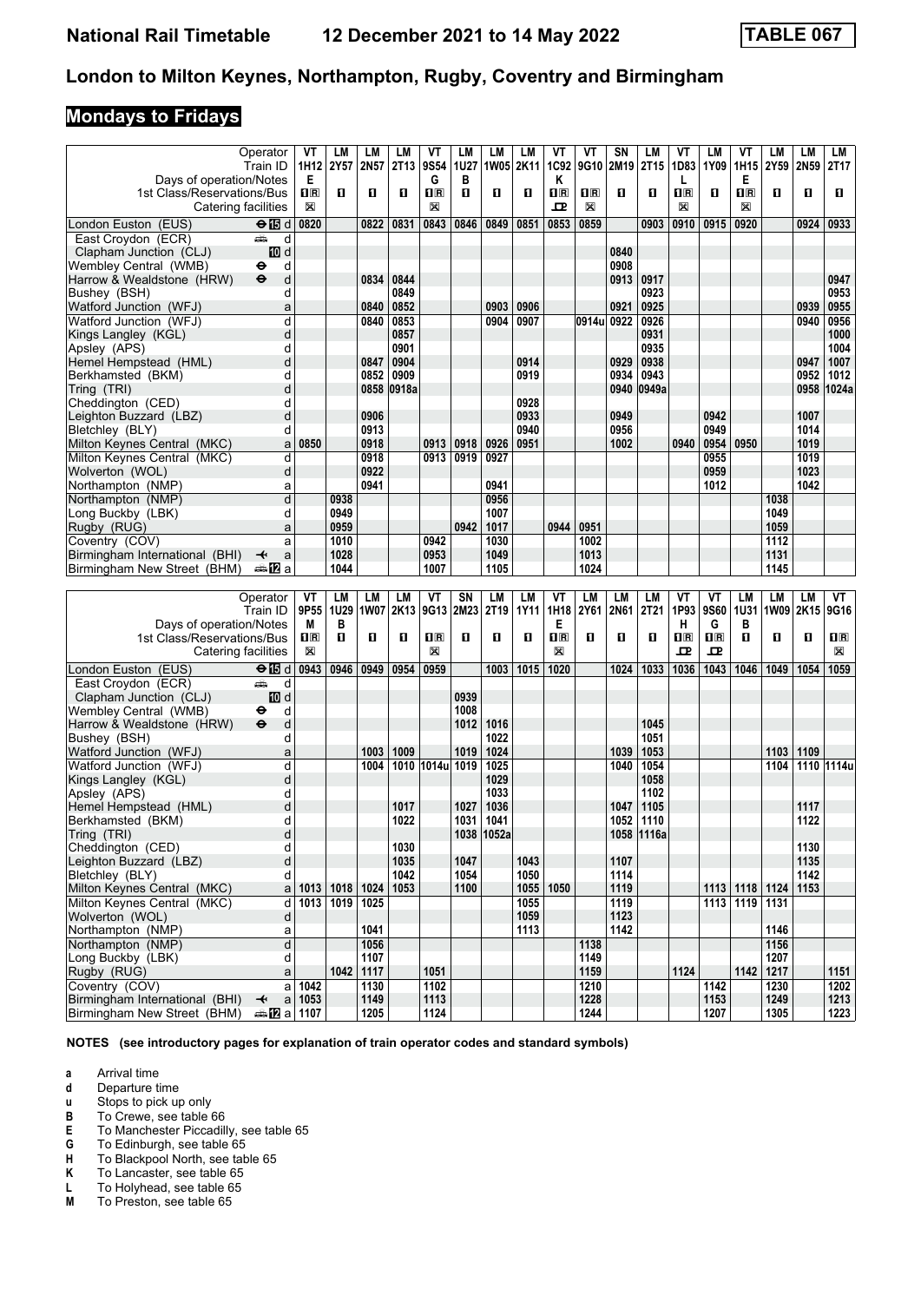# **Mondays to Fridays**

|                                | Operator                                     | VT                        | LM            | LМ           | LM    | ۷T                      | LM   | LM               | LM          | VT                      | VT           | SN   | LМ         | ٧T                      | LM                        | ۷T                      | LM             | LM               | LM                      |
|--------------------------------|----------------------------------------------|---------------------------|---------------|--------------|-------|-------------------------|------|------------------|-------------|-------------------------|--------------|------|------------|-------------------------|---------------------------|-------------------------|----------------|------------------|-------------------------|
|                                | Train ID                                     | 1H12                      | 2Y57          | 2N57         | 2T13  | 9S54                    | 1U27 |                  | 1W05 2K11   | 1C92                    | 9G10         | 2M19 | 2T15       | 1D83                    | 1Y09                      | 1H15                    | 2Y59           | 2N <sub>59</sub> | 2T17                    |
| Days of operation/Notes        |                                              | Е                         |               |              |       | G                       | в    |                  |             | Κ                       |              |      |            | L                       |                           | Е                       |                |                  |                         |
| 1st Class/Reservations/Bus     |                                              | $\overline{\mathbf{H}}$ R | п             | п            | O     | $\overline{\mathbf{R}}$ | O    | 0                | п           | $\overline{\mathbf{R}}$ | $n_{\rm R}$  | O    | О          | $\overline{\mathbf{H}}$ | О                         | $\overline{\mathbf{R}}$ | O              | O                | O                       |
| Catering facilities            |                                              | X                         |               |              |       | X                       |      |                  |             | 고                       | X            |      |            | X                       |                           | X                       |                |                  |                         |
|                                |                                              |                           |               |              |       |                         |      |                  |             |                         |              |      |            |                         |                           |                         |                |                  |                         |
| London Euston (EUS)            | $\Theta$ is d                                | 0820                      |               | 0822         | 0831  | 0843                    | 0846 | 0849             | 0851        | 0853                    | 0859         |      | 0903       | 0910                    | 0915                      | 0920                    |                | 0924             | 0933                    |
| East Croydon (ECR)             | وشبه<br>d                                    |                           |               |              |       |                         |      |                  |             |                         |              |      |            |                         |                           |                         |                |                  |                         |
| Clapham Junction (CLJ)         | iD d                                         |                           |               |              |       |                         |      |                  |             |                         |              | 0840 |            |                         |                           |                         |                |                  |                         |
| Wembley Central (WMB)          | d<br>⊖                                       |                           |               |              |       |                         |      |                  |             |                         |              | 0908 |            |                         |                           |                         |                |                  |                         |
| Harrow & Wealdstone (HRW)      | d<br>$\ddot{\boldsymbol{\Theta}}$            |                           |               | 0834         | 0844  |                         |      |                  |             |                         |              | 0913 | 0917       |                         |                           |                         |                |                  | 0947                    |
| Bushey (BSH)                   | d                                            |                           |               |              | 0849  |                         |      |                  |             |                         |              |      | 0923       |                         |                           |                         |                |                  | 0953                    |
|                                |                                              |                           |               |              |       |                         |      |                  |             |                         |              |      |            |                         |                           |                         |                |                  |                         |
| Watford Junction (WFJ)         | a                                            |                           |               | 0840         | 0852  |                         |      | 0903             | 0906        |                         |              | 0921 | 0925       |                         |                           |                         |                | 0939             | 0955                    |
| Watford Junction (WFJ)         | d                                            |                           |               | 0840         | 0853  |                         |      | 0904             | 0907        |                         | 0914u        | 0922 | 0926       |                         |                           |                         |                | 0940             | 0956                    |
| Kings Langley (KGL)            | d                                            |                           |               |              | 0857  |                         |      |                  |             |                         |              |      | 0931       |                         |                           |                         |                |                  | 1000                    |
| Apsley (APS)                   | d                                            |                           |               |              | 0901  |                         |      |                  |             |                         |              |      | 0935       |                         |                           |                         |                |                  | 1004                    |
| Hemel Hempstead (HML)          | d                                            |                           |               | 0847         | 0904  |                         |      |                  | 0914        |                         |              | 0929 | 0938       |                         |                           |                         |                | 0947             | 1007                    |
| Berkhamsted (BKM)              | d                                            |                           |               | 0852         | 0909  |                         |      |                  | 0919        |                         |              | 0934 | 0943       |                         |                           |                         |                | 0952             | 1012                    |
|                                | d                                            |                           |               | 0858         | 0918a |                         |      |                  |             |                         |              |      | 0949a      |                         |                           |                         |                | 0958             | 1024a                   |
| Tring (TRI)                    |                                              |                           |               |              |       |                         |      |                  |             |                         |              | 0940 |            |                         |                           |                         |                |                  |                         |
| Cheddington (CED)              | d                                            |                           |               |              |       |                         |      |                  | 0928        |                         |              |      |            |                         |                           |                         |                |                  |                         |
| Leighton Buzzard (LBZ)         | d                                            |                           |               | 0906         |       |                         |      |                  | 0933        |                         |              | 0949 |            |                         | 0942                      |                         |                | 1007             |                         |
| Bletchley (BLY)                | d                                            |                           |               | 0913         |       |                         |      |                  | 0940        |                         |              | 0956 |            |                         | 0949                      |                         |                | 1014             |                         |
| Milton Keynes Central (MKC)    | a                                            | 0850                      |               | 0918         |       | 0913                    | 0918 | 0926             | 0951        |                         |              | 1002 |            | 0940                    | 0954                      | 0950                    |                | 1019             |                         |
| Milton Keynes Central (MKC)    | d                                            |                           |               | 0918         |       | 0913                    | 0919 | 0927             |             |                         |              |      |            |                         | 0955                      |                         |                | 1019             |                         |
| Wolverton (WOL)                | d                                            |                           |               | 0922         |       |                         |      |                  |             |                         |              |      |            |                         | 0959                      |                         |                | 1023             |                         |
| Northampton (NMP)              | a                                            |                           |               | 0941         |       |                         |      | 0941             |             |                         |              |      |            |                         | 1012                      |                         |                | 1042             |                         |
|                                |                                              |                           |               |              |       |                         |      |                  |             |                         |              |      |            |                         |                           |                         |                |                  |                         |
| Northampton (NMP)              | d                                            |                           | 0938          |              |       |                         |      | 0956             |             |                         |              |      |            |                         |                           |                         | 1038           |                  |                         |
| Long Buckby (LBK)              | d                                            |                           | 0949          |              |       |                         |      | 1007             |             |                         |              |      |            |                         |                           |                         | 1049           |                  |                         |
| Rugby (RUG)                    | a                                            |                           | 0959          |              |       |                         | 0942 | 1017             |             | 0944                    | 0951         |      |            |                         |                           |                         | 1059           |                  |                         |
| Coventry (COV)                 | a                                            |                           | 1010          |              |       | 0942                    |      | 1030             |             |                         | 1002         |      |            |                         |                           |                         | 1112           |                  |                         |
| Birmingham International (BHI) | a<br>↞                                       |                           | 1028          |              |       | 0953                    |      | 1049             |             |                         | 1013         |      |            |                         |                           |                         | 1131           |                  |                         |
| Birmingham New Street (BHM)    | a≞MTa                                        |                           | 1044          |              |       | 1007                    |      | 1105             |             |                         | 1024         |      |            |                         |                           |                         | 1145           |                  |                         |
|                                |                                              |                           |               |              |       |                         |      |                  |             |                         |              |      |            |                         |                           |                         |                |                  |                         |
|                                |                                              |                           |               |              |       |                         |      |                  |             |                         |              |      |            |                         |                           |                         |                |                  |                         |
|                                |                                              |                           |               |              |       |                         |      |                  |             |                         |              |      |            |                         |                           |                         |                |                  |                         |
|                                | Operator                                     | VT                        | <b>LM</b>     | <b>LM</b>    | LM    | VT                      | SN   | <b>LM</b>        | LM          | VT                      | <b>LM</b>    | LM   | LM         | VT                      | VT                        | <b>LM</b>               | LM             | LM               | VT                      |
|                                | Train ID                                     | 9P55                      | 1U29          | <b>1W07</b>  | 2K13  | 9G13                    | 2M23 | 2T <sub>19</sub> | <b>1Y11</b> | 1H18                    | 2Y61         | 2N61 | 2T21       | 1P93                    | 9S60                      | 1U31                    | 1W09           | 2K15             | 9G16                    |
| Days of operation/Notes        |                                              | М                         | В             |              |       |                         |      |                  |             | Е                       |              |      |            | н                       | G                         | в                       |                |                  |                         |
| 1st Class/Reservations/Bus     |                                              | 1 <sub>R</sub>            | п             | O            | 0     | 1R                      | O    | 0                | О           | $\overline{\mathbf{R}}$ | 0            | 0    | О          | $\overline{\mathbf{H}}$ | $\mathbf{I}^{\mathbb{R}}$ | п                       | O              | O                | $\overline{\mathbf{B}}$ |
| Catering facilities            |                                              | X                         |               |              |       | X                       |      |                  |             | X                       |              |      |            | ᇁ                       | ᇁ                         |                         |                |                  | X                       |
|                                |                                              |                           |               |              |       |                         |      |                  |             |                         |              |      |            |                         |                           |                         |                |                  |                         |
| London Euston (EUS)            | $\Theta$ $\blacksquare$ d                    | 0943                      | 0946          | 0949         | 0954  | 0959                    |      | 1003             | 1015        | 1020                    |              | 1024 | 1033       | 1036                    | 1043                      | 1046                    | 1049           | 1054             | 1059                    |
| East Croydon (ECR)             | وشبه<br>d                                    |                           |               |              |       |                         |      |                  |             |                         |              |      |            |                         |                           |                         |                |                  |                         |
| Clapham Junction (CLJ)         | iD d                                         |                           |               |              |       |                         | 0939 |                  |             |                         |              |      |            |                         |                           |                         |                |                  |                         |
| Wembley Central  (WMB)         | d<br>⊖                                       |                           |               |              |       |                         | 1008 |                  |             |                         |              |      |            |                         |                           |                         |                |                  |                         |
| Harrow & Wealdstone (HRW)      | $\ddot{\mathbf{e}}$<br>d                     |                           |               |              |       |                         | 1012 | 1016             |             |                         |              |      | 1045       |                         |                           |                         |                |                  |                         |
| Bushey (BSH)                   | d                                            |                           |               |              |       |                         |      | 1022             |             |                         |              |      | 1051       |                         |                           |                         |                |                  |                         |
| Watford Junction (WFJ)         | a                                            |                           |               | 1003         | 1009  |                         | 1019 | 1024             |             |                         |              | 1039 | 1053       |                         |                           |                         | 1103           | 1109             |                         |
| Watford Junction (WFJ)         | d                                            |                           |               | 1004         |       | 1010 1014u 1019         |      | 1025             |             |                         |              | 1040 | 1054       |                         |                           |                         | 1104           |                  | 1110 1114u              |
|                                | d                                            |                           |               |              |       |                         |      | 1029             |             |                         |              |      | 1058       |                         |                           |                         |                |                  |                         |
| Kings Langley (KGL)            |                                              |                           |               |              |       |                         |      |                  |             |                         |              |      |            |                         |                           |                         |                |                  |                         |
| Apsley (APS)                   | d                                            |                           |               |              |       |                         |      | 1033             |             |                         |              |      | 1102       |                         |                           |                         |                |                  |                         |
| Hemel Hempstead (HML)          | d                                            |                           |               |              | 1017  |                         | 1027 | 1036             |             |                         |              | 1047 | 1105       |                         |                           |                         |                | 1117             |                         |
| Berkhamsted (BKM)              | d                                            |                           |               |              | 1022  |                         | 1031 | 1041             |             |                         |              | 1052 | 1110       |                         |                           |                         |                | 1122             |                         |
| Tring (TRI)                    | a                                            |                           |               |              |       |                         |      | 1038 1052a       |             |                         |              |      | 1058 1116a |                         |                           |                         |                |                  |                         |
| Cheddington (CED)              | d                                            |                           |               |              | 1030  |                         |      |                  |             |                         |              |      |            |                         |                           |                         |                | 1130             |                         |
| Leighton Buzzard (LBZ)         | d                                            |                           |               |              | 1035  |                         | 1047 |                  | 1043        |                         |              | 1107 |            |                         |                           |                         |                | 1135             |                         |
| Bletchley (BLY)                | d                                            |                           |               |              | 1042  |                         | 1054 |                  | 1050        |                         |              | 1114 |            |                         |                           |                         |                | 1142             |                         |
| Milton Keynes Central (MKC)    | a                                            |                           | $1013$   1018 | 1024         | 1053  |                         | 1100 |                  | 1055        | 1050                    |              | 1119 |            |                         |                           |                         | 1113 1118 1124 | 1153             |                         |
| Milton Keynes Central (MKC)    | d                                            |                           | 1013 1019     | 1025         |       |                         |      |                  | 1055        |                         |              | 1119 |            |                         |                           | 1113 1119 1131          |                |                  |                         |
|                                |                                              |                           |               |              |       |                         |      |                  |             |                         |              |      |            |                         |                           |                         |                |                  |                         |
| Wolverton (WOL)                | d                                            |                           |               |              |       |                         |      |                  | 1059        |                         |              | 1123 |            |                         |                           |                         |                |                  |                         |
| Northampton (NMP)              | a                                            |                           |               | 1041         |       |                         |      |                  | 1113        |                         |              | 1142 |            |                         |                           |                         | 1146           |                  |                         |
| Northampton (NMP)              | d                                            |                           |               | 1056         |       |                         |      |                  |             |                         | 1138         |      |            |                         |                           |                         | 1156           |                  |                         |
| Long Buckby (LBK)              | d                                            |                           |               | 1107         |       |                         |      |                  |             |                         | 1149         |      |            |                         |                           |                         | 1207           |                  |                         |
| Rugby (RUG)                    | a                                            |                           | 1042          | 1117         |       | 1051                    |      |                  |             |                         | 1159         |      |            | 1124                    |                           |                         | 1142 1217      |                  | 1151                    |
| Coventry (COV)                 | a                                            | 1042                      |               | 1130         |       | 1102                    |      |                  |             |                         | 1210         |      |            |                         | 1142                      |                         | 1230           |                  | 1202                    |
| Birmingham International (BHI) | $\overline{\mathbf{t}}$<br><b>⇔12</b> a 1107 | $a$ 1053                  |               | 1149<br>1205 |       | 1113<br>1124            |      |                  |             |                         | 1228<br>1244 |      |            |                         | 1153<br>1207              |                         | 1249<br>1305   |                  | 1213<br>1223            |

**NOTES (see introductory pages for explanation of train operator codes and standard symbols)**

**a** Arrival time<br>**d** Departure ti

**d** Departure time<br>**u** Stops to pick up

- To Crewe, see table 66
- **X** Stops to pick up only<br> **B** To Crewe, see table<br> **E** To Manchester Picca **E** To Manchester Piccadilly, see table 65<br>**G** To Edinburgh, see table 65
- **6** To Edinburgh, see table 65<br>**H** To Blackpool North, see tab

**+** To Blackpool North, see table 65<br>**K** To Lancaster, see table 65

**K** To Lancaster, see table 65<br>**L** To Holyhead, see table 65

**L** To Holyhead, see table 65<br>**M** To Preston, see table 65 To Preston, see table 65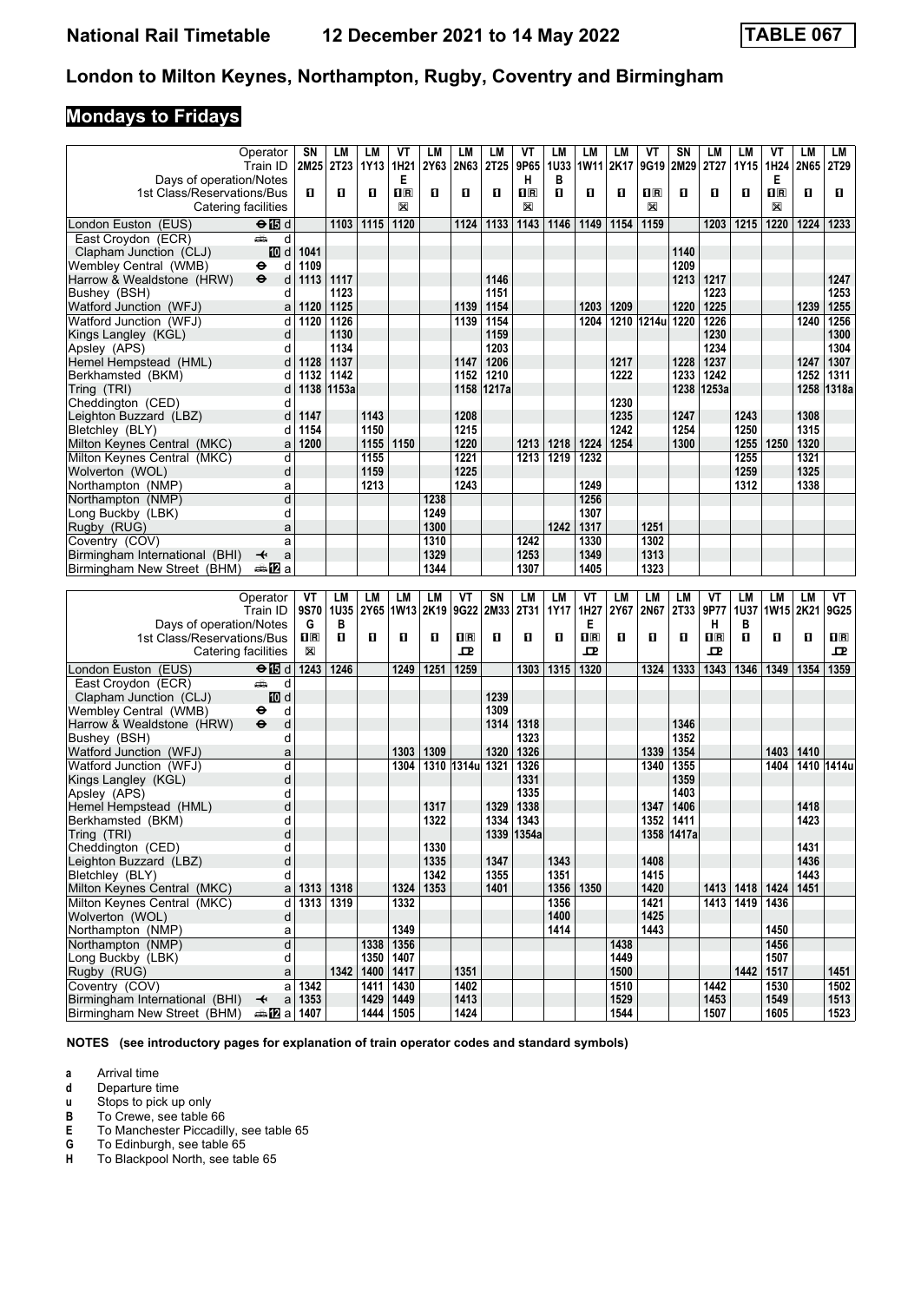# **Mondays to Fridays**

|                                                       | Operator                       | SN                  | LM                | LМ           | ۷T                    | LM           | LM              | LM               | VT                      | LM               | LM               | LM           | VT           | SN                 | LM               | LM        | ۷T                 | LM   | LM           |
|-------------------------------------------------------|--------------------------------|---------------------|-------------------|--------------|-----------------------|--------------|-----------------|------------------|-------------------------|------------------|------------------|--------------|--------------|--------------------|------------------|-----------|--------------------|------|--------------|
| Days of operation/Notes                               | Train ID                       | 2M25 2T23           |                   | 1Y13         | 1H <sub>21</sub><br>Е | 2Y63         | <b>2N63</b>     | 2T <sub>25</sub> | 9P65<br>н               | <b>1U33</b><br>в | 1W11 2K17        |              | 9G19         | 2M29               | 2T27             | 1Y15      | 1H24<br>Е          | 2N65 | 2T29         |
| 1st Class/Reservations/Bus                            |                                | п                   | О                 | 0            | $n_{\rm R}$           | П            | O               | О                | $\overline{\mathbf{B}}$ | O                | 0                | 0            | $n_{\rm R}$  | 0                  | 0                | п         | $n_{\rm R}$        | O    | п            |
| Catering facilities                                   |                                |                     |                   |              | X                     |              |                 |                  | X                       |                  |                  |              | X            |                    |                  |           | X                  |      |              |
| London Euston (EUS)                                   | $\Theta$ $\blacksquare$ d      |                     | 1103              | 1115         | 1120                  |              | 1124            | 1133             | 1143                    | 1146             | 1149             | 1154         | 1159         |                    | 1203             | 1215      | 1220               | 1224 | 1233         |
| East Croydon (ECR)<br>Clapham Junction (CLJ)          | ڪ<br>d<br>III d                | 1041                |                   |              |                       |              |                 |                  |                         |                  |                  |              |              | 1140               |                  |           |                    |      |              |
| Wembley Central (WMB)                                 | ⊖<br>d                         | 1109                |                   |              |                       |              |                 |                  |                         |                  |                  |              |              | 1209               |                  |           |                    |      |              |
| Harrow & Wealdstone (HRW)                             | $\ddot{\mathbf{e}}$<br>d       | $1113$   1117       |                   |              |                       |              |                 | 1146             |                         |                  |                  |              |              | 1213               | 1217             |           |                    |      | 1247         |
| Bushey (BSH)                                          | d                              |                     | 1123              |              |                       |              |                 | 1151             |                         |                  |                  |              |              |                    | 1223             |           |                    |      | 1253         |
| Watford Junction (WFJ)                                | a                              | 1120                | 1125              |              |                       |              | 1139            | 1154             |                         |                  | 1203             | 1209         |              | 1220               | 1225             |           |                    | 1239 | 1255         |
| Watford Junction (WFJ)<br>Kings Langley (KGL)         | d<br>d                         | 1120                | 1126<br>1130      |              |                       |              | 1139            | 1154<br>1159     |                         |                  | 1204             |              | 1210 1214u   | 1220               | 1226<br>1230     |           |                    | 1240 | 1256<br>1300 |
| Apsley (APS)                                          | d                              |                     | 1134              |              |                       |              |                 | 1203             |                         |                  |                  |              |              |                    | 1234             |           |                    |      | 1304         |
| Hemel Hempstead (HML)                                 | d                              | 1128                | 1137              |              |                       |              | 1147            | 1206             |                         |                  |                  | 1217         |              | 1228               | 1237             |           |                    | 1247 | 1307         |
| Berkhamsted (BKM)                                     | d                              | 1132                | 1142              |              |                       |              | 1152            | 1210             |                         |                  |                  | 1222         |              | 1233               | 1242             |           |                    | 1252 | 1311         |
| Tring (TRI)                                           | d                              |                     | 1138 1153a        |              |                       |              | 1158            | 1217a            |                         |                  |                  |              |              |                    | 1238 1253a       |           |                    | 1258 | 1318a        |
| Cheddington (CED)<br>Leighton Buzzard (LBZ)           | d<br>d                         | 1147                |                   | 1143         |                       |              | 1208            |                  |                         |                  |                  | 1230<br>1235 |              | 1247               |                  | 1243      |                    | 1308 |              |
| Bletchley (BLY)                                       | d                              | 1154                |                   | 1150         |                       |              | 1215            |                  |                         |                  |                  | 1242         |              | 1254               |                  | 1250      |                    | 1315 |              |
| Milton Keynes Central (MKC)                           | a                              | 1200                |                   | 1155         | 1150                  |              | 1220            |                  | 1213                    | 1218             | 1224             | 1254         |              | 1300               |                  | 1255      | 1250               | 1320 |              |
| Milton Keynes Central (MKC)                           | d                              |                     |                   | 1155         |                       |              | 1221            |                  | 1213                    | 1219             | 1232             |              |              |                    |                  | 1255      |                    | 1321 |              |
| Wolverton (WOL)                                       | d                              |                     |                   | 1159         |                       |              | 1225            |                  |                         |                  |                  |              |              |                    |                  | 1259      |                    | 1325 |              |
| Northampton (NMP)                                     | a                              |                     |                   | 1213         |                       |              | 1243            |                  |                         |                  | 1249             |              |              |                    |                  | 1312      |                    | 1338 |              |
| Northampton (NMP)                                     | d                              |                     |                   |              |                       | 1238         |                 |                  |                         |                  | 1256             |              |              |                    |                  |           |                    |      |              |
| Long Buckby (LBK)<br>Rugby (RUG)                      | d<br>a                         |                     |                   |              |                       | 1249<br>1300 |                 |                  |                         | 1242             | 1307<br>1317     |              | 1251         |                    |                  |           |                    |      |              |
| Coventry (COV)                                        | a                              |                     |                   |              |                       | 1310         |                 |                  | 1242                    |                  | 1330             |              | 1302         |                    |                  |           |                    |      |              |
| Birmingham International (BHI)                        | ↞<br>a                         |                     |                   |              |                       | 1329         |                 |                  | 1253                    |                  | 1349             |              | 1313         |                    |                  |           |                    |      |              |
| Birmingham New Street (BHM)                           | anaDa                          |                     |                   |              |                       | 1344         |                 |                  | 1307                    |                  | 1405             |              | 1323         |                    |                  |           |                    |      |              |
|                                                       |                                |                     |                   |              |                       |              |                 |                  |                         |                  |                  |              |              |                    |                  |           |                    |      |              |
|                                                       |                                |                     |                   |              |                       |              |                 |                  |                         |                  |                  |              |              |                    |                  |           |                    |      |              |
|                                                       | Operator                       | VT                  | LM                | LM           | LM                    | LM           | VT              | SN               | LM                      | LМ               | ۷T               | LM           | LM           | LM                 | VT               | LM        | LM                 | LM   | VT           |
|                                                       | Train ID                       | 9S70                | 1U35              | 2Y65         | 1W13 2K19             |              | 9G22            | 2M33             | 2T31                    | 1Y17             | 1H27             | 2Y67         | 2N67         | 2T33               | 9P77             |           | 1U37   1W15   2K21 |      | 9G25         |
| Days of operation/Notes<br>1st Class/Reservations/Bus |                                | G<br>1 <sub>R</sub> | в<br>$\mathbf{u}$ | 0            | 0                     | 0            | $n_{\rm R}$     | О                | О                       | О                | Е<br>$n_{\rm R}$ | 0            | О            | п                  | н<br>$n_{\rm R}$ | в<br>п    | O                  | O    | $n_{\rm R}$  |
| Catering facilities                                   |                                | X                   |                   |              |                       |              | 굔               |                  |                         |                  | ᇁ                |              |              |                    | ᇁ                |           |                    |      | 굔            |
| London Euston (EUS)                                   | $\Theta$ is d                  | 1243                | 1246              |              | 1249                  | 1251         | 1259            |                  | 1303                    | 1315             | 1320             |              | 1324         | 1333               | 1343             | 1346      | 1349               | 1354 | 1359         |
| East Croydon (ECR)                                    | پېښ<br>d                       |                     |                   |              |                       |              |                 |                  |                         |                  |                  |              |              |                    |                  |           |                    |      |              |
| Clapham Junction (CLJ)                                | III d                          |                     |                   |              |                       |              |                 | 1239             |                         |                  |                  |              |              |                    |                  |           |                    |      |              |
| Wembley Central (WMB)                                 | d<br>⊖<br>$\ddot{\bm{\Theta}}$ |                     |                   |              |                       |              |                 | 1309             |                         |                  |                  |              |              |                    |                  |           |                    |      |              |
| Harrow & Wealdstone (HRW)<br>Bushev (BSH)             | d<br>d                         |                     |                   |              |                       |              |                 | 1314             | 1318<br>1323            |                  |                  |              |              | 1346<br>1352       |                  |           |                    |      |              |
| Watford Junction (WFJ)                                | a                              |                     |                   |              | 1303                  | 1309         |                 | 1320             | 1326                    |                  |                  |              | 1339         | 1354               |                  |           | 1403               | 1410 |              |
| Watford Junction (WFJ)                                | d                              |                     |                   |              | 1304                  |              | 1310 1314u 1321 |                  | 1326                    |                  |                  |              | 1340         | 1355               |                  |           | 1404               |      | 1410 1414u   |
| Kings Langley (KGL)                                   | d                              |                     |                   |              |                       |              |                 |                  | 1331                    |                  |                  |              |              | 1359               |                  |           |                    |      |              |
| Apsley (APS)                                          | d                              |                     |                   |              |                       |              |                 |                  | 1335                    |                  |                  |              |              | 1403               |                  |           |                    |      |              |
| Hemel Hempstead (HML)                                 | d<br>d                         |                     |                   |              |                       | 1317         |                 | 1329             | 1338                    |                  |                  |              | 1347         | 1406               |                  |           |                    | 1418 |              |
| Berkhamsted (BKM)<br>Tring (TRI)                      | d                              |                     |                   |              |                       | 1322         |                 | 1334             | 1343<br>1339 1354a      |                  |                  |              | 1352         | 1411<br>1358 1417a |                  |           |                    | 1423 |              |
| Cheddington (CED)                                     | d                              |                     |                   |              |                       | 1330         |                 |                  |                         |                  |                  |              |              |                    |                  |           |                    | 1431 |              |
| Leighton Buzzard (LBZ)                                | d                              |                     |                   |              |                       | 1335         |                 | 1347             |                         | 1343             |                  |              | 1408         |                    |                  |           |                    | 1436 |              |
| Bletchley (BLY)                                       | d                              |                     |                   |              |                       | 1342         |                 | 1355             |                         | 1351             |                  |              | 1415         |                    |                  |           |                    | 1443 |              |
| Milton Keynes Central (MKC)                           | a                              | $1313$   1318       |                   |              | 1324                  | 1353         |                 | 1401             |                         |                  | 1356 1350        |              | 1420         |                    |                  |           | 1413   1418   1424 | 1451 |              |
| Milton Keynes Central (MKC)<br>Wolverton (WOL)        | d<br>d                         |                     | 1313 1319         |              | 1332                  |              |                 |                  |                         | 1356<br>1400     |                  |              | 1421<br>1425 |                    |                  | 1413 1419 | 1436               |      |              |
| Northampton (NMP)                                     | a                              |                     |                   |              | 1349                  |              |                 |                  |                         | 1414             |                  |              | 1443         |                    |                  |           | 1450               |      |              |
| Northampton (NMP)                                     | d                              |                     |                   | 1338         | 1356                  |              |                 |                  |                         |                  |                  | 1438         |              |                    |                  |           | 1456               |      |              |
| Long Buckby (LBK)                                     | d                              |                     |                   | 1350         | 1407                  |              |                 |                  |                         |                  |                  | 1449         |              |                    |                  |           | 1507               |      |              |
| Rugby (RUG)                                           | a                              |                     | 1342              | 1400         | 1417                  |              | 1351            |                  |                         |                  |                  | 1500         |              |                    |                  | 1442      | 1517               |      | 1451         |
| Coventry (COV)<br>Birmingham International (BHI)      | a<br>$\overline{\mathbf{t}}$   | 1342<br>$a$ 1353    |                   | 1411<br>1429 | 1430<br>1449          |              | 1402<br>1413    |                  |                         |                  |                  | 1510<br>1529 |              |                    | 1442<br>1453     |           | 1530<br>1549       |      | 1502<br>1513 |

**NOTES (see introductory pages for explanation of train operator codes and standard symbols)**

**a** Arrival time<br>**d** Departure ti

**d** Departure time<br>**u** Stops to pick up

- **X** Stops to pick up only<br> **B** To Crewe, see table<br> **E** To Manchester Picca To Crewe, see table 66
- **E** To Manchester Piccadilly, see table 65<br>**G** To Edinburgh, see table 65

**6** To Edinburgh, see table 65<br>**H** To Blackpool North, see tab

To Blackpool North, see table 65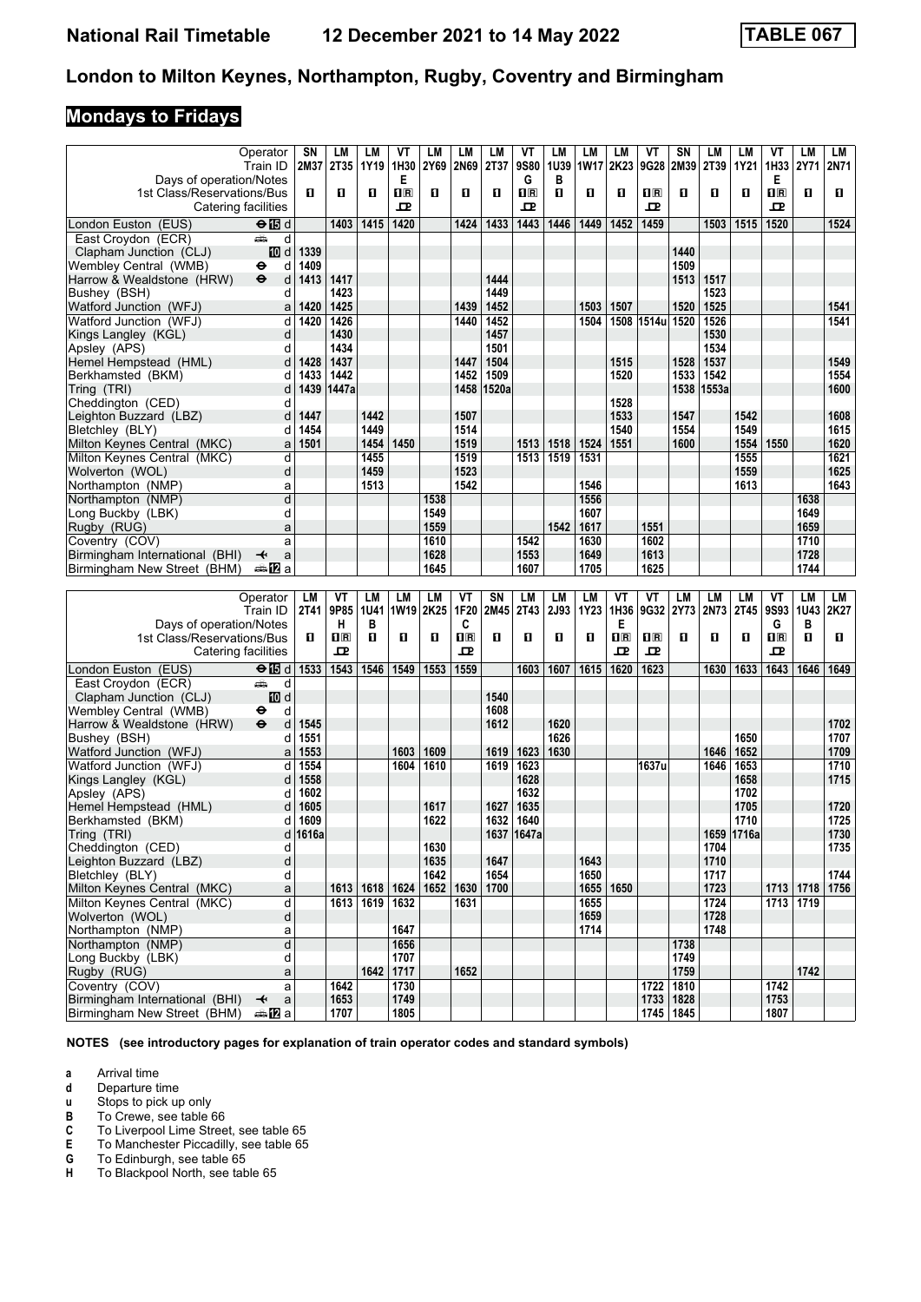# **Mondays to Fridays**

|                                                  | Operator                                              | SΝ           | LM                      | LМ          | ۷T           | LM           | LM                      | LM           | VT                      | LМ   | LМ           | LM                      | VT               | SN           | LM           | LM           | ۷T                                              | LM           | LМ           |
|--------------------------------------------------|-------------------------------------------------------|--------------|-------------------------|-------------|--------------|--------------|-------------------------|--------------|-------------------------|------|--------------|-------------------------|------------------|--------------|--------------|--------------|-------------------------------------------------|--------------|--------------|
|                                                  | Train ID                                              |              | 2M37 2T35               | 1Y19        | 1H30         | 2Y69         | 2N69                    | 2T37         | <b>9S80</b>             | 1U39 | <b>1W17</b>  | 2K23                    | 9G28             | 2M39         | 2T39         | 1Y21         | 1H33 2Y71                                       |              | <b>2N71</b>  |
| Days of operation/Notes                          |                                                       |              |                         |             | Е            |              |                         |              | G                       | В    |              |                         |                  |              |              |              | Е                                               |              |              |
| 1st Class/Reservations/Bus                       |                                                       | п            | п                       | п           | $n_{\rm R}$  | п            | O                       | П            | $\overline{\mathbf{B}}$ | п    | О            | O                       | $n_{\mathbb{R}}$ | п            | п            | п            | $\overline{\mathbf{H}}$ $\overline{\mathbf{R}}$ | п            | O            |
|                                                  | Catering facilities                                   |              |                         |             | ᇁ            |              |                         |              | ᇁ                       |      |              |                         | ᇁ                |              |              |              | ᇁ                                               |              |              |
| London Euston (EUS)                              | $\Theta$ is d                                         |              | 1403                    | 1415        | 1420         |              | 1424                    | 1433         | 1443                    | 1446 | 1449         | 1452                    | 1459             |              | 1503         | 1515         | 1520                                            |              | 1524         |
| East Croydon (ECR)                               | وشبه<br>d                                             |              |                         |             |              |              |                         |              |                         |      |              |                         |                  |              |              |              |                                                 |              |              |
| Clapham Junction (CLJ)                           | iD d                                                  | 1339         |                         |             |              |              |                         |              |                         |      |              |                         |                  | 1440         |              |              |                                                 |              |              |
| Wembley Central  (WMB)                           | ⊖<br>d                                                | 1409         |                         |             |              |              |                         |              |                         |      |              |                         |                  | 1509         |              |              |                                                 |              |              |
| Harrow & Wealdstone (HRW)                        | $\ddot{\mathbf{e}}$<br>d                              | 1413         | 1417                    |             |              |              |                         | 1444         |                         |      |              |                         |                  | 1513         | 1517         |              |                                                 |              |              |
| Bushey (BSH)                                     | d                                                     |              | 1423<br>1425            |             |              |              | 1439                    | 1449         |                         |      |              |                         |                  | 1520         | 1523<br>1525 |              |                                                 |              |              |
| Watford Junction (WFJ)<br>Watford Junction (WFJ) | a<br>d                                                | 1420<br>1420 | 1426                    |             |              |              | 1440                    | 1452<br>1452 |                         |      | 1503<br>1504 | 1507                    | 1508 1514u       | 1520         | 1526         |              |                                                 |              | 1541<br>1541 |
| Kings Langley (KGL)                              | d                                                     |              | 1430                    |             |              |              |                         | 1457         |                         |      |              |                         |                  |              | 1530         |              |                                                 |              |              |
| Apsley (APS)                                     | d                                                     |              | 1434                    |             |              |              |                         | 1501         |                         |      |              |                         |                  |              | 1534         |              |                                                 |              |              |
| Hemel Hempstead (HML)                            | d                                                     | 1428         | 1437                    |             |              |              | 1447                    | 1504         |                         |      |              | 1515                    |                  | 1528         | 1537         |              |                                                 |              | 1549         |
| Berkhamsted (BKM)                                | d                                                     | 1433         | 1442                    |             |              |              | 1452                    | 1509         |                         |      |              | 1520                    |                  | 1533         | 1542         |              |                                                 |              | 1554         |
| Tring (TRI)                                      | d                                                     |              | 1439 1447a              |             |              |              | 1458                    | 1520a        |                         |      |              |                         |                  |              | 1538 1553a   |              |                                                 |              | 1600         |
| Cheddington (CED)                                | d                                                     |              |                         |             |              |              |                         |              |                         |      |              | 1528                    |                  |              |              |              |                                                 |              |              |
| Leighton Buzzard (LBZ)                           | d                                                     | 1447         |                         | 1442        |              |              | 1507                    |              |                         |      |              | 1533                    |                  | 1547         |              | 1542         |                                                 |              | 1608         |
| Bletchley (BLY)                                  | d                                                     | 1454         |                         | 1449        |              |              | 1514                    |              |                         |      |              | 1540                    |                  | 1554         |              | 1549         |                                                 |              | 1615         |
| Milton Keynes Central (MKC)                      | a                                                     | 1501         |                         | 1454        | 1450         |              | 1519                    |              | 1513                    | 1518 | 1524         | 1551                    |                  | 1600         |              | 1554         | 1550                                            |              | 1620         |
| Milton Keynes Central (MKC)                      | d                                                     |              |                         | 1455        |              |              | 1519                    |              | 1513                    | 1519 | 1531         |                         |                  |              |              | 1555         |                                                 |              | 1621         |
| Wolverton (WOL)                                  | d                                                     |              |                         | 1459        |              |              | 1523                    |              |                         |      |              |                         |                  |              |              | 1559         |                                                 |              | 1625         |
| Northampton (NMP)                                | a                                                     |              |                         | 1513        |              |              | 1542                    |              |                         |      | 1546         |                         |                  |              |              | 1613         |                                                 |              | 1643         |
| Northampton (NMP)                                | d                                                     |              |                         |             |              | 1538         |                         |              |                         |      | 1556         |                         |                  |              |              |              |                                                 | 1638         |              |
| Long Buckby (LBK)<br>Rugby (RUG)                 | d                                                     |              |                         |             |              | 1549<br>1559 |                         |              |                         | 1542 | 1607         |                         | 1551             |              |              |              |                                                 | 1649<br>1659 |              |
| Coventry (COV)                                   | a<br>a                                                |              |                         |             |              | 1610         |                         |              | 1542                    |      | 1617<br>1630 |                         | 1602             |              |              |              |                                                 | 1710         |              |
| Birmingham International (BHI)                   | a<br>↞                                                |              |                         |             |              | 1628         |                         |              | 1553                    |      | 1649         |                         | 1613             |              |              |              |                                                 | 1728         |              |
| Birmingham New Street (BHM)                      | a≞MTa                                                 |              |                         |             |              | 1645         |                         |              | 1607                    |      | 1705         |                         | 1625             |              |              |              |                                                 | 1744         |              |
|                                                  |                                                       |              |                         |             |              |              |                         |              |                         |      |              |                         |                  |              |              |              |                                                 |              |              |
|                                                  |                                                       |              |                         |             |              |              |                         |              |                         |      |              |                         |                  |              |              |              |                                                 |              |              |
|                                                  | Operator                                              | LM           | ٧T                      | LМ          | LM           | LM           | VT                      | SN           | LM                      | LM   | <b>LM</b>    | VT                      | VT               | <b>LM</b>    | LM           | LM           | VT                                              | <b>LM</b>    | LM           |
|                                                  | Train ID                                              | 2T41         | 9P85                    | <b>1U41</b> | <b>1W19</b>  | 2K25         | 1F20                    | 2M45         | <b>2T43</b>             | 2J93 | 1Y23         | 1H36                    | 9G32             | 2Y73         | 2N73         | 2T45         | <b>9S93</b>                                     | <b>1U43</b>  | 2K27         |
| Days of operation/Notes                          |                                                       |              | н                       | в           |              |              | C                       |              |                         |      |              | Е                       |                  |              |              |              | G                                               | B            |              |
| 1st Class/Reservations/Bus                       |                                                       | п            | $\overline{\mathbf{B}}$ | п           | 0            | п            | $\overline{\mathbf{R}}$ | О            | О                       | О    | О            | $\overline{\mathbf{B}}$ | $n_{\mathbb{R}}$ | п            | O            | п            | $\overline{\mathbf{H}}$ $\overline{\mathbf{R}}$ | 0            | O            |
|                                                  | Catering facilities                                   |              | 굔                       |             |              |              | 굔                       |              |                         |      |              | ᇁ                       | ᇁ                |              |              |              | ᇁ                                               |              |              |
| London Euston (EUS)                              | $\Theta$ $\blacksquare$ d                             | 1533         | 1543                    | 1546        | 1549         | 1553         | 1559                    |              | 1603                    | 1607 | 1615         | 1620                    | 1623             |              | 1630         | 1633         | 1643                                            | 1646         | 1649         |
| East Croydon (ECR)                               | ڪ<br>d                                                |              |                         |             |              |              |                         |              |                         |      |              |                         |                  |              |              |              |                                                 |              |              |
| Clapham Junction (CLJ)                           | iD d                                                  |              |                         |             |              |              |                         | 1540         |                         |      |              |                         |                  |              |              |              |                                                 |              |              |
| Wembley Central  (WMB)                           | d<br>⊖                                                |              |                         |             |              |              |                         | 1608         |                         |      |              |                         |                  |              |              |              |                                                 |              |              |
| Harrow & Wealdstone (HRW)                        | $\ddot{\mathbf{e}}$<br>d                              | 1545         |                         |             |              |              |                         | 1612         |                         | 1620 |              |                         |                  |              |              |              |                                                 |              | 1702         |
| Bushey (BSH)                                     | d                                                     | 1551         |                         |             |              |              |                         |              |                         | 1626 |              |                         |                  |              |              | 1650         |                                                 |              | 1707         |
| Watford Junction (WFJ)                           | a                                                     | 1553         |                         |             | 1603         | 1609         |                         | 1619         | 1623                    | 1630 |              |                         |                  |              | 1646         | 1652         |                                                 |              | 1709         |
| Watford Junction (WFJ)                           | d                                                     | 1554         |                         |             | 1604         | 1610         |                         | 1619         | 1623                    |      |              |                         | 1637u            |              | 1646         | 1653         |                                                 |              | 1710         |
| Kings Langley (KGL)<br>Apsley (APS)              | d<br>d                                                | 1558<br>1602 |                         |             |              |              |                         |              | 1628<br>1632            |      |              |                         |                  |              |              | 1658<br>1702 |                                                 |              | 1715         |
| Hemel Hempstead (HML)                            | d                                                     | 1605         |                         |             |              | 1617         |                         | 1627         | 1635                    |      |              |                         |                  |              |              | 1705         |                                                 |              | 1720         |
| Berkhamsted (BKM)                                | d                                                     | 1609         |                         |             |              | 1622         |                         | 1632         | 1640                    |      |              |                         |                  |              |              | 1710         |                                                 |              | 1725         |
| Tring (TRI)                                      |                                                       | 1616a        |                         |             |              |              |                         |              | 1637 1647a              |      |              |                         |                  |              |              | 1659 1716a   |                                                 |              | 1730         |
| Cheddington (CED)                                | d                                                     |              |                         |             |              | 1630         |                         |              |                         |      |              |                         |                  |              | 1704         |              |                                                 |              | 1735         |
| Leighton Buzzard (LBZ)                           | d                                                     |              |                         |             |              | 1635         |                         | 1647         |                         |      | 1643         |                         |                  |              | 1710         |              |                                                 |              |              |
| Bletchley (BLY)                                  | d                                                     |              |                         |             |              | 1642         |                         | 1654         |                         |      | 1650         |                         |                  |              | 1717         |              |                                                 |              | 1744         |
| Milton Keynes Central (MKC)                      | a                                                     |              |                         | 1613 1618   | 1624         |              | 1652 1630               | 1700         |                         |      | 1655   1650  |                         |                  |              | 1723         |              | 1713 1718                                       |              | 1756         |
| Milton Keynes Central (MKC)                      | d                                                     |              |                         | 1613 1619   | 1632         |              | 1631                    |              |                         |      | 1655         |                         |                  |              | 1724         |              | 1713 1719                                       |              |              |
| Wolverton (WOL)                                  | d                                                     |              |                         |             |              |              |                         |              |                         |      | 1659         |                         |                  |              | 1728         |              |                                                 |              |              |
| Northampton (NMP)                                | a                                                     |              |                         |             | 1647         |              |                         |              |                         |      | 1714         |                         |                  |              | 1748         |              |                                                 |              |              |
| Northampton (NMP)                                | d                                                     |              |                         |             | 1656         |              |                         |              |                         |      |              |                         |                  | 1738         |              |              |                                                 |              |              |
| Long Buckby (LBK)                                | d                                                     |              |                         |             | 1707         |              |                         |              |                         |      |              |                         |                  | 1749         |              |              |                                                 |              |              |
| Rugby (RUG)                                      | a<br>a                                                |              |                         | 1642        | 1717         |              | 1652                    |              |                         |      |              |                         |                  | 1759<br>1810 |              |              | 1742                                            | 1742         |              |
| Coventry (COV)<br>Birmingham International (BHI) | $\overline{\mathbf{t}}$<br>$\mathsf{a}$<br><b>美卫a</b> |              | 1642<br>1653            |             | 1730<br>1749 |              |                         |              |                         |      |              |                         | 1722<br>1733     | 1828         |              |              | 1753                                            |              |              |

**NOTES (see introductory pages for explanation of train operator codes and standard symbols)**

**a** Arrival time<br>**d** Departure ti

**d** Departure time<br>**u** Stops to pick up

**X** Stops to pick up only

**B** To Crewe, see table 66<br>**C** To Liverpool Lime Stree<br>**E** To Manchester Piccadill

To Liverpool Lime Street, see table 65

**E** To Manchester Piccadilly, see table 65<br>**G** To Edinburgh, see table 65

**6** To Edinburgh, see table 65<br>**H** To Blackpool North, see tab

To Blackpool North, see table 65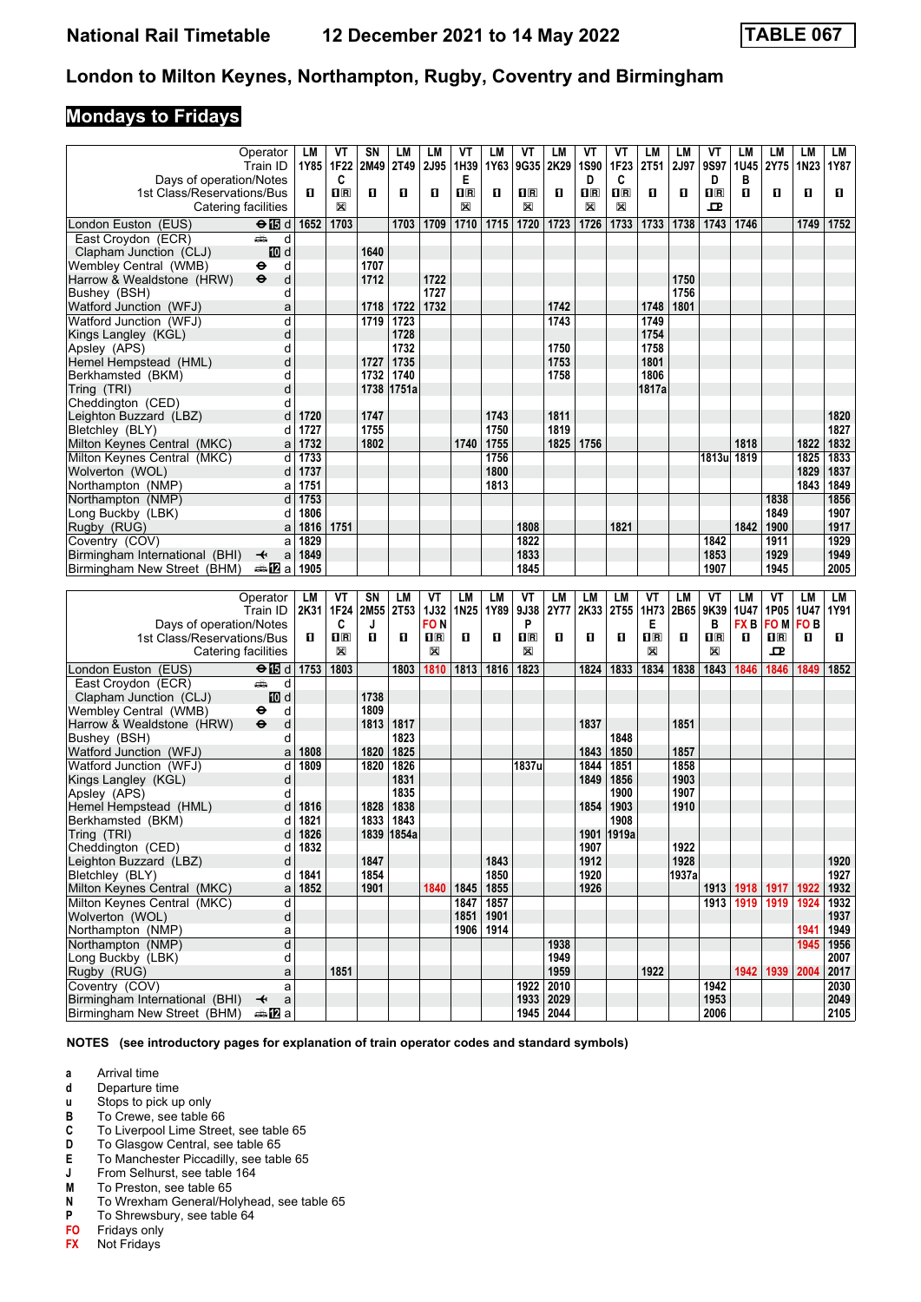## **Mondays to Fridays**

|                                                               | Operator                                | LM   | ۷T                      | SΝ          | LM          | <b>LM</b>               | VT               | LM   | VT             | LM                       | ۷T          | ۷T          | LM          | LМ    | ۷T                      | LМ                 | LМ          | LM              | LM           |
|---------------------------------------------------------------|-----------------------------------------|------|-------------------------|-------------|-------------|-------------------------|------------------|------|----------------|--------------------------|-------------|-------------|-------------|-------|-------------------------|--------------------|-------------|-----------------|--------------|
|                                                               | Train ID                                | 1Y85 | 1F22                    | 2M49        | 2T49        | <b>2J95</b>             | 1H39             | 1Y63 | 9G35           | 2K29                     | 1S90        | 1F23        | <b>2T51</b> | 2J97  | 9S97                    | 1U45               | 2Y75        | 1N23            | 1Y87         |
| Days of operation/Notes                                       |                                         |      | C                       |             |             |                         | Е                |      |                |                          | D           | C           |             |       | D                       | в                  |             |                 |              |
| 1st Class/Reservations/Bus                                    |                                         | O    | $\overline{\mathbf{B}}$ | O           | О           | O                       | $\Pi$ R          | О    | $\mathbf{H}$ R | О                        | $n_{\rm R}$ | $\Pi$ R     | О           | O     | $\overline{\mathbf{R}}$ | п                  | O           | O               | O.           |
|                                                               |                                         |      |                         |             |             |                         |                  |      | X              |                          |             |             |             |       |                         |                    |             |                 |              |
|                                                               | Catering facilities                     |      | X                       |             |             |                         | X                |      |                |                          | X           | X           |             |       | 굔                       |                    |             |                 |              |
| London Euston (EUS)                                           | $\Theta$ is d                           | 1652 | 1703                    |             | 1703        | 1709                    | 1710             | 1715 | 1720           | 1723                     | 1726        | 1733        | 1733        | 1738  | 1743                    | 1746               |             | 1749            | 1752         |
| East Croydon (ECR)                                            | وشبه<br>d                               |      |                         |             |             |                         |                  |      |                |                          |             |             |             |       |                         |                    |             |                 |              |
| Clapham Junction (CLJ)                                        | iD d                                    |      |                         | 1640        |             |                         |                  |      |                |                          |             |             |             |       |                         |                    |             |                 |              |
|                                                               |                                         |      |                         |             |             |                         |                  |      |                |                          |             |             |             |       |                         |                    |             |                 |              |
| Wembley Central  (WMB)                                        | d<br>⊖                                  |      |                         | 1707        |             |                         |                  |      |                |                          |             |             |             |       |                         |                    |             |                 |              |
| Harrow & Wealdstone (HRW)                                     | $\bullet$<br>d                          |      |                         | 1712        |             | 1722                    |                  |      |                |                          |             |             |             | 1750  |                         |                    |             |                 |              |
| Bushey (BSH)                                                  | d                                       |      |                         |             |             | 1727                    |                  |      |                |                          |             |             |             | 1756  |                         |                    |             |                 |              |
| Watford Junction (WFJ)                                        | a                                       |      |                         | 1718        | 1722        | 1732                    |                  |      |                | 1742                     |             |             | 1748        | 1801  |                         |                    |             |                 |              |
| Watford Junction (WFJ)                                        | d                                       |      |                         | 1719        | 1723        |                         |                  |      |                | 1743                     |             |             | 1749        |       |                         |                    |             |                 |              |
|                                                               | d                                       |      |                         |             | 1728        |                         |                  |      |                |                          |             |             | 1754        |       |                         |                    |             |                 |              |
| Kings Langley (KGL)                                           |                                         |      |                         |             |             |                         |                  |      |                |                          |             |             |             |       |                         |                    |             |                 |              |
| Apsley (APS)                                                  | d                                       |      |                         |             | 1732        |                         |                  |      |                | 1750                     |             |             | 1758        |       |                         |                    |             |                 |              |
| Hemel Hempstead (HML)                                         | d                                       |      |                         | 1727        | 1735        |                         |                  |      |                | 1753                     |             |             | 1801        |       |                         |                    |             |                 |              |
| Berkhamsted (BKM)                                             | d                                       |      |                         | 1732        | 1740        |                         |                  |      |                | 1758                     |             |             | 1806        |       |                         |                    |             |                 |              |
| Tring (TRI)                                                   | d                                       |      |                         | 1738        | 1751a       |                         |                  |      |                |                          |             |             | 1817a       |       |                         |                    |             |                 |              |
| Cheddington (CED)                                             | d                                       |      |                         |             |             |                         |                  |      |                |                          |             |             |             |       |                         |                    |             |                 |              |
|                                                               |                                         |      |                         | 1747        |             |                         |                  | 1743 |                | 1811                     |             |             |             |       |                         |                    |             |                 |              |
| Leighton Buzzard (LBZ)                                        | d                                       | 1720 |                         |             |             |                         |                  |      |                |                          |             |             |             |       |                         |                    |             |                 | 1820         |
| Bletchley (BLY)                                               | d                                       | 1727 |                         | 1755        |             |                         |                  | 1750 |                | 1819                     |             |             |             |       |                         |                    |             |                 | 1827         |
| Milton Keynes Central (MKC)                                   | a                                       | 1732 |                         | 1802        |             |                         | 1740             | 1755 |                | 1825                     | 1756        |             |             |       |                         | 1818               |             | 1822            | 1832         |
| Milton Keynes Central (MKC)                                   | d                                       | 1733 |                         |             |             |                         |                  | 1756 |                |                          |             |             |             |       | 1813u 1819              |                    |             | 1825            | 1833         |
| Wolverton (WOL)                                               | d                                       | 1737 |                         |             |             |                         |                  | 1800 |                |                          |             |             |             |       |                         |                    |             | 1829            | 1837         |
| Northampton (NMP)                                             | a                                       | 1751 |                         |             |             |                         |                  | 1813 |                |                          |             |             |             |       |                         |                    |             | 1843            | 1849         |
|                                                               |                                         |      |                         |             |             |                         |                  |      |                |                          |             |             |             |       |                         |                    |             |                 |              |
| Northampton (NMP)                                             | d                                       | 1753 |                         |             |             |                         |                  |      |                |                          |             |             |             |       |                         |                    | 1838        |                 | 1856         |
| Long Buckby (LBK)                                             | d                                       | 1806 |                         |             |             |                         |                  |      |                |                          |             |             |             |       |                         |                    | 1849        |                 | 1907         |
| Rugby (RUG)                                                   | a                                       | 1816 | 1751                    |             |             |                         |                  |      | 1808           |                          |             | 1821        |             |       |                         | 1842               | 1900        |                 | 1917         |
| Coventry (COV)                                                | a                                       | 1829 |                         |             |             |                         |                  |      | 1822           |                          |             |             |             |       | 1842                    |                    | 1911        |                 | 1929         |
| Birmingham International (BHI)                                | $\overline{\mathbf{t}}$<br>$\mathsf{a}$ | 1849 |                         |             |             |                         |                  |      | 1833           |                          |             |             |             |       | 1853                    |                    | 1929        |                 | 1949         |
|                                                               |                                         | 1905 |                         |             |             |                         |                  |      | 1845           |                          |             |             |             |       | 1907                    |                    | 1945        |                 | 2005         |
| Birmingham New Street (BHM)                                   | desip⊒a                                 |      |                         |             |             |                         |                  |      |                |                          |             |             |             |       |                         |                    |             |                 |              |
|                                                               |                                         |      |                         |             |             |                         |                  |      |                |                          |             |             |             |       |                         |                    |             |                 |              |
|                                                               |                                         |      |                         |             |             |                         |                  |      |                |                          |             |             |             |       |                         |                    |             |                 |              |
|                                                               | Operator                                | LM   | ٧T                      | SN          | LM          | ۷T                      | LM               | LM   | VT             | LM                       | <b>LM</b>   | LM          | VT          | LМ    | ۷T                      | LМ                 | VT          | LM              | LM           |
|                                                               | Train ID                                | 2K31 | 1F24                    | <b>2M55</b> | <b>2T53</b> | <b>1J32</b>             | 1N <sub>25</sub> | 1Y89 | 9J38           | 2Y77                     | 2K33        | <b>2T55</b> | 1H73        | 2B65  | 9K39                    | <b>1U47</b>        | 1P05   1U47 |                 | 1Y91         |
|                                                               |                                         |      |                         |             |             |                         |                  |      | P              |                          |             |             |             |       |                         |                    |             |                 |              |
| Days of operation/Notes                                       |                                         |      | C                       | J           |             | <b>FON</b>              |                  |      |                |                          |             |             | Е           |       | в                       | FX B               | FO M l      | FO <sub>B</sub> |              |
| 1st Class/Reservations/Bus                                    |                                         | O    | $\overline{\mathbf{B}}$ | O           | О           | $\mathbf{1} \mathbf{R}$ | O                | О    | 1R             | О                        | O           | 0           | $n_{\rm R}$ | п     | $n_{\rm R}$             | п                  | $\Pi$ R     | O               | 0.           |
|                                                               | Catering facilities                     |      | X                       |             |             | X                       |                  |      | X              |                          |             |             | X           |       | X                       |                    | ᇁ           |                 |              |
| London Euston (EUS)                                           | $\Theta$ $\blacksquare$ d               | 1753 | 1803                    |             | 1803        | 1810                    | 1813             | 1816 | 1823           |                          | 1824        | 1833        | 1834        | 1838  | 1843                    | 1846               | 1846        | 1849            | 1852         |
|                                                               | ڪ<br>d                                  |      |                         |             |             |                         |                  |      |                |                          |             |             |             |       |                         |                    |             |                 |              |
| East Croydon (ECR)                                            |                                         |      |                         |             |             |                         |                  |      |                |                          |             |             |             |       |                         |                    |             |                 |              |
| Clapham Junction (CLJ)                                        | III d                                   |      |                         | 1738        |             |                         |                  |      |                |                          |             |             |             |       |                         |                    |             |                 |              |
| Wembley Central (WMB)                                         | d<br>⊖                                  |      |                         | 1809        |             |                         |                  |      |                |                          |             |             |             |       |                         |                    |             |                 |              |
| Harrow & Wealdstone (HRW)                                     | $\ddot{\mathbf{e}}$<br>d                |      |                         | 1813        | 1817        |                         |                  |      |                |                          | 1837        |             |             | 1851  |                         |                    |             |                 |              |
| Bushey (BSH)                                                  | d                                       |      |                         |             | 1823        |                         |                  |      |                |                          |             | 1848        |             |       |                         |                    |             |                 |              |
| Watford Junction (WFJ)                                        | a                                       | 1808 |                         | 1820        | 1825        |                         |                  |      |                |                          | 1843        | 1850        |             | 1857  |                         |                    |             |                 |              |
| Watford Junction (WFJ)                                        | d                                       | 1809 |                         | 1820        | 1826        |                         |                  |      | 1837u          |                          | 1844        | 1851        |             | 1858  |                         |                    |             |                 |              |
| Kings Langley (KGL)                                           | d                                       |      |                         |             | 1831        |                         |                  |      |                |                          | 1849        | 1856        |             | 1903  |                         |                    |             |                 |              |
|                                                               | d                                       |      |                         |             | 1835        |                         |                  |      |                |                          |             |             |             |       |                         |                    |             |                 |              |
| Apsley (APS)                                                  |                                         |      |                         |             |             |                         |                  |      |                |                          |             | 1900        |             | 1907  |                         |                    |             |                 |              |
| Hemel Hempstead (HML)                                         | d                                       | 1816 |                         | 1828        | 1838        |                         |                  |      |                |                          | 1854        | 1903        |             | 1910  |                         |                    |             |                 |              |
| Berkhamsted (BKM)                                             | d                                       | 1821 |                         | 1833        | 1843        |                         |                  |      |                |                          |             | 1908        |             |       |                         |                    |             |                 |              |
| Tring (TRI)                                                   |                                         | 1826 |                         |             | 1839 1854a  |                         |                  |      |                |                          |             | 1901 1919a  |             |       |                         |                    |             |                 |              |
| Cheddington (CED)                                             | d                                       | 1832 |                         |             |             |                         |                  |      |                |                          | 1907        |             |             | 1922  |                         |                    |             |                 |              |
| Leighton Buzzard (LBZ)                                        | d                                       |      |                         | 1847        |             |                         |                  | 1843 |                |                          | 1912        |             |             | 1928  |                         |                    |             |                 | 1920         |
|                                                               | d                                       | 1841 |                         | 1854        |             |                         |                  | 1850 |                |                          | 1920        |             |             | 1937a |                         |                    |             |                 | 1927         |
| Bletchley (BLY)                                               |                                         |      |                         |             |             |                         |                  |      |                |                          |             |             |             |       |                         |                    |             |                 |              |
| Milton Keynes Central (MKC)                                   | a                                       | 1852 |                         | 1901        |             | 1840                    | 1845             | 1855 |                |                          | 1926        |             |             |       |                         | 1913   1918   1917 |             | 1922            | 1932         |
| Milton Keynes Central (MKC)                                   | d                                       |      |                         |             |             |                         | 1847             | 1857 |                |                          |             |             |             |       | 1913                    | 1919               | 1919        | 1924            | 1932         |
| Wolverton (WOL)                                               | d                                       |      |                         |             |             |                         | 1851             | 1901 |                |                          |             |             |             |       |                         |                    |             |                 | 1937         |
| Northampton (NMP)                                             | a                                       |      |                         |             |             |                         | 1906             | 1914 |                |                          |             |             |             |       |                         |                    |             | 1941            | 1949         |
| Northampton (NMP)                                             | $\overline{\mathsf{d}}$                 |      |                         |             |             |                         |                  |      |                | 1938                     |             |             |             |       |                         |                    |             | 1945            | 1956         |
| Long Buckby (LBK)                                             | d                                       |      |                         |             |             |                         |                  |      |                | 1949                     |             |             |             |       |                         |                    |             |                 | 2007         |
|                                                               |                                         |      |                         |             |             |                         |                  |      |                |                          |             |             |             |       |                         |                    |             |                 |              |
| Rugby (RUG)                                                   | a                                       |      | 1851                    |             |             |                         |                  |      |                | 1959                     |             |             | 1922        |       |                         |                    | 1942 1939   | 2004            | 2017         |
| Coventry (COV)                                                | a                                       |      |                         |             |             |                         |                  |      | 1922           | 2010                     |             |             |             |       | 1942                    |                    |             |                 | 2030         |
| Birmingham International (BHI)<br>Birmingham New Street (BHM) | $\overline{\mathbf{t}}$<br>a<br>⇔anZa   |      |                         |             |             |                         |                  |      |                | 1933   2029<br>1945 2044 |             |             |             |       | 1953<br>2006            |                    |             |                 | 2049<br>2105 |

**NOTES (see introductory pages for explanation of train operator codes and standard symbols)**

- **a** Arrival time<br>**d** Departure t
- **d** Departure time<br>**u** Stops to pick up
- **X** Stops to pick up only
- **B** To Crewe, see table 66<br>**C** To Liverpool Lime Stree
- **C** To Liverpool Lime Street, see table 65<br>**D** To Glasgow Central, see table 65
- **D** To Glasgow Central, see table 65<br>**E** To Manchester Piccadilly, see tab
- **E** To Manchester Piccadilly, see table 65<br>**J** From Selhurst, see table 164
- **J** From Selhurst, see table 164<br>**M** To Preston, see table 65
- 
- **M** To Preston, see table 65<br>**N** To Wrexham General/Ho **N** To Wrexham General/Holyhead, see table 65<br>**P** To Shrewsbury, see table 64
- **P** To Shrewsbury, see table 64
- **F0** Fridays only<br>**FX** Not Fridays
- **F;** Not Fridays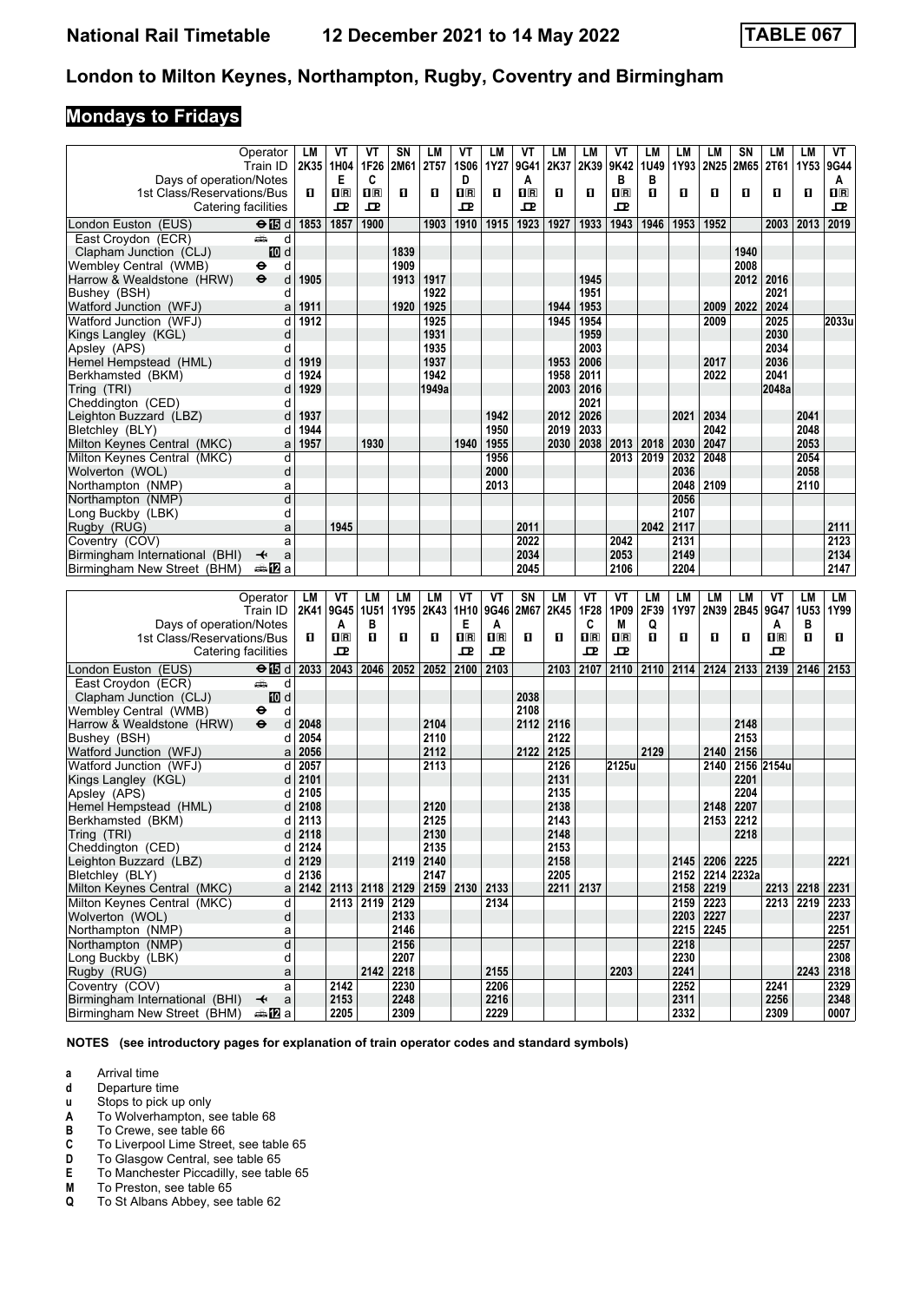# **Mondays to Fridays**

|                                                  | Operator                      | LM              | ۷T                        | ۷Τ                | SN           | <b>LM</b>         | VT             | LM           | VT                      | LМ                | LM               | ۷T                      | LM         | LM           | LM             | SN                | LM           | LM                | VT           |
|--------------------------------------------------|-------------------------------|-----------------|---------------------------|-------------------|--------------|-------------------|----------------|--------------|-------------------------|-------------------|------------------|-------------------------|------------|--------------|----------------|-------------------|--------------|-------------------|--------------|
|                                                  | Train ID                      | 2K35 1H04       |                           | 1F26              | 2M61         | 2T <sub>57</sub>  | <b>1S06</b>    | 1Y27         | 9G41                    | 2K37              | 2K39             | 9K42                    | 1U49       | 1Y93         | 2N25           | 2M65              | 2T61         | 1Y53              | 9G44         |
| Days of operation/Notes                          |                               |                 | Е                         | C                 |              |                   | D              |              | A                       |                   |                  | В                       | В          |              |                |                   |              |                   | A            |
| 1st Class/Reservations/Bus                       |                               | O               | $\mathbf{I}^{\mathbb{R}}$ | $n_{\rm R}$       | П            | O                 | $\Pi$ R        | О            | $\overline{\mathbf{B}}$ | О                 | п                | $\overline{\mathbf{B}}$ | п          | п            | О              | п                 | п            | O                 | $1\text{R}$  |
| Catering facilities                              |                               |                 | ᇁ                         | ᇁ                 |              |                   | 굔              |              | ᇁ                       |                   |                  | ᇁ                       |            |              |                |                   |              |                   | 굔            |
| London Euston (EUS)                              | $\Theta$ $\blacksquare$       | 1853            | 1857                      | 1900              |              | 1903              | 1910           | 1915         | 1923                    | 1927              | 1933             | 1943                    | 1946       | 1953         | 1952           |                   | 2003         | 2013              | 2019         |
| East Croydon (ECR)                               | پیش<br>d                      |                 |                           |                   |              |                   |                |              |                         |                   |                  |                         |            |              |                |                   |              |                   |              |
| Clapham Junction (CLJ)                           | iD d                          |                 |                           |                   | 1839         |                   |                |              |                         |                   |                  |                         |            |              |                | 1940              |              |                   |              |
| Wembley Central (WMB)                            | d<br>⊖<br>$\ddot{\mathbf{e}}$ | 1905            |                           |                   | 1909         | 1917              |                |              |                         |                   | 1945             |                         |            |              |                | 2008<br>2012 2016 |              |                   |              |
| Harrow & Wealdstone (HRW)<br>Bushey (BSH)        | d<br>d                        |                 |                           |                   | 1913         | 1922              |                |              |                         |                   | 1951             |                         |            |              |                |                   | 2021         |                   |              |
| Watford Junction (WFJ)                           | a                             | 1911            |                           |                   | 1920         | 1925              |                |              |                         | 1944              | 1953             |                         |            |              | 2009           | 2022              | 2024         |                   |              |
| Watford Junction (WFJ)                           | d                             | 1912            |                           |                   |              | 1925              |                |              |                         | 1945              | 1954             |                         |            |              | 2009           |                   | 2025         |                   | 2033u        |
| Kings Langley (KGL)                              | d                             |                 |                           |                   |              | 1931              |                |              |                         |                   | 1959             |                         |            |              |                |                   | 2030         |                   |              |
| Apsley (APS)                                     | d                             |                 |                           |                   |              | 1935              |                |              |                         |                   | 2003             |                         |            |              |                |                   | 2034         |                   |              |
| Hemel Hempstead (HML)                            | d                             | 1919            |                           |                   |              | 1937              |                |              |                         | 1953              | 2006             |                         |            |              | 2017           |                   | 2036         |                   |              |
| Berkhamsted (BKM)                                | d                             | 1924            |                           |                   |              | 1942              |                |              |                         | 1958              | 2011             |                         |            |              | 2022           |                   | 2041         |                   |              |
| Tring (TRI)                                      | d                             | 1929            |                           |                   |              | 1949a             |                |              |                         | 2003              | 2016             |                         |            |              |                |                   | 2048a        |                   |              |
| Cheddington (CED)                                | d                             |                 |                           |                   |              |                   |                |              |                         |                   | 2021             |                         |            |              |                |                   |              |                   |              |
| Leighton Buzzard (LBZ)<br>Bletchley (BLY)        | d<br>d                        | 1937<br>1944    |                           |                   |              |                   |                | 1942<br>1950 |                         | 2012<br>2019      | 2026<br>2033     |                         |            | 2021         | 2034<br>2042   |                   |              | 2041<br>2048      |              |
| Milton Keynes Central (MKC)                      | a                             | 1957            |                           | 1930              |              |                   | 1940           | 1955         |                         | 2030              | 2038             | 2013                    | 2018       | 2030         | 2047           |                   |              | 2053              |              |
| Milton Keynes Central (MKC)                      | d                             |                 |                           |                   |              |                   |                | 1956         |                         |                   |                  | 2013                    | 2019       | 2032         | 2048           |                   |              | 2054              |              |
| Wolverton (WOL)                                  | d                             |                 |                           |                   |              |                   |                | 2000         |                         |                   |                  |                         |            | 2036         |                |                   |              | 2058              |              |
| Northampton (NMP)                                | a                             |                 |                           |                   |              |                   |                | 2013         |                         |                   |                  |                         |            | 2048         | 2109           |                   |              | 2110              |              |
| Northampton (NMP)                                | d                             |                 |                           |                   |              |                   |                |              |                         |                   |                  |                         |            | 2056         |                |                   |              |                   |              |
| Long Buckby (LBK)                                | d                             |                 |                           |                   |              |                   |                |              |                         |                   |                  |                         |            | 2107         |                |                   |              |                   |              |
| Rugby (RUG)                                      | a                             |                 | 1945                      |                   |              |                   |                |              | 2011                    |                   |                  |                         | 2042       | 2117         |                |                   |              |                   | 2111         |
| Coventry (COV)                                   | a                             |                 |                           |                   |              |                   |                |              | 2022                    |                   |                  | 2042                    |            | 2131         |                |                   |              |                   | 2123         |
| Birmingham International (BHI)                   | ↞<br>a                        |                 |                           |                   |              |                   |                |              | 2034                    |                   |                  | 2053                    |            | 2149         |                |                   |              |                   | 2134         |
| Birmingham New Street (BHM)                      | ana Mara                      |                 |                           |                   |              |                   |                |              | 2045                    |                   |                  | 2106                    |            | 2204         |                |                   |              |                   | 2147         |
|                                                  |                               |                 |                           |                   |              |                   |                |              |                         |                   |                  |                         |            |              |                |                   |              |                   |              |
|                                                  |                               |                 |                           |                   |              |                   |                |              |                         |                   |                  |                         |            |              |                |                   |              |                   |              |
|                                                  | Operator<br>Train ID          | LM<br>2K41 9G45 | ٧T                        | LМ<br><b>1U51</b> | LM<br>1Y95   | LM<br>2K43        | VT<br>1H10     | VT<br>9G46   | SN<br>2M67              | <b>LM</b><br>2K45 | VT<br>1F28       | VT<br>1P09              | LМ<br>2F39 | LM<br>1Y97   | LM<br>2N39     | LМ<br>2B45        | ۷T<br>9G47   | LM<br><b>1U53</b> | LM<br>1Y99   |
| Days of operation/Notes                          |                               |                 | A                         | в                 |              |                   | Е              | A            |                         |                   | C                | M                       | Q          |              |                |                   | A            | в                 |              |
| 1st Class/Reservations/Bus                       |                               | O               | $n_{\rm R}$               | п                 | П            | O                 | $\mathbf{H}$   | $n_{\rm R}$  | П                       | О                 | $n_{\mathbb{R}}$ | $\Pi$ R                 | О          | п            | O              | О                 | 1R           | O                 | 0.           |
| Catering facilities                              |                               |                 | ᇁ                         |                   |              |                   | 굔              | 굔            |                         |                   | ᇁ                | ᇁ                       |            |              |                |                   | ᇁ            |                   |              |
| London Euston (EUS)                              | $\Theta$ is d                 | 2033            | 2043                      | 2046              | 2052         | 2052              | 2100           | 2103         |                         | 2103              | 2107             | 2110                    | 2110       | 2114         | 2124           | 2133              | 2139         | 2146              | 2153         |
| East Croydon (ECR)                               | وشر<br>d                      |                 |                           |                   |              |                   |                |              |                         |                   |                  |                         |            |              |                |                   |              |                   |              |
| Clapham Junction (CLJ)                           | iD d                          |                 |                           |                   |              |                   |                |              | 2038                    |                   |                  |                         |            |              |                |                   |              |                   |              |
| Wembley Central (WMB)                            | ⊖<br>d                        |                 |                           |                   |              |                   |                |              | 2108                    |                   |                  |                         |            |              |                |                   |              |                   |              |
| Harrow & Wealdstone (HRW)                        | $\ddot{\mathbf{e}}$<br>d<br>d | 2048<br>2054    |                           |                   |              | 2104<br>2110      |                |              | 2112                    | 2116<br>2122      |                  |                         |            |              |                | 2148<br>2153      |              |                   |              |
| Bushey (BSH)<br>Watford Junction (WFJ)           | a                             | 2056            |                           |                   |              | 2112              |                |              | 2122                    | 2125              |                  |                         | 2129       |              | 2140           | 2156              |              |                   |              |
| Watford Junction (WFJ)                           | d                             | 2057            |                           |                   |              | 2113              |                |              |                         | 2126              |                  | 2125u                   |            |              | 2140           |                   | 2156 2154u   |                   |              |
| Kings Langley (KGL)                              | d                             | 2101            |                           |                   |              |                   |                |              |                         | 2131              |                  |                         |            |              |                | 2201              |              |                   |              |
| Apsley (APS)                                     | d                             | 2105            |                           |                   |              |                   |                |              |                         | 2135              |                  |                         |            |              |                | 2204              |              |                   |              |
| Hemel Hempstead (HML)                            | d                             | 2108            |                           |                   |              | 2120              |                |              |                         | 2138              |                  |                         |            |              | 2148           | 2207              |              |                   |              |
| Berkhamsted (BKM)                                | d                             | 2113            |                           |                   |              | 2125              |                |              |                         | 2143              |                  |                         |            |              | 2153           | 2212              |              |                   |              |
| Tring (TRI)                                      | d                             | 2118            |                           |                   |              | 2130              |                |              |                         | 2148              |                  |                         |            |              |                | 2218              |              |                   |              |
| Cheddington (CED)                                | d<br>d                        | 2124            |                           |                   |              | 2135              |                |              |                         | 2153              |                  |                         |            |              |                |                   |              |                   |              |
| Leighton Buzzard (LBZ)<br>Bletchley (BLY)        | d                             | 2129<br>2136    |                           |                   |              | 2119 2140<br>2147 |                |              |                         | 2158<br>2205      |                  |                         |            |              | 2145 2206 2225 | 2152 2214 2232a   |              |                   | 2221         |
| Milton Keynes Central (MKC)                      | a                             |                 | 2142 2113 2118            |                   | 2129         |                   | 2159 2130 2133 |              |                         |                   | 2211 2137        |                         |            |              | 2158 2219      |                   | 2213 2218    |                   | 2231         |
| Milton Kevnes Central (MKC)                      | d                             |                 |                           | 2113 2119         | 2129         |                   |                | 2134         |                         |                   |                  |                         |            |              | 2159 2223      |                   |              | 2213 2219         | 2233         |
| Wolverton (WOL)                                  | d                             |                 |                           |                   | 2133         |                   |                |              |                         |                   |                  |                         |            |              | 2203 2227      |                   |              |                   | 2237         |
| Northampton (NMP)                                | a                             |                 |                           |                   | 2146         |                   |                |              |                         |                   |                  |                         |            |              | 2215 2245      |                   |              |                   | 2251         |
| Northampton (NMP)                                | $\overline{\mathsf{d}}$       |                 |                           |                   | 2156         |                   |                |              |                         |                   |                  |                         |            | 2218         |                |                   |              |                   | 2257         |
| Long Buckby (LBK)                                | d                             |                 |                           |                   | 2207         |                   |                |              |                         |                   |                  |                         |            | 2230         |                |                   |              |                   | 2308         |
| Rugby (RUG)                                      | a                             |                 |                           | 2142              | 2218         |                   |                | 2155         |                         |                   |                  | 2203                    |            | 2241         |                |                   |              | 2243              | 2318         |
| Coventry (COV)<br>Birmingham International (BHI) | a<br>$\mathsf{a}$<br>↞        |                 | 2142<br>2153              |                   | 2230<br>2248 |                   |                | 2206<br>2216 |                         |                   |                  |                         |            | 2252<br>2311 |                |                   | 2241<br>2256 |                   | 2329<br>2348 |

**NOTES (see introductory pages for explanation of train operator codes and standard symbols)**

**a** Arrival time<br>**d** Departure ti

**d** Departure time<br>**u** Stops to pick up

**X** Stops to pick up only<br> **A** To Wolverhampton, s<br> **B** To Crewe, see table ( To Wolverhampton, see table 68

**B** To Crewe, see table 66<br>**C** To Liverpool Lime Stree **C** To Liverpool Lime Street, see table 65<br>**D** To Glasgow Central, see table 65

**D** To Glasgow Central, see table 65<br>**E** To Manchester Piccadilly, see tab **E** To Manchester Piccadilly, see table 65<br>**M** To Preston, see table 65

**M** To Preston, see table 65<br>**Q** To St Albans Abbey, see To St Albans Abbey, see table 62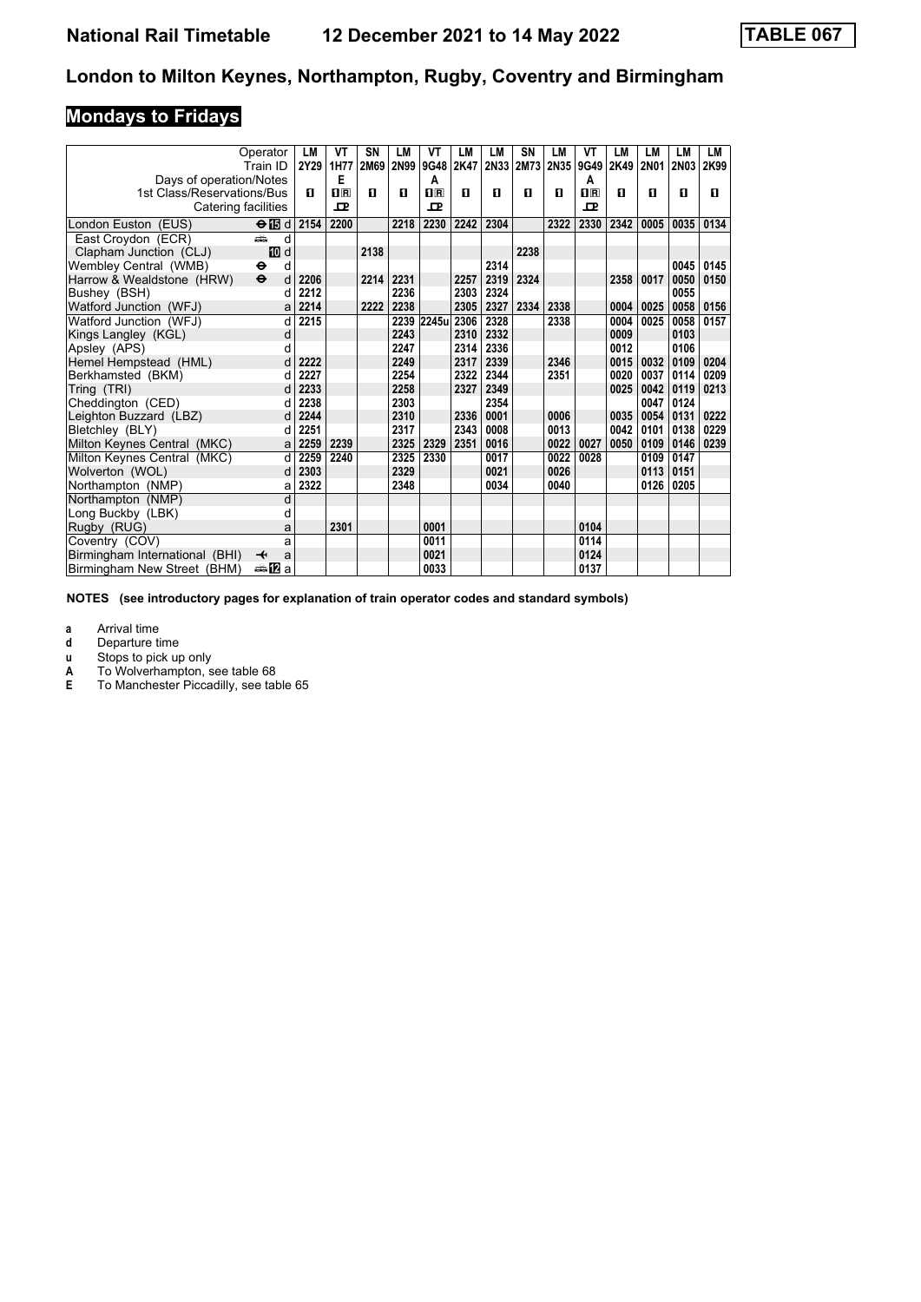# **Mondays to Fridays**

|                                           | Operator<br>Train ID              | LM<br>2Y29 | VT<br>1H77   | SN<br>2M69 | <b>LM</b> | VT<br>2N99 9G48 | LM<br>2K47 | <b>LM</b> | <b>SN</b> | <b>LM</b> | VT<br>2N33 2M73 2N35 9G49 | <b>LM</b><br>2K49 | <b>LM</b><br>2N01 | <b>LM</b><br><b>2N03</b> | LM<br>2K99 |
|-------------------------------------------|-----------------------------------|------------|--------------|------------|-----------|-----------------|------------|-----------|-----------|-----------|---------------------------|-------------------|-------------------|--------------------------|------------|
| Days of operation/Notes                   |                                   |            | E            |            |           | Α               |            |           |           |           | A                         |                   |                   |                          |            |
| 1st Class/Reservations/Bus                |                                   | п          | $n_{\rm{R}}$ | п          | п         | $n_{\rm R}$     | п          | п         | п         | п         | $n_{R}$                   | п                 | п                 | п                        | п          |
| Catering facilities                       |                                   |            | $\mathbf{P}$ |            |           | $\mathbf{p}$    |            |           |           |           | $\mathbf{P}$              |                   |                   |                          |            |
|                                           |                                   |            |              |            |           |                 |            |           |           |           |                           |                   |                   |                          |            |
| London Euston (EUS)                       | $\Theta$ id                       | 2154       | 2200         |            | 2218      | 2230            | 2242       | 2304      |           | 2322      | 2330                      | 2342              | 0005              | 0035                     | 0134       |
| East Croydon (ECR)                        | d<br>æ                            |            |              |            |           |                 |            |           |           |           |                           |                   |                   |                          |            |
| Clapham Junction (CLJ)                    | <b>ID</b> d<br>d<br>$\bullet$     |            |              | 2138       |           |                 |            | 2314      | 2238      |           |                           |                   |                   | 0045                     | 0145       |
| Wembley Central (WMB)                     | $\ddot{\boldsymbol{\Theta}}$<br>d | 2206       |              | 2214       | 2231      |                 | 2257       | 2319      | 2324      |           |                           | 2358              | 0017              | 0050                     | 0150       |
| Harrow & Wealdstone (HRW)<br>Bushey (BSH) | d                                 | 2212       |              |            | 2236      |                 | 2303       | 2324      |           |           |                           |                   |                   | 0055                     |            |
| Watford Junction (WFJ)                    | a                                 | 2214       |              | 2222       | 2238      |                 | 2305       | 2327      | 2334      | 2338      |                           | 0004              | 0025              | 0058                     | 0156       |
| Watford Junction (WFJ)                    | d                                 | 2215       |              |            |           | 2239 2245u      | 2306       | 2328      |           | 2338      |                           | 0004              | 0025              | 0058                     | 0157       |
| Kings Langley (KGL)                       | d                                 |            |              |            | 2243      |                 | 2310       | 2332      |           |           |                           | 0009              |                   | 0103                     |            |
| Apsley (APS)                              | d                                 |            |              |            | 2247      |                 | 2314       | 2336      |           |           |                           | 0012              |                   | 0106                     |            |
| Hemel Hempstead (HML)                     | d                                 | 2222       |              |            | 2249      |                 | 2317       | 2339      |           | 2346      |                           | 0015              | 0032              | 0109                     | 0204       |
| Berkhamsted (BKM)                         | d                                 | 2227       |              |            | 2254      |                 | 2322       | 2344      |           | 2351      |                           | 0020              | 0037              | 0114                     | 0209       |
| Tring (TRI)                               | d                                 | 2233       |              |            | 2258      |                 | 2327       | 2349      |           |           |                           | 0025              | 0042              | 0119                     | 0213       |
| Cheddington (CED)                         |                                   | 2238       |              |            | 2303      |                 |            | 2354      |           |           |                           |                   | 0047              | 0124                     |            |
| Leighton Buzzard (LBZ)                    | d                                 | 2244       |              |            | 2310      |                 | 2336       | 0001      |           | 0006      |                           | 0035              | 0054              | 0131                     | 0222       |
| Bletchley (BLY)                           | d                                 | 2251       |              |            | 2317      |                 | 2343       | 0008      |           | 0013      |                           | 0042              | 0101              | 0138                     | 0229       |
| Milton Keynes Central (MKC)               | a                                 | 2259       | 2239         |            | 2325      | 2329            | 2351       | 0016      |           | 0022      | 0027                      | 0050              | 0109              | 0146                     | 0239       |
| Milton Keynes Central (MKC)               | d                                 | 2259       | 2240         |            | 2325      | 2330            |            | 0017      |           | 0022      | 0028                      |                   | 0109              | 0147                     |            |
| Wolverton (WOL)                           | d                                 | 2303       |              |            | 2329      |                 |            | 0021      |           | 0026      |                           |                   | 0113              | 0151                     |            |
| Northampton (NMP)                         | a                                 | 2322       |              |            | 2348      |                 |            | 0034      |           | 0040      |                           |                   | 0126              | 0205                     |            |
| Northampton (NMP)                         | d                                 |            |              |            |           |                 |            |           |           |           |                           |                   |                   |                          |            |
| Long Buckby (LBK)                         | d                                 |            |              |            |           |                 |            |           |           |           |                           |                   |                   |                          |            |
| Rugby (RUG)                               | a                                 |            | 2301         |            |           | 0001            |            |           |           |           | 0104                      |                   |                   |                          |            |
| Coventry (COV)                            | a                                 |            |              |            |           | 0011            |            |           |           |           | 0114                      |                   |                   |                          |            |
| Birmingham International (BHI)            | ↞<br>a                            |            |              |            |           | 0021            |            |           |           |           | 0124                      |                   |                   |                          |            |
| Birmingham New Street (BHM)               | ana. <mark>n</mark> ⊒ a           |            |              |            |           | 0033            |            |           |           |           | 0137                      |                   |                   |                          |            |

**NOTES (see introductory pages for explanation of train operator codes and standard symbols)**

**a** Arrival time<br>**d** Departure t

**d** Departure time

**x** Stops to pick up only<br>**A** To Wolverhampton, s

**A** To Wolverhampton, see table 68<br>**E** To Manchester Piccadilly, see table

**(** To Manchester Piccadilly see table 65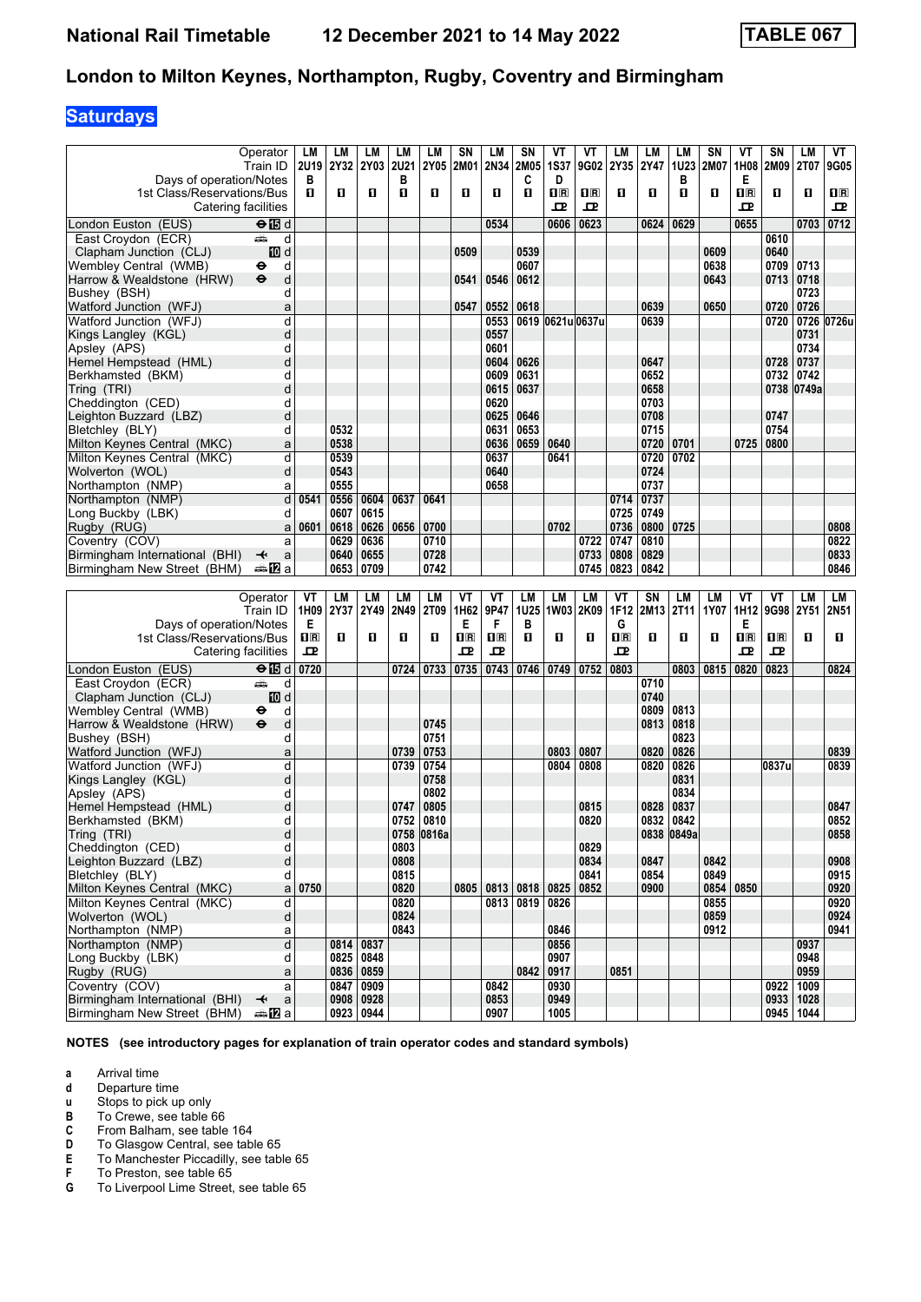## **Saturdays**

|                                                               | Operator<br>Train ID                  | LM                        | LM<br>2U19 2Y32 | LМ<br><b>2Y03</b>  | LM<br><b>2U21</b> | LM<br><b>2Y05</b> | <b>SN</b><br>2M01 | LM<br>2N34   | SN<br>2M05     | VT<br><b>1S37</b>       | ۷T<br>9G02              | LM<br>2Y35              | LM<br>2Y47   | LM<br>1U23   | SN<br>2M07   | VT<br>1H08                                      | SN<br><b>2M09</b> | LM<br>2T07             | VT<br>9G05              |
|---------------------------------------------------------------|---------------------------------------|---------------------------|-----------------|--------------------|-------------------|-------------------|-------------------|--------------|----------------|-------------------------|-------------------------|-------------------------|--------------|--------------|--------------|-------------------------------------------------|-------------------|------------------------|-------------------------|
| Days of operation/Notes                                       |                                       | в                         |                 |                    | в                 |                   |                   |              | C              | D                       |                         |                         |              | в            |              | Е                                               |                   |                        |                         |
| 1st Class/Reservations/Bus                                    |                                       | п                         | п               | п                  | O                 | п                 | O                 | O            | O              | $\overline{\mathbf{R}}$ | $\overline{\mathbf{H}}$ | O                       | п            | п            | O            | $\overline{\mathbf{H}}$ $\overline{\mathbf{R}}$ | п                 | O                      | $\overline{\mathbf{B}}$ |
|                                                               | Catering facilities                   |                           |                 |                    |                   |                   |                   |              |                | ᇁ                       | 고                       |                         |              |              |              | ᇁ                                               |                   |                        | 굔                       |
| London Euston (EUS)                                           | $\Theta$ $\blacksquare$ d             |                           |                 |                    |                   |                   |                   | 0534         |                | 0606                    | 0623                    |                         | 0624         | 0629         |              | 0655                                            |                   | 0703                   | 0712                    |
| East Croydon (ECR)                                            | وشبه<br>d                             |                           |                 |                    |                   |                   |                   |              |                |                         |                         |                         |              |              |              |                                                 | 0610              |                        |                         |
| Clapham Junction (CLJ)<br>Wembley Central (WMB)               | iD d<br>d<br>θ                        |                           |                 |                    |                   |                   | 0509              |              | 0539<br>0607   |                         |                         |                         |              |              | 0609<br>0638 |                                                 | 0640<br>0709      | 0713                   |                         |
| Harrow & Wealdstone (HRW)                                     | d<br>$\ddot{\boldsymbol{\Theta}}$     |                           |                 |                    |                   |                   | 0541              | 0546         | 0612           |                         |                         |                         |              |              | 0643         |                                                 | 0713   0718       |                        |                         |
| Bushey (BSH)                                                  | d                                     |                           |                 |                    |                   |                   |                   |              |                |                         |                         |                         |              |              |              |                                                 |                   | 0723                   |                         |
| Watford Junction (WFJ)                                        | a                                     |                           |                 |                    |                   |                   | 0547              | 0552         | 0618           |                         |                         |                         | 0639         |              | 0650         |                                                 | 0720              | 0726                   |                         |
| Watford Junction (WFJ)                                        | d                                     |                           |                 |                    |                   |                   |                   | 0553         |                |                         | 0619 0621u 0637u        |                         | 0639         |              |              |                                                 | 0720              |                        | 0726 0726u              |
| Kings Langley (KGL)                                           | d                                     |                           |                 |                    |                   |                   |                   | 0557         |                |                         |                         |                         |              |              |              |                                                 |                   | 0731                   |                         |
| Apsley (APS)                                                  | d                                     |                           |                 |                    |                   |                   |                   | 0601         |                |                         |                         |                         |              |              |              |                                                 |                   | 0734                   |                         |
| Hemel Hempstead (HML)<br>Berkhamsted (BKM)                    | d<br>d                                |                           |                 |                    |                   |                   |                   | 0604<br>0609 | 0626<br>0631   |                         |                         |                         | 0647<br>0652 |              |              |                                                 | 0728<br>0732      | 0737<br>0742           |                         |
| Tring (TRI)                                                   | d                                     |                           |                 |                    |                   |                   |                   | 0615         | 0637           |                         |                         |                         | 0658         |              |              |                                                 |                   | 0738 0749a             |                         |
| Cheddington (CED)                                             | d                                     |                           |                 |                    |                   |                   |                   | 0620         |                |                         |                         |                         | 0703         |              |              |                                                 |                   |                        |                         |
| Leighton Buzzard (LBZ)                                        | d                                     |                           |                 |                    |                   |                   |                   | 0625         | 0646           |                         |                         |                         | 0708         |              |              |                                                 | 0747              |                        |                         |
| Bletchley (BLY)                                               | d                                     |                           | 0532            |                    |                   |                   |                   | 0631         | 0653           |                         |                         |                         | 0715         |              |              |                                                 | 0754              |                        |                         |
| Milton Keynes Central (MKC)                                   | a                                     |                           | 0538            |                    |                   |                   |                   | 0636         | 0659           | 0640                    |                         |                         | 0720         | 0701         |              | 0725                                            | 0800              |                        |                         |
| Milton Keynes Central (MKC)                                   | d                                     |                           | 0539            |                    |                   |                   |                   | 0637         |                | 0641                    |                         |                         | 0720         | 0702         |              |                                                 |                   |                        |                         |
| Wolverton (WOL)                                               | d                                     |                           | 0543<br>0555    |                    |                   |                   |                   | 0640         |                |                         |                         |                         | 0724<br>0737 |              |              |                                                 |                   |                        |                         |
| Northampton (NMP)<br>Northampton (NMP)                        | a<br>d                                | 0541                      | 0556            | 0604               | 0637              | 0641              |                   | 0658         |                |                         |                         | 0714                    | 0737         |              |              |                                                 |                   |                        |                         |
| Long Buckby (LBK)                                             | d                                     |                           | 0607            | 0615               |                   |                   |                   |              |                |                         |                         | 0725                    | 0749         |              |              |                                                 |                   |                        |                         |
| Rugby (RUG)                                                   | a                                     | 0601                      | 0618            | 0626               | 0656              | 0700              |                   |              |                | 0702                    |                         | 0736                    | 0800         | 0725         |              |                                                 |                   |                        | 0808                    |
| Coventry (COV)                                                | a                                     |                           | 0629            | 0636               |                   | 0710              |                   |              |                |                         | 0722                    | 0747                    | 0810         |              |              |                                                 |                   |                        | 0822                    |
| Birmingham International (BHI)                                | a<br>↞                                |                           | 0640            | 0655               |                   | 0728              |                   |              |                |                         | 0733                    | 0808                    | 0829         |              |              |                                                 |                   |                        | 0833                    |
| Birmingham New Street (BHM)                                   | a≞MZa                                 |                           | 0653            | 0709               |                   | 0742              |                   |              |                |                         | 0745                    | 0823                    | 0842         |              |              |                                                 |                   |                        | 0846                    |
|                                                               |                                       |                           |                 |                    |                   |                   |                   |              |                |                         |                         |                         |              |              |              |                                                 |                   |                        |                         |
|                                                               |                                       |                           |                 |                    |                   |                   |                   |              |                |                         |                         |                         |              |              |              |                                                 |                   |                        |                         |
|                                                               | Operator                              | VT                        | LM              | LM                 | LM                | LM                | VT                | VT           | <b>LM</b>      | LM                      | <b>LM</b>               | VT                      | SN           | <b>LM</b>    | <b>LM</b>    | ۷T                                              | VT                | <b>LM</b>              | LM                      |
| Days of operation/Notes                                       | Train ID                              | 1H09<br>Е                 | 2Y37            | 2Y49               | 2N49              | 2T09              | 1H62<br>Е         | 9P47<br>F    | 1U25<br>в      | 1W03                    | 2K09                    | 1F12<br>G               | 2M13         | 2T11         | 1Y07         | 1H12<br>Е                                       | 9G98 2Y51         |                        | 2N51                    |
| 1st Class/Reservations/Bus                                    |                                       | $\overline{\mathbf{H}}$ R | п               | O                  | O                 | П                 | $\Pi$ R           | $\Pi$ R      | п              | О                       | п                       | $\overline{\mathbf{R}}$ | п            | п            | O            | $\overline{\mathbf{R}}$                         | $n_{\rm R}$       | O                      | п                       |
|                                                               | Catering facilities                   | ᇁ                         |                 |                    |                   |                   | 굔                 | ᇁ            |                |                         |                         | 모                       |              |              |              | ᇁ                                               | 굔                 |                        |                         |
| London Euston (EUS)                                           | $\Theta$ is d                         | 0720                      |                 |                    | 0724              | 0733              | 0735              | 0743         | 0746           | 0749                    | 0752                    | 0803                    |              | 0803         | 0815         | 0820                                            | 0823              |                        | 0824                    |
| East Croydon (ECR)                                            | وشبه<br>d                             |                           |                 |                    |                   |                   |                   |              |                |                         |                         |                         | 0710         |              |              |                                                 |                   |                        |                         |
| Clapham Junction (CLJ)                                        | iD d                                  |                           |                 |                    |                   |                   |                   |              |                |                         |                         |                         | 0740         |              |              |                                                 |                   |                        |                         |
| Wembley Central (WMB)                                         | d<br>⊖                                |                           |                 |                    |                   |                   |                   |              |                |                         |                         |                         | 0809         | 0813         |              |                                                 |                   |                        |                         |
| Harrow & Wealdstone (HRW)                                     | $\ddot{\mathbf{e}}$<br>d<br>d         |                           |                 |                    |                   | 0745<br>0751      |                   |              |                |                         |                         |                         | 0813         | 0818<br>0823 |              |                                                 |                   |                        |                         |
| Bushey (BSH)<br>Watford Junction (WFJ)                        | a                                     |                           |                 |                    | 0739              | 0753              |                   |              |                | 0803                    | 0807                    |                         | 0820         | 0826         |              |                                                 |                   |                        | 0839                    |
| Watford Junction (WFJ)                                        | d                                     |                           |                 |                    | 0739              | 0754              |                   |              |                | 0804                    | 0808                    |                         | 0820         | 0826         |              |                                                 | 0837u             |                        | 0839                    |
| Kings Langley (KGL)                                           | d                                     |                           |                 |                    |                   | 0758              |                   |              |                |                         |                         |                         |              | 0831         |              |                                                 |                   |                        |                         |
| Apsley (APS)                                                  | d                                     |                           |                 |                    |                   | 0802              |                   |              |                |                         |                         |                         |              | 0834         |              |                                                 |                   |                        |                         |
| Hemel Hempstead (HML)                                         | d                                     |                           |                 |                    | 0747              | 0805              |                   |              |                |                         | 0815                    |                         | 0828         | 0837         |              |                                                 |                   |                        | 0847                    |
| Berkhamsted (BKM)                                             | d                                     |                           |                 |                    | 0752              | 0810              |                   |              |                |                         | 0820                    |                         | 0832         | 0842         |              |                                                 |                   |                        | 0852                    |
| Tring (TRI)<br>Cheddington (CED)                              | d<br>d                                |                           |                 |                    | 0803              | 0758 0816a        |                   |              |                |                         | 0829                    |                         |              | 0838 0849a   |              |                                                 |                   |                        | 0858                    |
| Leighton Buzzard (LBZ)                                        | d                                     |                           |                 |                    | 0808              |                   |                   |              |                |                         | 0834                    |                         | 0847         |              | 0842         |                                                 |                   |                        | 0908                    |
| Bletchley (BLY)                                               | d                                     |                           |                 |                    | 0815              |                   |                   |              |                |                         | 0841                    |                         | 0854         |              | 0849         |                                                 |                   |                        | 0915                    |
| Milton Keynes Central (MKC)                                   | a                                     | 0750                      |                 |                    | 0820              |                   |                   |              | 0805 0813 0818 | 0825                    | 0852                    |                         | 0900         |              |              | 0854 0850                                       |                   |                        | 0920                    |
| Milton Keynes Central (MKC)                                   | d                                     |                           |                 |                    | 0820              |                   |                   |              | 0813 0819      | 0826                    |                         |                         |              |              | 0855         |                                                 |                   |                        | 0920                    |
| Wolverton (WOL)                                               | d                                     |                           |                 |                    | 0824              |                   |                   |              |                |                         |                         |                         |              |              | 0859         |                                                 |                   |                        | 0924                    |
| Northampton (NMP)<br>Northampton (NMP)                        | a<br>d                                |                           | 0814            | 0837               | 0843              |                   |                   |              |                | 0846<br>0856            |                         |                         |              |              | 0912         |                                                 |                   | 0937                   | 0941                    |
| Long Buckby (LBK)                                             | d                                     |                           |                 | 0825 0848          |                   |                   |                   |              |                | 0907                    |                         |                         |              |              |              |                                                 |                   | 0948                   |                         |
| Rugby (RUG)                                                   | a                                     |                           |                 | 0836 0859          |                   |                   |                   |              | 0842           | 0917                    |                         | 0851                    |              |              |              |                                                 |                   | 0959                   |                         |
| Coventry (COV)                                                | a                                     |                           | 0847            | 0909               |                   |                   |                   | 0842         |                | 0930                    |                         |                         |              |              |              |                                                 | 0922              | 1009                   |                         |
| Birmingham International (BHI)<br>Birmingham New Street (BHM) | $\mathsf{a}$<br>↞<br><del>⊯</del> ∎Za |                           | 0908            | 0928 <br>0923 0944 |                   |                   |                   | 0853<br>0907 |                | 0949<br>1005            |                         |                         |              |              |              |                                                 |                   | 0933 1028<br>0945 1044 |                         |

**NOTES (see introductory pages for explanation of train operator codes and standard symbols)**

**a** Arrival time<br>**d** Departure ti

**d** Departure time<br>**u** Stops to pick up

**X** Stops to pick up only<br> **B** To Crewe, see table<br> **C** From Balham, see ta To Crewe, see table 66

**C** From Balham, see table 164<br>**D** To Glasgow Central, see tab

**D** To Glasgow Central, see table 65<br>**E** To Manchester Piccadilly, see tab **E** To Manchester Piccadilly, see table 65<br>**F** To Preston, see table 65

**F** To Preston, see table 65<br>**G** To Liverpool Lime Street. To Liverpool Lime Street, see table 65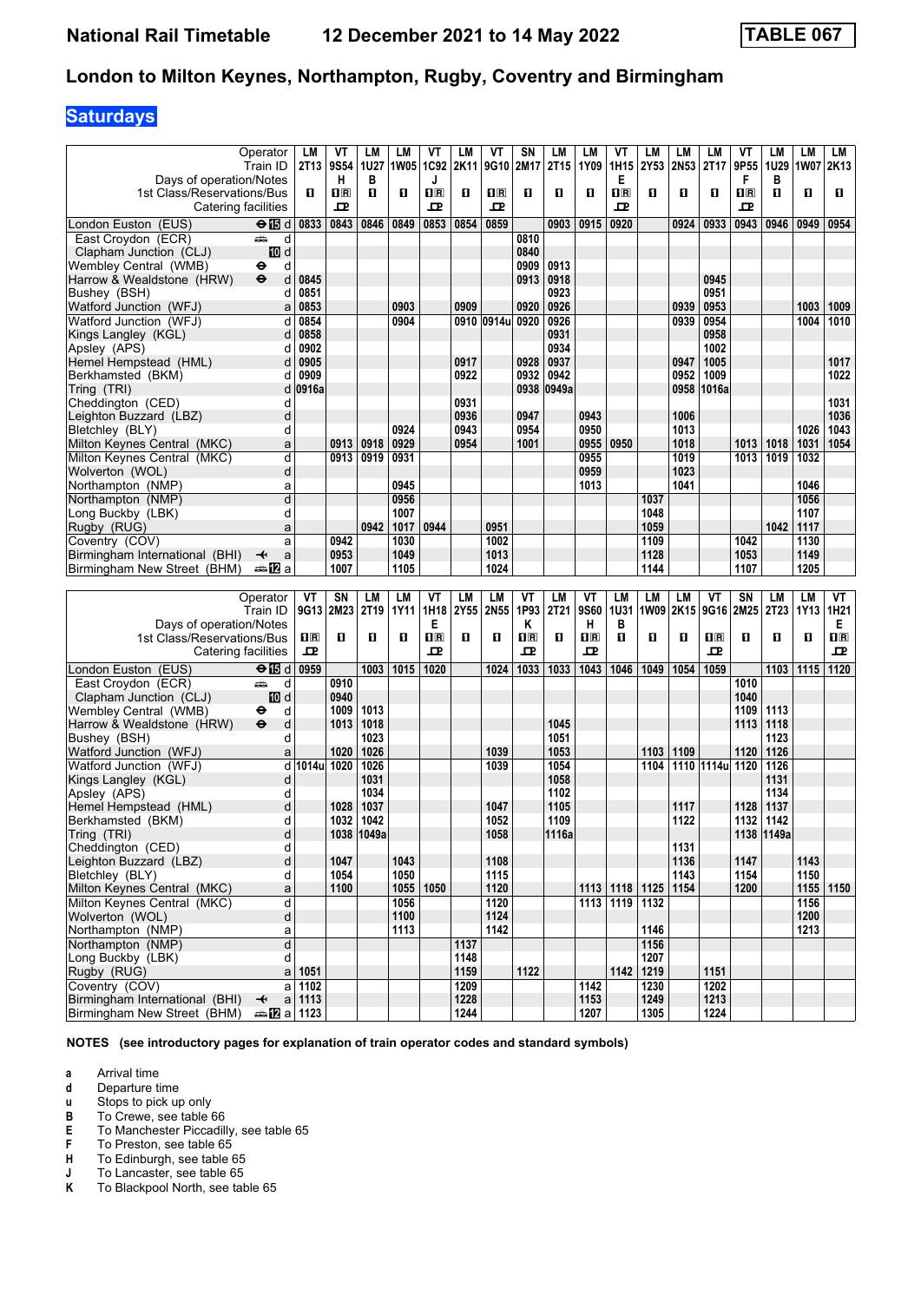## **Saturdays**

|                                                               | Operator                                     | LM             | ۷T                    | LМ               | LM                | VT                                              | LМ           | VT                      | SN                                              | LM            | LM                      | ۷Τ               | LM           | LM           | LM                                              | ۷T                    | LМ               | LM                  | LM          |
|---------------------------------------------------------------|----------------------------------------------|----------------|-----------------------|------------------|-------------------|-------------------------------------------------|--------------|-------------------------|-------------------------------------------------|---------------|-------------------------|------------------|--------------|--------------|-------------------------------------------------|-----------------------|------------------|---------------------|-------------|
|                                                               | Train ID                                     | 2T13           | 9S54                  | 1U27             | 1W05 1C92         |                                                 | 2K11         | 9G10                    | 2M17                                            | 2T15          | 1Y09                    | 1H15             | 2Y53         | 2N53         | 2T17                                            | 9P55                  | 1U29             | 1W07                | 2K13        |
| Days of operation/Notes<br>1st Class/Reservations/Bus         |                                              | O.             | н<br>$n_{\mathbb{R}}$ | в<br>O           | O                 | J<br>$n_{\rm R}$                                | O            | $\overline{\mathbf{R}}$ | О                                               | О             | п                       | Е<br>$n_{\rm R}$ | О            | O            | 0                                               | F<br>$n_{\mathbb{R}}$ | в<br>O           | O                   | O           |
| Catering facilities                                           |                                              |                | ᇁ                     |                  |                   | ᇁ                                               |              | ᇁ                       |                                                 |               |                         | ᇁ                |              |              |                                                 | ᇁ                     |                  |                     |             |
| London Euston (EUS)                                           | ⊖ 15 d                                       | 0833           | 0843                  | 0846             | 0849              | 0853                                            | 0854         | 0859                    |                                                 | 0903          | 0915                    | 0920             |              | 0924         | 0933                                            | 0943                  | 0946             | 0949                | 0954        |
| East Croydon (ECR)                                            | وشر<br>d                                     |                |                       |                  |                   |                                                 |              |                         | 0810                                            |               |                         |                  |              |              |                                                 |                       |                  |                     |             |
| Clapham Junction (CLJ)                                        | iD d                                         |                |                       |                  |                   |                                                 |              |                         | 0840                                            |               |                         |                  |              |              |                                                 |                       |                  |                     |             |
| Wembley Central (WMB)                                         | d<br>⊖                                       |                |                       |                  |                   |                                                 |              |                         | 0909                                            | 0913          |                         |                  |              |              |                                                 |                       |                  |                     |             |
| Harrow & Wealdstone (HRW)<br>Bushey (BSH)                     | $\bullet$<br>d<br>d                          | 0845<br>0851   |                       |                  |                   |                                                 |              |                         | 0913                                            | 0918<br>0923  |                         |                  |              |              | 0945<br>0951                                    |                       |                  |                     |             |
| Watford Junction (WFJ)                                        | a                                            | 0853           |                       |                  | 0903              |                                                 | 0909         |                         | 0920                                            | 0926          |                         |                  |              | 0939         | 0953                                            |                       |                  | 1003                | 1009        |
| Watford Junction (WFJ)                                        | d                                            | 0854           |                       |                  | 0904              |                                                 |              | 0910 0914u              | 0920                                            | 0926          |                         |                  |              | 0939         | 0954                                            |                       |                  | 1004                | 1010        |
| Kings Langley (KGL)                                           | d                                            | 0858           |                       |                  |                   |                                                 |              |                         |                                                 | 0931          |                         |                  |              |              | 0958                                            |                       |                  |                     |             |
| Apslev (APS)                                                  | d                                            | 0902           |                       |                  |                   |                                                 |              |                         |                                                 | 0934          |                         |                  |              |              | 1002                                            |                       |                  |                     |             |
| Hemel Hempstead (HML)                                         | d                                            | 0905           |                       |                  |                   |                                                 | 0917         |                         | 0928                                            | 0937          |                         |                  |              | 0947         | 1005                                            |                       |                  |                     | 1017        |
| Berkhamsted (BKM)<br>Tring (TRI)                              | d<br>d                                       | 0909<br>0916a  |                       |                  |                   |                                                 | 0922         |                         | 0932<br>0938                                    | 0942<br>0949a |                         |                  |              | 0952<br>0958 | 1009<br>1016a                                   |                       |                  |                     | 1022        |
| Cheddington (CED)                                             | d                                            |                |                       |                  |                   |                                                 | 0931         |                         |                                                 |               |                         |                  |              |              |                                                 |                       |                  |                     | 1031        |
| Leighton Buzzard (LBZ)                                        | d                                            |                |                       |                  |                   |                                                 | 0936         |                         | 0947                                            |               | 0943                    |                  |              | 1006         |                                                 |                       |                  |                     | 1036        |
| Bletchley (BLY)                                               | d                                            |                |                       |                  | 0924              |                                                 | 0943         |                         | 0954                                            |               | 0950                    |                  |              | 1013         |                                                 |                       |                  | 1026                | 1043        |
| Milton Keynes Central (MKC)                                   | a                                            |                | 0913                  | 0918             | 0929              |                                                 | 0954         |                         | 1001                                            |               | 0955                    | 0950             |              | 1018         |                                                 | 1013                  | 1018             | 1031                | 1054        |
| Milton Keynes Central (MKC)                                   | d                                            |                | 0913                  | 0919             | 0931              |                                                 |              |                         |                                                 |               | 0955                    |                  |              | 1019         |                                                 | 1013                  | 1019             | 1032                |             |
| Wolverton (WOL)<br>Northampton (NMP)                          | d<br>a                                       |                |                       |                  | 0945              |                                                 |              |                         |                                                 |               | 0959<br>1013            |                  |              | 1023<br>1041 |                                                 |                       |                  | 1046                |             |
| Northampton (NMP)                                             | d                                            |                |                       |                  | 0956              |                                                 |              |                         |                                                 |               |                         |                  | 1037         |              |                                                 |                       |                  | 1056                |             |
| Long Buckby (LBK)                                             | d                                            |                |                       |                  | 1007              |                                                 |              |                         |                                                 |               |                         |                  | 1048         |              |                                                 |                       |                  | 1107                |             |
| Rugby (RUG)                                                   | a                                            |                |                       | 0942             | 1017              | 0944                                            |              | 0951                    |                                                 |               |                         |                  | 1059         |              |                                                 |                       | 1042             | 1117                |             |
| Coventry (COV)                                                | a                                            |                | 0942                  |                  | 1030              |                                                 |              | 1002                    |                                                 |               |                         |                  | 1109         |              |                                                 | 1042                  |                  | 1130                |             |
| Birmingham International (BHI)                                | ↞<br>a                                       |                | 0953                  |                  | 1049              |                                                 |              | 1013                    |                                                 |               |                         |                  | 1128         |              |                                                 | 1053                  |                  | 1149                |             |
| Birmingham New Street (BHM)                                   | ana <mark>n</mark> 2 a                       |                | 1007                  |                  | 1105              |                                                 |              | 1024                    |                                                 |               |                         |                  | 1144         |              |                                                 | 1107                  |                  | 1205                |             |
|                                                               |                                              |                |                       |                  |                   |                                                 |              |                         |                                                 |               |                         |                  |              |              |                                                 |                       |                  |                     |             |
|                                                               | Operator                                     | VT             | SN                    | LМ               | LM                | ۷T                                              | <b>LM</b>    | <b>LM</b>               | VT                                              | LM            | VT                      | LM               | LM           | LM           | VT                                              | <b>SN</b>             | LМ               | <b>LM</b>           | VT          |
|                                                               | Train ID                                     |                | 9G13 2M23             | 2T <sub>19</sub> | 1Y11              | 1H18                                            | 2Y55         | 2N55                    | 1P93                                            | 2T21          | 9S60                    | 1U31             | 1W09         | 2K15         | 9G16                                            | 2M25                  | 2T <sub>23</sub> | 1Y13                | 1H21        |
| Days of operation/Notes                                       |                                              |                |                       |                  |                   | Е                                               |              |                         | ĸ                                               |               | н                       | в                |              |              |                                                 |                       |                  |                     | Е.          |
| 1st Class/Reservations/Bus                                    |                                              | 1 <sup>R</sup> | О                     | O                | O                 | $\overline{\mathbf{H}}$ $\overline{\mathbf{R}}$ | O            | O.                      | $\overline{\mathbf{H}}$ $\overline{\mathbf{R}}$ | п             | $\overline{\mathbf{R}}$ | O                | О            | п            | $\overline{\mathbf{H}}$ $\overline{\mathbf{R}}$ | п                     | O                | O                   | $n_{\rm R}$ |
| Catering facilities                                           |                                              | 굔              |                       |                  |                   | ᇁ                                               |              |                         | ᇁ                                               |               | ᇁ                       |                  |              |              | ᇁ                                               |                       |                  |                     | 굔           |
| London Euston (EUS)                                           | ⊖ 15 d                                       | 0959           |                       | 1003             | 1015              | 1020                                            |              | 1024                    | 1033                                            | 1033          | 1043                    | 1046             | 1049         | 1054         | 1059                                            |                       | 1103             | 1115                | 1120        |
| East Croydon (ECR)                                            | ۳Ê<br>d                                      |                | 0910                  |                  |                   |                                                 |              |                         |                                                 |               |                         |                  |              |              |                                                 | 1010                  |                  |                     |             |
| Clapham Junction (CLJ)<br>Wembley Central (WMB)               | III d<br>d<br>⊖                              |                | 0940<br>1009          | 1013             |                   |                                                 |              |                         |                                                 |               |                         |                  |              |              |                                                 | 1040<br>1109          | 1113             |                     |             |
| Harrow & Wealdstone (HRW)                                     | d<br>$\bullet$                               |                | 1013                  | 1018             |                   |                                                 |              |                         |                                                 | 1045          |                         |                  |              |              |                                                 | 1113 1118             |                  |                     |             |
| Bushey (BSH)                                                  | d                                            |                |                       | 1023             |                   |                                                 |              |                         |                                                 | 1051          |                         |                  |              |              |                                                 |                       | 1123             |                     |             |
| Watford Junction (WFJ)                                        | a                                            |                | 1020                  | 1026             |                   |                                                 |              | 1039                    |                                                 | 1053          |                         |                  | 1103         | 1109         |                                                 | 1120                  | 1126             |                     |             |
| Watford Junction (WFJ)                                        | d                                            | 1014u          | 1020                  | 1026             |                   |                                                 |              | 1039                    |                                                 | 1054          |                         |                  | 1104         |              | 1110 1114u 1120                                 |                       | 1126             |                     |             |
| Kings Langley (KGL)                                           | d<br>d                                       |                |                       | 1031<br>1034     |                   |                                                 |              |                         |                                                 | 1058<br>1102  |                         |                  |              |              |                                                 |                       | 1131<br>1134     |                     |             |
| Apsley (APS)<br>Hemel Hempstead (HML)                         | d                                            |                | 1028                  | 1037             |                   |                                                 |              | 1047                    |                                                 | 1105          |                         |                  |              | 1117         |                                                 | 1128                  | 1137             |                     |             |
| Berkhamsted (BKM)                                             | d                                            |                | 1032                  | 1042             |                   |                                                 |              | 1052                    |                                                 | 1109          |                         |                  |              | 1122         |                                                 |                       | 1132 1142        |                     |             |
| Tring (TRI)                                                   | d                                            |                |                       | 1038 1049a       |                   |                                                 |              | 1058                    |                                                 | 1116a         |                         |                  |              |              |                                                 |                       | 1138 1149a       |                     |             |
| Cheddington (CED)                                             | d                                            |                |                       |                  |                   |                                                 |              |                         |                                                 |               |                         |                  |              | 1131         |                                                 |                       |                  |                     |             |
| Leighton Buzzard (LBZ)                                        | d                                            |                | 1047                  |                  | 1043              |                                                 |              | 1108                    |                                                 |               |                         |                  |              | 1136         |                                                 | 1147                  |                  | 1143                |             |
| Bletchley (BLY)<br>Milton Keynes Central (MKC)                | d<br>a                                       |                | 1054<br>1100          |                  | 1050<br>1055 1050 |                                                 |              | 1115<br>1120            |                                                 |               |                         | $1113$ 1118      | 1125         | 1143<br>1154 |                                                 | 1154<br>1200          |                  | 1150<br>$1155$ 1150 |             |
| Milton Keynes Central (MKC)                                   | d                                            |                |                       |                  | 1056              |                                                 |              | 1120                    |                                                 |               |                         | 1113 1119        | 1132         |              |                                                 |                       |                  | 1156                |             |
| Wolverton (WOL)                                               | d                                            |                |                       |                  | 1100              |                                                 |              | 1124                    |                                                 |               |                         |                  |              |              |                                                 |                       |                  | 1200                |             |
| Northampton (NMP)                                             | a                                            |                |                       |                  | 1113              |                                                 |              | 1142                    |                                                 |               |                         |                  | 1146         |              |                                                 |                       |                  | 1213                |             |
| Northampton (NMP)                                             | d                                            |                |                       |                  |                   |                                                 | 1137         |                         |                                                 |               |                         |                  | 1156         |              |                                                 |                       |                  |                     |             |
| Long Buckby (LBK)                                             | d<br>a                                       | 1051           |                       |                  |                   |                                                 | 1148         |                         | 1122                                            |               |                         | 1142             | 1207<br>1219 |              | 1151                                            |                       |                  |                     |             |
| Rugby (RUG)<br>Coventry (COV)                                 |                                              | $a$ 1102       |                       |                  |                   |                                                 | 1159<br>1209 |                         |                                                 |               | 1142                    |                  | 1230         |              | 1202                                            |                       |                  |                     |             |
| Birmingham International (BHI)<br>Birmingham New Street (BHM) | $\overline{\mathbf{t}}$<br><b>□ 图</b> a 1123 | $a$ 1113       |                       |                  |                   |                                                 | 1228<br>1244 |                         |                                                 |               | 1153<br>1207            |                  | 1249<br>1305 |              | 1213<br>1224                                    |                       |                  |                     |             |

**NOTES (see introductory pages for explanation of train operator codes and standard symbols)**

**a** Arrival time<br>**d** Departure ti

**d** Departure time<br>**u** Stops to pick up

**X** Stops to pick up only

**B** To Crewe, see table 66<br>**E** To Manchester Piccadill<br>**F** To Preston, see table 65 To Manchester Piccadilly, see table 65

**F** To Preston, see table 65<br>**H** To Edinburgh, see table 6

To Lancaster, see table 65

**+** To Edinburgh, see table 65<br> **4** To Lancaster, see table 65<br> **K** To Blackpool North, see table To Blackpool North, see table 65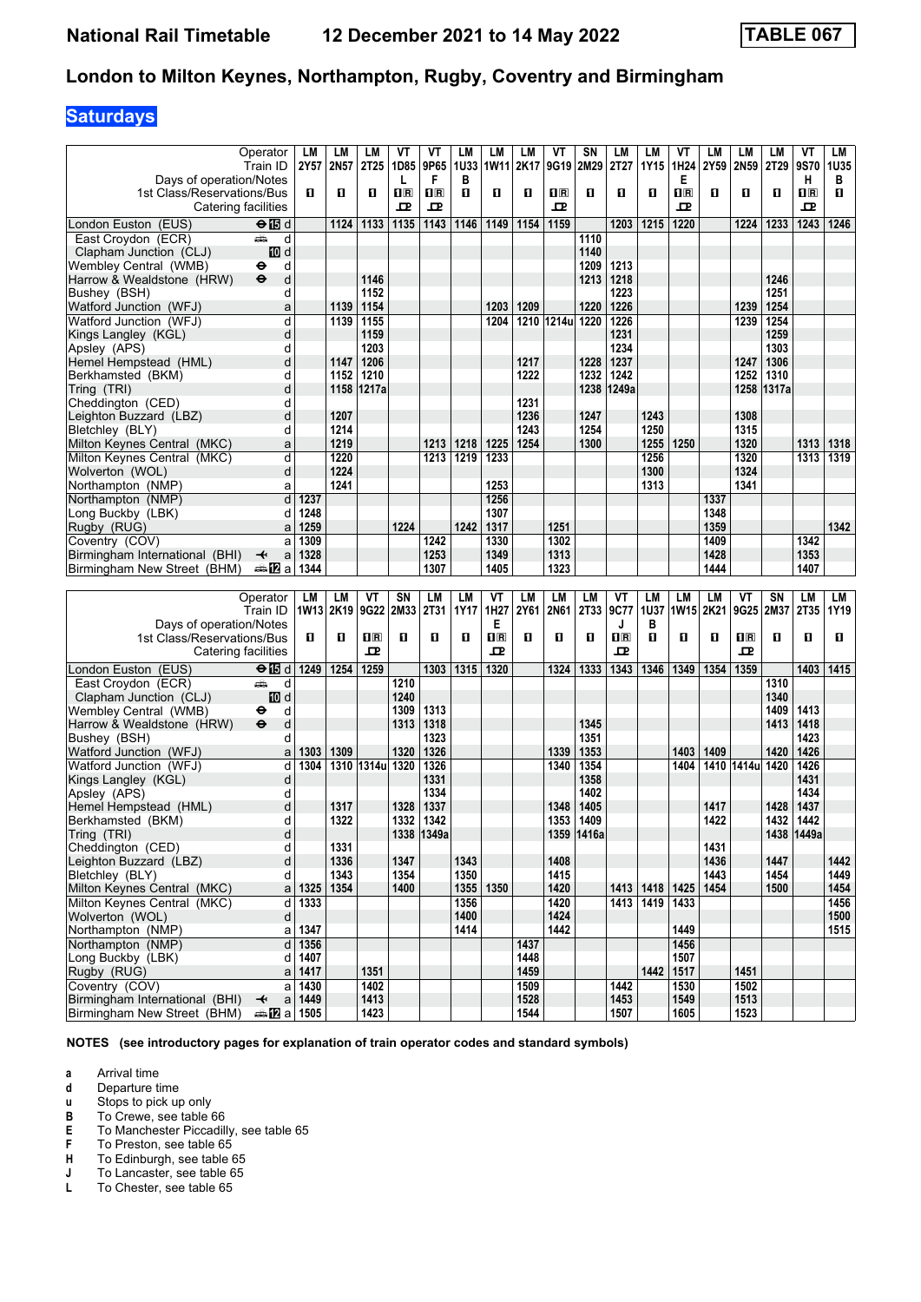## **Saturdays**

|                                                  | Operator                              | LM               | LМ   | LМ               | ۷T          | ۷T           | LМ           | LM                      | LМ           | VT                      | SΝ           | LM           | LM   | ۷T               | LM   | LM               | LМ           | VT           | LМ           |
|--------------------------------------------------|---------------------------------------|------------------|------|------------------|-------------|--------------|--------------|-------------------------|--------------|-------------------------|--------------|--------------|------|------------------|------|------------------|--------------|--------------|--------------|
| Days of operation/Notes                          | Train ID                              | 2Y57             | 2N57 | 2T <sub>25</sub> | 1D85<br>L   | 9P65<br>F    | 1U33<br>в    | 1W11                    | 2K17         | 9G19                    | 2M29         | 2T27         | 1Y15 | 1H24<br>Е        | 2Y59 | 2N59             | 2T29         | 9S70<br>н    | 1U35<br>в    |
| 1st Class/Reservations/Bus                       |                                       | 0                | O    | O                | $n_{\rm R}$ | $\Pi$ R      | 0            | O                       | O            | $\overline{\mathbf{R}}$ | O            | 0            | О    | $n_{\mathbb{R}}$ | 0    | п                | O            | $n_{\rm R}$  | O            |
| Catering facilities                              |                                       |                  |      |                  | ᇁ           | ᇁ            |              |                         |              | 굔                       |              |              |      | 굔                |      |                  |              | ᇁ            |              |
| London Euston (EUS)                              | $\Theta$ $\blacksquare$ d             |                  | 1124 | 1133             | 1135        | 1143         | 1146         | 1149                    | 1154         | 1159                    |              | 1203         | 1215 | 1220             |      | 1224             | 1233         | 1243         | 1246         |
| East Croydon (ECR)                               | وشر<br>d                              |                  |      |                  |             |              |              |                         |              |                         | 1110         |              |      |                  |      |                  |              |              |              |
| Clapham Junction (CLJ)<br>Wembley Central (WMB)  | III d<br>d<br>θ                       |                  |      |                  |             |              |              |                         |              |                         | 1140<br>1209 | 1213         |      |                  |      |                  |              |              |              |
| Harrow & Wealdstone (HRW)                        | $\bullet$<br>d                        |                  |      | 1146             |             |              |              |                         |              |                         | 1213         | 1218         |      |                  |      |                  | 1246         |              |              |
| Bushey (BSH)                                     | d                                     |                  |      | 1152             |             |              |              |                         |              |                         |              | 1223         |      |                  |      |                  | 1251         |              |              |
| Watford Junction (WFJ)                           | a                                     |                  | 1139 | 1154             |             |              |              | 1203                    | 1209         |                         | 1220         | 1226         |      |                  |      | 1239             | 1254         |              |              |
| Watford Junction (WFJ)                           | d                                     |                  | 1139 | 1155             |             |              |              | 1204                    |              | 1210 1214u              | 1220         | 1226         |      |                  |      | 1239             | 1254         |              |              |
| Kings Langley (KGL)<br>Apsley (APS)              | d<br>d                                |                  |      | 1159<br>1203     |             |              |              |                         |              |                         |              | 1231<br>1234 |      |                  |      |                  | 1259<br>1303 |              |              |
| Hemel Hempstead (HML)                            | d                                     |                  | 1147 | 1206             |             |              |              |                         | 1217         |                         | 1228         | 1237         |      |                  |      | 1247             | 1306         |              |              |
| Berkhamsted (BKM)                                | d                                     |                  | 1152 | 1210             |             |              |              |                         | 1222         |                         | 1232         | 1242         |      |                  |      | 1252             | 1310         |              |              |
| Tring (TRI)                                      | d                                     |                  | 1158 | 1217a            |             |              |              |                         |              |                         | 1238         | 1249a        |      |                  |      | 1258             | 1317a        |              |              |
| Cheddington (CED)                                | d<br>d                                |                  | 1207 |                  |             |              |              |                         | 1231<br>1236 |                         | 1247         |              | 1243 |                  |      | 1308             |              |              |              |
| Leighton Buzzard (LBZ)<br>Bletchley (BLY)        | d                                     |                  | 1214 |                  |             |              |              |                         | 1243         |                         | 1254         |              | 1250 |                  |      | 1315             |              |              |              |
| Milton Keynes Central (MKC)                      | a                                     |                  | 1219 |                  |             | 1213         | 1218         | 1225                    | 1254         |                         | 1300         |              | 1255 | 1250             |      | 1320             |              | 1313         | 1318         |
| Milton Keynes Central (MKC)                      | d                                     |                  | 1220 |                  |             | 1213         | 1219         | 1233                    |              |                         |              |              | 1256 |                  |      | 1320             |              | 1313         | 1319         |
| Wolverton (WOL)                                  | d                                     |                  | 1224 |                  |             |              |              |                         |              |                         |              |              | 1300 |                  |      | 1324             |              |              |              |
| Northampton (NMP)<br>Northampton (NMP)           | a<br>þ                                |                  | 1241 |                  |             |              |              | 1253<br>1256            |              |                         |              |              | 1313 |                  | 1337 | 1341             |              |              |              |
| Long Buckby (LBK)                                | d                                     | 1237<br>1248     |      |                  |             |              |              | 1307                    |              |                         |              |              |      |                  | 1348 |                  |              |              |              |
| Rugby (RUG)                                      | a                                     | 1259             |      |                  | 1224        |              | 1242         | 1317                    |              | 1251                    |              |              |      |                  | 1359 |                  |              |              | 1342         |
| Coventry (COV)                                   | a                                     | 1309             |      |                  |             | 1242         |              | 1330                    |              | 1302                    |              |              |      |                  | 1409 |                  |              | 1342         |              |
| Birmingham International (BHI)                   | ↞<br>a                                | 1328             |      |                  |             | 1253         |              | 1349                    |              | 1313                    |              |              |      |                  | 1428 |                  |              | 1353         |              |
| Birmingham New Street (BHM)                      | ana <mark>n</mark> 2ia                | 1344             |      |                  |             | 1307         |              | 1405                    |              | 1323                    |              |              |      |                  | 1444 |                  |              | 1407         |              |
|                                                  |                                       |                  |      |                  |             |              |              |                         |              |                         |              |              |      |                  |      |                  |              |              |              |
|                                                  | Operator                              | LM               | LM   | ۷T               | SΝ          | LM           | <b>LM</b>    | VT                      | LM           | <b>LM</b>               | LM           | ۷T           | LM   | LM               | LM   | ۷T               | SΝ           | <b>LM</b>    | LM           |
|                                                  | Train ID                              | 1W13 2K19        |      | 9G22             | 2M33        | 2T31         | 1Y17         | 1H27                    | 2Y61         | 2N61                    | 2T33         | 9C77         | 1U37 | 1W15 2K21        |      | 9G25 2M37        |              | 2T35         | 1Y19         |
| Days of operation/Notes                          |                                       |                  |      |                  |             |              |              | Е                       |              |                         |              | J            | в    |                  |      |                  |              |              |              |
| 1st Class/Reservations/Bus                       |                                       | O                | O    | $n_{\rm R}$      | O           | O            | O            | $\overline{\mathbf{R}}$ | O            | О                       | п            | $n_{\rm R}$  | О    | O                | O    | $n_{\mathbb{R}}$ | O            | O            | O            |
| Catering facilities                              |                                       |                  |      | ᇁ                |             |              |              | 모                       |              |                         |              | 모            |      |                  |      | ᇁ                |              |              |              |
| London Euston (EUS)<br>East Croydon (ECR)        | $\Theta$ $\blacksquare$ d<br>æÒ.<br>d | 1249             | 1254 | 1259             | 1210        | 1303         | 1315         | 1320                    |              | 1324                    | 1333         | 1343         | 1346 | 1349             | 1354 | 1359             | 1310         | 1403         | 1415         |
| Clapham Junction (CLJ)                           | III d                                 |                  |      |                  | 1240        |              |              |                         |              |                         |              |              |      |                  |      |                  | 1340         |              |              |
| Wembley Central (WMB)                            | d<br>⊖                                |                  |      |                  | 1309        | 1313         |              |                         |              |                         |              |              |      |                  |      |                  | 1409         | 1413         |              |
| Harrow & Wealdstone (HRW)                        | d<br>$\bullet$                        |                  |      |                  | 1313        | 1318         |              |                         |              |                         | 1345         |              |      |                  |      |                  | 1413         | 1418         |              |
| Bushev (BSH)                                     | d                                     |                  |      |                  |             | 1323         |              |                         |              |                         | 1351         |              |      |                  |      |                  |              | 1423         |              |
| Watford Junction (WFJ)<br>Watford Junction (WFJ) | a<br>d                                | 1303<br>1304     | 1309 | 1310 1314u 1320  | 1320        | 1326<br>1326 |              |                         |              | 1339<br>1340            | 1353<br>1354 |              |      | 1403<br>1404     | 1409 | 1410 1414u 1420  | 1420         | 1426<br>1426 |              |
| Kings Langley (KGL)                              | d                                     |                  |      |                  |             | 1331         |              |                         |              |                         | 1358         |              |      |                  |      |                  |              | 1431         |              |
| Apsley (APS)                                     | d                                     |                  |      |                  |             | 1334         |              |                         |              |                         | 1402         |              |      |                  |      |                  |              | 1434         |              |
| Hemel Hempstead (HML)                            | d                                     |                  | 1317 |                  | 1328        | 1337         |              |                         |              | 1348                    | 1405         |              |      |                  | 1417 |                  | 1428         | 1437         |              |
| Berkhamsted (BKM)                                | d                                     |                  | 1322 |                  | 1332        | 1342         |              |                         |              | 1353                    | 1409         |              |      |                  | 1422 |                  | 1432         | 1442         |              |
| Tring (TRI)<br>Cheddington (CED)                 | d<br>d                                |                  | 1331 |                  |             | 1338 1349a   |              |                         |              | 1359                    | 1416a        |              |      |                  | 1431 |                  |              | 1438 1449a   |              |
| Leighton Buzzard (LBZ)                           | d                                     |                  | 1336 |                  | 1347        |              | 1343         |                         |              | 1408                    |              |              |      |                  | 1436 |                  | 1447         |              | 1442         |
| Bletchley (BLY)                                  | d                                     |                  | 1343 |                  | 1354        |              | 1350         |                         |              | 1415                    |              |              |      |                  | 1443 |                  | 1454         |              | 1449         |
| Milton Keynes Central (MKC)                      | a                                     | 1325             | 1354 |                  | 1400        |              |              | 1355 1350               |              | 1420                    |              | 1413         | 1418 | 1425             | 1454 |                  | 1500         |              | 1454         |
| Milton Keynes Central (MKC)                      | d                                     | 1333             |      |                  |             |              | 1356         |                         |              | 1420                    |              | 1413         | 1419 | 1433             |      |                  |              |              | 1456         |
| Wolverton (WOL)<br>Northampton (NMP)             | d<br>a                                | 1347             |      |                  |             |              | 1400<br>1414 |                         |              | 1424<br>1442            |              |              |      | 1449             |      |                  |              |              | 1500<br>1515 |
| Northampton (NMP)                                | d                                     | 1356             |      |                  |             |              |              |                         | 1437         |                         |              |              |      | 1456             |      |                  |              |              |              |
| Long Buckby (LBK)                                | d                                     | 1407             |      |                  |             |              |              |                         | 1448         |                         |              |              |      | 1507             |      |                  |              |              |              |
| Rugby (RUG)                                      | a                                     | 1417             |      | 1351             |             |              |              |                         | 1459         |                         |              |              | 1442 | 1517             |      | 1451             |              |              |              |
| Coventry (COV)<br>Birmingham International (BHI) | a<br>$\overline{\mathbf{t}}$          | 1430<br>$a$ 1449 |      | 1402<br>1413     |             |              |              |                         | 1509<br>1528 |                         |              | 1442<br>1453 |      | 1530<br>1549     |      | 1502<br>1513     |              |              |              |

**NOTES (see introductory pages for explanation of train operator codes and standard symbols)**

**a** Arrival time<br>**d** Departure ti

**d** Departure time<br>**u** Stops to pick up

**X** Stops to pick up only

- 
- **B** To Crewe, see table 66<br>**E** To Manchester Piccadill<br>**F** To Preston, see table 65 To Manchester Piccadilly, see table 65

**F** To Preston, see table 65<br>**H** To Edinburgh, see table (

**+** To Edinburgh, see table 65<br>**J** To Lancaster, see table 65 **J** To Lancaster, see table 65<br>**L** To Chester, see table 65

To Chester, see table 65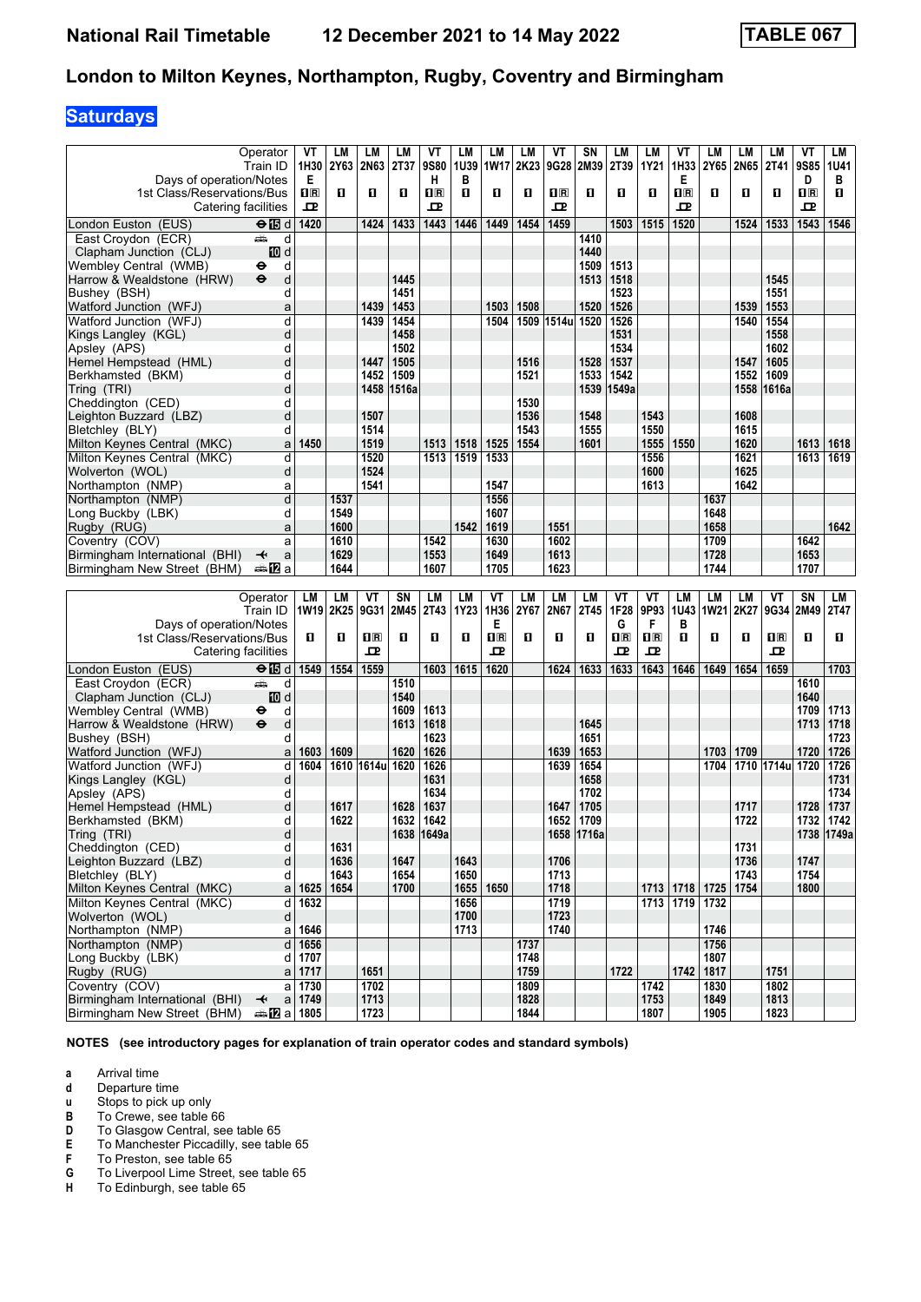## **Saturdays**

|                                                               | Operator                                 | VT             | LM          | LM           | LM    | VT             | <b>LM</b> | LM          | LM           | ۷T             | SΝ           | LM          | LM               | VT                      | LM                  | LM          | LМ              | VT   | LМ           |
|---------------------------------------------------------------|------------------------------------------|----------------|-------------|--------------|-------|----------------|-----------|-------------|--------------|----------------|--------------|-------------|------------------|-------------------------|---------------------|-------------|-----------------|------|--------------|
|                                                               | Train ID                                 | 1H30           | <b>2Y63</b> | 2N63         | 2T37  | 9S80           | 1U39      | <b>1W17</b> | 2K23         | 9G28           | 2M39         | 2T39        | 1Y21             | 1H33                    | 2Y65                | <b>2N65</b> | <b>2T41</b>     | 9S85 | <b>1U41</b>  |
| Days of operation/Notes                                       |                                          | Е              |             |              |       | н              | В         |             |              |                |              |             |                  | Е                       |                     |             |                 | D    | в            |
| 1st Class/Reservations/Bus                                    |                                          | 1 <sub>R</sub> | П           | O            | 0     | $\mathbf{1}$ R | п         | 0           | О            | $\mathbf{H}$ R | п            | 0           | О                | $\overline{\mathbf{H}}$ | O                   | П           | 0               | 1R   | п            |
| Catering facilities                                           |                                          | ᇁ              |             |              |       | 굔              |           |             |              | ᇁ              |              |             |                  | 굔                       |                     |             |                 | 굔    |              |
| London Euston (EUS)                                           | $\Theta$ is d                            | 1420           |             | 1424         | 1433  | 1443           | 1446      | 1449        | 1454         | 1459           |              |             | 1515             | 1520                    |                     |             | 1533            | 1543 | 1546         |
| East Croydon (ECR)                                            | پیشته<br>d                               |                |             |              |       |                |           |             |              |                | 1410         | 1503        |                  |                         |                     | 1524        |                 |      |              |
|                                                               | iD d                                     |                |             |              |       |                |           |             |              |                | 1440         |             |                  |                         |                     |             |                 |      |              |
| Clapham Junction (CLJ)<br>Wembley Central  (WMB)              | d<br>⊖                                   |                |             |              |       |                |           |             |              |                | 1509         | 1513        |                  |                         |                     |             |                 |      |              |
| Harrow & Wealdstone (HRW)                                     | $\bullet$<br>d                           |                |             |              | 1445  |                |           |             |              |                | 1513         | 1518        |                  |                         |                     |             | 1545            |      |              |
| Bushey (BSH)                                                  | d                                        |                |             |              | 1451  |                |           |             |              |                |              | 1523        |                  |                         |                     |             | 1551            |      |              |
| Watford Junction (WFJ)                                        | a                                        |                |             | 1439         | 1453  |                |           | 1503        | 1508         |                | 1520         | 1526        |                  |                         |                     | 1539        | 1553            |      |              |
| Watford Junction (WFJ)                                        | d                                        |                |             | 1439         | 1454  |                |           | 1504        | 1509         | 1514u          | 1520         | 1526        |                  |                         |                     | 1540        | 1554            |      |              |
| Kings Langley (KGL)                                           | d                                        |                |             |              | 1458  |                |           |             |              |                |              | 1531        |                  |                         |                     |             | 1558            |      |              |
| Apsley (APS)                                                  | d                                        |                |             |              | 1502  |                |           |             |              |                |              | 1534        |                  |                         |                     |             | 1602            |      |              |
| Hemel Hempstead (HML)                                         | d                                        |                |             | 1447         | 1505  |                |           |             | 1516         |                | 1528         | 1537        |                  |                         |                     | 1547        | 1605            |      |              |
| Berkhamsted (BKM)                                             | d                                        |                |             | 1452         | 1509  |                |           |             | 1521         |                | 1533         | 1542        |                  |                         |                     | 1552        | 1609            |      |              |
| Tring (TRI)                                                   | d                                        |                |             | 1458         | 1516a |                |           |             |              |                | 1539         | ∣1549a      |                  |                         |                     |             | 1558 1616a      |      |              |
| Cheddington (CED)                                             | d                                        |                |             |              |       |                |           |             | 1530         |                |              |             |                  |                         |                     |             |                 |      |              |
| Leighton Buzzard (LBZ)                                        | d                                        |                |             | 1507         |       |                |           |             | 1536         |                | 1548         |             | 1543             |                         |                     | 1608        |                 |      |              |
| Bletchley (BLY)                                               | d                                        |                |             | 1514         |       |                |           |             | 1543         |                | 1555         |             | 1550             |                         |                     | 1615        |                 |      |              |
| Milton Keynes Central (MKC)                                   | a                                        | 1450           |             | 1519         |       | 1513           | 1518      | 1525        | 1554         |                | 1601         |             | 1555             | 1550                    |                     | 1620        |                 | 1613 | 1618         |
| Milton Keynes Central (MKC)                                   | d                                        |                |             | 1520         |       | 1513           | 1519      | 1533        |              |                |              |             | 1556             |                         |                     | 1621        |                 | 1613 | 1619         |
| Wolverton (WOL)                                               | d                                        |                |             | 1524         |       |                |           |             |              |                |              |             | 1600             |                         |                     | 1625        |                 |      |              |
| Northampton (NMP)                                             | а                                        |                |             | 1541         |       |                |           | 1547        |              |                |              |             | 1613             |                         |                     | 1642        |                 |      |              |
| Northampton (NMP)                                             | d                                        |                | 1537        |              |       |                |           | 1556        |              |                |              |             |                  |                         | 1637                |             |                 |      |              |
| Long Buckby (LBK)                                             | d                                        |                | 1549        |              |       |                |           | 1607        |              |                |              |             |                  |                         | 1648                |             |                 |      |              |
| Rugby (RUG)                                                   | a                                        |                | 1600        |              |       |                | 1542      | 1619        |              | 1551           |              |             |                  |                         | 1658                |             |                 |      | 1642         |
| Coventry (COV)                                                | a                                        |                | 1610        |              |       | 1542           |           | 1630        |              | 1602           |              |             |                  |                         | 1709                |             |                 | 1642 |              |
| Birmingham International (BHI)                                | ↞<br>a                                   |                | 1629        |              |       | 1553           |           | 1649        |              | 1613           |              |             |                  |                         | 1728                |             |                 | 1653 |              |
| Birmingham New Street (BHM)                                   | dan <mark>na</mark> n⊡                   |                | 1644        |              |       | 1607           |           | 1705        |              | 1623           |              |             |                  |                         | 1744                |             |                 | 1707 |              |
|                                                               |                                          |                |             |              |       |                |           |             |              |                |              |             |                  |                         |                     |             |                 |      |              |
|                                                               |                                          |                |             |              |       |                |           |             |              |                |              |             |                  |                         |                     |             |                 |      |              |
|                                                               | Operator                                 | LM             | LM          | ۷T           | SN    | LM             | LM        | VT          | LM           | <b>LM</b>      | LM           | VT          | VT               | <b>LM</b>               | LM                  | LМ          | ۷T              | SN   | LM           |
|                                                               | Train ID                                 | 1W19 2K25      |             | 9G31         | 2M45  | 2T43           | 1Y23      | 1H36        | 2Y67         | 2N67           | 2T45         | 1F28        | 9P93             | <b>1U43</b>             | <b>1W21</b>         | 2K27        | 9G34 2M49       |      | 2T47         |
| Days of operation/Notes                                       |                                          |                |             |              |       |                |           | Е           |              |                |              | G           | F                | в                       |                     |             |                 |      |              |
| 1st Class/Reservations/Bus                                    |                                          | O              | O           | $n_{\rm R}$  | 0     | О              | п         | 0 R         | 0            | O              | п            | $n_{\rm R}$ | $n_{\mathbb{R}}$ | п                       | 0                   | п           | $n_{\rm R}$     | O    | O.           |
| Catering facilities                                           |                                          |                |             | ᇁ            |       |                |           | 굔           |              |                |              | ᇁ           | 굔                |                         |                     |             | ᇁ               |      |              |
| London Euston (EUS)                                           | $\Theta$ is d                            | 1549           | 1554        | 1559         |       | 1603           | 1615      | 1620        |              | 1624           | 1633         | 1633        | 1643             | 1646                    | 1649                | 1654        | 1659            |      | 1703         |
| East Croydon (ECR)                                            | پیشته<br>d                               |                |             |              | 1510  |                |           |             |              |                |              |             |                  |                         |                     |             |                 | 1610 |              |
| Clapham Junction (CLJ)                                        | III d                                    |                |             |              | 1540  |                |           |             |              |                |              |             |                  |                         |                     |             |                 | 1640 |              |
| Wembley Central  (WMB)                                        | d<br>⊖                                   |                |             |              | 1609  | 1613           |           |             |              |                |              |             |                  |                         |                     |             |                 | 1709 | 1713         |
| Harrow & Wealdstone (HRW)                                     | d<br>$\bullet$                           |                |             |              | 1613  | 1618           |           |             |              |                | 1645         |             |                  |                         |                     |             |                 | 1713 | 1718         |
| Bushey (BSH)                                                  | d                                        |                |             |              |       | 1623           |           |             |              |                | 1651         |             |                  |                         |                     |             |                 |      | 1723         |
| Watford Junction (WFJ)                                        | a                                        | 1603           | 1609        |              | 1620  | 1626           |           |             |              | 1639           | 1653         |             |                  |                         | 1703                | 1709        |                 | 1720 | 1726         |
| Watford Junction (WFJ)                                        | d                                        | 1604           |             | 1610 1614u   | 1620  | 1626           |           |             |              | 1639           | 1654         |             |                  |                         | 1704                |             | 1710 1714u 1720 |      | 1726         |
| Kings Langley (KGL)                                           | d                                        |                |             |              |       | 1631           |           |             |              |                | 1658         |             |                  |                         |                     |             |                 |      | 1731         |
| Apsley (APS)                                                  | d                                        |                | 1617        |              | 1628  | 1634<br>1637   |           |             |              | 1647           | 1702<br>1705 |             |                  |                         |                     | 1717        |                 | 1728 | 1734<br>1737 |
| Hemel Hempstead (HML)<br>Berkhamsted (BKM)                    | d<br>d                                   |                | 1622        |              | 1632  | 1642           |           |             |              | 1652           | 1709         |             |                  |                         |                     | 1722        |                 | 1732 | 1742         |
|                                                               | d                                        |                |             |              |       | 1638 1649a     |           |             |              |                | 1658 1716a   |             |                  |                         |                     |             |                 | 1738 | 1749a        |
| Tring (TRI)<br>Cheddington (CED)                              | d                                        |                | 1631        |              |       |                |           |             |              |                |              |             |                  |                         |                     | 1731        |                 |      |              |
| Leighton Buzzard (LBZ)                                        | d                                        |                | 1636        |              | 1647  |                | 1643      |             |              | 1706           |              |             |                  |                         |                     | 1736        |                 | 1747 |              |
| Bletchley (BLY)                                               | d                                        |                | 1643        |              | 1654  |                | 1650      |             |              | 1713           |              |             |                  |                         |                     | 1743        |                 | 1754 |              |
| Milton Keynes Central (MKC)                                   | a                                        | 1625           | 1654        |              | 1700  |                |           | 1655 1650   |              | 1718           |              |             |                  |                         | 1713 1718 1725 1754 |             |                 | 1800 |              |
| Milton Keynes Central (MKC)                                   | d                                        | 1632           |             |              |       |                | 1656      |             |              | 1719           |              |             |                  | 1713 1719               | 1732                |             |                 |      |              |
| Wolverton (WOL)                                               | d                                        |                |             |              |       |                | 1700      |             |              | 1723           |              |             |                  |                         |                     |             |                 |      |              |
| Northampton (NMP)                                             | a                                        | 1646           |             |              |       |                | 1713      |             |              | 1740           |              |             |                  |                         | 1746                |             |                 |      |              |
| Northampton (NMP)                                             | $\overline{\mathbf{a}}$                  | 1656           |             |              |       |                |           |             | 1737         |                |              |             |                  |                         | 1756                |             |                 |      |              |
| Long Buckby (LBK)                                             | d                                        | 1707           |             |              |       |                |           |             | 1748         |                |              |             |                  |                         | 1807                |             |                 |      |              |
| Rugby (RUG)                                                   | a                                        | 1717           |             | 1651         |       |                |           |             | 1759         |                |              | 1722        |                  | 1742                    | 1817                |             | 1751            |      |              |
| Coventry (COV)                                                |                                          | $a$ 1730       |             | 1702         |       |                |           |             | 1809         |                |              |             | 1742             |                         | 1830                |             | 1802            |      |              |
| Birmingham International (BHI)<br>Birmingham New Street (BHM) | $\overline{\mathbf{t}}$<br><b>□ 1805</b> | a 1749         |             | 1713<br>1723 |       |                |           |             | 1828<br>1844 |                |              |             | 1753<br>1807     |                         | 1849<br>1905        |             | 1813<br>1823    |      |              |

**NOTES (see introductory pages for explanation of train operator codes and standard symbols)**

**a** Arrival time<br>**d** Departure ti

**d** Departure time<br>**u** Stops to pick up

**x** Stops to pick up only<br>**B** To Crewe, see table

**B** To Crewe, see table 66<br>**D** To Glasgow Central, see **D** To Glasgow Central, see table 65<br>**E** To Manchester Piccadilly, see tab

**E** To Manchester Piccadilly, see table 65<br>**F** To Preston, see table 65

**F** To Preston, see table 65<br>**G** To Liverpool Lime Street, **6** To Liverpool Lime Street, see table 65<br>**H** To Edinburgh, see table 65

To Edinburgh, see table 65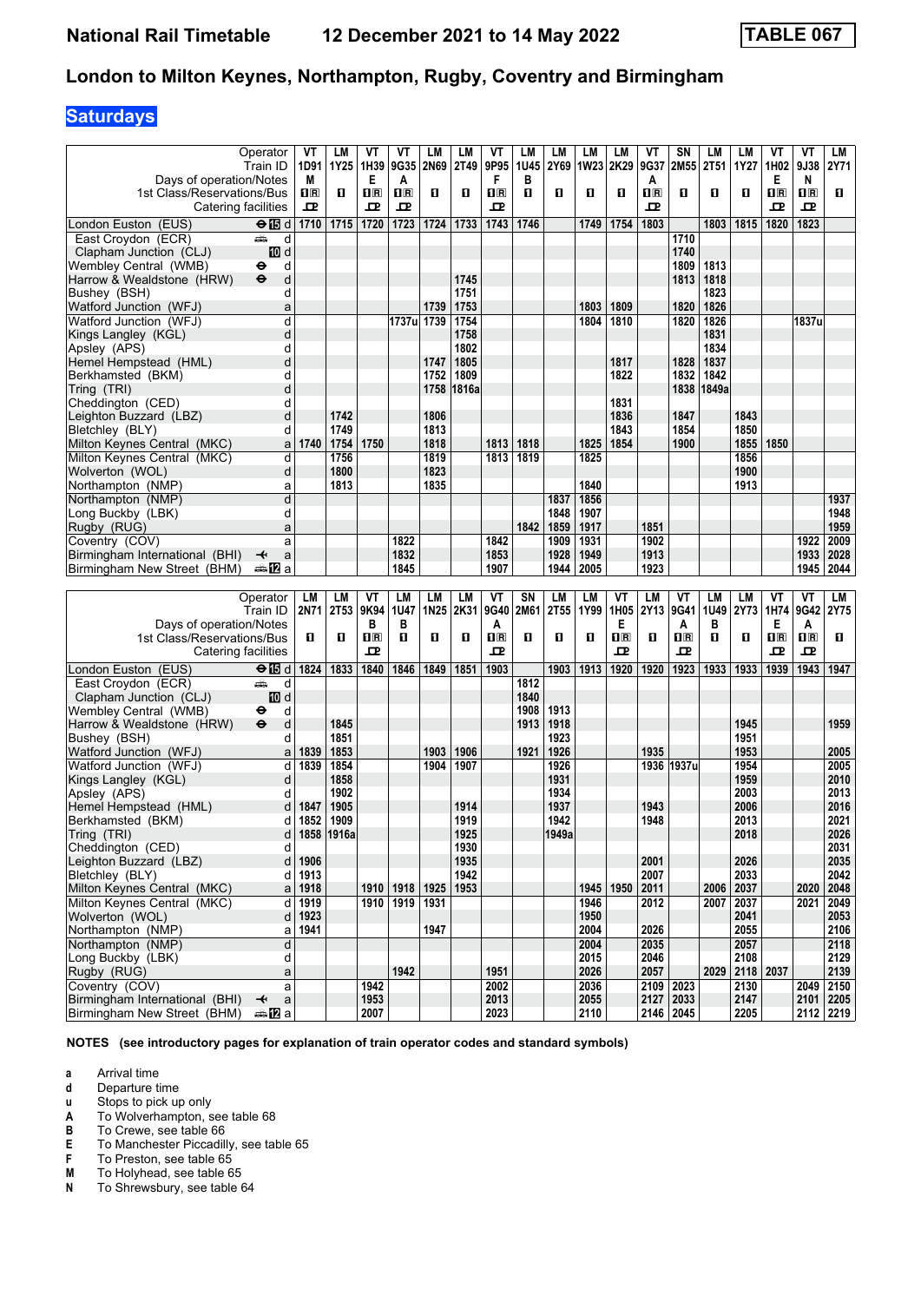## **Saturdays**

|                                                       | Operator                              | VT                                              | LM               | ۷T             | VT         | LM               | <b>LM</b>   | VT                      | LM   | LM               | LM           | LM          | ۷T               | SN          | LM         | LM             | ۷T          | VT                      | LМ           |
|-------------------------------------------------------|---------------------------------------|-------------------------------------------------|------------------|----------------|------------|------------------|-------------|-------------------------|------|------------------|--------------|-------------|------------------|-------------|------------|----------------|-------------|-------------------------|--------------|
|                                                       | Train ID                              | 1D91                                            | 1Y25             | 1H39           | 9G35       | 2N69             | <b>2T49</b> | 9P95                    | 1U45 | 2Y69             | <b>1W23</b>  | 2K29        | 9G37             | 2M55        | 2T51       | 1Y27           | 1H02        | 9J38                    | <b>2Y71</b>  |
| Days of operation/Notes                               |                                       | M                                               |                  | Е              | A          |                  |             | F                       | в    |                  |              |             | A                |             |            |                | Е           | N                       |              |
| 1st Class/Reservations/Bus                            |                                       | $\overline{\mathbf{H}}$ $\overline{\mathbf{R}}$ | п                | $\mathbf{1}$ R | $\Pi$ R    | O                | п           | 1R                      | п    | О                | п            | П           | $n_{\mathbb{R}}$ | 0           | О          | п              | 1R          | $\overline{\mathbf{H}}$ | 0            |
|                                                       | Catering facilities                   | 굔                                               |                  | ᇁ              | 굔          |                  |             | 굔                       |      |                  |              |             | ᇁ                |             |            |                | ᇁ           | ᇁ                       |              |
| London Euston (EUS)                                   | $\Theta$ is d                         | 1710                                            | 1715             | 1720           | 1723       | 1724             | 1733        | 1743                    | 1746 |                  | 1749         | 1754        | 1803             |             | 1803       | 1815           | 1820        | 1823                    |              |
| East Croydon (ECR)                                    | پیش<br>d                              |                                                 |                  |                |            |                  |             |                         |      |                  |              |             |                  | 1710        |            |                |             |                         |              |
| Clapham Junction (CLJ)                                | <b>ID</b> d                           |                                                 |                  |                |            |                  |             |                         |      |                  |              |             |                  | 1740        |            |                |             |                         |              |
| Wembley Central (WMB)                                 | d<br>⊖                                |                                                 |                  |                |            |                  |             |                         |      |                  |              |             |                  | 1809        | 1813       |                |             |                         |              |
| Harrow & Wealdstone (HRW)                             | $\ddot{\boldsymbol{\Theta}}$<br>d     |                                                 |                  |                |            |                  | 1745        |                         |      |                  |              |             |                  | 1813        | 1818       |                |             |                         |              |
| Bushey (BSH)                                          | d                                     |                                                 |                  |                |            |                  | 1751        |                         |      |                  |              |             |                  |             | 1823       |                |             |                         |              |
| Watford Junction (WFJ)                                | a                                     |                                                 |                  |                |            | 1739             | 1753        |                         |      |                  | 1803         | 1809        |                  | 1820        | 1826       |                |             |                         |              |
| Watford Junction (WFJ)                                | d                                     |                                                 |                  |                | 1737u 1739 |                  | 1754        |                         |      |                  | 1804         | 1810        |                  | 1820        | 1826       |                |             | 1837u                   |              |
| Kings Langley (KGL)                                   | d                                     |                                                 |                  |                |            |                  | 1758        |                         |      |                  |              |             |                  |             | 1831       |                |             |                         |              |
| Apsley (APS)                                          | d                                     |                                                 |                  |                |            |                  | 1802        |                         |      |                  |              |             |                  |             | 1834       |                |             |                         |              |
| Hemel Hempstead (HML)                                 | d                                     |                                                 |                  |                |            | 1747             | 1805        |                         |      |                  |              | 1817        |                  | 1828        | 1837       |                |             |                         |              |
| Berkhamsted (BKM)                                     | d                                     |                                                 |                  |                |            | 1752             | 1809        |                         |      |                  |              | 1822        |                  | 1832        | 1842       |                |             |                         |              |
| Tring (TRI)                                           | d                                     |                                                 |                  |                |            | 1758             | 1816a       |                         |      |                  |              |             |                  |             | 1838 1849a |                |             |                         |              |
| Cheddington (CED)                                     | d                                     |                                                 |                  |                |            |                  |             |                         |      |                  |              | 1831        |                  |             |            |                |             |                         |              |
| Leighton Buzzard (LBZ)                                | d                                     |                                                 | 1742             |                |            | 1806             |             |                         |      |                  |              | 1836        |                  | 1847        |            | 1843           |             |                         |              |
| Bletchley (BLY)                                       | d                                     |                                                 | 1749             |                |            | 1813             |             |                         |      |                  |              | 1843        |                  | 1854        |            | 1850           |             |                         |              |
| Milton Keynes Central (MKC)                           | a                                     | 1740                                            | 1754             | 1750           |            | 1818             |             | 1813                    | 1818 |                  | 1825         | 1854        |                  | 1900        |            | 1855           | 1850        |                         |              |
| Milton Keynes Central (MKC)                           | d                                     |                                                 | 1756             |                |            | 1819             |             | 1813                    | 1819 |                  | 1825         |             |                  |             |            | 1856           |             |                         |              |
| Wolverton (WOL)                                       | d                                     |                                                 | 1800             |                |            | 1823             |             |                         |      |                  |              |             |                  |             |            | 1900           |             |                         |              |
| Northampton (NMP)                                     | a                                     |                                                 | 1813             |                |            | 1835             |             |                         |      |                  | 1840         |             |                  |             |            | 1913           |             |                         |              |
| Northampton (NMP)                                     | d<br>d                                |                                                 |                  |                |            |                  |             |                         |      | 1837<br>1848     | 1856<br>1907 |             |                  |             |            |                |             |                         | 1937         |
| Long Buckby (LBK)                                     | a                                     |                                                 |                  |                |            |                  |             |                         | 1842 | 1859             | 1917         |             | 1851             |             |            |                |             |                         | 1948<br>1959 |
| Rugby (RUG)                                           | a                                     |                                                 |                  |                | 1822       |                  |             | 1842                    |      | 1909             | 1931         |             | 1902             |             |            |                |             | 1922                    | 2009         |
| Coventry (COV)<br>Birmingham International (BHI)      | ↞<br>a                                |                                                 |                  |                | 1832       |                  |             | 1853                    |      | 1928             | 1949         |             | 1913             |             |            |                |             | 1933                    | 2028         |
| Birmingham New Street (BHM)                           | ana <mark>na</mark> Ta                |                                                 |                  |                | 1845       |                  |             | 1907                    |      | 1944             | 2005         |             | 1923             |             |            |                |             | 1945                    | 2044         |
|                                                       |                                       |                                                 |                  |                |            |                  |             |                         |      |                  |              |             |                  |             |            |                |             |                         |              |
|                                                       |                                       |                                                 |                  |                |            |                  |             |                         |      |                  |              |             |                  |             |            |                |             |                         |              |
|                                                       |                                       |                                                 |                  |                |            |                  |             |                         |      |                  |              |             |                  |             |            |                |             |                         |              |
|                                                       | Operator                              | LM                                              | LM               | ۷T             | LM         | LM               | LM          | VT<br>9G40              | SN   | <b>LM</b>        | LM           | ۷T          | LM               | VT          | LM         | LМ             | ۷T          | VT<br>9G42              | LM           |
|                                                       | Train ID                              | 2N71                                            | 2T <sub>53</sub> | 9K94<br>в      | 1U47<br>в  | 1N <sub>25</sub> | 2K31        | A                       | 2M61 | 2T <sub>55</sub> | 1Y99         | 1H05<br>Е   | 2Y13             | 9G41<br>A   | 1U49<br>в  | 2Y73           | 1H74<br>Е   | A                       | 2Y75         |
| Days of operation/Notes<br>1st Class/Reservations/Bus |                                       | O                                               | O                | $n_{\rm R}$    | O          | O                | O           | $\overline{\mathbf{R}}$ | П    | О                | п            | $n_{\rm R}$ | О                | $n_{\rm R}$ | О          | O              | $n_{\rm R}$ | $n_{\rm R}$             | 0.           |
|                                                       | Catering facilities                   |                                                 |                  | ᇁ              |            |                  |             | 굔                       |      |                  |              | ᇁ           |                  | 굔           |            |                | ᇁ           | ᇁ                       |              |
|                                                       |                                       | 1824                                            |                  | 1840           | 1846       | 1849             | 1851        | 1903                    |      | 1903             | 1913         | 1920        | 1920             | 1923        | 1933       | 1933           | 1939        | 1943                    | 1947         |
| London Euston (EUS)                                   | $\Theta$ $\blacksquare$ d<br>پیش<br>d |                                                 | 1833             |                |            |                  |             |                         | 1812 |                  |              |             |                  |             |            |                |             |                         |              |
| East Croydon (ECR)                                    |                                       |                                                 |                  |                |            |                  |             |                         | 1840 |                  |              |             |                  |             |            |                |             |                         |              |
| Clapham Junction (CLJ)<br>Wembley Central (WMB)       | III d<br>⊖<br>d                       |                                                 |                  |                |            |                  |             |                         | 1908 | 1913             |              |             |                  |             |            |                |             |                         |              |
| Harrow & Wealdstone (HRW)                             | $\ddot{\mathbf{e}}$<br>d              |                                                 | 1845             |                |            |                  |             |                         | 1913 | 1918             |              |             |                  |             |            | 1945           |             |                         | 1959         |
| Bushey (BSH)                                          | d                                     |                                                 | 1851             |                |            |                  |             |                         |      | 1923             |              |             |                  |             |            | 1951           |             |                         |              |
| Watford Junction (WFJ)                                | a                                     | 1839                                            | 1853             |                |            | 1903             | 1906        |                         | 1921 | 1926             |              |             | 1935             |             |            | 1953           |             |                         | 2005         |
| Watford Junction (WFJ)                                | d                                     | 1839                                            | 1854             |                |            | 1904             | 1907        |                         |      | 1926             |              |             |                  | 1936 1937u  |            | 1954           |             |                         | 2005         |
| Kings Langley (KGL)                                   | d                                     |                                                 | 1858             |                |            |                  |             |                         |      | 1931             |              |             |                  |             |            | 1959           |             |                         | 2010         |
| Apsley (APS)                                          | d                                     |                                                 | 1902             |                |            |                  |             |                         |      | 1934             |              |             |                  |             |            | 2003           |             |                         | 2013         |
| Hemel Hempstead (HML)                                 | d                                     | 1847                                            | 1905             |                |            |                  | 1914        |                         |      | 1937             |              |             | 1943             |             |            | 2006           |             |                         | 2016         |
| Berkhamsted (BKM)                                     | d                                     | 1852                                            | 1909             |                |            |                  | 1919        |                         |      | 1942             |              |             | 1948             |             |            | 2013           |             |                         | 2021         |
| Tring (TRI)                                           |                                       |                                                 | 1858 1916a       |                |            |                  | 1925        |                         |      | 1949a            |              |             |                  |             |            | 2018           |             |                         | 2026         |
| Cheddington (CED)                                     | d                                     |                                                 |                  |                |            |                  | 1930        |                         |      |                  |              |             |                  |             |            |                |             |                         | 2031         |
| Leighton Buzzard (LBZ)                                | d                                     | 1906                                            |                  |                |            |                  | 1935        |                         |      |                  |              |             | 2001             |             |            | 2026           |             |                         | 2035         |
| Bletchley (BLY)                                       | d                                     | 1913                                            |                  |                |            |                  | 1942        |                         |      |                  |              |             | 2007             |             |            | 2033           |             |                         | 2042         |
| Milton Keynes Central (MKC)                           | a                                     | 1918                                            |                  | 1910           | 1918       | 1925             | 1953        |                         |      |                  | 1945         | 1950        | 2011             |             |            | 2006   2037    |             | 2020                    | 2048         |
| Milton Keynes Central (MKC)                           | d                                     | 1919                                            |                  | 1910           | 1919       | 1931             |             |                         |      |                  | 1946         |             | 2012             |             |            | 2007 2037      |             | 2021                    | 2049         |
| Wolverton (WOL)                                       | d                                     | 1923                                            |                  |                |            |                  |             |                         |      |                  | 1950         |             |                  |             |            | 2041           |             |                         | 2053         |
| Northampton (NMP)                                     | a                                     | 1941                                            |                  |                |            | 1947             |             |                         |      |                  | 2004         |             | 2026             |             |            | 2055           |             |                         | 2106         |
| Northampton (NMP)                                     | d                                     |                                                 |                  |                |            |                  |             |                         |      |                  | 2004         |             | 2035             |             |            | 2057           |             |                         | 2118         |
| Long Buckby (LBK)                                     | d<br>a                                |                                                 |                  |                | 1942       |                  |             | 1951                    |      |                  | 2015         |             | 2046<br>2057     |             |            | 2108           |             |                         | 2129         |
| Rugby (RUG)                                           | a                                     |                                                 |                  | 1942           |            |                  |             | 2002                    |      |                  | 2026<br>2036 |             |                  | 2023        |            | 2029 2118 2037 |             | 2049                    | 2139<br>2150 |
| Coventry (COV)<br>Birmingham International (BHI)      | $\mathsf{a}$<br>↞                     |                                                 |                  | 1953           |            |                  |             | 2013                    |      |                  | 2055         |             | 2109<br>2127     | 2033        |            | 2130<br>2147   |             | $2101$   2205           |              |

**NOTES (see introductory pages for explanation of train operator codes and standard symbols)**

**a** Arrival time<br>**d** Departure ti

**d** Departure time<br>**u** Stops to pick up

**X** Stops to pick up only

**A** To Wolverhampton, see table 68

**B** To Crewe, see table 66

- **E** To Manchester Piccadilly, see table 65<br>**F** To Preston, see table 65
- 

To Holyhead, see table 65

**F** To Preston, see table 65<br>**M** To Holyhead, see table 6<br>**N** To Shrewsbury, see table To Shrewsbury, see table 64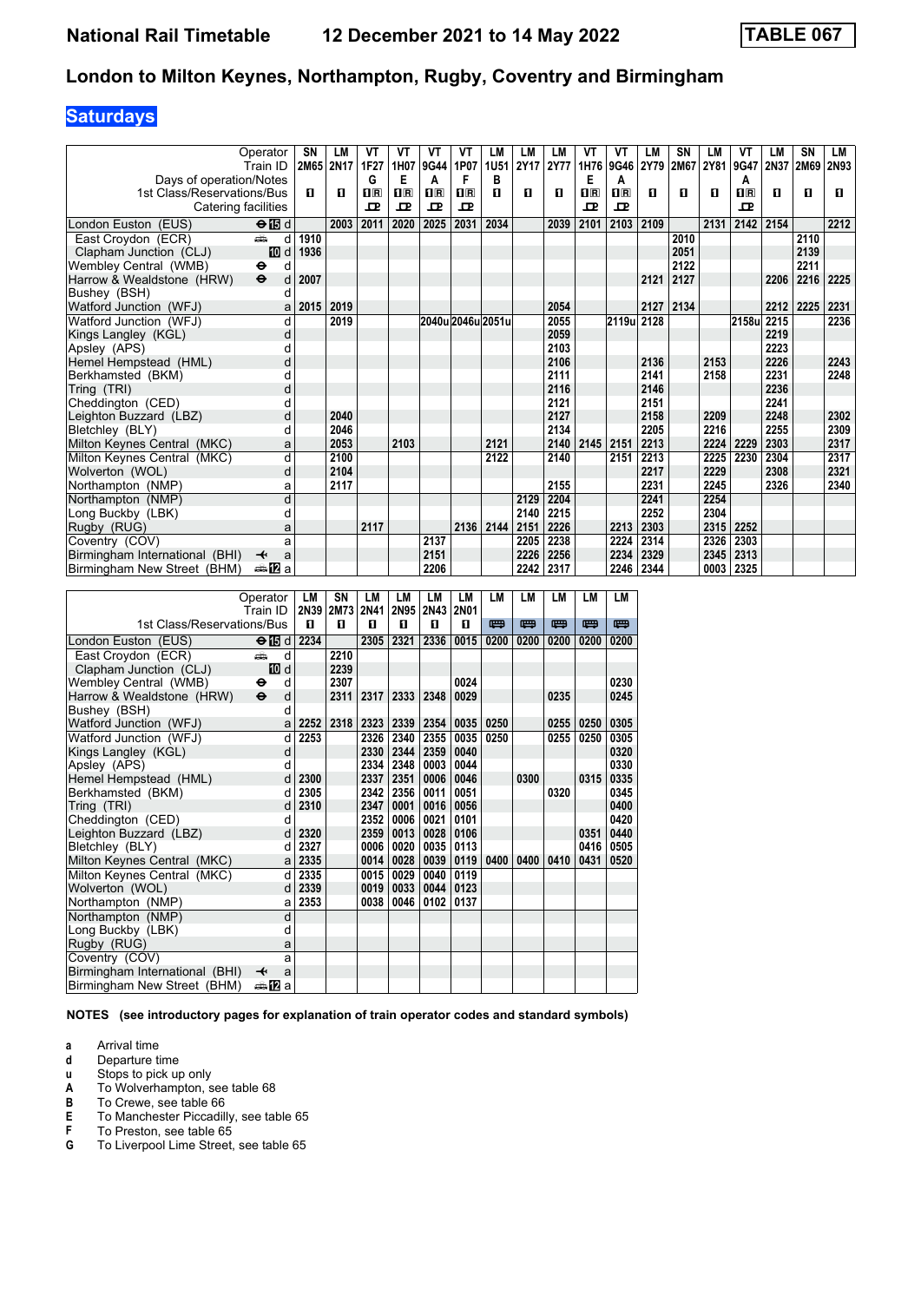## **Saturdays**

|                                | Operator                          | SN        | LM   | VT           | VT                        | VT        | VT           | LM                | LM   | LM   | VT                        | VT                      | LM   | SN        | LM   | VT           | LМ        | <b>SN</b> | LM   |
|--------------------------------|-----------------------------------|-----------|------|--------------|---------------------------|-----------|--------------|-------------------|------|------|---------------------------|-------------------------|------|-----------|------|--------------|-----------|-----------|------|
|                                | Train ID                          | 2M65 2N17 |      | 1F27         | 1H07                      | 9G44 1P07 |              | 1U51              | 2Y17 | 2Y77 | 1H76                      | 9G46                    |      | 2Y79 2M67 | 2Y81 | 9G47         | 2N37      | 2M69      | 2N93 |
| Days of operation/Notes        |                                   |           |      | G            | Е                         | А         | F            | в                 |      |      | Е                         | A                       |      |           |      | Α            |           |           |      |
| 1st Class/Reservations/Bus     |                                   | п         | п    | $\mathbf{H}$ | $\mathbf{I}$ $\mathbf{R}$ | 1R        | $\mathbf{R}$ | п                 | п    | п    | $\mathbf{I}^{\mathbf{R}}$ | $\overline{\mathbf{B}}$ | п    | п         | п    | $\mathbf{H}$ | п         | O         | п    |
| Catering facilities            |                                   |           |      | 굔            | 고                         | 고         | 모            |                   |      |      | ᇁ                         | 모                       |      |           |      | 고            |           |           |      |
| London Euston (EUS)            | $\Theta$ is d                     |           | 2003 | 2011         | 2020                      | 2025      | 2031         | 2034              |      | 2039 | 2101                      | 2103                    | 2109 |           | 2131 | 2142         | 2154      |           | 2212 |
| East Croydon (ECR)             | ۳Ê<br>d                           | 1910      |      |              |                           |           |              |                   |      |      |                           |                         |      | 2010      |      |              |           | 2110      |      |
| Clapham Junction (CLJ)         | 10 d                              | 1936      |      |              |                           |           |              |                   |      |      |                           |                         |      | 2051      |      |              |           | 2139      |      |
| Wembley Central (WMB)          | θ<br>d                            |           |      |              |                           |           |              |                   |      |      |                           |                         |      | 2122      |      |              |           | 2211      |      |
| Harrow & Wealdstone (HRW)      | $\ddot{\boldsymbol{\Theta}}$<br>d | 2007      |      |              |                           |           |              |                   |      |      |                           |                         | 2121 | 2127      |      |              | 2206      | 2216      | 2225 |
| Bushey (BSH)                   | d                                 |           |      |              |                           |           |              |                   |      |      |                           |                         |      |           |      |              |           |           |      |
| Watford Junction (WFJ)         | a                                 | 2015      | 2019 |              |                           |           |              |                   |      | 2054 |                           |                         | 2127 | 2134      |      |              | 2212 2225 |           | 2231 |
| Watford Junction (WFJ)         | d                                 |           | 2019 |              |                           |           |              | 2040u 2046u 2051u |      | 2055 |                           | 2119u 2128              |      |           |      | 2158u        | 2215      |           | 2236 |
| Kings Langley (KGL)            | d                                 |           |      |              |                           |           |              |                   |      | 2059 |                           |                         |      |           |      |              | 2219      |           |      |
| Apsley (APS)                   |                                   |           |      |              |                           |           |              |                   |      | 2103 |                           |                         |      |           |      |              | 2223      |           |      |
| Hemel Hempstead (HML)          | d                                 |           |      |              |                           |           |              |                   |      | 2106 |                           |                         | 2136 |           | 2153 |              | 2226      |           | 2243 |
| Berkhamsted (BKM)              | d                                 |           |      |              |                           |           |              |                   |      | 2111 |                           |                         | 2141 |           | 2158 |              | 2231      |           | 2248 |
| Tring (TRI)                    | d                                 |           |      |              |                           |           |              |                   |      | 2116 |                           |                         | 2146 |           |      |              | 2236      |           |      |
| Cheddinaton (CED)              | d                                 |           |      |              |                           |           |              |                   |      | 2121 |                           |                         | 2151 |           |      |              | 2241      |           |      |
| Leighton Buzzard (LBZ)         | d                                 |           | 2040 |              |                           |           |              |                   |      | 2127 |                           |                         | 2158 |           | 2209 |              | 2248      |           | 2302 |
| Bletchlev (BLY)                | d                                 |           | 2046 |              |                           |           |              |                   |      | 2134 |                           |                         | 2205 |           | 2216 |              | 2255      |           | 2309 |
| Milton Keynes Central (MKC)    | a                                 |           | 2053 |              | 2103                      |           |              | 2121              |      | 2140 | 2145                      | 2151                    | 2213 |           | 2224 | 2229         | 2303      |           | 2317 |
| Milton Keynes Central (MKC)    | d                                 |           | 2100 |              |                           |           |              | 2122              |      | 2140 |                           | 2151                    | 2213 |           | 2225 | 2230         | 2304      |           | 2317 |
| Wolverton (WOL)                | d                                 |           | 2104 |              |                           |           |              |                   |      |      |                           |                         | 2217 |           | 2229 |              | 2308      |           | 2321 |
| Northampton (NMP)              | а                                 |           | 2117 |              |                           |           |              |                   |      | 2155 |                           |                         | 2231 |           | 2245 |              | 2326      |           | 2340 |
| Northampton (NMP)              | d                                 |           |      |              |                           |           |              |                   | 2129 | 2204 |                           |                         | 2241 |           | 2254 |              |           |           |      |
| Long Buckby (LBK)              | d                                 |           |      |              |                           |           |              |                   | 2140 | 2215 |                           |                         | 2252 |           | 2304 |              |           |           |      |
| Rugby (RUG)                    | a                                 |           |      | 2117         |                           |           | 2136         | 2144              | 2151 | 2226 |                           | 2213                    | 2303 |           | 2315 | 2252         |           |           |      |
| Coventry (COV)                 | a                                 |           |      |              |                           | 2137      |              |                   | 2205 | 2238 |                           | 2224                    | 2314 |           | 2326 | 2303         |           |           |      |
| Birmingham International (BHI) | ↞<br>a                            |           |      |              |                           | 2151      |              |                   | 2226 | 2256 |                           | 2234                    | 2329 |           | 2345 | 2313         |           |           |      |
| Birmingham New Street (BHM)    | ana <mark>na</mark> m⊒            |           |      |              |                           | 2206      |              |                   | 2242 | 2317 |                           | 2246                    | 2344 |           |      | 0003 2325    |           |           |      |

|                                | Operator<br>Train ID |     | LM<br>2N39 | SΝ<br><b>2M73</b> | LМ<br>2N41 | LМ   | LМ        | LМ          | LМ   | LМ   | LM   | LM   | LM   |
|--------------------------------|----------------------|-----|------------|-------------------|------------|------|-----------|-------------|------|------|------|------|------|
|                                |                      |     |            |                   |            |      | 2N95 2N43 | <b>2N01</b> |      |      |      | 罒    |      |
| 1st Class/Reservations/Bus     |                      |     | п          | п                 | п          | п    | п         | п           | 四    | 四    | 四    |      | 四    |
| London Euston (EUS)            | $\Theta$ is d        |     | 2234       |                   | 2305       | 2321 | 2336      | 0015        | 0200 | 0200 | 0200 | 0200 | 0200 |
| East Croydon (ECR)             | æ                    | d   |            | 2210              |            |      |           |             |      |      |      |      |      |
| Clapham Junction (CLJ)         |                      | 而 d |            | 2239              |            |      |           |             |      |      |      |      |      |
| Wembley Central (WMB)          | θ                    | d   |            | 2307              |            |      |           | 0024        |      |      |      |      | 0230 |
| Harrow & Wealdstone (HRW)      | $\ddot{\mathbf{e}}$  | d   |            | 2311              | 2317       | 2333 | 2348      | 0029        |      |      | 0235 |      | 0245 |
| Bushey (BSH)                   |                      | d   |            |                   |            |      |           |             |      |      |      |      |      |
| Watford Junction (WFJ)         |                      | a   | 2252       | 2318              | 2323       | 2339 | 2354      | 0035        | 0250 |      | 0255 | 0250 | 0305 |
| Watford Junction (WFJ)         |                      | d   | 2253       |                   | 2326       | 2340 | 2355      | 0035        | 0250 |      | 0255 | 0250 | 0305 |
| Kings Langley (KGL)            |                      | d   |            |                   | 2330       | 2344 | 2359      | 0040        |      |      |      |      | 0320 |
| Apsley (APS)                   |                      | d   |            |                   | 2334       | 2348 | 0003      | 0044        |      |      |      |      | 0330 |
| Hemel Hempstead (HML)          |                      | d   | 2300       |                   | 2337       | 2351 | 0006      | 0046        |      | 0300 |      | 0315 | 0335 |
| Berkhamsted (BKM)              |                      | d   | 2305       |                   | 2342       | 2356 | 0011      | 0051        |      |      | 0320 |      | 0345 |
| Tring (TRI)                    |                      | d   | 2310       |                   | 2347       | 0001 | 0016      | 0056        |      |      |      |      | 0400 |
| Cheddington (CED)              |                      | d   |            |                   | 2352       | 0006 | 0021      | 0101        |      |      |      |      | 0420 |
| Leighton Buzzard (LBZ)         |                      | d   | 2320       |                   | 2359       | 0013 | 0028      | 0106        |      |      |      | 0351 | 0440 |
| Bletchley (BLY)                |                      | d   | 2327       |                   | 0006       | 0020 | 0035      | 0113        |      |      |      | 0416 | 0505 |
| Milton Keynes Central (MKC)    |                      | a   | 2335       |                   | 0014       | 0028 | 0039      | 0119        | 0400 | 0400 | 0410 | 0431 | 0520 |
| Milton Keynes Central (MKC)    |                      | d   | 2335       |                   | 0015       | 0029 | 0040      | 0119        |      |      |      |      |      |
| Wolverton (WOL)                |                      | d   | 2339       |                   | 0019       | 0033 | 0044      | 0123        |      |      |      |      |      |
| Northampton (NMP)              |                      | a   | 2353       |                   | 0038       | 0046 | 0102      | 0137        |      |      |      |      |      |
| Northampton (NMP)              |                      | d   |            |                   |            |      |           |             |      |      |      |      |      |
| Long Buckby (LBK)              |                      | d   |            |                   |            |      |           |             |      |      |      |      |      |
| Rugby (RUG)                    |                      | a   |            |                   |            |      |           |             |      |      |      |      |      |
| Coventry (COV)                 |                      | a   |            |                   |            |      |           |             |      |      |      |      |      |
| Birmingham International (BHI) | ↞                    | a   |            |                   |            |      |           |             |      |      |      |      |      |
| Birmingham New Street (BHM)    | a≞122la              |     |            |                   |            |      |           |             |      |      |      |      |      |

**NOTES (see introductory pages for explanation of train operator codes and standard symbols)**

**a** Arrival time<br>**d** Departure t

**d** Departure time

**x** Stops to pick up only<br>**A** To Wolverhampton, s

- **A** To Wolverhampton, see table 68<br>**B** To Crewe, see table 66
- 
- **B** To Crewe, see table 66<br>**E** To Manchester Piccadill<br>**F** To Preston, see table 65 To Manchester Piccadilly, see table 65
- **F** To Preston, see table 65<br>**G** To Liverpool Lime Street,
- To Liverpool Lime Street, see table 65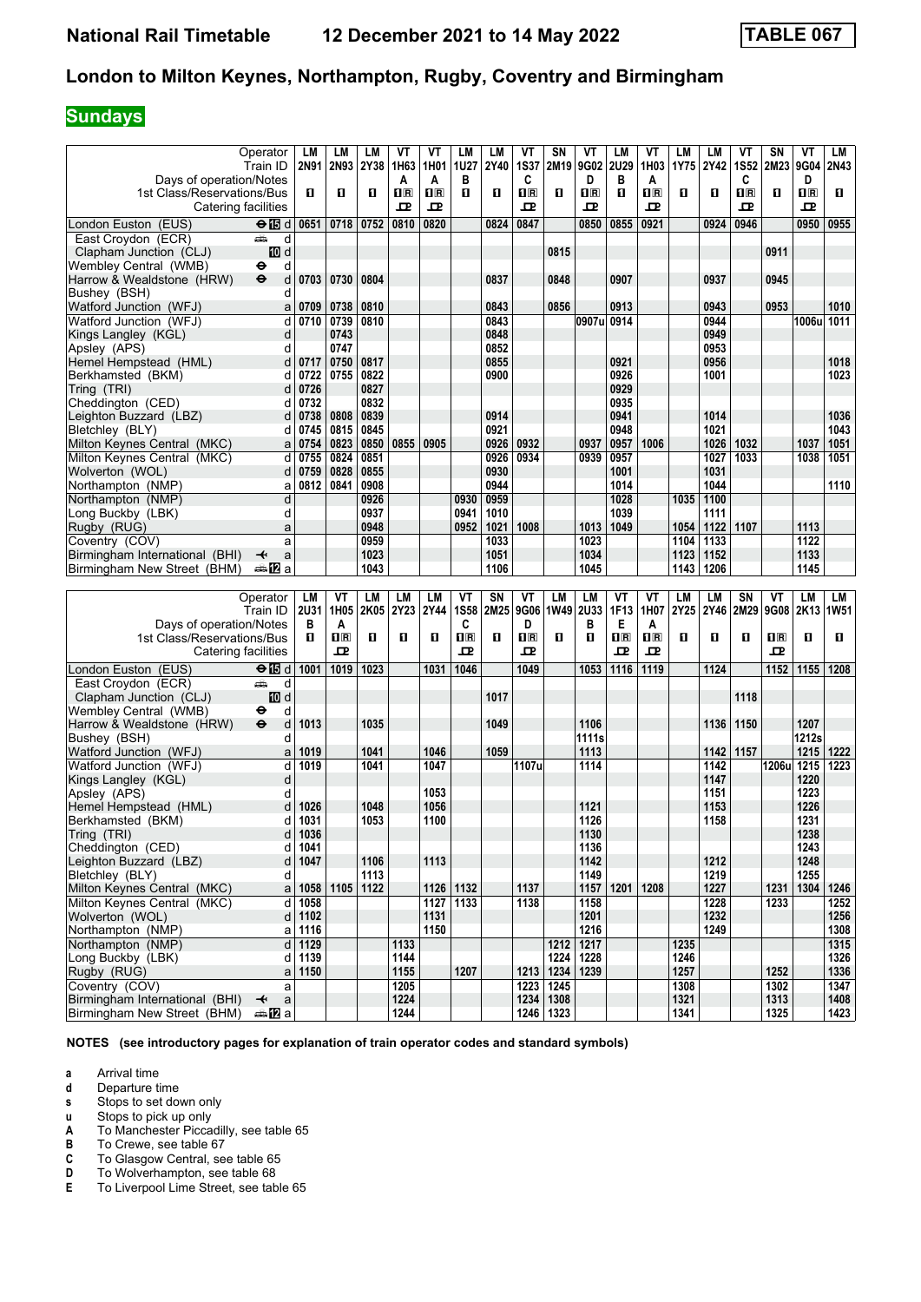# **Sundays**

|                                                  | Operator                               | LM          | LM          | LМ   | ۷T               | ۷T          | LM                      | LM   | VT                                              | SN                       | ۷T          | LM                                              | ۷T                      | LM        | LM          | ۷T               | SΝ                                              | VT             | LМ   |
|--------------------------------------------------|----------------------------------------|-------------|-------------|------|------------------|-------------|-------------------------|------|-------------------------------------------------|--------------------------|-------------|-------------------------------------------------|-------------------------|-----------|-------------|------------------|-------------------------------------------------|----------------|------|
|                                                  | Train ID                               | 2N91        | 2N93        | 2Y38 | 1H63             | 1H01        | 1U27                    | 2Y40 | <b>1S37</b>                                     | 2M19                     | 9G02        | 2U29                                            | 1H03                    | 1Y75      | <b>2Y42</b> | <b>1S52</b>      | 2M23 9G04                                       |                | 2N43 |
| Days of operation/Notes                          |                                        |             |             |      | A                | A           | в                       |      | C                                               |                          | D           | в                                               | A                       |           |             | C                |                                                 | D              |      |
| 1st Class/Reservations/Bus                       |                                        | п           | O           | O    | $n_{\mathbb{R}}$ | $n_{\rm R}$ | 0                       | O    | $\overline{\mathbf{H}}$ $\overline{\mathbf{R}}$ | O                        | $n_{\rm R}$ | O                                               | $n_{\mathbb{R}}$        | п         | O           | $n_{\mathbb{R}}$ | п                                               | $n_{\rm B}$    | п    |
| Catering facilities                              |                                        |             |             |      | ᇁ                | 굔           |                         |      | ᇁ                                               |                          | ᇁ           |                                                 | ᇁ                       |           |             | ᇁ                |                                                 | ᇁ              |      |
|                                                  |                                        |             |             |      |                  |             |                         |      |                                                 |                          |             |                                                 |                         |           |             |                  |                                                 |                |      |
| London Euston (EUS)                              | $\Theta$ $\blacksquare$ d              | 0651        | 0718        | 0752 | 0810             | 0820        |                         | 0824 | 0847                                            |                          | 0850        | 0855                                            | 0921                    |           | 0924        | 0946             |                                                 | 0950           | 0955 |
| East Croydon (ECR)                               | ڪ<br>d                                 |             |             |      |                  |             |                         |      |                                                 |                          |             |                                                 |                         |           |             |                  |                                                 |                |      |
| Clapham Junction (CLJ)                           | iD d                                   |             |             |      |                  |             |                         |      |                                                 | 0815                     |             |                                                 |                         |           |             |                  | 0911                                            |                |      |
| Wembley Central (WMB)                            | d<br>⊖                                 |             |             |      |                  |             |                         |      |                                                 |                          |             |                                                 |                         |           |             |                  |                                                 |                |      |
| Harrow & Wealdstone (HRW)                        | $\ddot{\mathbf{e}}$<br>d               | 0703        | 0730        | 0804 |                  |             |                         | 0837 |                                                 | 0848                     |             | 0907                                            |                         |           | 0937        |                  | 0945                                            |                |      |
| Bushey (BSH)                                     | d                                      |             |             |      |                  |             |                         |      |                                                 |                          |             |                                                 |                         |           |             |                  |                                                 |                |      |
|                                                  |                                        |             |             |      |                  |             |                         |      |                                                 |                          |             |                                                 |                         |           |             |                  |                                                 |                |      |
| Watford Junction (WFJ)                           | a                                      | 0709        | 0738        | 0810 |                  |             |                         | 0843 |                                                 | 0856                     |             | 0913                                            |                         |           | 0943        |                  | 0953                                            |                | 1010 |
| Watford Junction (WFJ)                           | d                                      | 0710        | 0739        | 0810 |                  |             |                         | 0843 |                                                 |                          | 0907u 0914  |                                                 |                         |           | 0944        |                  |                                                 | 1006u          | 1011 |
| Kings Langley (KGL)                              | d                                      |             | 0743        |      |                  |             |                         | 0848 |                                                 |                          |             |                                                 |                         |           | 0949        |                  |                                                 |                |      |
| Apslev (APS)                                     | d                                      |             | 0747        |      |                  |             |                         | 0852 |                                                 |                          |             |                                                 |                         |           | 0953        |                  |                                                 |                |      |
| Hemel Hempstead (HML)                            | d                                      | 0717        | 0750        | 0817 |                  |             |                         | 0855 |                                                 |                          |             | 0921                                            |                         |           | 0956        |                  |                                                 |                | 1018 |
| Berkhamsted (BKM)                                | d                                      | 0722        | 0755        | 0822 |                  |             |                         | 0900 |                                                 |                          |             | 0926                                            |                         |           | 1001        |                  |                                                 |                | 1023 |
| Tring (TRI)                                      | d                                      | 0726        |             | 0827 |                  |             |                         |      |                                                 |                          |             | 0929                                            |                         |           |             |                  |                                                 |                |      |
|                                                  |                                        |             |             |      |                  |             |                         |      |                                                 |                          |             |                                                 |                         |           |             |                  |                                                 |                |      |
| Cheddington (CED)                                | d                                      | 0732        |             | 0832 |                  |             |                         |      |                                                 |                          |             | 0935                                            |                         |           |             |                  |                                                 |                |      |
| Leighton Buzzard (LBZ)                           | d                                      | 0738        | 0808        | 0839 |                  |             |                         | 0914 |                                                 |                          |             | 0941                                            |                         |           | 1014        |                  |                                                 |                | 1036 |
| Bletchley (BLY)                                  | d                                      | 0745        | 0815        | 0845 |                  |             |                         | 0921 |                                                 |                          |             | 0948                                            |                         |           | 1021        |                  |                                                 |                | 1043 |
| Milton Keynes Central (MKC)                      | a                                      | 0754        | 0823        | 0850 | 0855             | 0905        |                         | 0926 | 0932                                            |                          | 0937        | 0957                                            | 1006                    |           | 1026        | 1032             |                                                 | 1037           | 1051 |
| Milton Kevnes Central (MKC)                      | d                                      | 0755        | 0824        | 0851 |                  |             |                         | 0926 | 0934                                            |                          | 0939        | 0957                                            |                         |           | 1027        | 1033             |                                                 | 1038           | 1051 |
| Wolverton (WOL)                                  | d                                      | 0759        | 0828        | 0855 |                  |             |                         | 0930 |                                                 |                          |             | 1001                                            |                         |           | 1031        |                  |                                                 |                |      |
| Northampton (NMP)                                | a                                      | 0812        | 0841        | 0908 |                  |             |                         | 0944 |                                                 |                          |             | 1014                                            |                         |           | 1044        |                  |                                                 |                | 1110 |
|                                                  |                                        |             |             |      |                  |             |                         |      |                                                 |                          |             |                                                 |                         |           |             |                  |                                                 |                |      |
| Northampton (NMP)                                | d                                      |             |             | 0926 |                  |             | 0930                    | 0959 |                                                 |                          |             | 1028                                            |                         | 1035      | 1100        |                  |                                                 |                |      |
| Long Buckby (LBK)                                | d                                      |             |             | 0937 |                  |             | 0941                    | 1010 |                                                 |                          |             | 1039                                            |                         |           | 1111        |                  |                                                 |                |      |
| Rugby (RUG)                                      | a                                      |             |             | 0948 |                  |             | 0952                    | 1021 | 1008                                            |                          | 1013        | 1049                                            |                         | 1054      | 1122        | 1107             |                                                 | 1113           |      |
| Coventry (COV)                                   | a                                      |             |             | 0959 |                  |             |                         | 1033 |                                                 |                          | 1023        |                                                 |                         | 1104      | 1133        |                  |                                                 | 1122           |      |
| Birmingham International (BHI)                   | ↞<br>a                                 |             |             | 1023 |                  |             |                         | 1051 |                                                 |                          | 1034        |                                                 |                         | 1123      | 1152        |                  |                                                 | 1133           |      |
| Birmingham New Street (BHM)                      | ana <mark>n</mark> 2 a                 |             |             | 1043 |                  |             |                         | 1106 |                                                 |                          | 1045        |                                                 |                         | 1143      | 1206        |                  |                                                 | 1145           |      |
|                                                  |                                        |             |             |      |                  |             |                         |      |                                                 |                          |             |                                                 |                         |           |             |                  |                                                 |                |      |
|                                                  |                                        |             |             |      |                  |             |                         |      |                                                 |                          |             |                                                 |                         |           |             |                  |                                                 |                |      |
|                                                  |                                        |             |             |      |                  |             |                         |      |                                                 |                          |             |                                                 |                         |           |             |                  |                                                 |                |      |
|                                                  | Operator                               | LM          | VT          | LM   | LM               | LM          | VT                      | SN   | VT                                              | <b>LM</b>                | LM          | VT                                              | VT                      | <b>LM</b> | LM          | <b>SN</b>        | VT                                              | <b>LM</b>      | LM   |
|                                                  | Train ID                               | <b>2U31</b> | 1H05        | 2K05 | <b>2Y23</b>      | 2Y44        | <b>1S58</b>             | 2M25 | 9G06                                            | <b>1W49</b>              | <b>2U33</b> | 1F13                                            | 1H07                    | 2Y25      | 2Y46        | 2M29             |                                                 | 9G08 2K13 1W51 |      |
| Days of operation/Notes                          |                                        | в           | A           |      |                  |             | C                       |      | D                                               |                          | в           | Е                                               | A                       |           |             |                  |                                                 |                |      |
| 1st Class/Reservations/Bus                       |                                        | п           | $n_{\rm R}$ | п    | O                | O.          | $\overline{\mathbf{H}}$ | O.   | $\overline{\mathbf{H}}$ $\overline{\mathbf{R}}$ | п                        | п           | $\overline{\mathbf{H}}$ $\overline{\mathbf{R}}$ | $\overline{\mathbf{R}}$ | O         | O           | п                | $\overline{\mathbf{H}}$ $\overline{\mathbf{R}}$ | O              | п    |
| Catering facilities                              |                                        |             | ᇁ           |      |                  |             | ᇁ                       |      | ᇁ                                               |                          |             | ᇁ                                               | ᅭ                       |           |             |                  | ᇁ                                               |                |      |
|                                                  |                                        |             |             |      |                  |             |                         |      |                                                 |                          |             |                                                 |                         |           |             |                  |                                                 |                |      |
| London Euston (EUS)                              | ⊖ 15 d                                 | 1001        | 1019        | 1023 |                  | 1031        | 1046                    |      | 1049                                            |                          | 1053        | 1116                                            | 1119                    |           | 1124        |                  | 1152                                            | 1155           | 1208 |
| East Croydon (ECR)                               | ۳Ê<br>d                                |             |             |      |                  |             |                         |      |                                                 |                          |             |                                                 |                         |           |             |                  |                                                 |                |      |
| Clapham Junction (CLJ)                           | iD d                                   |             |             |      |                  |             |                         | 1017 |                                                 |                          |             |                                                 |                         |           |             | 1118             |                                                 |                |      |
| Wembley Central (WMB)                            | d<br>⊖                                 |             |             |      |                  |             |                         |      |                                                 |                          |             |                                                 |                         |           |             |                  |                                                 |                |      |
| Harrow & Wealdstone (HRW)                        | $\bullet$<br>d                         | 1013        |             | 1035 |                  |             |                         | 1049 |                                                 |                          | 1106        |                                                 |                         |           | 1136        | 1150             |                                                 | 1207           |      |
| Bushey (BSH)                                     | d                                      |             |             |      |                  |             |                         |      |                                                 |                          | 1111s       |                                                 |                         |           |             |                  |                                                 | 1212s          |      |
| Watford Junction (WFJ)                           | a                                      | 1019        |             | 1041 |                  | 1046        |                         | 1059 |                                                 |                          | 1113        |                                                 |                         |           | 1142        | 1157             |                                                 | 1215           | 1222 |
|                                                  | d                                      |             |             |      |                  | 1047        |                         |      |                                                 |                          | 1114        |                                                 |                         |           | 1142        |                  |                                                 |                | 1223 |
| Watford Junction (WFJ)                           |                                        | 1019        |             | 1041 |                  |             |                         |      | 1107u                                           |                          |             |                                                 |                         |           |             |                  | 1206u                                           | 1215           |      |
| Kings Langley (KGL)                              | d                                      |             |             |      |                  |             |                         |      |                                                 |                          |             |                                                 |                         |           | 1147        |                  |                                                 | 1220           |      |
| Apsley (APS)                                     | d                                      |             |             |      |                  | 1053        |                         |      |                                                 |                          |             |                                                 |                         |           | 1151        |                  |                                                 | 1223           |      |
| Hemel Hempstead (HML)                            | d                                      | 1026        |             | 1048 |                  | 1056        |                         |      |                                                 |                          | 1121        |                                                 |                         |           | 1153        |                  |                                                 | 1226           |      |
| Berkhamsted (BKM)                                | d                                      | 1031        |             | 1053 |                  | 1100        |                         |      |                                                 |                          | 1126        |                                                 |                         |           | 1158        |                  |                                                 | 1231           |      |
| Tring (TRI)                                      | d                                      | 1036        |             |      |                  |             |                         |      |                                                 |                          | 1130        |                                                 |                         |           |             |                  |                                                 | 1238           |      |
| Cheddington (CED)                                | d                                      | 1041        |             |      |                  |             |                         |      |                                                 |                          | 1136        |                                                 |                         |           |             |                  |                                                 | 1243           |      |
| Leighton Buzzard (LBZ)                           | d                                      | 1047        |             | 1106 |                  | 1113        |                         |      |                                                 |                          | 1142        |                                                 |                         |           | 1212        |                  |                                                 | 1248           |      |
| Bletchley (BLY)                                  | d                                      |             |             | 1113 |                  |             |                         |      |                                                 |                          | 1149        |                                                 |                         |           | 1219        |                  |                                                 | 1255           |      |
|                                                  | a                                      |             | 1058 1105   | 1122 |                  |             |                         |      | 1137                                            |                          | 1157        | 1201                                            | 1208                    |           | 1227        |                  | 1231                                            | 1304 1246      |      |
| Milton Keynes Central (MKC)                      |                                        |             |             |      |                  |             | 1126 1132               |      |                                                 |                          |             |                                                 |                         |           |             |                  |                                                 |                |      |
| Milton Keynes Central (MKC)                      | d                                      | 1058        |             |      |                  |             | 1127 1133               |      | 1138                                            |                          | 1158        |                                                 |                         |           | 1228        |                  | 1233                                            |                | 1252 |
| Wolverton (WOL)                                  | d                                      | 1102        |             |      |                  | 1131        |                         |      |                                                 |                          | 1201        |                                                 |                         |           | 1232        |                  |                                                 |                | 1256 |
| Northampton (NMP)                                | a                                      | 1116        |             |      |                  | 1150        |                         |      |                                                 |                          | 1216        |                                                 |                         |           | 1249        |                  |                                                 |                | 1308 |
| Northampton (NMP)                                | d                                      | 1129        |             |      | 1133             |             |                         |      |                                                 |                          | 1212 1217   |                                                 |                         | 1235      |             |                  |                                                 |                | 1315 |
| Long Buckby (LBK)                                | d                                      | 1139        |             |      | 1144             |             |                         |      |                                                 | 1224                     | 1228        |                                                 |                         | 1246      |             |                  |                                                 |                | 1326 |
| Rugby (RUG)                                      | a                                      | 1150        |             |      | 1155             |             | 1207                    |      |                                                 | 1213   1234   1239       |             |                                                 |                         | 1257      |             |                  | 1252                                            |                | 1336 |
|                                                  | a                                      |             |             |      | 1205             |             |                         |      |                                                 |                          |             |                                                 |                         | 1308      |             |                  | 1302                                            |                | 1347 |
| Coventry (COV)<br>Birmingham International (BHI) | $\mathsf a$<br>$\overline{\mathbf{t}}$ |             |             |      | 1224             |             |                         |      |                                                 | 1223 1245<br>1234   1308 |             |                                                 |                         | 1321      |             |                  | 1313                                            |                | 1408 |

**NOTES (see introductory pages for explanation of train operator codes and standard symbols)**

**a** Arrival time<br>**d** Departure ti

**d** Departure time<br>**s** Stops to set do

Stops to set down only

**u** Stops to pick up only

**A** To Manchester Piccadilly, see table 65

**B** To Crewe, see table 67<br>**C** To Glasgow Central, se

To Wolverhampton, see table 68

**C** To Glasgow Central, see table 65<br> **D** To Wolverhampton, see table 68<br> **E** To Liverpool Lime Street, see table To Liverpool Lime Street, see table 65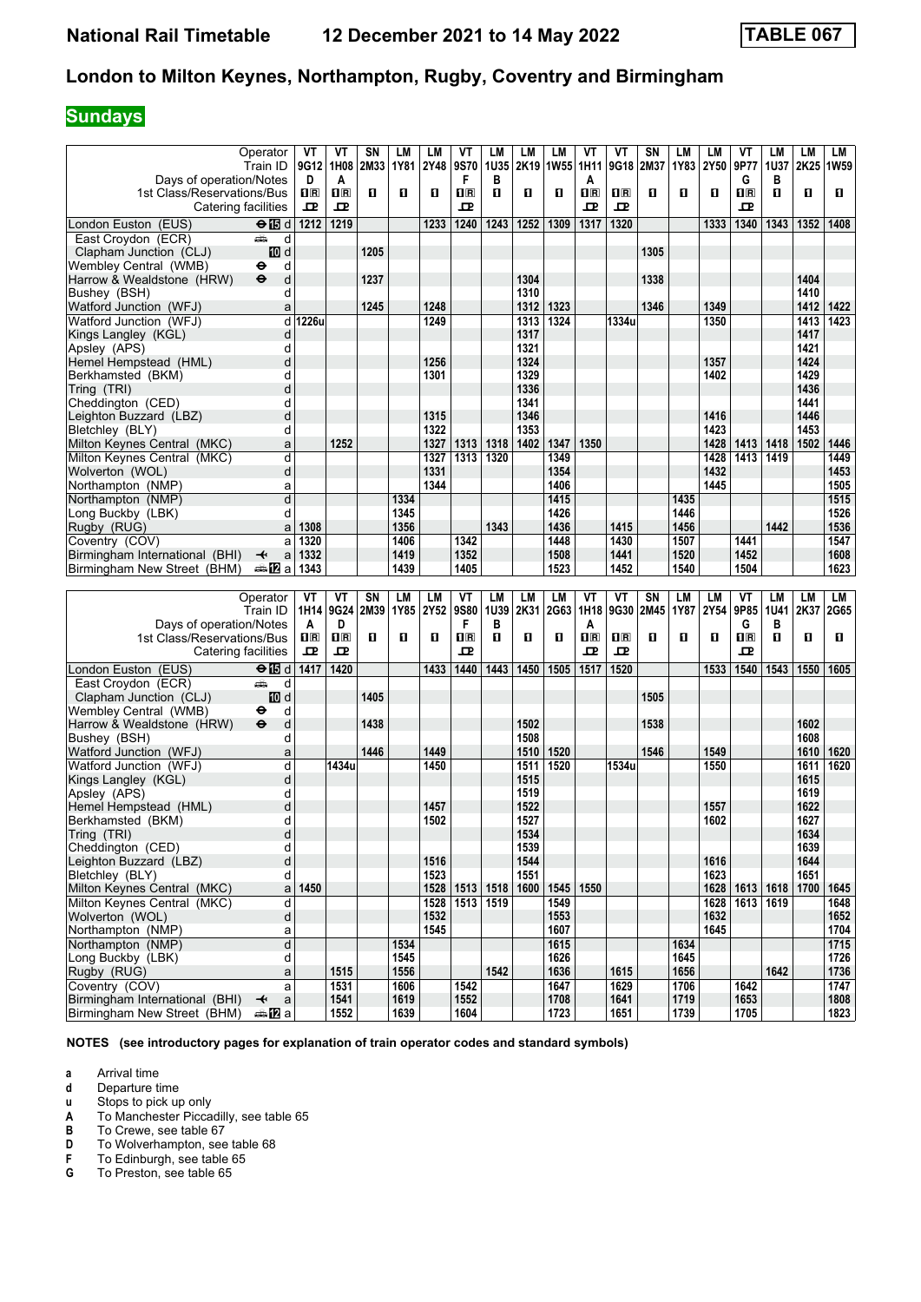# **Sundays**

|                                                  |                                         |                         |                           |           |      |      |                         |      |      |           | VT                      | ۷T                      | SN   |      |      |                                  |             | <b>LM</b> |              |
|--------------------------------------------------|-----------------------------------------|-------------------------|---------------------------|-----------|------|------|-------------------------|------|------|-----------|-------------------------|-------------------------|------|------|------|----------------------------------|-------------|-----------|--------------|
|                                                  | Operator                                | ۷T                      | ۷T                        | SΝ        | LM   | LM   | VT                      | LM   | LМ   | LM        |                         |                         |      | LM   | LM   | ۷T                               | LМ          |           | LМ           |
|                                                  | Train ID                                | 9G12                    | 1H08                      | 2M33      | 1Y81 | 2Y48 | 9S70                    | 1U35 |      | 2K19 1W55 | 1H11                    | 9G18                    | 2M37 | 1Y83 | 2Y50 | 9P77                             | 1U37        | 2K25      | 1W59         |
| Days of operation/Notes                          |                                         | D                       | A                         |           |      |      | F                       | B    |      |           | A                       |                         |      |      |      | G                                | B           |           |              |
| 1st Class/Reservations/Bus                       |                                         | $\overline{\mathbf{H}}$ | $\mathbf{I}^{\mathbb{R}}$ | O         | O    | O    | $\overline{\mathbf{R}}$ | П    | O    | O         | $\overline{\mathbf{H}}$ | $\overline{\mathbf{B}}$ | п    | O    | О    | $\overline{\mathbf{H}}$          | п           | O         | п            |
| Catering facilities                              |                                         | 굔                       | ᇁ                         |           |      |      | ᇁ                       |      |      |           | ᇁ                       | ᇁ                       |      |      |      | ᇁ                                |             |           |              |
| London Euston (EUS)                              | $\overline{H}$ d                        | 1212                    | 1219                      |           |      | 1233 | 1240                    | 1243 | 1252 | 1309      | 1317                    | 1320                    |      |      | 1333 | 1340                             | 1343        | 1352      | 1408         |
| East Croydon (ECR)                               | پیش<br>d                                |                         |                           |           |      |      |                         |      |      |           |                         |                         |      |      |      |                                  |             |           |              |
| Clapham Junction (CLJ)                           | iD d                                    |                         |                           | 1205      |      |      |                         |      |      |           |                         |                         | 1305 |      |      |                                  |             |           |              |
| Wembley Central (WMB)                            | d<br>⊖                                  |                         |                           |           |      |      |                         |      |      |           |                         |                         |      |      |      |                                  |             |           |              |
| Harrow & Wealdstone (HRW)                        | d<br>$\bullet$                          |                         |                           | 1237      |      |      |                         |      | 1304 |           |                         |                         | 1338 |      |      |                                  |             | 1404      |              |
| Bushey (BSH)                                     | d                                       |                         |                           |           |      |      |                         |      | 1310 |           |                         |                         |      |      |      |                                  |             | 1410      |              |
| Watford Junction (WFJ)                           | a                                       |                         |                           | 1245      |      | 1248 |                         |      | 1312 | 1323      |                         |                         | 1346 |      | 1349 |                                  |             | 1412      | 1422         |
| Watford Junction (WFJ)                           | d                                       | 1226u                   |                           |           |      | 1249 |                         |      | 1313 | 1324      |                         | 1334u                   |      |      | 1350 |                                  |             | 1413      | 1423         |
| Kings Langley (KGL)                              | d                                       |                         |                           |           |      |      |                         |      | 1317 |           |                         |                         |      |      |      |                                  |             | 1417      |              |
| Apslev (APS)                                     | d                                       |                         |                           |           |      |      |                         |      | 1321 |           |                         |                         |      |      |      |                                  |             | 1421      |              |
| Hemel Hempstead (HML)                            | d                                       |                         |                           |           |      | 1256 |                         |      | 1324 |           |                         |                         |      |      | 1357 |                                  |             | 1424      |              |
|                                                  | d                                       |                         |                           |           |      | 1301 |                         |      | 1329 |           |                         |                         |      |      |      |                                  |             | 1429      |              |
| Berkhamsted (BKM)                                | d                                       |                         |                           |           |      |      |                         |      | 1336 |           |                         |                         |      |      | 1402 |                                  |             | 1436      |              |
| Tring (TRI)                                      |                                         |                         |                           |           |      |      |                         |      |      |           |                         |                         |      |      |      |                                  |             |           |              |
| Cheddington (CED)                                | d                                       |                         |                           |           |      |      |                         |      | 1341 |           |                         |                         |      |      |      |                                  |             | 1441      |              |
| Leighton Buzzard (LBZ)                           | d                                       |                         |                           |           |      | 1315 |                         |      | 1346 |           |                         |                         |      |      | 1416 |                                  |             | 1446      |              |
| Bletchley (BLY)                                  | d                                       |                         |                           |           |      | 1322 |                         |      | 1353 |           |                         |                         |      |      | 1423 |                                  |             | 1453      |              |
| Milton Keynes Central (MKC)                      | a                                       |                         | 1252                      |           |      | 1327 | 1313                    | 1318 | 1402 | 1347      | 1350                    |                         |      |      | 1428 | 1413                             | 1418   1502 |           | 1446         |
| Milton Keynes Central (MKC)                      | d                                       |                         |                           |           |      | 1327 | 1313                    | 1320 |      | 1349      |                         |                         |      |      | 1428 | 1413                             | 1419        |           | 1449         |
| Wolverton (WOL)                                  | d                                       |                         |                           |           |      | 1331 |                         |      |      | 1354      |                         |                         |      |      | 1432 |                                  |             |           | 1453         |
| Northampton (NMP)                                | a                                       |                         |                           |           |      | 1344 |                         |      |      | 1406      |                         |                         |      |      | 1445 |                                  |             |           | 1505         |
| Northampton (NMP)                                | d                                       |                         |                           |           | 1334 |      |                         |      |      | 1415      |                         |                         |      | 1435 |      |                                  |             |           | 1515         |
| Long Buckby (LBK)                                | d                                       |                         |                           |           | 1345 |      |                         |      |      | 1426      |                         |                         |      | 1446 |      |                                  |             |           | 1526         |
| Rugby (RUG)                                      | a                                       | 1308                    |                           |           | 1356 |      |                         | 1343 |      | 1436      |                         | 1415                    |      | 1456 |      |                                  | 1442        |           | 1536         |
| Coventry (COV)                                   | a                                       | 1320                    |                           |           | 1406 |      | 1342                    |      |      | 1448      |                         | 1430                    |      | 1507 |      | 1441                             |             |           | 1547         |
| Birmingham International (BHI)                   | a<br>↞                                  | 1332                    |                           |           | 1419 |      | 1352                    |      |      | 1508      |                         | 1441                    |      | 1520 |      | 1452                             |             |           | 1608         |
| Birmingham New Street (BHM)                      | ⇔anZa                                   | 1343                    |                           |           | 1439 |      | 1405                    |      |      | 1523      |                         | 1452                    |      | 1540 |      | 1504                             |             |           | 1623         |
|                                                  |                                         |                         |                           |           |      |      |                         |      |      |           |                         |                         |      |      |      |                                  |             |           |              |
|                                                  |                                         |                         |                           |           |      |      |                         |      |      |           |                         |                         |      |      |      |                                  |             |           |              |
|                                                  |                                         |                         |                           |           |      |      |                         |      |      |           |                         |                         |      |      |      |                                  |             |           |              |
|                                                  | Operator                                | ۷T                      | ۷T                        | <b>SN</b> | LM   | LM   | VT                      | LM   | LM   | <b>LM</b> | VT                      | VT                      | SN   | LM   | LM   | VT                               | LМ          | <b>LM</b> | LM           |
|                                                  | Train ID                                | 1H14                    | 9G24                      | 2M39      | 1Y85 | 2Y52 | 9S80                    | 1U39 | 2K31 | 2G63      | 1H18                    | 9G30                    | 2M45 | 1Y87 | 2Y54 | 9P85                             | <b>1U41</b> | 2K37      | 2G65         |
| Days of operation/Notes                          |                                         | A                       | D                         |           |      |      | F                       | B    |      |           | A                       |                         |      |      |      | G                                | В           |           |              |
| 1st Class/Reservations/Bus                       |                                         | $\mathbf{H}$ R          | $\mathbf{I}^{\mathbb{R}}$ | O         | O    | O    | $\overline{\mathbf{R}}$ | П    | O    | O         | $n_{\rm R}$             | $n_{\rm R}$             | О    | O    | O    | $\overline{\mathbf{H}}$          | п           | O         | п            |
| Catering facilities                              |                                         | 굔                       | ᇁ                         |           |      |      | ᇁ                       |      |      |           | ᇁ                       | ᇁ                       |      |      |      | ᇁ                                |             |           |              |
| London Euston (EUS)                              | $\Theta$ $\blacksquare$ d               | 1417                    | 1420                      |           |      | 1433 | 1440                    | 1443 | 1450 | 1505      | 1517                    | 1520                    |      |      | 1533 | 1540                             | 1543        | 1550      | 1605         |
| East Croydon (ECR)                               | پیش<br>d                                |                         |                           |           |      |      |                         |      |      |           |                         |                         |      |      |      |                                  |             |           |              |
| Clapham Junction (CLJ)                           | III d                                   |                         |                           | 1405      |      |      |                         |      |      |           |                         |                         | 1505 |      |      |                                  |             |           |              |
| Wembley Central (WMB)                            | d<br>⊖                                  |                         |                           |           |      |      |                         |      |      |           |                         |                         |      |      |      |                                  |             |           |              |
| Harrow & Wealdstone (HRW)                        | $\bullet$<br>d                          |                         |                           | 1438      |      |      |                         |      | 1502 |           |                         |                         | 1538 |      |      |                                  |             | 1602      |              |
| Bushey (BSH)                                     | d                                       |                         |                           |           |      |      |                         |      | 1508 |           |                         |                         |      |      |      |                                  |             | 1608      |              |
| Watford Junction (WFJ)                           | a                                       |                         |                           | 1446      |      | 1449 |                         |      | 1510 | 1520      |                         |                         | 1546 |      | 1549 |                                  |             | 1610      | 1620         |
| Watford Junction (WFJ)                           | d                                       |                         | 1434u                     |           |      | 1450 |                         |      | 1511 | 1520      |                         | 1534u                   |      |      | 1550 |                                  |             | 1611      | 1620         |
| Kings Langley (KGL)                              | d                                       |                         |                           |           |      |      |                         |      | 1515 |           |                         |                         |      |      |      |                                  |             | 1615      |              |
| Apsley (APS)                                     | d                                       |                         |                           |           |      |      |                         |      | 1519 |           |                         |                         |      |      |      |                                  |             | 1619      |              |
| Hemel Hempstead (HML)                            | d                                       |                         |                           |           |      | 1457 |                         |      | 1522 |           |                         |                         |      |      | 1557 |                                  |             | 1622      |              |
| Berkhamsted (BKM)                                | d                                       |                         |                           |           |      | 1502 |                         |      | 1527 |           |                         |                         |      |      | 1602 |                                  |             | 1627      |              |
| Tring (TRI)                                      | d                                       |                         |                           |           |      |      |                         |      | 1534 |           |                         |                         |      |      |      |                                  |             | 1634      |              |
| Cheddington (CED)                                | d                                       |                         |                           |           |      |      |                         |      | 1539 |           |                         |                         |      |      |      |                                  |             | 1639      |              |
| Leighton Buzzard (LBZ)                           | d                                       |                         |                           |           |      | 1516 |                         |      | 1544 |           |                         |                         |      |      | 1616 |                                  |             | 1644      |              |
| Bletchley (BLY)                                  | d                                       |                         |                           |           |      | 1523 |                         |      | 1551 |           |                         |                         |      |      | 1623 |                                  |             | 1651      |              |
| Milton Keynes Central (MKC)                      | a                                       | 1450                    |                           |           |      |      | 1528 1513 1518          |      | 1600 | 1545      | 1550                    |                         |      |      |      | 1628   1613   1618   1700   1645 |             |           |              |
| Milton Kevnes Central (MKC)                      | d                                       |                         |                           |           |      |      | 1528   1513             | 1519 |      | 1549      |                         |                         |      |      |      | 1628 1613                        | 1619        |           | 1648         |
| Wolverton (WOL)                                  | d                                       |                         |                           |           |      | 1532 |                         |      |      | 1553      |                         |                         |      |      | 1632 |                                  |             |           | 1652         |
| Northampton (NMP)                                | a                                       |                         |                           |           |      | 1545 |                         |      |      | 1607      |                         |                         |      |      | 1645 |                                  |             |           | 1704         |
| Northampton (NMP)                                | $\overline{\mathsf{d}}$                 |                         |                           |           | 1534 |      |                         |      |      | 1615      |                         |                         |      | 1634 |      |                                  |             |           | 1715         |
| Long Buckby (LBK)                                | d                                       |                         |                           |           | 1545 |      |                         |      |      | 1626      |                         |                         |      | 1645 |      |                                  |             |           | 1726         |
| Rugby (RUG)                                      | a                                       |                         | 1515                      |           | 1556 |      |                         | 1542 |      | 1636      |                         | 1615                    |      | 1656 |      |                                  | 1642        |           | 1736         |
|                                                  | a                                       |                         | 1531                      |           | 1606 |      | 1542                    |      |      | 1647      |                         | 1629                    |      | 1706 |      | 1642                             |             |           | 1747         |
| Coventry (COV)<br>Birmingham International (BHI) | $\mathsf{a}$<br>$\overline{\mathbf{t}}$ |                         | 1541                      |           | 1619 |      | 1552                    |      |      | 1708      |                         | 1641                    |      | 1719 |      | 1653                             |             |           | 1808<br>1823 |

**NOTES (see introductory pages for explanation of train operator codes and standard symbols)**

**a** Arrival time<br>**d** Departure ti

**d** Departure time<br>**u** Stops to pick up

**\$** To Manchester Piccadilly see table 65

**X** Stops to pick up only<br> **A** To Manchester Picca<br> **B** To Crewe, see table

**B** To Crewe, see table 67<br>**D** To Wolverhampton, see **D** To Wolverhampton, see table 68<br>**F** To Edinburgh, see table 65

**F** To Edinburgh, see table 65<br>**G** To Preston, see table 65

To Preston, see table 65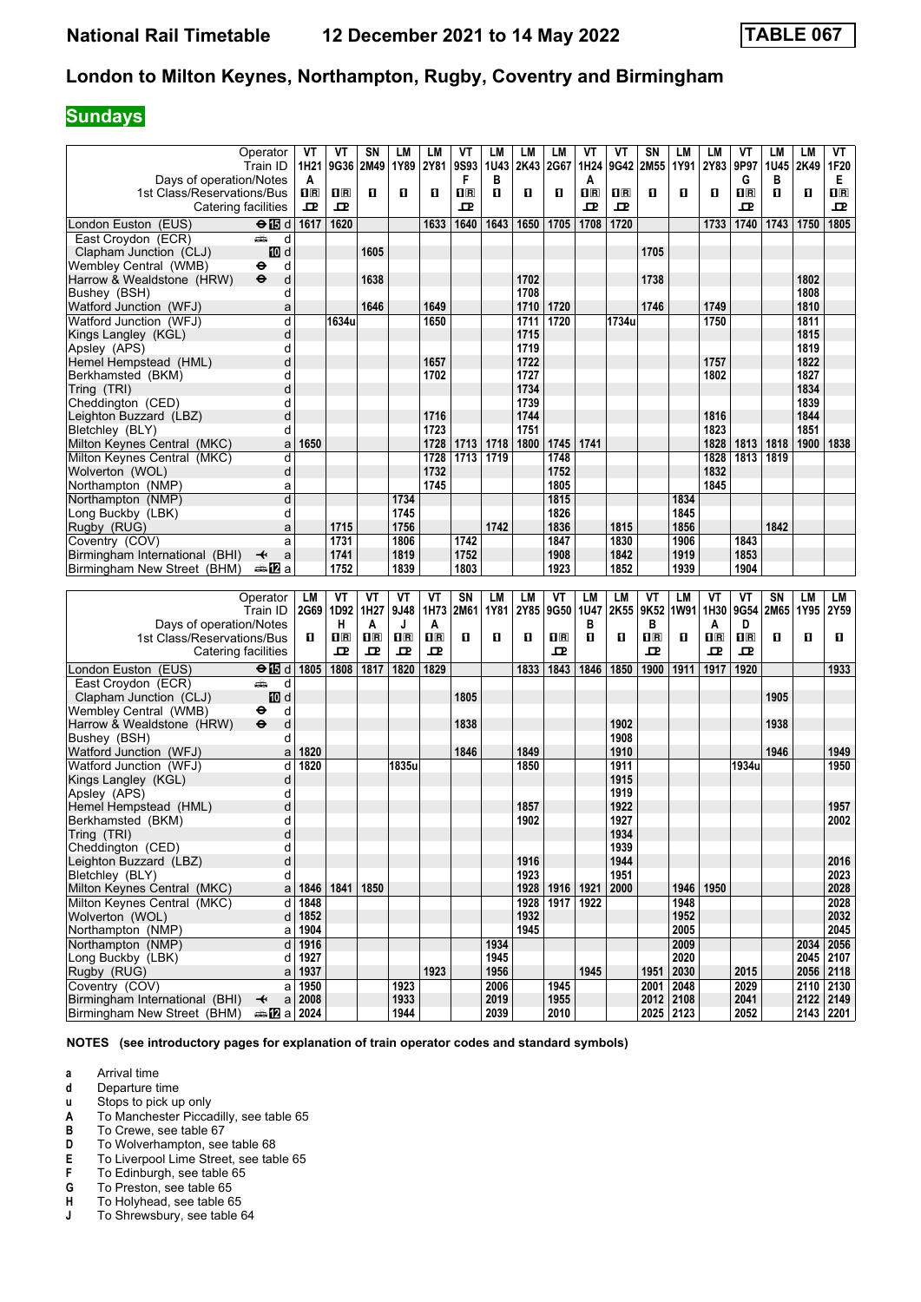# **Sundays**

|                                                               | Operator                                                                                                                                                                                                                           | VT                      | ٧T        | <b>SN</b>   | LM           | LM      | VT             | LM           | LM   | <b>LM</b>        | VT      | ۷T          | SN               | LM                     | LM          | ۷T                      | LМ          | <b>LM</b>   | VT           |
|---------------------------------------------------------------|------------------------------------------------------------------------------------------------------------------------------------------------------------------------------------------------------------------------------------|-------------------------|-----------|-------------|--------------|---------|----------------|--------------|------|------------------|---------|-------------|------------------|------------------------|-------------|-------------------------|-------------|-------------|--------------|
|                                                               | Train ID                                                                                                                                                                                                                           | 1H21                    | 9G36 2M49 |             | 1Y89         | 2Y81    | 9S93           | 1U43         |      | 2K43 2G67        | 1H24    | 9G42        | 2M55             | 1Y91                   | <b>2Y83</b> | 9P97                    | <b>1U45</b> | 2K49        | 1F20         |
| Days of operation/Notes                                       |                                                                                                                                                                                                                                    | A                       |           |             |              |         | F              | в            |      |                  | A       |             |                  |                        |             | G                       | в           |             | Е.           |
| 1st Class/Reservations/Bus                                    |                                                                                                                                                                                                                                    | $\overline{\mathbf{H}}$ | $\Pi$ R   | п           | 0            | п       | $\mathbf{H}$ R | O            | О    | О                | $\Pi$ R | $n_{\rm R}$ | П                | п                      | O           | $\mathbf{H}$ R          | O           | O           | $\mathbf{H}$ |
| Catering facilities                                           |                                                                                                                                                                                                                                    | 굔                       | ᇁ         |             |              |         | ᇁ              |              |      |                  | ᇁ       | ᇁ           |                  |                        |             | 굔                       |             |             | ᇁ            |
|                                                               |                                                                                                                                                                                                                                    |                         |           |             |              |         |                |              |      |                  |         |             |                  |                        |             |                         |             |             |              |
| London Euston (EUS)                                           | $\Theta$ $\blacksquare$ d                                                                                                                                                                                                          | 1617                    | 1620      |             |              | 1633    | 1640           | 1643         | 1650 | 1705             | 1708    | 1720        |                  |                        | 1733        | 1740                    | 1743        | 1750        | 1805         |
| East Croydon (ECR)                                            | and and some of the set of the set of the set of the set of the set of the set of the set of the set of the set of the set of the set of the set of the set of the set of the set of the set of the set of the set of the set<br>d |                         |           |             |              |         |                |              |      |                  |         |             |                  |                        |             |                         |             |             |              |
| Clapham Junction (CLJ)                                        | iD d                                                                                                                                                                                                                               |                         |           | 1605        |              |         |                |              |      |                  |         |             | 1705             |                        |             |                         |             |             |              |
| Wembley Central (WMB)                                         | ٠<br>d                                                                                                                                                                                                                             |                         |           |             |              |         |                |              |      |                  |         |             |                  |                        |             |                         |             |             |              |
| Harrow & Wealdstone (HRW)                                     | $\ddot{\boldsymbol{\Theta}}$<br>d                                                                                                                                                                                                  |                         |           | 1638        |              |         |                |              | 1702 |                  |         |             | 1738             |                        |             |                         |             | 1802        |              |
| Bushey (BSH)                                                  | d                                                                                                                                                                                                                                  |                         |           |             |              |         |                |              | 1708 |                  |         |             |                  |                        |             |                         |             | 1808        |              |
|                                                               |                                                                                                                                                                                                                                    |                         |           |             |              |         |                |              |      |                  |         |             |                  |                        |             |                         |             |             |              |
| Watford Junction (WFJ)                                        | a                                                                                                                                                                                                                                  |                         |           | 1646        |              | 1649    |                |              | 1710 | 1720             |         |             | 1746             |                        | 1749        |                         |             | 1810        |              |
| Watford Junction (WFJ)                                        | d                                                                                                                                                                                                                                  |                         | 1634u     |             |              | 1650    |                |              | 1711 | 1720             |         | 1734u       |                  |                        | 1750        |                         |             | 1811        |              |
| Kings Langley (KGL)                                           | d                                                                                                                                                                                                                                  |                         |           |             |              |         |                |              | 1715 |                  |         |             |                  |                        |             |                         |             | 1815        |              |
| Apsley (APS)                                                  | d                                                                                                                                                                                                                                  |                         |           |             |              |         |                |              | 1719 |                  |         |             |                  |                        |             |                         |             | 1819        |              |
| Hemel Hempstead (HML)                                         | d                                                                                                                                                                                                                                  |                         |           |             |              | 1657    |                |              | 1722 |                  |         |             |                  |                        | 1757        |                         |             | 1822        |              |
| Berkhamsted (BKM)                                             | d                                                                                                                                                                                                                                  |                         |           |             |              | 1702    |                |              | 1727 |                  |         |             |                  |                        | 1802        |                         |             | 1827        |              |
| Tring (TRI)                                                   | d                                                                                                                                                                                                                                  |                         |           |             |              |         |                |              | 1734 |                  |         |             |                  |                        |             |                         |             | 1834        |              |
|                                                               |                                                                                                                                                                                                                                    |                         |           |             |              |         |                |              | 1739 |                  |         |             |                  |                        |             |                         |             | 1839        |              |
| Cheddington (CED)                                             | d                                                                                                                                                                                                                                  |                         |           |             |              |         |                |              |      |                  |         |             |                  |                        |             |                         |             |             |              |
| Leighton Buzzard (LBZ)                                        | d                                                                                                                                                                                                                                  |                         |           |             |              | 1716    |                |              | 1744 |                  |         |             |                  |                        | 1816        |                         |             | 1844        |              |
| Bletchley (BLY)                                               | d                                                                                                                                                                                                                                  |                         |           |             |              | 1723    |                |              | 1751 |                  |         |             |                  |                        | 1823        |                         |             | 1851        |              |
| Milton Keynes Central (MKC)                                   | a                                                                                                                                                                                                                                  | 1650                    |           |             |              | 1728    | 1713           | 1718         | 1800 | 1745             | 1741    |             |                  |                        | 1828        | 1813                    | 1818        | 1900        | 1838         |
| Milton Keynes Central (MKC)                                   | d                                                                                                                                                                                                                                  |                         |           |             |              | 1728    | 1713           | 1719         |      | 1748             |         |             |                  |                        | 1828        | 1813                    | 1819        |             |              |
| Wolverton (WOL)                                               | d                                                                                                                                                                                                                                  |                         |           |             |              | 1732    |                |              |      | 1752             |         |             |                  |                        | 1832        |                         |             |             |              |
| Northampton (NMP)                                             | a                                                                                                                                                                                                                                  |                         |           |             |              | 1745    |                |              |      | 1805             |         |             |                  |                        | 1845        |                         |             |             |              |
| Northampton (NMP)                                             | d                                                                                                                                                                                                                                  |                         |           |             | 1734         |         |                |              |      | 1815             |         |             |                  | 1834                   |             |                         |             |             |              |
|                                                               |                                                                                                                                                                                                                                    |                         |           |             |              |         |                |              |      |                  |         |             |                  |                        |             |                         |             |             |              |
| Long Buckby (LBK)                                             | d                                                                                                                                                                                                                                  |                         |           |             | 1745         |         |                |              |      | 1826             |         |             |                  | 1845                   |             |                         |             |             |              |
| Rugby (RUG)                                                   | a                                                                                                                                                                                                                                  |                         | 1715      |             | 1756         |         |                | 1742         |      | 1836             |         | 1815        |                  | 1856                   |             |                         | 1842        |             |              |
| Coventry (COV)                                                | a                                                                                                                                                                                                                                  |                         | 1731      |             | 1806         |         | 1742           |              |      | 1847             |         | 1830        |                  | 1906                   |             | 1843                    |             |             |              |
| Birmingham International (BHI)                                | ↞<br>a                                                                                                                                                                                                                             |                         | 1741      |             | 1819         |         | 1752           |              |      | 1908             |         | 1842        |                  | 1919                   |             | 1853                    |             |             |              |
| Birmingham New Street (BHM)                                   | dana <mark>ana</mark> na                                                                                                                                                                                                           |                         | 1752      |             | 1839         |         | 1803           |              |      | 1923             |         | 1852        |                  | 1939                   |             | 1904                    |             |             |              |
|                                                               |                                                                                                                                                                                                                                    |                         |           |             |              |         |                |              |      |                  |         |             |                  |                        |             |                         |             |             |              |
|                                                               |                                                                                                                                                                                                                                    |                         |           |             |              |         |                |              |      |                  |         |             |                  |                        |             |                         |             |             |              |
|                                                               |                                                                                                                                                                                                                                    |                         |           |             |              |         |                |              |      |                  |         |             |                  |                        |             |                         |             |             |              |
|                                                               | Operator                                                                                                                                                                                                                           | LM                      | VT        | ٧T          | VT           | ۷T      | <b>SN</b>      | LM           | LM   | VT               | LM      | LM          | VT               | <b>LM</b>              | VT          | VT                      | SN          | <b>LM</b>   | LM           |
|                                                               | Train ID                                                                                                                                                                                                                           |                         | 2G69 1D92 | 1H27        | 9J48         | 1H73    | 2M61           | 1Y81         | 2Y85 | 9G50             | 1U47    | 2K55        | 9K52             | 1W91 1H30              |             |                         | 9G54 2M65   | 1Y95        | 2Y59         |
| Days of operation/Notes                                       |                                                                                                                                                                                                                                    |                         | н         | A           | J            | A       |                |              |      |                  | в       |             | в                |                        | A           | D                       |             |             |              |
| 1st Class/Reservations/Bus                                    |                                                                                                                                                                                                                                    | О                       | $\Pi$ R   | $n_{\rm R}$ | $\Pi$ R      | $\Pi$ R | O              | O            | О    | $n_{\mathbb{R}}$ | п       | О           | $n_{\mathbb{R}}$ | П                      | $n_{\rm R}$ | $\overline{\mathbf{R}}$ | O           | O           | O            |
| Catering facilities                                           |                                                                                                                                                                                                                                    |                         | ᇁ         | 굔           | 굔            | 굔       |                |              |      | ᇁ                |         |             | ᇁ                |                        | ᇁ           | ᇁ                       |             |             |              |
|                                                               |                                                                                                                                                                                                                                    | 1805                    | 1808      | 1817        | 1820         | 1829    |                |              | 1833 | 1843             | 1846    | 1850        | 1900             | 1911                   | 1917        | 1920                    |             |             | 1933         |
| London Euston (EUS)                                           | $\Theta$ $\blacksquare$ d                                                                                                                                                                                                          |                         |           |             |              |         |                |              |      |                  |         |             |                  |                        |             |                         |             |             |              |
| East Croydon (ECR)                                            | پیش<br>d                                                                                                                                                                                                                           |                         |           |             |              |         |                |              |      |                  |         |             |                  |                        |             |                         |             |             |              |
| Clapham Junction (CLJ)                                        | III d                                                                                                                                                                                                                              |                         |           |             |              |         | 1805           |              |      |                  |         |             |                  |                        |             |                         | 1905        |             |              |
| Wembley Central (WMB)                                         | d<br>⊖                                                                                                                                                                                                                             |                         |           |             |              |         |                |              |      |                  |         |             |                  |                        |             |                         |             |             |              |
| Harrow & Wealdstone (HRW)                                     | $\ddot{\mathbf{e}}$<br>d                                                                                                                                                                                                           |                         |           |             |              |         | 1838           |              |      |                  |         | 1902        |                  |                        |             |                         | 1938        |             |              |
| Bushey (BSH)                                                  | d                                                                                                                                                                                                                                  |                         |           |             |              |         |                |              |      |                  |         | 1908        |                  |                        |             |                         |             |             |              |
| Watford Junction (WFJ)                                        | a                                                                                                                                                                                                                                  | 1820                    |           |             |              |         | 1846           |              | 1849 |                  |         | 1910        |                  |                        |             |                         | 1946        |             | 1949         |
| Watford Junction (WFJ)                                        | d                                                                                                                                                                                                                                  | 1820                    |           |             | 1835u        |         |                |              | 1850 |                  |         | 1911        |                  |                        |             | 1934u                   |             |             | 1950         |
| Kings Langley (KGL)                                           | d                                                                                                                                                                                                                                  |                         |           |             |              |         |                |              |      |                  |         | 1915        |                  |                        |             |                         |             |             |              |
| Apsley (APS)                                                  | d                                                                                                                                                                                                                                  |                         |           |             |              |         |                |              |      |                  |         | 1919        |                  |                        |             |                         |             |             |              |
|                                                               |                                                                                                                                                                                                                                    |                         |           |             |              |         |                |              | 1857 |                  |         | 1922        |                  |                        |             |                         |             |             | 1957         |
| Hemel Hempstead (HML)                                         | d                                                                                                                                                                                                                                  |                         |           |             |              |         |                |              |      |                  |         |             |                  |                        |             |                         |             |             |              |
| Berkhamsted (BKM)                                             | d                                                                                                                                                                                                                                  |                         |           |             |              |         |                |              | 1902 |                  |         | 1927        |                  |                        |             |                         |             |             | 2002         |
| Tring (TRI)                                                   | d                                                                                                                                                                                                                                  |                         |           |             |              |         |                |              |      |                  |         | 1934        |                  |                        |             |                         |             |             |              |
| Cheddington (CED)                                             | d                                                                                                                                                                                                                                  |                         |           |             |              |         |                |              |      |                  |         | 1939        |                  |                        |             |                         |             |             |              |
| Leighton Buzzard (LBZ)                                        | d                                                                                                                                                                                                                                  |                         |           |             |              |         |                |              | 1916 |                  |         | 1944        |                  |                        |             |                         |             |             | 2016         |
| Bletchley (BLY)                                               | d                                                                                                                                                                                                                                  |                         |           |             |              |         |                |              | 1923 |                  |         | 1951        |                  |                        |             |                         |             |             | 2023         |
| Milton Keynes Central (MKC)                                   | a                                                                                                                                                                                                                                  | 1846                    | 1841      | 1850        |              |         |                |              | 1928 | 1916             | 1921    | 2000        |                  | 1946                   | 1950        |                         |             |             | 2028         |
| Milton Keynes Central (MKC)                                   | d                                                                                                                                                                                                                                  | 1848                    |           |             |              |         |                |              | 1928 | 1917             | 1922    |             |                  | 1948                   |             |                         |             |             | 2028         |
| Wolverton (WOL)                                               | d                                                                                                                                                                                                                                  | 1852                    |           |             |              |         |                |              | 1932 |                  |         |             |                  | 1952                   |             |                         |             |             | 2032         |
| Northampton (NMP)                                             | a                                                                                                                                                                                                                                  | 1904                    |           |             |              |         |                |              | 1945 |                  |         |             |                  | 2005                   |             |                         |             |             | 2045         |
|                                                               |                                                                                                                                                                                                                                    |                         |           |             |              |         |                |              |      |                  |         |             |                  |                        |             |                         |             |             |              |
| Northampton (NMP)                                             | d                                                                                                                                                                                                                                  | 1916                    |           |             |              |         |                | 1934         |      |                  |         |             |                  | 2009                   |             |                         |             | 2034        | 2056         |
| Long Buckby (LBK)                                             | d                                                                                                                                                                                                                                  | 1927                    |           |             |              |         |                | 1945         |      |                  |         |             |                  | 2020                   |             |                         |             | 2045 2107   |              |
| Rugby (RUG)                                                   | a                                                                                                                                                                                                                                  | 1937                    |           |             |              | 1923    |                | 1956         |      |                  | 1945    |             | 1951 2030        |                        |             | 2015                    |             | $2056$ 2118 |              |
| Coventry (COV)                                                | a                                                                                                                                                                                                                                  | 1950                    |           |             | 1923         |         |                | 2006         |      | 1945             |         |             | 2001 2048        |                        |             | 2029                    |             | 2110 2130   |              |
| Birmingham International (BHI)<br>Birmingham New Street (BHM) | ↞<br><b>AD</b> a 2024                                                                                                                                                                                                              | a 2008                  |           |             | 1933<br>1944 |         |                | 2019<br>2039 |      | 1955<br>2010     |         |             |                  | 2012 2108<br>2025 2123 |             | 2041<br>2052            |             | $2122$ 2149 | 2143   2201  |

**NOTES (see introductory pages for explanation of train operator codes and standard symbols)**

**a** Arrival time<br>**d** Departure ti

**d** Departure time<br>**u** Stops to pick up

**X** Stops to pick up only<br> **A** To Manchester Picca<br> **B** To Crewe, see table

- **\$** To Manchester Piccadilly see table 65
- 

**B** To Crewe, see table 67<br>**D** To Wolverhampton, see

**D** To Wolverhampton, see table 68<br>**E** To Liverpool Lime Street, see tab **E** To Liverpool Lime Street, see table 65<br> **G** To Edinburgh, see table 65<br> **G** To Preston, see table 65

To Edinburgh, see table 65

**4** To Preston, see table 65<br>**H** To Holyhead, see table 6<br>**J** To Shrewsbury, see table To Holyhead, see table 65

To Shrewsbury, see table 64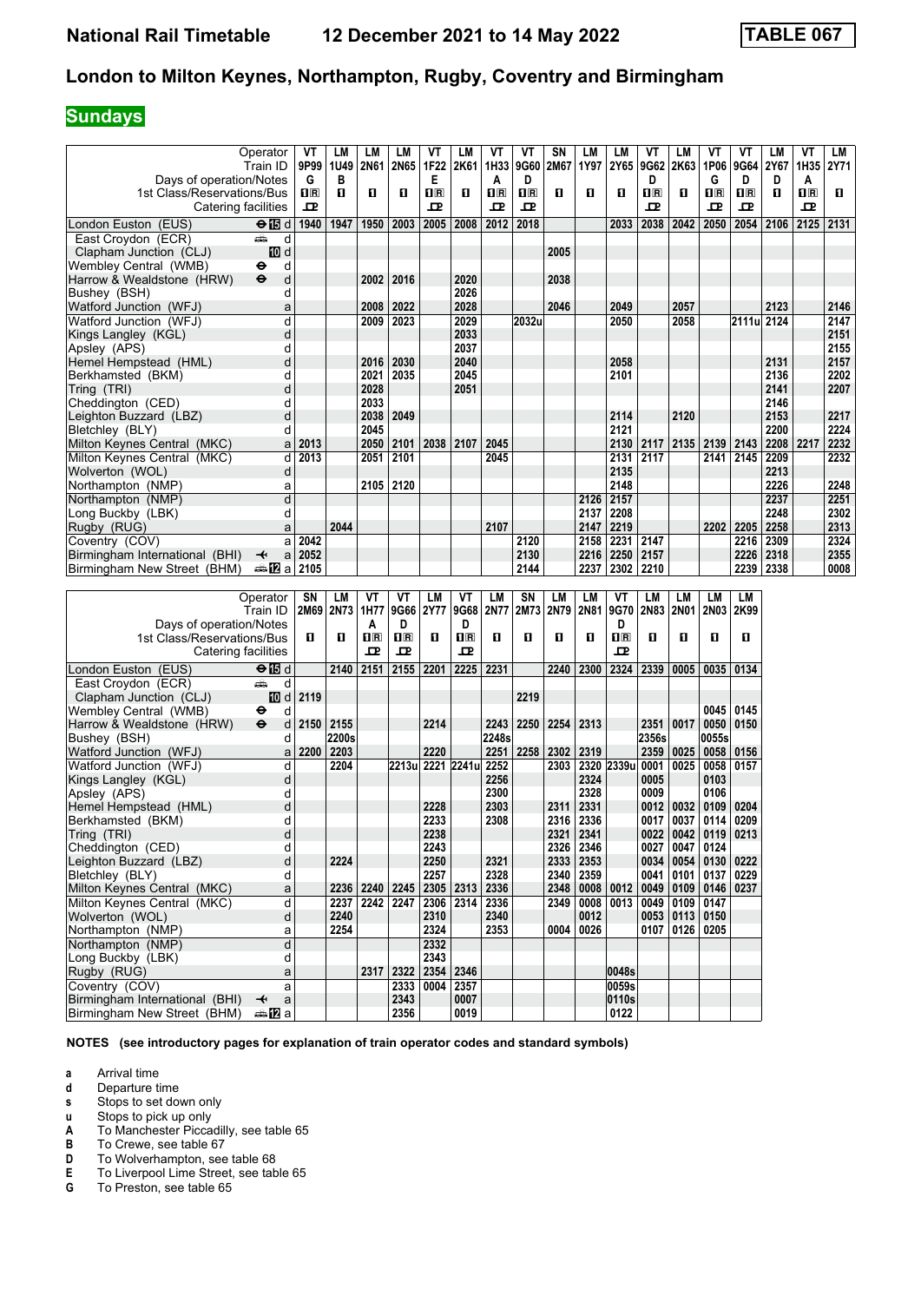#### **Sundays**

|                                | Operator                     | VT          | LM           | LM             | LM               | VT          | <b>LM</b>               | VT          | VT                      | SN           | LM        | LM           | VT                      | LМ          | ۷T            | VT          | LМ   | VT          | LM          |
|--------------------------------|------------------------------|-------------|--------------|----------------|------------------|-------------|-------------------------|-------------|-------------------------|--------------|-----------|--------------|-------------------------|-------------|---------------|-------------|------|-------------|-------------|
|                                | Train ID                     | 9P99        | 1U49         | <b>2N61</b>    | 2N65             | 1F22        | 2K61                    | 1H33        | 9G60                    | 2M67         | 1Y97      | 2Y65         | 9G62                    | 2K63        | 1P06          | 9G64        | 2Y67 | 1H35        | <b>2Y71</b> |
| Days of operation/Notes        |                              | G           | в            |                |                  | Е           |                         | A           | D                       |              |           |              | D                       |             | G             | D           | D    | A           |             |
| 1st Class/Reservations/Bus     |                              | $n_{\rm R}$ | $\mathbf{u}$ | П              | O.               | $n_{\rm R}$ | 0                       | $n_{\rm R}$ | $\overline{\mathbf{H}}$ | $\mathbf{u}$ | O         | $\mathbf{u}$ | $\overline{\mathbf{H}}$ | п           | $n_{\rm R}$   | $n_{\rm R}$ | 0    | $n_{\rm R}$ | П           |
|                                | Catering facilities          | ᅭ           |              |                |                  | 모           |                         | ᇁ           | 모                       |              |           |              | ᇁ                       |             | 굔             | 고           |      | ᇁ           |             |
| London Euston (EUS)            | $\Theta$ is d                | 1940        | 1947         | 1950           | 2003             | 2005        | 2008                    | 2012        | 2018                    |              |           | 2033         | 2038                    | 2042        | 2050          | 2054        | 2106 | 2125        | 2131        |
| East Croydon (ECR)             | پیش<br>d                     |             |              |                |                  |             |                         |             |                         |              |           |              |                         |             |               |             |      |             |             |
| Clapham Junction (CLJ)         | <b>ID</b> d                  |             |              |                |                  |             |                         |             |                         | 2005         |           |              |                         |             |               |             |      |             |             |
| Wembley Central (WMB)          | ٠<br>d                       |             |              |                |                  |             |                         |             |                         |              |           |              |                         |             |               |             |      |             |             |
| Harrow & Wealdstone (HRW)      | d<br>$\ddot{\mathbf{e}}$     |             |              | 2002           | 2016             |             | 2020                    |             |                         | 2038         |           |              |                         |             |               |             |      |             |             |
| Bushey (BSH)                   | d                            |             |              |                |                  |             | 2026                    |             |                         |              |           |              |                         |             |               |             |      |             |             |
| Watford Junction (WFJ)         | a                            |             |              | 2008           | 2022             |             | 2028                    |             |                         | 2046         |           | 2049         |                         | 2057        |               |             | 2123 |             | 2146        |
| Watford Junction (WFJ)         | d                            |             |              | 2009           | 2023             |             | 2029                    |             | 2032u                   |              |           | 2050         |                         | 2058        |               | 2111ul 2124 |      |             | 2147        |
| Kings Langley (KGL)            | d                            |             |              |                |                  |             | 2033                    |             |                         |              |           |              |                         |             |               |             |      |             | 2151        |
| Apsley (APS)                   | d                            |             |              |                |                  |             | 2037                    |             |                         |              |           |              |                         |             |               |             |      |             | 2155        |
| Hemel Hempstead (HML)          | d                            |             |              | 2016           | 2030             |             | 2040                    |             |                         |              |           | 2058         |                         |             |               |             | 2131 |             | 2157        |
| Berkhamsted (BKM)              | d                            |             |              | 2021           | 2035             |             | 2045                    |             |                         |              |           | 2101         |                         |             |               |             | 2136 |             | 2202        |
| Tring (TRI)                    | d                            |             |              | 2028           |                  |             | 2051                    |             |                         |              |           |              |                         |             |               |             | 2141 |             | 2207        |
| Cheddington (CED)              | d                            |             |              | 2033           |                  |             |                         |             |                         |              |           |              |                         |             |               |             | 2146 |             |             |
| Leighton Buzzard (LBZ)         | d                            |             |              | 2038           | 2049             |             |                         |             |                         |              |           | 2114         |                         | 2120        |               |             | 2153 |             | 2217        |
| Bletchley (BLY)                | d                            |             |              | 2045           |                  |             |                         |             |                         |              |           | 2121         |                         |             |               |             | 2200 |             | 2224        |
| Milton Keynes Central (MKC)    | a                            | 2013        |              | 2050           | 2101             | 2038        | 2107                    | 2045        |                         |              |           | 2130         | 2117                    | 2135        | 2139 2143     |             | 2208 | 2217        | 2232        |
| Milton Keynes Central (MKC)    | d                            | 2013        |              | 2051           | 2101             |             |                         | 2045        |                         |              |           | 2131         | 2117                    |             |               | 2141 2145   | 2209 |             | 2232        |
| Wolverton (WOL)                | d                            |             |              |                |                  |             |                         |             |                         |              |           | 2135         |                         |             |               |             | 2213 |             |             |
| Northampton (NMP)              | a                            |             |              | 2105 2120      |                  |             |                         |             |                         |              |           | 2148         |                         |             |               |             | 2226 |             | 2248        |
| Northampton (NMP)              | d                            |             |              |                |                  |             |                         |             |                         |              | 2126      | 2157         |                         |             |               |             | 2237 |             | 2251        |
| Long Buckby (LBK)              | d                            |             |              |                |                  |             |                         |             |                         |              | 2137      | 2208         |                         |             |               |             | 2248 |             | 2302        |
| Rugby (RUG)                    | a                            |             | 2044         |                |                  |             |                         | 2107        |                         |              | 2147      | 2219         |                         |             | 2202          | 2205        | 2258 |             | 2313        |
| Coventry (COV)                 | a                            | 2042        |              |                |                  |             |                         |             | 2120                    |              | 2158      | 2231         | 2147                    |             |               | 2216        | 2309 |             | 2324        |
| Birmingham International (BHI) | $\overline{\mathbf{t}}$<br>a | 2052        |              |                |                  |             |                         |             | 2130                    |              | 2216      | 2250         | 2157                    |             |               | 2226        | 2318 |             | 2355        |
| Birmingham New Street (BHM)    | a≞MZa                        | 2105        |              |                |                  |             |                         |             | 2144                    |              | 2237      | 2302         | 2210                    |             |               | 2239        | 2338 |             | 0008        |
|                                |                              |             |              |                |                  |             |                         |             |                         |              |           |              |                         |             |               |             |      |             |             |
|                                | Operator                     | SN          | LM           | VT             | ۷T               | LM          | VT                      | <b>LM</b>   | SN                      | <b>LM</b>    | <b>LM</b> | VT           | <b>LM</b>               | LM          | <b>LM</b>     | <b>LM</b>   |      |             |             |
|                                | Train ID                     |             | 2M69 2N73    | 1H77           | 9G66             | <b>2Y77</b> | 9G68                    | 2N77        | 2M73                    | 2N79         | 2N81      | 9G70         | 2N83                    | <b>2N01</b> | <b>2N03</b>   | 2K99        |      |             |             |
| Days of operation/Notes        |                              |             |              | A              | D                |             | D                       |             |                         |              |           | D            |                         |             |               |             |      |             |             |
| 1st Class/Reservations/Bus     |                              | O           | O            | 1 <sub>R</sub> | $n_{\rm R}$      | п           | $\overline{\mathbf{R}}$ | П           | п                       | п            | О         | $\Pi$ R      | п                       | п           | О             | п           |      |             |             |
|                                | Catering facilities          |             |              | ᇁ              | 고                |             | 고                       |             |                         |              |           | ᇁ            |                         |             |               |             |      |             |             |
| London Euston (EUS)            | ⊖ MB d                       |             | 2140         | 2151           | 2155 2201        |             | 2225                    | 2231        |                         | 2240         | 2300      | 2324         | 2339                    | 0005        | 0035          | 0134        |      |             |             |
| East Croydon (ECR)             | پیش<br>d                     |             |              |                |                  |             |                         |             |                         |              |           |              |                         |             |               |             |      |             |             |
| Clapham Junction (CLJ)         | 10 d                         | 2119        |              |                |                  |             |                         |             | 2219                    |              |           |              |                         |             |               |             |      |             |             |
| Wembley Central (WMB)          | ٠<br>d                       |             |              |                |                  |             |                         |             |                         |              |           |              |                         |             | 0045          | 0145        |      |             |             |
| Harrow & Wealdstone (HRW)      | $\ddot{\bm{\Theta}}$<br>d    | 2150        | 2155         |                |                  | 2214        |                         | 2243        | 2250                    |              | 2254 2313 |              | 2351                    | 0017        | 0050          | 0150        |      |             |             |
| Bushey (BSH)                   | d                            |             | 2200s        |                |                  |             |                         | 2248s       |                         |              |           |              | 2356s                   |             | 0055s         |             |      |             |             |
| Watford Junction (WFJ)         | a                            | 2200        | 2203         |                |                  | 2220        |                         | 2251        | 2258                    | 2302         | 2319      |              | 2359                    | 0025        | 0058          | 0156        |      |             |             |
| Watford Junction (WFJ)         | d                            |             | 2204         |                | 2213u 2221 2241u |             |                         | 2252        |                         | 2303         |           | 2320 2339u   | 0001                    | 0025        | 0058          | 0157        |      |             |             |
| Kings Langley (KGL)            | d                            |             |              |                |                  |             |                         | 2256        |                         |              | 2324      |              | 0005                    |             | 0103          |             |      |             |             |
| Apsley (APS)                   | d                            |             |              |                |                  |             |                         | 2300        |                         |              | 2328      |              | 0009                    |             | 0106          |             |      |             |             |
| Hemel Hempstead (HML)          | d                            |             |              |                |                  | 2228        |                         | 2303        |                         | 2311         | 2331      |              | 0012                    | 0032        | 0109          | 0204        |      |             |             |
| Berkhamsted (BKM)              | d                            |             |              |                |                  | 2233        |                         | 2308        |                         | 2316         | 2336      |              | 0017                    | 0037        | 0114          | 0209        |      |             |             |
| Tring (TRI)                    | d                            |             |              |                |                  | 2238        |                         |             |                         | 2321         | 2341      |              | 0022                    |             | $0042$   0119 | 0213        |      |             |             |
| Cheddington (CED)              | d                            |             |              |                |                  | 2243        |                         |             |                         | 2326         | 2346      |              | 0027                    | 0047        | 0124          |             |      |             |             |
| Leighton Buzzard (LBZ)         | d                            |             | 2224         |                |                  | 2250        |                         | 2321        |                         | 2333         | 2353      |              | 0034                    |             | 0054   0130   | 0222        |      |             |             |
| Bletchley (BLY)                | d                            |             |              |                |                  | 2257        |                         | 2328        |                         | 2340         | 2359      |              | 0041                    | 0101        | 0137   0229   |             |      |             |             |

**NOTES (see introductory pages for explanation of train operator codes and standard symbols)**

Rugby (RUG) **a 2317 2322 2354 2346 1 1 0048s Coventry (COV) a 2333 2333 2354 2357 1 0059s 2333 0004 2357 2357 2357 2357 2357 2357 2357 2357 2357 2367 2367 2343 2367 2343 2367 2343 2367 2343 2343 2343 2367 2343 2343 2343 2343 2343 2343 2343 2343 2343 Birmingham International (BHI) → a 2343 0007 0110S 0110S 0110S 0110S 0110S 0110S 0110S 0110S 0110S 0110S 0122** 

 Milton Keynes Central (MKC) a **2236 2240 2245 2305 2313 2336 2348 0008 0012 0049 0109 0146 0237**  Milton Keynes Central (MKC) d **2237 2242 2247 2306 2314 2336 2349 0008 0013 0049 0109 0147**  Wolverton (WOL) d **2240 2310 2340 0012 0053 0113 0150**

**a** Arrival time<br>**d** Departure t

**d** Departure time<br>**s** Stops to set do

Stops to set down only

**u** Stops to pick up only

**A** To Manchester Piccadilly, see table 65<br>**B** To Crewe, see table 67

**Birmingham New Street (BHM)**  $\oplus$  **2** a

**12324 12324 12324 12324 12324 12324 12324 12324 12324** Northampton (NMP) d **d** 2332<br>Long Buckby (LBK) d d 2343 Long Buckby (LBK) d **d 2343**<br>Rugby (RUG) a **2317** 2322 2354

**B** To Crewe, see table 67<br>**D** To Wolverhampton, see

**D** To Wolverhampton, see table 68<br>**E** To Liverpool Lime Street, see tab To Liverpool Lime Street, see table 65

**6** To Preston, see table 65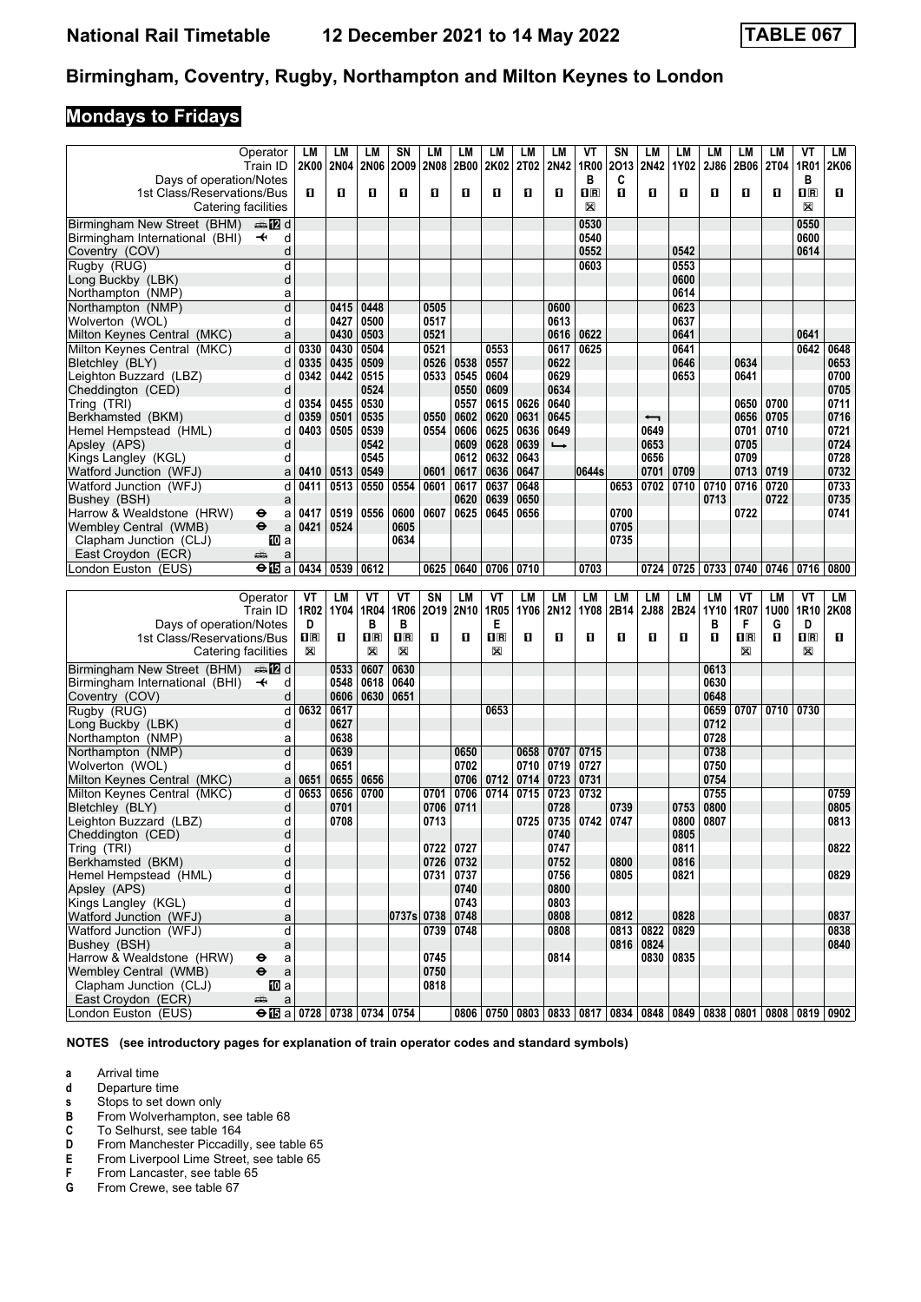## **Mondays to Fridays**

|                                                 | Operator                               | LM      | LM           | LМ                  | SN                           | LM           | LM        | LM                           | LM          | LM            | ۷T                      | SΝ   | LМ          | LM   | <b>LM</b>    | LM                           | LМ          | VT                             | LM   |
|-------------------------------------------------|----------------------------------------|---------|--------------|---------------------|------------------------------|--------------|-----------|------------------------------|-------------|---------------|-------------------------|------|-------------|------|--------------|------------------------------|-------------|--------------------------------|------|
|                                                 | Train ID                               |         | 2K00 2N04    | <b>2N06</b>         | 2009                         | <b>2N08</b>  | 2B00      | 2K02                         | <b>2T02</b> | 2N42          | 1R00                    | 2013 | <b>2N42</b> | 1Y02 | 2J86         | 2B06                         | <b>2T04</b> | 1R01                           | 2K06 |
| Days of operation/Notes                         |                                        |         |              |                     |                              |              |           |                              |             |               | в                       | C    |             |      |              |                              |             | в                              |      |
| 1st Class/Reservations/Bus                      |                                        | п       | п            | 0                   | O                            | п            | O         | O                            | O           | п             | $\overline{\mathbf{H}}$ | O    | O           | п    | O            | п                            | O           | $\overline{\mathbf{H}}$ R      | п    |
| Catering facilities                             |                                        |         |              |                     |                              |              |           |                              |             |               | X                       |      |             |      |              |                              |             | X                              |      |
| Birmingham New Street (BHM)                     | dan <b>in</b> d                        |         |              |                     |                              |              |           |                              |             |               | 0530                    |      |             |      |              |                              |             | 0550                           |      |
| Birmingham International (BHI)                  | $\overline{\phantom{a}}$<br>d          |         |              |                     |                              |              |           |                              |             |               | 0540                    |      |             |      |              |                              |             | 0600                           |      |
| Coventry (COV)                                  | d                                      |         |              |                     |                              |              |           |                              |             |               | 0552                    |      |             | 0542 |              |                              |             | 0614                           |      |
| Rugby (RUG)                                     | d                                      |         |              |                     |                              |              |           |                              |             |               | 0603                    |      |             | 0553 |              |                              |             |                                |      |
| Long Buckby (LBK)                               | d                                      |         |              |                     |                              |              |           |                              |             |               |                         |      |             | 0600 |              |                              |             |                                |      |
| Northampton (NMP)                               | a                                      |         |              |                     |                              |              |           |                              |             |               |                         |      |             | 0614 |              |                              |             |                                |      |
| Northampton (NMP)                               | $\overline{\mathsf{d}}$                |         | 0415         | 0448                |                              | 0505         |           |                              |             | 0600          |                         |      |             | 0623 |              |                              |             |                                |      |
| Wolverton (WOL)                                 | d                                      |         | 0427         | 0500                |                              | 0517         |           |                              |             | 0613          |                         |      |             | 0637 |              |                              |             |                                |      |
| Milton Keynes Central (MKC)                     | a                                      |         | 0430         | 0503                |                              | 0521         |           |                              |             | 0616          | 0622                    |      |             | 0641 |              |                              |             | 0641                           |      |
| Milton Keynes Central (MKC)                     | d                                      | 0330    | 0430         | 0504                |                              | 0521         |           | 0553                         |             | 0617          | 0625                    |      |             | 0641 |              |                              |             | 0642                           | 0648 |
| Bletchley (BLY)                                 | d                                      | 0335    | 0435         | 0509                |                              | 0526         | 0538      | 0557                         |             | 0622          |                         |      |             | 0646 |              | 0634                         |             |                                | 0653 |
| Leighton Buzzard (LBZ)                          | d                                      | 0342    | 0442         | 0515                |                              | 0533         | 0545      | 0604                         |             | 0629          |                         |      |             | 0653 |              | 0641                         |             |                                | 0700 |
| Cheddington (CED)                               | d                                      |         |              | 0524                |                              |              | 0550      | 0609                         |             | 0634          |                         |      |             |      |              |                              |             |                                | 0705 |
| Tring (TRI)                                     | d                                      | 0354    | 0455         | 0530                |                              |              | 0557      | 0615                         | 0626        | 0640          |                         |      |             |      |              | 0650                         | 0700        |                                | 0711 |
| Berkhamsted (BKM)                               | d                                      | 0359    | 0501         | 0535                |                              | 0550         | 0602      | 0620                         | 0631        | 0645          |                         |      | ↽           |      |              | 0656                         | 0705        |                                | 0716 |
| Hemel Hempstead (HML)                           | d                                      | 0403    | 0505         | 0539                |                              | 0554         | 0606      | 0625                         | 0636        | 0649          |                         |      | 0649        |      |              | 0701                         | 0710        |                                | 0721 |
| Apsley (APS)                                    | d                                      |         |              | 0542                |                              |              | 0609      | 0628                         | 0639        | $\rightarrow$ |                         |      | 0653        |      |              | 0705                         |             |                                | 0724 |
| Kings Langley (KGL)                             | d                                      |         |              | 0545                |                              |              | 0612      | 0632                         | 0643        |               |                         |      | 0656        |      |              | 0709                         |             |                                | 0728 |
| Watford Junction (WFJ)                          | a                                      | 0410    | 0513         | 0549                |                              | 0601         | 0617      | 0636                         | 0647        |               | 0644s                   |      | 0701        | 0709 |              | 0713                         | 0719        |                                | 0732 |
| Watford Junction (WFJ)                          | d                                      | 0411    | 0513         | 0550                | 0554                         | 0601         | 0617      | 0637                         | 0648        |               |                         | 0653 | 0702        | 0710 | 0710         | 0716                         | 0720        |                                | 0733 |
| Bushey (BSH)                                    | a                                      |         |              |                     |                              |              | 0620      | 0639                         | 0650        |               |                         |      |             |      | 0713         |                              | 0722        |                                | 0735 |
| Harrow & Wealdstone (HRW)                       | θ<br>a                                 | 0417    | 0519         | 0556                | 0600                         | 0607         | 0625      | 0645                         | 0656        |               |                         | 0700 |             |      |              | 0722                         |             |                                | 0741 |
| Wembley Central (WMB)                           | $\ddot{\boldsymbol{\Theta}}$<br>a      | 0421    | 0524         |                     | 0605                         |              |           |                              |             |               |                         | 0705 |             |      |              |                              |             |                                |      |
| Clapham Junction (CLJ)                          | 100 a                                  |         |              |                     | 0634                         |              |           |                              |             |               |                         | 0735 |             |      |              |                              |             |                                |      |
| East Croydon (ECR)<br>London Euston (EUS)       | æ<br>a                                 |         |              |                     |                              | 0625         |           |                              | 0710        |               | 0703                    |      |             |      |              |                              |             |                                |      |
|                                                 | $\Theta$ in a                          | 0434    | 0539         | 0612                |                              |              | 0640      | 0706                         |             |               |                         |      | 0724        | 0725 |              | 0733 0740                    | 0746 0716   |                                | 0800 |
|                                                 |                                        |         |              |                     |                              |              |           |                              |             |               |                         |      |             |      |              |                              |             |                                |      |
|                                                 |                                        |         |              |                     |                              |              |           |                              |             |               |                         |      |             |      |              |                              |             |                                |      |
|                                                 | Operator                               | VT      | LM           | ۷T                  | VT                           | SN           | LM        | VT                           | LM          | LM            | LM                      | LM   | LM          | LM   | LM           | VT                           | LM          | VT                             | LМ   |
|                                                 | Train ID                               | 1R02    | 1Y04         | 1R04                | 1R06                         |              | 2019 2N10 | 1R05                         | 1Y06        | 2N12          | 1Y08                    | 2B14 | 2J88        | 2B24 | 1Y10         | 1R07                         | <b>1U00</b> | 1R <sub>10</sub>               | 2K08 |
| Days of operation/Notes                         |                                        | D       |              | в                   | В                            |              |           | Е                            |             |               |                         |      |             |      | в            | F                            | G           | D                              |      |
| 1st Class/Reservations/Bus                      |                                        | 1R<br>X | п            | $\mathbf{1}$ R<br>X | $\overline{\mathbf{R}}$<br>X | п            | O         | $\overline{\mathbf{H}}$<br>⊠ | п           | п             | 0                       | 0    | п           | п    | п            | $\overline{\mathbf{R}}$<br>X | п           | $\overline{\mathbf{H}}$ R<br>X | п    |
| Catering facilities                             |                                        |         |              |                     |                              |              |           |                              |             |               |                         |      |             |      |              |                              |             |                                |      |
| Birmingham New Street (BHM)                     | dan <mark>man</mark> d                 |         | 0533         | 0607                | 0630                         |              |           |                              |             |               |                         |      |             |      | 0613         |                              |             |                                |      |
| Birmingham International (BHI)                  | $\overline{\phantom{a}}$<br>d          |         | 0548         | 0618                | 0640                         |              |           |                              |             |               |                         |      |             |      | 0630         |                              |             |                                |      |
| Coventry (COV)                                  | d                                      |         | 0606         | 0630                | 0651                         |              |           |                              |             |               |                         |      |             |      | 0648         |                              |             |                                |      |
| Rugby (RUG)                                     | d<br>d                                 | 0632    | 0617<br>0627 |                     |                              |              |           | 0653                         |             |               |                         |      |             |      | 0659<br>0712 | 0707                         | 0710        | 0730                           |      |
| Long Buckby (LBK)<br>Northampton (NMP)          | a                                      |         | 0638         |                     |                              |              |           |                              |             |               |                         |      |             |      | 0728         |                              |             |                                |      |
| Northampton (NMP)                               | d                                      |         | 0639         |                     |                              |              | 0650      |                              | 0658        | 0707          | 0715                    |      |             |      | 0738         |                              |             |                                |      |
| Wolverton (WOL)                                 | d                                      |         | 0651         |                     |                              |              | 0702      |                              | 0710        | 0719          | 0727                    |      |             |      | 0750         |                              |             |                                |      |
| Milton Keynes Central (MKC)                     | a                                      | 0651    | 0655         | 0656                |                              |              | 0706      | 0712                         | 0714        | 0723          | 0731                    |      |             |      | 0754         |                              |             |                                |      |
| Milton Keynes Central (MKC)                     | d                                      | 0653    | 0656         | 0700                |                              | 0701         | 0706      | 0714                         | 0715        | 0723          | 0732                    |      |             |      | 0755         |                              |             |                                | 0759 |
| Bletchley (BLY)                                 | d                                      |         | 0701         |                     |                              | 0706         | 0711      |                              |             | 0728          |                         | 0739 |             | 0753 | 0800         |                              |             |                                | 0805 |
| Leighton Buzzard (LBZ)                          | d                                      |         | 0708         |                     |                              | 0713         |           |                              | 0725        | 0735          | 0742                    | 0747 |             | 0800 | 0807         |                              |             |                                | 0813 |
| Cheddington (CED)                               | d                                      |         |              |                     |                              |              |           |                              |             | 0740          |                         |      |             | 0805 |              |                              |             |                                |      |
| Tring (TRI)                                     | d                                      |         |              |                     |                              | 0722         | 0727      |                              |             | 0747          |                         |      |             | 0811 |              |                              |             |                                | 0822 |
| Berkhamsted (BKM)                               | d                                      |         |              |                     |                              | 0726         | 0732      |                              |             | 0752          |                         | 0800 |             | 0816 |              |                              |             |                                |      |
| Hemel Hempstead (HML)                           | d                                      |         |              |                     |                              | 0731         | 0737      |                              |             | 0756          |                         | 0805 |             | 0821 |              |                              |             |                                | 0829 |
| Apsley (APS)                                    | d                                      |         |              |                     |                              |              | 0740      |                              |             | 0800          |                         |      |             |      |              |                              |             |                                |      |
| Kings Langley (KGL)                             | d                                      |         |              |                     |                              |              | 0743      |                              |             | 0803          |                         |      |             |      |              |                              |             |                                |      |
| Watford Junction (WFJ)                          | a                                      |         |              |                     | 0737s 0738                   |              | 0748      |                              |             | 0808          |                         | 0812 |             | 0828 |              |                              |             |                                | 0837 |
| Watford Junction (WFJ)                          | d                                      |         |              |                     |                              | 0739         | 0748      |                              |             | 0808          |                         | 0813 | 0822        | 0829 |              |                              |             |                                | 0838 |
| Bushey (BSH)<br>Harrow & Wealdstone (HRW)       | a<br>$\bullet$                         |         |              |                     |                              |              |           |                              |             |               |                         |      | 0816 0824   |      |              |                              |             |                                | 0840 |
|                                                 | a<br>$\ddot{\boldsymbol{\Theta}}$<br>a |         |              |                     |                              | 0745<br>0750 |           |                              |             | 0814          |                         |      | 0830        | 0835 |              |                              |             |                                |      |
| Wembley Central (WMB)<br>Clapham Junction (CLJ) | <b>ID</b> a                            |         |              |                     |                              | 0818         |           |                              |             |               |                         |      |             |      |              |                              |             |                                |      |
| East Croydon (ECR)                              | æ<br>$\mathsf{a}$                      |         |              |                     |                              |              |           |                              |             |               |                         |      |             |      |              |                              |             |                                |      |

**NOTES (see introductory pages for explanation of train operator codes and standard symbols)**

- **a** Arrival time<br>**d** Departure ti
- **d** Departure time<br>**s** Stops to set do
- 
- From Wolverhampton, see table 68
- **8** Stops to set down only<br> **B** From Wolverhampton,<br> **C** To Selhurst, see table **C** To Selhurst, see table 164<br>**D** From Manchester Piccadill
- **D** From Manchester Piccadilly, see table 65<br>**E** From Liverpool Lime Street, see table 65
- **E** From Liverpool Lime Street, see table 65<br>**F** From Lancaster, see table 65
- **F** From Lancaster, see table 65<br>**G** From Crewe, see table 67
- From Crewe, see table 67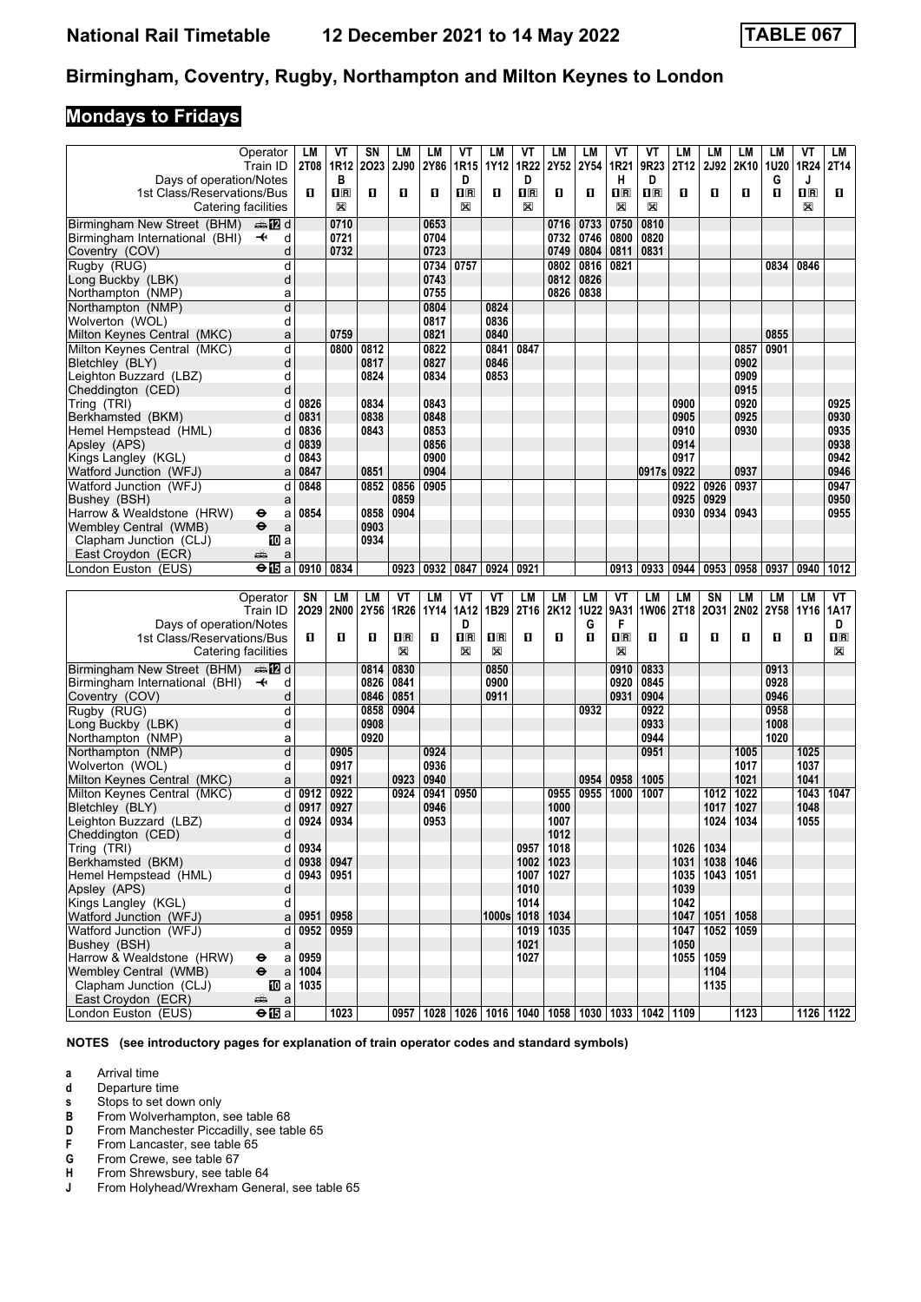## **Mondays to Fridays**

|                                | Operator                                          | LМ            | VT                      | SΝ   | LМ                      | LM        | VT                                                                  | LM             | VT             | LM   | LМ          | ۷T                      | ۷T                      | LМ        | LМ            | <b>LM</b>   | LМ          | VT          | LM                      |
|--------------------------------|---------------------------------------------------|---------------|-------------------------|------|-------------------------|-----------|---------------------------------------------------------------------|----------------|----------------|------|-------------|-------------------------|-------------------------|-----------|---------------|-------------|-------------|-------------|-------------------------|
|                                | Train ID                                          |               | 2T08   1R12             | 2023 | <b>2J90</b>             | 2Y86      | 1R15                                                                | 1Y12           | 1R22           | 2Y52 | <b>2Y54</b> | 1R21                    | 9R23                    | 2T12      | 2J92          | 2K10        | 1U20        | 1R24        | 2T14                    |
| Days of operation/Notes        |                                                   |               | В                       |      |                         |           | D                                                                   |                | D              |      |             | н                       | D                       |           |               |             | G           | J           |                         |
| 1st Class/Reservations/Bus     |                                                   | П.            | $\overline{\mathbf{H}}$ | O    | O                       | п         | $\overline{\mathbf{R}}$                                             | п              | 1 <sup>R</sup> | п    | п           | $\overline{\mathbf{R}}$ | $\overline{\mathbf{H}}$ | O         | О             | п           | п           | $n_{\rm R}$ | п                       |
|                                |                                                   |               |                         |      |                         |           |                                                                     |                |                |      |             |                         |                         |           |               |             |             |             |                         |
|                                | Catering facilities                               |               | X                       |      |                         |           | X                                                                   |                | X              |      |             | X                       | X                       |           |               |             |             | X           |                         |
| Birmingham New Street (BHM)    | dan 122 d                                         |               | 0710                    |      |                         | 0653      |                                                                     |                |                | 0716 | 0733        | 0750                    | 0810                    |           |               |             |             |             |                         |
| Birmingham International (BHI) | $\ddot{\phantom{1}}$<br>d                         |               | 0721                    |      |                         | 0704      |                                                                     |                |                | 0732 | 0746        | 0800                    | 0820                    |           |               |             |             |             |                         |
| Coventry (COV)                 | d                                                 |               |                         |      |                         |           |                                                                     |                |                |      |             |                         | 0831                    |           |               |             |             |             |                         |
|                                |                                                   |               | 0732                    |      |                         | 0723      |                                                                     |                |                | 0749 | 0804        | 0811                    |                         |           |               |             |             |             |                         |
| Rugby (RUG)                    | d                                                 |               |                         |      |                         | 0734      | 0757                                                                |                |                | 0802 | 0816        | 0821                    |                         |           |               |             | 0834        | 0846        |                         |
| Long Buckby (LBK)              | d                                                 |               |                         |      |                         | 0743      |                                                                     |                |                | 0812 | 0826        |                         |                         |           |               |             |             |             |                         |
| Northampton (NMP)              | a                                                 |               |                         |      |                         | 0755      |                                                                     |                |                | 0826 | 0838        |                         |                         |           |               |             |             |             |                         |
| Northampton (NMP)              | d                                                 |               |                         |      |                         | 0804      |                                                                     | 0824           |                |      |             |                         |                         |           |               |             |             |             |                         |
|                                |                                                   |               |                         |      |                         |           |                                                                     |                |                |      |             |                         |                         |           |               |             |             |             |                         |
| Wolverton (WOL)                | d                                                 |               |                         |      |                         | 0817      |                                                                     | 0836           |                |      |             |                         |                         |           |               |             |             |             |                         |
| Milton Keynes Central (MKC)    | a                                                 |               | 0759                    |      |                         | 0821      |                                                                     | 0840           |                |      |             |                         |                         |           |               |             | 0855        |             |                         |
| Milton Kevnes Central (MKC)    | d                                                 |               | 0800                    | 0812 |                         | 0822      |                                                                     | 0841           | 0847           |      |             |                         |                         |           |               | 0857        | 0901        |             |                         |
| Bletchley (BLY)                | d                                                 |               |                         | 0817 |                         | 0827      |                                                                     | 0846           |                |      |             |                         |                         |           |               | 0902        |             |             |                         |
|                                |                                                   |               |                         |      |                         |           |                                                                     |                |                |      |             |                         |                         |           |               |             |             |             |                         |
| Leighton Buzzard (LBZ)         | d                                                 |               |                         | 0824 |                         | 0834      |                                                                     | 0853           |                |      |             |                         |                         |           |               | 0909        |             |             |                         |
| Cheddington (CED)              | d                                                 |               |                         |      |                         |           |                                                                     |                |                |      |             |                         |                         |           |               | 0915        |             |             |                         |
| Tring (TRI)                    | d                                                 | 0826          |                         | 0834 |                         | 0843      |                                                                     |                |                |      |             |                         |                         | 0900      |               | 0920        |             |             | 0925                    |
| Berkhamsted (BKM)              | d                                                 | 0831          |                         | 0838 |                         | 0848      |                                                                     |                |                |      |             |                         |                         | 0905      |               | 0925        |             |             | 0930                    |
| Hemel Hempstead (HML)          | d                                                 | 0836          |                         | 0843 |                         | 0853      |                                                                     |                |                |      |             |                         |                         | 0910      |               | 0930        |             |             | 0935                    |
|                                |                                                   |               |                         |      |                         |           |                                                                     |                |                |      |             |                         |                         |           |               |             |             |             |                         |
| Apsley (APS)                   | d                                                 | 0839          |                         |      |                         | 0856      |                                                                     |                |                |      |             |                         |                         | 0914      |               |             |             |             | 0938                    |
| Kings Langley (KGL)            | d                                                 | 0843          |                         |      |                         | 0900      |                                                                     |                |                |      |             |                         |                         | 0917      |               |             |             |             | 0942                    |
| Watford Junction (WFJ)         | a                                                 | 0847          |                         | 0851 |                         | 0904      |                                                                     |                |                |      |             |                         | 0917s                   | 0922      |               | 0937        |             |             | 0946                    |
| Watford Junction (WFJ)         | d                                                 | 0848          |                         | 0852 | 0856                    | 0905      |                                                                     |                |                |      |             |                         |                         | 0922      | 0926          | 0937        |             |             | 0947                    |
|                                |                                                   |               |                         |      |                         |           |                                                                     |                |                |      |             |                         |                         |           |               |             |             |             |                         |
| Bushey (BSH)                   | a                                                 |               |                         |      | 0859                    |           |                                                                     |                |                |      |             |                         |                         | 0925      | 0929          |             |             |             | 0950                    |
| Harrow & Wealdstone (HRW)      | θ<br>a                                            | 0854          |                         | 0858 | 0904                    |           |                                                                     |                |                |      |             |                         |                         | 0930      | 0934          | 0943        |             |             | 0955                    |
| Wembley Central (WMB)          | $\ddot{\mathbf{e}}$<br>a                          |               |                         | 0903 |                         |           |                                                                     |                |                |      |             |                         |                         |           |               |             |             |             |                         |
| Clapham Junction (CLJ)         | <b>ID</b> a                                       |               |                         | 0934 |                         |           |                                                                     |                |                |      |             |                         |                         |           |               |             |             |             |                         |
| East Croydon (ECR)             | پېښتنه<br>a                                       |               |                         |      |                         |           |                                                                     |                |                |      |             |                         |                         |           |               |             |             |             |                         |
|                                |                                                   |               |                         |      | 0923                    | 0932      |                                                                     |                | 0921           |      |             | 0913                    | 0933                    | 0944      | 0953          | 0958        |             |             |                         |
|                                |                                                   |               |                         |      |                         |           |                                                                     |                |                |      |             |                         |                         |           |               |             | 0937        | 0940        | 1012                    |
| London Euston (EUS)            | $\Theta$ $\overline{\mathbf{E}}$ a                | 0910          | 0834                    |      |                         |           | 0847                                                                | 0924           |                |      |             |                         |                         |           |               |             |             |             |                         |
|                                |                                                   |               |                         |      |                         |           |                                                                     |                |                |      |             |                         |                         |           |               |             |             |             |                         |
|                                | Operator                                          | SN            | LM                      | LM   | VT                      | <b>LM</b> | VT                                                                  | VT             | LM             | LM   | LM          | VT                      | LM                      | <b>LM</b> | SN            | <b>LM</b>   | LM          | LM          | VT                      |
|                                |                                                   |               |                         |      |                         |           |                                                                     |                |                |      |             |                         |                         |           |               |             |             |             |                         |
|                                | Train ID                                          | 2029 2N00     |                         | 2Y56 | 1R26                    | 1Y14      | 1A12                                                                | 1B29           | 2T16           | 2K12 | <b>1U22</b> | 9A31                    | <b>1W06</b>             | 2T18      | 2031          | 2N02        | <b>2Y58</b> | 1Y16        | 1A17                    |
| Days of operation/Notes        |                                                   |               |                         |      |                         |           | D                                                                   |                |                |      | G           | F                       |                         |           |               |             |             |             | D                       |
| 1st Class/Reservations/Bus     |                                                   | п             | O                       | п    | $\overline{\mathbf{R}}$ | п         | $\overline{\mathbf{H}}$                                             | $\Pi$ R        | п              | п    | п           | $n_{\rm R}$             | О                       | п         | О             | п           | О           | O           | $\overline{\mathbf{R}}$ |
|                                | Catering facilities                               |               |                         |      | X                       |           | X                                                                   | X              |                |      |             | X                       |                         |           |               |             |             |             | X                       |
|                                |                                                   |               |                         |      |                         |           |                                                                     |                |                |      |             |                         |                         |           |               |             |             |             |                         |
| Birmingham New Street (BHM)    | ana 122 d                                         |               |                         | 0814 | 0830                    |           |                                                                     | 0850           |                |      |             | 0910                    | 0833                    |           |               |             | 0913        |             |                         |
| Birmingham International (BHI) | $\overline{\mathbf{t}}$<br>d                      |               |                         | 0826 | 0841                    |           |                                                                     | 0900           |                |      |             | 0920                    | 0845                    |           |               |             | 0928        |             |                         |
| Coventry (COV)                 | d                                                 |               |                         | 0846 | 0851                    |           |                                                                     | 0911           |                |      |             | 0931                    | 0904                    |           |               |             | 0946        |             |                         |
| Rugby (RUG)                    | d                                                 |               |                         | 0858 | 0904                    |           |                                                                     |                |                |      | 0932        |                         | 0922                    |           |               |             | 0958        |             |                         |
|                                |                                                   |               |                         |      |                         |           |                                                                     |                |                |      |             |                         |                         |           |               |             |             |             |                         |
| Long Buckby (LBK)              | d                                                 |               |                         | 0908 |                         |           |                                                                     |                |                |      |             |                         | 0933                    |           |               |             | 1008        |             |                         |
| Northampton (NMP)              | a                                                 |               |                         | 0920 |                         |           |                                                                     |                |                |      |             |                         | 0944                    |           |               |             | 1020        |             |                         |
| Northampton (NMP)              | d                                                 |               | 0905                    |      |                         | 0924      |                                                                     |                |                |      |             |                         | 0951                    |           |               | 1005        |             | 1025        |                         |
| Wolverton (WOL)                | d                                                 |               | 0917                    |      |                         | 0936      |                                                                     |                |                |      |             |                         |                         |           |               | 1017        |             | 1037        |                         |
| Milton Keynes Central (MKC)    | a                                                 |               | 0921                    |      | 0923                    | 0940      |                                                                     |                |                |      | 0954        | 0958                    | 1005                    |           |               | 1021        |             | 1041        |                         |
|                                |                                                   |               |                         |      |                         |           |                                                                     |                |                |      |             |                         |                         |           |               |             |             |             |                         |
| Milton Keynes Central (MKC)    | d                                                 | 0912          | 0922                    |      | 0924                    | 0941      | 0950                                                                |                |                | 0955 | 0955        | 1000                    | 1007                    |           | 1012          | 1022        |             | 1043        | 1047                    |
| Bletchley (BLY)                | d                                                 | 0917          | 0927                    |      |                         | 0946      |                                                                     |                |                | 1000 |             |                         |                         |           | 1017          | 1027        |             | 1048        |                         |
| Leighton Buzzard (LBZ)         | d                                                 | 0924          | 0934                    |      |                         | 0953      |                                                                     |                |                | 1007 |             |                         |                         |           | 1024          | 1034        |             | 1055        |                         |
| Cheddington (CED)              | d                                                 |               |                         |      |                         |           |                                                                     |                |                | 1012 |             |                         |                         |           |               |             |             |             |                         |
| Tring (TRI)                    | d                                                 | 0934          |                         |      |                         |           |                                                                     |                | 0957           | 1018 |             |                         |                         | 1026      | 1034          |             |             |             |                         |
|                                |                                                   |               |                         |      |                         |           |                                                                     |                |                |      |             |                         |                         |           |               |             |             |             |                         |
| Berkhamsted (BKM)              |                                                   | $d$ 0938 0947 |                         |      |                         |           |                                                                     |                | 1002           | 1023 |             |                         |                         | 1031      |               | 1038   1046 |             |             |                         |
| Hemel Hempstead (HML)          | d                                                 | 0943   0951   |                         |      |                         |           |                                                                     |                | 1007           | 1027 |             |                         |                         |           | $1035$   1043 | 1051        |             |             |                         |
| Apsley (APS)                   | d                                                 |               |                         |      |                         |           |                                                                     |                | 1010           |      |             |                         |                         | 1039      |               |             |             |             |                         |
| Kings Langley (KGL)            | d                                                 |               |                         |      |                         |           |                                                                     |                | 1014           |      |             |                         |                         | 1042      |               |             |             |             |                         |
| Watford Junction (WFJ)         |                                                   | $a \mid 0951$ | 0958                    |      |                         |           |                                                                     | $ 1000s $ 1018 |                | 1034 |             |                         |                         | 1047      |               | 1051 1058   |             |             |                         |
|                                |                                                   |               |                         |      |                         |           |                                                                     |                |                |      |             |                         |                         |           |               |             |             |             |                         |
| Watford Junction (WFJ)         | þ                                                 | 0952 0959     |                         |      |                         |           |                                                                     |                | 1019           | 1035 |             |                         |                         | 1047      |               | 1052 1059   |             |             |                         |
| Bushey (BSH)                   | a                                                 |               |                         |      |                         |           |                                                                     |                | 1021           |      |             |                         |                         | 1050      |               |             |             |             |                         |
| Harrow & Wealdstone (HRW)      | a<br>⊖                                            | 0959          |                         |      |                         |           |                                                                     |                | 1027           |      |             |                         |                         | 1055      | 1059          |             |             |             |                         |
| Wembley Central (WMB)          | $\ddot{\bm{\Theta}}$<br>$\mathsf a$               | 1004          |                         |      |                         |           |                                                                     |                |                |      |             |                         |                         |           | 1104          |             |             |             |                         |
| Clapham Junction (CLJ)         | [10] a                                            | 1035          |                         |      |                         |           |                                                                     |                |                |      |             |                         |                         |           | 1135          |             |             |             |                         |
| East Croydon (ECR)             | æ                                                 |               |                         |      |                         |           |                                                                     |                |                |      |             |                         |                         |           |               |             |             |             |                         |
| London Euston (EUS)            | $\mathsf a$<br>$\Theta$ $\overline{\mathbf{E}}$ a |               | 1023                    |      |                         |           | 0957   1028   1026   1016   1040   1058   1030   1033   1042   1109 |                |                |      |             |                         |                         |           |               | 1123        |             |             | 1126 1122               |

**NOTES (see introductory pages for explanation of train operator codes and standard symbols)**

**a** Arrival time<br>**d** Departure ti

**d** Departure time<br>**s** Stops to set do

**s** Stops to set down only<br>**B** From Wolverhampton,

**B** From Wolverhampton, see table 68<br>**D** From Manchester Piccadilly, see tal<br>**F** From Lancaster, see table 65 **Prom Manchester Piccadilly, see table 65** 

**F** From Lancaster, see table 65<br>**G** From Crewe, see table 67

**6** From Crewe, see table 67<br>**H** From Shrewsbury, see table **+** From Shrewsbury, see table 64<br>**J** From Holyhead/Wrexham Gene

From Holyhead/Wrexham General, see table 65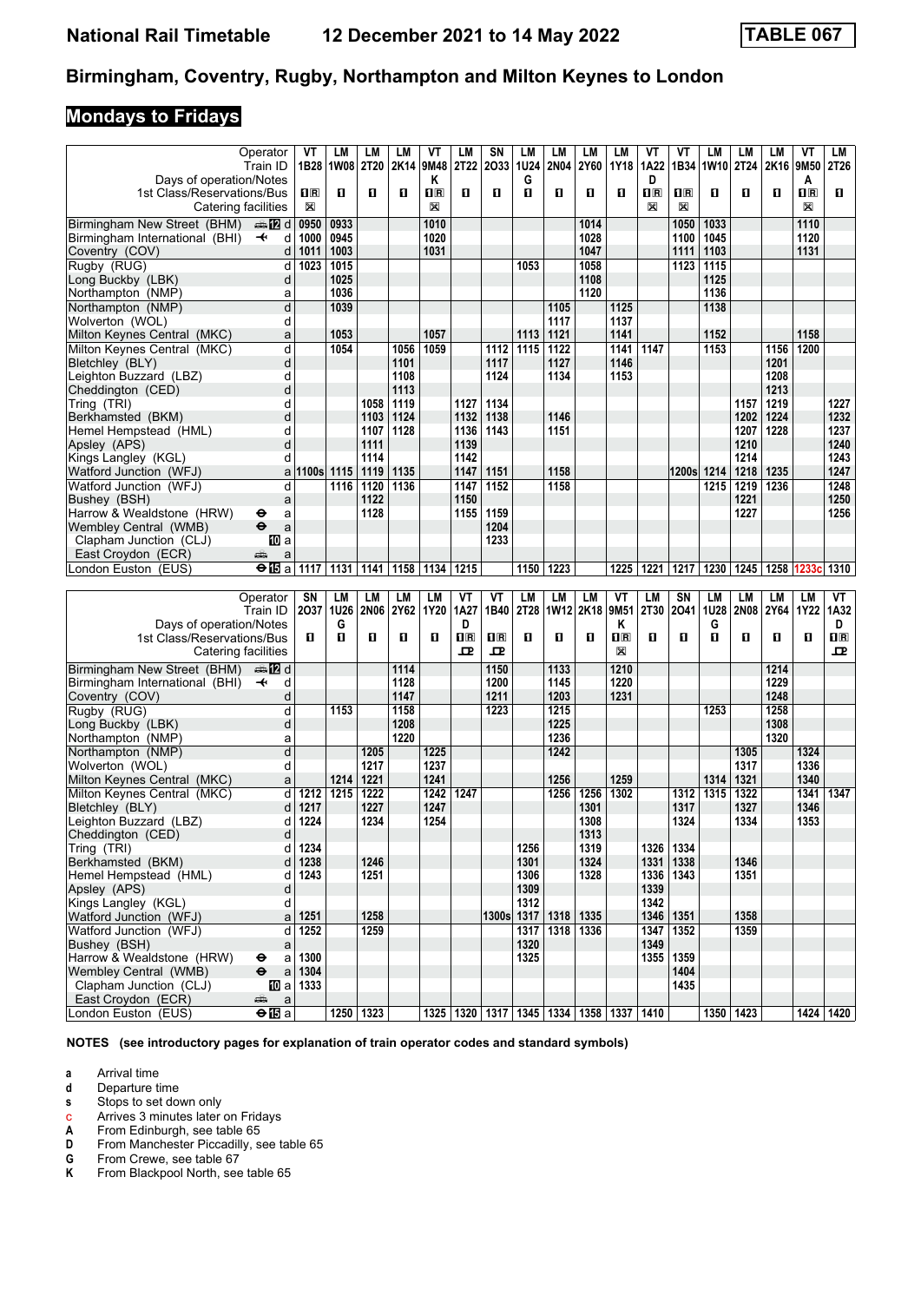# **Mondays to Fridays**

|                                           | Operator                                                    | VT                      | <b>LM</b>          | LМ          | LM   | VT                      | LM               | SN                                                    | LM          | LM        | LM          | LM                        | VT                      | ۷T                      | <b>LM</b> | <b>LM</b>   | LМ         | VT          | LM          |
|-------------------------------------------|-------------------------------------------------------------|-------------------------|--------------------|-------------|------|-------------------------|------------------|-------------------------------------------------------|-------------|-----------|-------------|---------------------------|-------------------------|-------------------------|-----------|-------------|------------|-------------|-------------|
|                                           | Train ID                                                    |                         | 1B28   1W08   2T20 |             |      | 2K14 9M48               | 2T22             | 2033                                                  | <b>1U24</b> | 2N04      | 2Y60        | 1Y18                      | 1A22                    |                         | 1B34 1W10 | <b>2T24</b> | 2K16 9M50  |             | 2T26        |
| Days of operation/Notes                   |                                                             |                         |                    |             |      | Κ                       |                  |                                                       | G           |           |             |                           | D                       |                         |           |             |            | A           |             |
| 1st Class/Reservations/Bus                |                                                             | $\overline{\mathbf{H}}$ | п                  | п           | O    | $\overline{\mathbf{R}}$ | O                | O                                                     | O           | O         | п           | O                         | $\overline{\mathbf{H}}$ | $\overline{\mathbf{H}}$ | O         | п           | п          | $n_{\rm R}$ | п           |
| Catering facilities                       |                                                             | $\boxtimes$             |                    |             |      | X                       |                  |                                                       |             |           |             |                           | X                       | X                       |           |             |            | X           |             |
|                                           |                                                             |                         |                    |             |      |                         |                  |                                                       |             |           |             |                           |                         |                         |           |             |            |             |             |
| Birmingham New Street (BHM)               | dan 122 d                                                   | 0950                    | 0933               |             |      | 1010                    |                  |                                                       |             |           | 1014        |                           |                         | 1050                    | 1033      |             |            | 1110        |             |
| Birmingham International (BHI)            | $\overline{\mathbf{t}}$<br>d                                | 1000                    | 0945               |             |      | 1020                    |                  |                                                       |             |           | 1028        |                           |                         | 1100                    | 1045      |             |            | 1120        |             |
| Coventry (COV)                            | d                                                           | 1011                    | 1003               |             |      | 1031                    |                  |                                                       |             |           | 1047        |                           |                         | 1111                    | 1103      |             |            | 1131        |             |
| Rugby (RUG)                               | d                                                           | 1023                    | 1015               |             |      |                         |                  |                                                       | 1053        |           | 1058        |                           |                         | $1123$                  | 1115      |             |            |             |             |
| Long Buckby (LBK)                         | d                                                           |                         | 1025               |             |      |                         |                  |                                                       |             |           | 1108        |                           |                         |                         | 1125      |             |            |             |             |
| Northampton (NMP)                         | a                                                           |                         | 1036               |             |      |                         |                  |                                                       |             |           | 1120        |                           |                         |                         | 1136      |             |            |             |             |
| Northampton (NMP)                         | d                                                           |                         | 1039               |             |      |                         |                  |                                                       |             | 1105      |             | 1125                      |                         |                         | 1138      |             |            |             |             |
|                                           |                                                             |                         |                    |             |      |                         |                  |                                                       |             |           |             |                           |                         |                         |           |             |            |             |             |
| Wolverton (WOL)                           | d                                                           |                         |                    |             |      |                         |                  |                                                       |             | 1117      |             | 1137                      |                         |                         |           |             |            |             |             |
| Milton Keynes Central (MKC)               | a                                                           |                         | 1053               |             |      | 1057                    |                  |                                                       | 1113        | 1121      |             | 1141                      |                         |                         | 1152      |             |            | 1158        |             |
| Milton Kevnes Central (MKC)               | d                                                           |                         | 1054               |             | 1056 | 1059                    |                  | 1112                                                  | 1115        | 1122      |             | 1141                      | 1147                    |                         | 1153      |             | 1156       | 1200        |             |
| Bletchley (BLY)                           | d                                                           |                         |                    |             | 1101 |                         |                  | 1117                                                  |             | 1127      |             | 1146                      |                         |                         |           |             | 1201       |             |             |
| Leighton Buzzard (LBZ)                    | d                                                           |                         |                    |             | 1108 |                         |                  | 1124                                                  |             | 1134      |             | 1153                      |                         |                         |           |             | 1208       |             |             |
| Cheddington (CED)                         | d                                                           |                         |                    |             | 1113 |                         |                  |                                                       |             |           |             |                           |                         |                         |           |             | 1213       |             |             |
|                                           | d                                                           |                         |                    | 1058        |      |                         | 1127             |                                                       |             |           |             |                           |                         |                         |           |             | 1219       |             | 1227        |
| Tring (TRI)                               |                                                             |                         |                    |             | 1119 |                         |                  | 1134                                                  |             |           |             |                           |                         |                         |           | 1157        |            |             |             |
| Berkhamsted (BKM)                         | d                                                           |                         |                    | 1103        | 1124 |                         | 1132             | 1138                                                  |             | 1146      |             |                           |                         |                         |           | 1202        | 1224       |             | 1232        |
| Hemel Hempstead (HML)                     | d                                                           |                         |                    | 1107        | 1128 |                         | 1136             | 1143                                                  |             | 1151      |             |                           |                         |                         |           | 1207        | 1228       |             | 1237        |
| Apsley (APS)                              | d                                                           |                         |                    | 1111        |      |                         | 1139             |                                                       |             |           |             |                           |                         |                         |           | 1210        |            |             | 1240        |
| Kings Langley (KGL)                       | d                                                           |                         |                    | 1114        |      |                         | 1142             |                                                       |             |           |             |                           |                         |                         |           | 1214        |            |             | 1243        |
| Watford Junction (WFJ)                    | a                                                           | 1100s 1115              |                    | 1119        | 1135 |                         | 1147             | 1151                                                  |             | 1158      |             |                           |                         | 1200sl                  | 1214      | 1218        | 1235       |             | 1247        |
| Watford Junction (WFJ)                    | d                                                           |                         | 1116               | 1120        | 1136 |                         | 1147             | 1152                                                  |             | 1158      |             |                           |                         |                         | 1215      | 1219        | 1236       |             | 1248        |
| Bushey (BSH)                              |                                                             |                         |                    | 1122        |      |                         | 1150             |                                                       |             |           |             |                           |                         |                         |           | 1221        |            |             | 1250        |
|                                           | a                                                           |                         |                    |             |      |                         |                  |                                                       |             |           |             |                           |                         |                         |           |             |            |             |             |
| Harrow & Wealdstone (HRW)                 | θ<br>a                                                      |                         |                    | 1128        |      |                         | 1155             | 1159                                                  |             |           |             |                           |                         |                         |           | 1227        |            |             | 1256        |
| Wembley Central (WMB)                     | $\ddot{\mathbf{e}}$<br>a                                    |                         |                    |             |      |                         |                  | 1204                                                  |             |           |             |                           |                         |                         |           |             |            |             |             |
| Clapham Junction (CLJ)                    | 100 a                                                       |                         |                    |             |      |                         |                  | 1233                                                  |             |           |             |                           |                         |                         |           |             |            |             |             |
| East Croydon (ECR)                        | يتثير<br>a                                                  |                         |                    |             |      |                         |                  |                                                       |             |           |             |                           |                         |                         |           |             |            |             |             |
| London Euston (EUS)                       | $\Theta$ $\overline{\mathbf{E}}$ a                          | 1117                    | 1131               | 1141        | 1158 | 1134                    | 1215             |                                                       | 1150        | 1223      |             | 1225                      | 1221                    | 1217                    | 1230      | 1245        | 1258 1233c |             | 1310        |
|                                           |                                                             |                         |                    |             |      |                         |                  |                                                       |             |           |             |                           |                         |                         |           |             |            |             |             |
|                                           |                                                             |                         |                    |             |      |                         |                  |                                                       |             |           |             |                           |                         |                         |           |             |            |             |             |
|                                           |                                                             |                         |                    |             |      |                         |                  |                                                       |             |           |             |                           |                         |                         |           |             |            |             |             |
|                                           | Operator                                                    | SN                      | LM                 | LМ          | LM   | LМ                      | VT               | VT                                                    | LM          | LM        | <b>LM</b>   | VT                        | LM                      | SN                      | LM        | LM          | LМ         | LM          | VT          |
|                                           | Train ID                                                    | 2037                    | 1U26               | <b>2N06</b> | 2Y62 | 1Y20                    | 1A27             | 1B40                                                  | 2T28        | 1W12 2K18 |             | 9M51                      | 2T30                    | 2041                    | 1U28      | <b>2N08</b> | 2Y64       | 1Y22   1A32 |             |
| Days of operation/Notes                   |                                                             |                         | G                  |             |      |                         | D                |                                                       |             |           |             | Κ                         |                         |                         | G         |             |            |             | D           |
| 1st Class/Reservations/Bus                |                                                             | п                       | п                  | 0           | O    | п                       | $n_{\mathbb{R}}$ | $\overline{\mathbf{H}}$                               | п           | п         | п           | $\mathbf{I}^{\mathbb{R}}$ | п                       | п                       | O         | п           | п          | O           | $n_{\rm R}$ |
| Catering facilities                       |                                                             |                         |                    |             |      |                         | 모                | $\mathbf{P}$                                          |             |           |             | X                         |                         |                         |           |             |            |             | 굔           |
|                                           | an <b>172</b> d                                             |                         |                    |             | 1114 |                         |                  | 1150                                                  |             | 1133      |             | 1210                      |                         |                         |           |             | 1214       |             |             |
| Birmingham New Street (BHM)               |                                                             |                         |                    |             |      |                         |                  |                                                       |             |           |             |                           |                         |                         |           |             |            |             |             |
| Birmingham International (BHI)            | $\overline{\phantom{a}}$<br>d                               |                         |                    |             | 1128 |                         |                  | 1200                                                  |             | 1145      |             | 1220                      |                         |                         |           |             | 1229       |             |             |
| Coventry (COV)                            | d                                                           |                         |                    |             | 1147 |                         |                  | 1211                                                  |             | 1203      |             | 1231                      |                         |                         |           |             | 1248       |             |             |
| Rugby (RUG)                               | d                                                           |                         | 1153               |             | 1158 |                         |                  | 1223                                                  |             | 1215      |             |                           |                         |                         | 1253      |             | 1258       |             |             |
| Long Buckby (LBK)                         | d                                                           |                         |                    |             | 1208 |                         |                  |                                                       |             | 1225      |             |                           |                         |                         |           |             | 1308       |             |             |
| Northampton (NMP)                         | a                                                           |                         |                    |             | 1220 |                         |                  |                                                       |             | 1236      |             |                           |                         |                         |           |             | 1320       |             |             |
| Northampton (NMP)                         | d                                                           |                         |                    | 1205        |      | 1225                    |                  |                                                       |             | 1242      |             |                           |                         |                         |           | 1305        |            | 1324        |             |
| Wolverton (WOL)                           | d                                                           |                         |                    | 1217        |      | 1237                    |                  |                                                       |             |           |             |                           |                         |                         |           | 1317        |            | 1336        |             |
| Milton Keynes Central (MKC)               | a                                                           |                         | 1214               | 1221        |      | 1241                    |                  |                                                       |             | 1256      |             | 1259                      |                         |                         | 1314      | 1321        |            | 1340        |             |
|                                           | d                                                           |                         | 1215               | 1222        |      | 1242                    | 1247             |                                                       |             | 1256      |             | 1302                      |                         | 1312                    |           | 1322        |            | 1341        | 1347        |
| Milton Keynes Central (MKC)               |                                                             | 1212                    |                    |             |      |                         |                  |                                                       |             |           | 1256        |                           |                         |                         | 1315      |             |            |             |             |
| Bletchley (BLY)                           | d                                                           | 1217                    |                    | 1227        |      | 1247                    |                  |                                                       |             |           | 1301        |                           |                         | 1317                    |           | 1327        |            | 1346        |             |
| Leighton Buzzard (LBZ)                    | d                                                           | 1224                    |                    | 1234        |      | 1254                    |                  |                                                       |             |           | 1308        |                           |                         | 1324                    |           | 1334        |            | 1353        |             |
| Cheddington (CED)                         | d                                                           |                         |                    |             |      |                         |                  |                                                       |             |           | 1313        |                           |                         |                         |           |             |            |             |             |
| Tring (TRI)                               | d                                                           | 1234                    |                    |             |      |                         |                  |                                                       | 1256        |           | 1319        |                           | 1326                    | 1334                    |           |             |            |             |             |
| Berkhamsted (BKM)                         | d                                                           | 1238                    |                    | 1246        |      |                         |                  |                                                       | 1301        |           | 1324        |                           | 1331                    | 1338                    |           | 1346        |            |             |             |
| Hemel Hempstead (HML)                     | d                                                           | 1243                    |                    | 1251        |      |                         |                  |                                                       | 1306        |           | 1328        |                           | 1336                    | 1343                    |           | 1351        |            |             |             |
| Apsley (APS)                              | d                                                           |                         |                    |             |      |                         |                  |                                                       | 1309        |           |             |                           | 1339                    |                         |           |             |            |             |             |
| Kings Langley (KGL)                       | d                                                           |                         |                    |             |      |                         |                  |                                                       | 1312        |           |             |                           | 1342                    |                         |           |             |            |             |             |
|                                           |                                                             |                         |                    |             |      |                         |                  |                                                       |             |           |             |                           |                         |                         |           |             |            |             |             |
| Watford Junction (WFJ)                    | a                                                           | 1251                    |                    | 1258        |      |                         |                  |                                                       | 1300s 1317  |           | 1318   1335 |                           | 1346                    | 1351                    |           | 1358        |            |             |             |
| Watford Junction (WFJ)                    | d                                                           | 1252                    |                    | 1259        |      |                         |                  |                                                       | 1317        |           | 1318 1336   |                           | 1347                    | 1352                    |           | 1359        |            |             |             |
| Bushey (BSH)                              | a                                                           |                         |                    |             |      |                         |                  |                                                       | 1320        |           |             |                           | 1349                    |                         |           |             |            |             |             |
| Harrow & Wealdstone (HRW)                 | $\bullet$<br>a                                              | 1300                    |                    |             |      |                         |                  |                                                       | 1325        |           |             |                           | 1355                    | 1359                    |           |             |            |             |             |
| Wembley Central (WMB)                     | $\ddot{\boldsymbol{\Theta}}$<br>$\mathsf{a}$                | 1304                    |                    |             |      |                         |                  |                                                       |             |           |             |                           |                         | 1404                    |           |             |            |             |             |
| Clapham Junction (CLJ)                    | [10] a                                                      | 1333                    |                    |             |      |                         |                  |                                                       |             |           |             |                           |                         | 1435                    |           |             |            |             |             |
| East Croydon (ECR)<br>London Euston (EUS) | æ<br>$\mathsf{a}$<br>$\overline{+ \mathbf{E} \mathbf{B}}$ a |                         |                    | 1250 1323   |      |                         |                  | 1325   1320   1317   1345   1334   1358   1337   1410 |             |           |             |                           |                         |                         |           | 1350 1423   |            |             | 1424   1420 |

**NOTES (see introductory pages for explanation of train operator codes and standard symbols)**

**a** Arrival time<br>**d** Departure ti

**d** Departure time<br>**s** Stops to set do

Stops to set down only

**C** Arrives 3 minutes later on Fridays<br> **A** From Edinburgh, see table 65<br> **D** From Manchester Piccadilly, see t **From Edinburgh, see table 65** 

**D** From Manchester Piccadilly, see table 65<br>**G** From Crewe, see table 67

**6** From Crewe, see table 67<br>**K** From Blackpool North, see

From Blackpool North, see table 65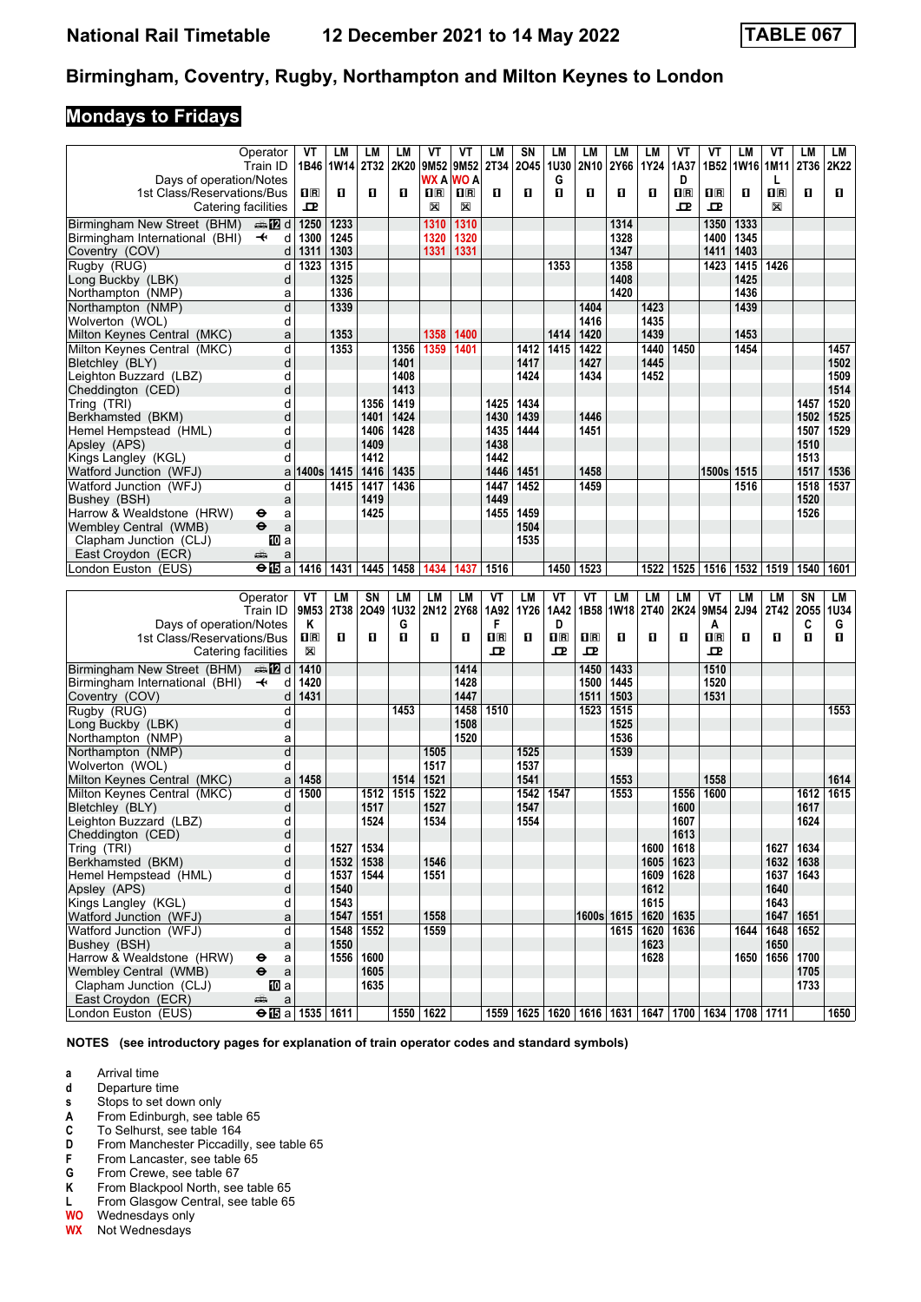## **Mondays to Fridays**

|                                | Operator                          | VT                      | LM             | LМ   | LM   | VT             | VT      | LM                           | SN   | LМ                      | LМ          | LM               | LМ   | ٧T                      | VT                                              | LM        | ۷T                      | LM          | LM   |
|--------------------------------|-----------------------------------|-------------------------|----------------|------|------|----------------|---------|------------------------------|------|-------------------------|-------------|------------------|------|-------------------------|-------------------------------------------------|-----------|-------------------------|-------------|------|
|                                | Train ID                          |                         | 1B46 1W14 2T32 |      | 2K20 | 9M52 9M52      |         | <b>2T34</b>                  | 2045 | <b>1U30</b>             | 2N10        | 2Y66             | 1Y24 | 1A37                    |                                                 | 1B52 1W16 | 1M11                    | 2T36        | 2K22 |
| Days of operation/Notes        |                                   |                         |                |      |      | WX A           | WO A    |                              |      | G                       |             |                  |      | D                       |                                                 |           | L                       |             |      |
| 1st Class/Reservations/Bus     |                                   | $\overline{\mathbf{H}}$ | п              | п    | O    | $\mathbf{1}$ R | $\Pi$ R | П                            | п    | п                       | О           | O                | п    | $\overline{\mathbf{H}}$ | $\mathbf{I}^{\mathbb{R}}$                       | п         | $\overline{\mathbf{R}}$ | п           | O    |
| Catering facilities            |                                   | ᇁ                       |                |      |      | X              | X       |                              |      |                         |             |                  |      | ᇁ                       | 굔                                               |           | X                       |             |      |
| Birmingham New Street (BHM)    | dan <b>in in</b> d                | 1250                    | 1233           |      |      | 1310           | 1310    |                              |      |                         |             | 1314             |      |                         | 1350                                            | 1333      |                         |             |      |
| Birmingham International (BHI) | $\overline{\phantom{a}}$<br>d     | 1300                    | 1245           |      |      | 1320           | 1320    |                              |      |                         |             | 1328             |      |                         | 1400                                            | 1345      |                         |             |      |
| Coventry (COV)                 | d                                 | 1311                    | 1303           |      |      | 1331           | 1331    |                              |      |                         |             | 1347             |      |                         | 1411                                            | 1403      |                         |             |      |
| Rugby (RUG)                    | d                                 | 1323                    | 1315           |      |      |                |         |                              |      | 1353                    |             | 1358             |      |                         | 1423                                            | 1415      | 1426                    |             |      |
| Long Buckby (LBK)              | d                                 |                         | 1325           |      |      |                |         |                              |      |                         |             | 1408             |      |                         |                                                 | 1425      |                         |             |      |
| Northampton (NMP)              | a                                 |                         | 1336           |      |      |                |         |                              |      |                         |             | 1420             |      |                         |                                                 | 1436      |                         |             |      |
| Northampton (NMP)              |                                   |                         | 1339           |      |      |                |         |                              |      |                         |             |                  |      |                         |                                                 | 1439      |                         |             |      |
|                                | d                                 |                         |                |      |      |                |         |                              |      |                         | 1404        |                  | 1423 |                         |                                                 |           |                         |             |      |
| Wolverton (WOL)                | d                                 |                         |                |      |      |                |         |                              |      |                         | 1416        |                  | 1435 |                         |                                                 |           |                         |             |      |
| Milton Keynes Central (MKC)    | a                                 |                         | 1353           |      |      | 1358           | 1400    |                              |      | 1414                    | 1420        |                  | 1439 |                         |                                                 | 1453      |                         |             |      |
| Milton Keynes Central (MKC)    | d                                 |                         | 1353           |      | 1356 | 1359           | 1401    |                              | 1412 | 1415                    | 1422        |                  | 1440 | 1450                    |                                                 | 1454      |                         |             | 1457 |
| Bletchley (BLY)                | d                                 |                         |                |      | 1401 |                |         |                              | 1417 |                         | 1427        |                  | 1445 |                         |                                                 |           |                         |             | 1502 |
| Leighton Buzzard (LBZ)         | d                                 |                         |                |      | 1408 |                |         |                              | 1424 |                         | 1434        |                  | 1452 |                         |                                                 |           |                         |             | 1509 |
| Cheddington (CED)              | d                                 |                         |                |      | 1413 |                |         |                              |      |                         |             |                  |      |                         |                                                 |           |                         |             | 1514 |
| Tring (TRI)                    | d                                 |                         |                | 1356 | 1419 |                |         | 1425                         | 1434 |                         |             |                  |      |                         |                                                 |           |                         | 1457        | 1520 |
| Berkhamsted (BKM)              | d                                 |                         |                | 1401 | 1424 |                |         | 1430                         | 1439 |                         | 1446        |                  |      |                         |                                                 |           |                         | 1502        | 1525 |
| Hemel Hempstead (HML)          | d                                 |                         |                | 1406 | 1428 |                |         | 1435                         | 1444 |                         | 1451        |                  |      |                         |                                                 |           |                         | 1507        | 1529 |
| Apsley (APS)                   | d                                 |                         |                | 1409 |      |                |         | 1438                         |      |                         |             |                  |      |                         |                                                 |           |                         | 1510        |      |
| Kings Langley (KGL)            | d                                 |                         |                | 1412 |      |                |         | 1442                         |      |                         |             |                  |      |                         |                                                 |           |                         | 1513        |      |
| Watford Junction (WFJ)         | a                                 | 1400s 1415              |                | 1416 | 1435 |                |         | 1446                         | 1451 |                         | 1458        |                  |      |                         | 1500s                                           | 1515      |                         | 1517        | 1536 |
| Watford Junction (WFJ)         | d                                 |                         | 1415           | 1417 | 1436 |                |         | 1447                         | 1452 |                         | 1459        |                  |      |                         |                                                 | 1516      |                         | 1518        | 1537 |
| Bushey (BSH)                   | a                                 |                         |                | 1419 |      |                |         | 1449                         |      |                         |             |                  |      |                         |                                                 |           |                         | 1520        |      |
| Harrow & Wealdstone (HRW)      | ⊖<br>a                            |                         |                | 1425 |      |                |         | 1455                         | 1459 |                         |             |                  |      |                         |                                                 |           |                         | 1526        |      |
| Wembley Central (WMB)          | $\ddot{\boldsymbol{\Theta}}$<br>a |                         |                |      |      |                |         |                              | 1504 |                         |             |                  |      |                         |                                                 |           |                         |             |      |
| Clapham Junction (CLJ)         | 100 a                             |                         |                |      |      |                |         |                              | 1535 |                         |             |                  |      |                         |                                                 |           |                         |             |      |
| East Croydon (ECR)             | يتلبه<br>a                        |                         |                |      |      |                |         |                              |      |                         |             |                  |      |                         |                                                 |           |                         |             |      |
| London Euston (EUS)            | $\Theta$ <b>E</b> a               | 1416                    | 1431           | 1445 | 1458 | 1434           | 1437    | 1516                         |      | 1450                    | 1523        |                  | 1522 | 1525                    | 1516                                            | 1532      | 1519                    | 1540        | 1601 |
|                                |                                   |                         |                |      |      |                |         |                              |      |                         |             |                  |      |                         |                                                 |           |                         |             |      |
|                                |                                   |                         |                |      |      |                |         |                              |      |                         |             |                  |      |                         |                                                 |           |                         |             |      |
|                                |                                   |                         |                |      |      |                |         |                              |      | VT                      |             |                  |      |                         |                                                 |           |                         |             |      |
|                                | Operator                          | VT                      | LM             | SN   | LM   | LM             | LM      | VT                           | LM   |                         | VT          | LM               | LM   | <b>LM</b>               | VT                                              | LM        | LM                      | SN          | LM   |
|                                | Train ID                          |                         | 9M53 2T38      | 2049 | 1U32 | 2N12           | 2Y68    | 1A92                         | 1Y26 | 1A42                    | 1B58        | 1W <sub>18</sub> | 2T40 | 2K24                    | 9M54                                            | 2J94      | 2T42                    | 2055        | 1U34 |
| Days of operation/Notes        |                                   | Κ                       |                |      | G    |                |         | F                            |      | D                       |             |                  |      |                         | A                                               |           |                         | C           | G    |
| 1st Class/Reservations/Bus     |                                   | 1 <sub>R</sub>          | п              | п    | O    | O              | O       | $\overline{\mathbf{H}}$<br>굔 | O    | $\overline{\mathbf{R}}$ | $n_{\rm R}$ | O                | п    | 0                       | $\overline{\mathbf{H}}$ $\overline{\mathbf{R}}$ | п         | п                       | O           | O    |
| Catering facilities            |                                   | X                       |                |      |      |                |         |                              |      | 굔                       | 굔           |                  |      |                         | ᇁ                                               |           |                         |             |      |
| Birmingham New Street (BHM)    | ana 122 d                         | 1410                    |                |      |      |                | 1414    |                              |      |                         | 1450        | 1433             |      |                         | 1510                                            |           |                         |             |      |
| Birmingham International (BHI) | d<br>$\ddot{\phantom{1}}$         | 1420                    |                |      |      |                | 1428    |                              |      |                         | 1500        | 1445             |      |                         | 1520                                            |           |                         |             |      |
| Coventry (COV)                 | d                                 | 1431                    |                |      |      |                | 1447    |                              |      |                         | 1511        | 1503             |      |                         | 1531                                            |           |                         |             |      |
| Rugby (RUG)                    | d                                 |                         |                |      | 1453 |                | 1458    | 1510                         |      |                         | 1523        | 1515             |      |                         |                                                 |           |                         |             | 1553 |
| Long Buckby (LBK)              | d                                 |                         |                |      |      |                | 1508    |                              |      |                         |             | 1525             |      |                         |                                                 |           |                         |             |      |
| Northampton (NMP)              | a                                 |                         |                |      |      |                | 1520    |                              |      |                         |             | 1536             |      |                         |                                                 |           |                         |             |      |
| Northampton (NMP)              | d                                 |                         |                |      |      | 1505           |         |                              | 1525 |                         |             | 1539             |      |                         |                                                 |           |                         |             |      |
| Wolverton (WOL)                | d                                 |                         |                |      |      | 1517           |         |                              | 1537 |                         |             |                  |      |                         |                                                 |           |                         |             |      |
| Milton Keynes Central (MKC)    | a                                 | 1458                    |                |      | 1514 | 1521           |         |                              | 1541 |                         |             | 1553             |      |                         | 1558                                            |           |                         |             | 1614 |
| Milton Keynes Central (MKC)    | d                                 | 1500                    |                | 1512 | 1515 | 1522           |         |                              | 1542 | 1547                    |             | 1553             |      | 1556                    | 1600                                            |           |                         | 1612        | 1615 |
| Bletchley (BLY)                | d                                 |                         |                | 1517 |      | 1527           |         |                              | 1547 |                         |             |                  |      | 1600                    |                                                 |           |                         | 1617        |      |
| Leighton Buzzard (LBZ)         | d                                 |                         |                | 1524 |      | 1534           |         |                              | 1554 |                         |             |                  |      | 1607                    |                                                 |           |                         | 1624        |      |
| Cheddington (CED)              | d                                 |                         |                |      |      |                |         |                              |      |                         |             |                  |      | 1613                    |                                                 |           |                         |             |      |
| Tring (TRI)                    | d                                 |                         | 1527           | 1534 |      |                |         |                              |      |                         |             |                  | 1600 | 1618                    |                                                 |           | 1627                    | 1634        |      |
| Berkhamsted (BKM)              | d                                 |                         | 1532           | 1538 |      | 1546           |         |                              |      |                         |             |                  | 1605 | 1623                    |                                                 |           |                         | 1632   1638 |      |
| Hemel Hempstead (HML)          | d                                 |                         | 1537           | 1544 |      | 1551           |         |                              |      |                         |             |                  | 1609 | 1628                    |                                                 |           | 1637                    | 1643        |      |
| Apsley (APS)                   | d                                 |                         | 1540           |      |      |                |         |                              |      |                         |             |                  | 1612 |                         |                                                 |           | 1640                    |             |      |
| Kings Langley (KGL)            | d                                 |                         | 1543           |      |      |                |         |                              |      |                         |             |                  | 1615 |                         |                                                 |           | 1643                    |             |      |
| Watford Junction (WFJ)         | a                                 |                         | 1547           | 1551 |      | 1558           |         |                              |      |                         |             | 1600s 1615       | 1620 | 1635                    |                                                 |           | 1647                    | 1651        |      |
| Watford Junction (WFJ)         | d                                 |                         | 1548           | 1552 |      | 1559           |         |                              |      |                         |             | 1615             | 1620 | 1636                    |                                                 | 1644      | 1648                    | 1652        |      |
| Bushey (BSH)                   | a                                 |                         | 1550           |      |      |                |         |                              |      |                         |             |                  | 1623 |                         |                                                 |           | 1650                    |             |      |
| Harrow & Wealdstone (HRW)      | a<br>⊖                            |                         | 1556           | 1600 |      |                |         |                              |      |                         |             |                  | 1628 |                         |                                                 | 1650      | 1656                    | 1700        |      |
| Wembley Central (WMB)          | $\bullet$<br>a                    |                         |                | 1605 |      |                |         |                              |      |                         |             |                  |      |                         |                                                 |           |                         | 1705        |      |
| Clapham Junction (CLJ)         | [[] a                             |                         |                | 1635 |      |                |         |                              |      |                         |             |                  |      |                         |                                                 |           |                         | 1733        |      |
| East Croydon (ECR)             | æ<br>$\mathsf{a}$                 |                         |                |      |      | 1550 1622      |         |                              |      |                         |             |                  |      |                         |                                                 |           |                         |             |      |

**NOTES (see introductory pages for explanation of train operator codes and standard symbols)**

- **a** Arrival time<br>**d** Departure t
- **d** Departure time<br>**s** Stops to set do
- Stops to set down only
- 
- **A** From Edinburgh, see table 65<br>**C** To Selhurst, see table 164 **C** To Selhurst, see table 164<br>**D** From Manchester Piccadill
- **D** From Manchester Piccadilly, see table 65<br>**F** From Lancaster, see table 65
- **F** From Lancaster, see table 65<br>**G** From Crewe, see table 67
- **6** From Crewe, see table 67<br>**K** From Blackpool North, see
- **K** From Blackpool North, see table 65<br>**L** From Glasgow Central, see table 65
- **L** From Glasgow Central, see table 65<br>**WO** Wednesdays only
- **:2** Wednesdays only
- **WX** Not Wednesdays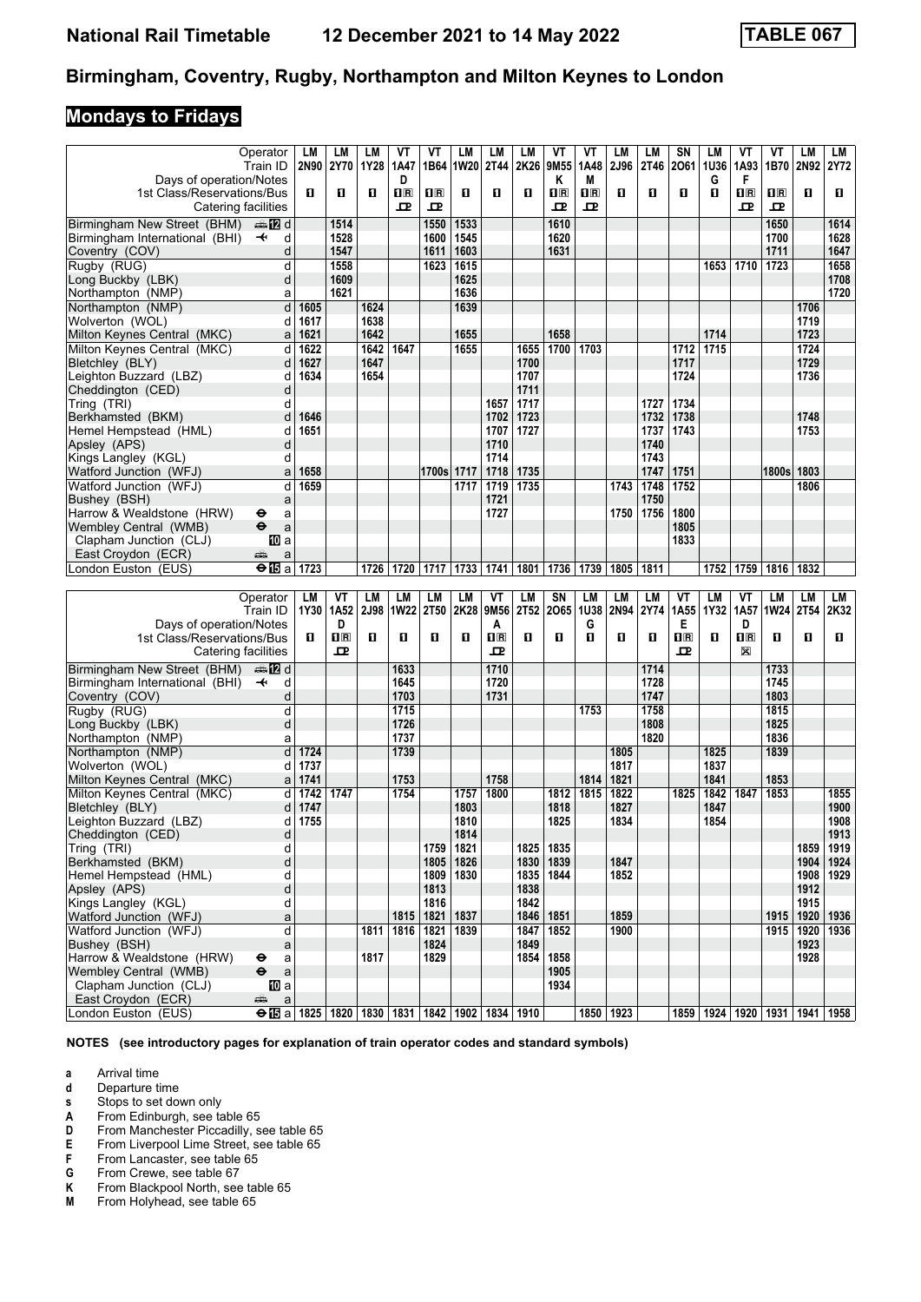## **Mondays to Fridays**

|                                           | Operator                                     | LM   | LМ                        | LМ          | VT             | VT          | <b>LM</b>   | LM          | LM        | VT                      | VT          | LМ        | LM   | SΝ          | LM        | VT                                             | VT           | LM                 | LM          |
|-------------------------------------------|----------------------------------------------|------|---------------------------|-------------|----------------|-------------|-------------|-------------|-----------|-------------------------|-------------|-----------|------|-------------|-----------|------------------------------------------------|--------------|--------------------|-------------|
|                                           | Train ID                                     |      | 2N90 2Y70                 | 1Y28        | 1A47           |             | 1B64   1W20 | 2T44        | 2K26      | 9M <sub>55</sub>        | 1A48        | 2J96      | 2T46 | 2061        | 1U36      | 1A93                                           | 1B70         | 2N92 2Y72          |             |
| Days of operation/Notes                   |                                              |      |                           |             | D              |             |             |             |           | Κ                       | M           |           |      |             | G         | F                                              |              |                    |             |
| 1st Class/Reservations/Bus                |                                              | п    | п                         | O           | $\mathbf{H}$ R | $\Pi$ R     | п           | П           | п         | $\overline{\mathbf{H}}$ | $n_{\rm R}$ | П         | п    | п           | П         | $n_{\mathbb{R}}$                               | 1R           | O.                 | 0.          |
|                                           |                                              |      |                           |             |                |             |             |             |           |                         |             |           |      |             |           |                                                |              |                    |             |
|                                           | Catering facilities                          |      |                           |             | ᇁ              | 굔           |             |             |           | 모                       | 굔           |           |      |             |           | ᇁ                                              | 모            |                    |             |
| Birmingham New Street (BHM)               | $\bigoplus$ IZ d                             |      | 1514                      |             |                | 1550        | 1533        |             |           | 1610                    |             |           |      |             |           |                                                | 1650         |                    | 1614        |
| Birmingham International (BHI)            | $\overline{\mathbf{t}}$<br>d                 |      | 1528                      |             |                | 1600        | 1545        |             |           | 1620                    |             |           |      |             |           |                                                | 1700         |                    | 1628        |
|                                           | d                                            |      | 1547                      |             |                |             | 1603        |             |           | 1631                    |             |           |      |             |           |                                                | 1711         |                    | 1647        |
| Coventry (COV)                            |                                              |      |                           |             |                | 1611        |             |             |           |                         |             |           |      |             |           |                                                |              |                    |             |
| Rugby (RUG)                               | d                                            |      | 1558                      |             |                | 1623        | 1615        |             |           |                         |             |           |      |             | 1653      | 1710                                           | 1723         |                    | 1658        |
| Long Buckby (LBK)                         | d                                            |      | 1609                      |             |                |             | 1625        |             |           |                         |             |           |      |             |           |                                                |              |                    | 1708        |
| Northampton (NMP)                         | a                                            |      | 1621                      |             |                |             | 1636        |             |           |                         |             |           |      |             |           |                                                |              |                    | 1720        |
| Northampton (NMP)                         | $\overline{\mathsf{d}}$                      | 1605 |                           | 1624        |                |             | 1639        |             |           |                         |             |           |      |             |           |                                                |              | 1706               |             |
| Wolverton (WOL)                           | d                                            | 1617 |                           | 1638        |                |             |             |             |           |                         |             |           |      |             |           |                                                |              | 1719               |             |
|                                           |                                              |      |                           |             |                |             |             |             |           |                         |             |           |      |             |           |                                                |              |                    |             |
| Milton Keynes Central (MKC)               | a                                            | 1621 |                           | 1642        |                |             | 1655        |             |           | 1658                    |             |           |      |             | 1714      |                                                |              | 1723               |             |
| Milton Kevnes Central (MKC)               | d                                            | 1622 |                           | 1642        | 1647           |             | 1655        |             | 1655      | 1700                    | 1703        |           |      | 1712        | 1715      |                                                |              | 1724               |             |
| Bletchley (BLY)                           | d                                            | 1627 |                           | 1647        |                |             |             |             | 1700      |                         |             |           |      | 1717        |           |                                                |              | 1729               |             |
| Leighton Buzzard (LBZ)                    | d                                            | 1634 |                           | 1654        |                |             |             |             | 1707      |                         |             |           |      | 1724        |           |                                                |              | 1736               |             |
| Cheddington (CED)                         | d                                            |      |                           |             |                |             |             |             | 1711      |                         |             |           |      |             |           |                                                |              |                    |             |
|                                           |                                              |      |                           |             |                |             |             |             |           |                         |             |           |      | 1734        |           |                                                |              |                    |             |
| Tring (TRI)                               | d                                            |      |                           |             |                |             |             | 1657        | 1717      |                         |             |           | 1727 |             |           |                                                |              |                    |             |
| Berkhamsted (BKM)                         | d                                            | 1646 |                           |             |                |             |             | 1702        | 1723      |                         |             |           | 1732 | 1738        |           |                                                |              | 1748               |             |
| Hemel Hempstead (HML)                     | d                                            | 1651 |                           |             |                |             |             | 1707        | 1727      |                         |             |           | 1737 | 1743        |           |                                                |              | 1753               |             |
| Apsley (APS)                              | d                                            |      |                           |             |                |             |             | 1710        |           |                         |             |           | 1740 |             |           |                                                |              |                    |             |
| Kings Langley (KGL)                       | d                                            |      |                           |             |                |             |             | 1714        |           |                         |             |           | 1743 |             |           |                                                |              |                    |             |
| Watford Junction (WFJ)                    | a                                            | 1658 |                           |             |                | 1700s 1717  |             | 1718        | 1735      |                         |             |           | 1747 | 1751        |           |                                                | 1800s 1803   |                    |             |
|                                           |                                              |      |                           |             |                |             |             |             |           |                         |             |           |      |             |           |                                                |              |                    |             |
| Watford Junction (WFJ)                    | d                                            | 1659 |                           |             |                |             | 1717        | 1719        | 1735      |                         |             | 1743      | 1748 | 1752        |           |                                                |              | 1806               |             |
| Bushey (BSH)                              | a                                            |      |                           |             |                |             |             | 1721        |           |                         |             |           | 1750 |             |           |                                                |              |                    |             |
| Harrow & Wealdstone (HRW)                 | θ<br>a                                       |      |                           |             |                |             |             | 1727        |           |                         |             | 1750      | 1756 | 1800        |           |                                                |              |                    |             |
| Wembley Central (WMB)                     | $\ddot{\boldsymbol{\Theta}}$<br>$\mathsf{a}$ |      |                           |             |                |             |             |             |           |                         |             |           |      | 1805        |           |                                                |              |                    |             |
| Clapham Junction (CLJ)                    | 100 a                                        |      |                           |             |                |             |             |             |           |                         |             |           |      | 1833        |           |                                                |              |                    |             |
| East Croydon (ECR)                        | æ                                            |      |                           |             |                |             |             |             |           |                         |             |           |      |             |           |                                                |              |                    |             |
|                                           | a                                            |      |                           |             |                |             |             |             |           |                         |             |           |      |             |           |                                                |              |                    |             |
| London Euston (EUS)                       | $\Theta$ is a                                | 1723 |                           | 1726        | 1720           | 1717        |             | 1733   1741 | 1801      | 1736                    | 1739        | 1805      | 1811 |             | 1752      | 1759                                           | 1816   1832  |                    |             |
|                                           |                                              |      |                           |             |                |             |             |             |           |                         |             |           |      |             |           |                                                |              |                    |             |
|                                           |                                              |      |                           |             |                |             |             |             |           |                         |             |           |      |             |           |                                                |              |                    |             |
|                                           | Operator                                     | LM   | VT                        | LМ          | LM             | LM          | LM          | VT          | <b>LM</b> | SN                      | <b>LM</b>   | LM        | LM   | VT          | <b>LM</b> | VT                                             | LM           | LM                 | LM          |
|                                           |                                              |      |                           |             |                |             |             |             |           |                         |             |           |      |             |           |                                                |              |                    |             |
|                                           | Train ID                                     |      | 1Y30   1A52               | <b>2J98</b> | <b>1W22</b>    | <b>2T50</b> | 2K28        | 9M56        | 2T52      | 2065                    | 1U38        | 2N94      | 2Y74 | 1A55        | 1Y32      | 1A57                                           | 1W24         | 2T <sub>54</sub>   | 2K32        |
| Days of operation/Notes                   |                                              |      | D                         |             |                |             |             | A           |           |                         | G           |           |      | Е           |           | D                                              |              |                    |             |
| 1st Class/Reservations/Bus                |                                              | п    | $\mathbf{I}$ $\mathbf{R}$ | O           | п              | O           | п           | $n_{R}$     | п         | п                       | п           | П         | п    | $n_{\rm R}$ | О         | $\Pi$ <sub><math>\bar{\mathbf{R}}</math></sub> | $\mathbf{u}$ | O                  | O.          |
|                                           | Catering facilities                          |      | 굔                         |             |                |             |             | 모           |           |                         |             |           |      | ᇁ           |           | X                                              |              |                    |             |
|                                           |                                              |      |                           |             | 1633           |             |             | 1710        |           |                         |             |           | 1714 |             |           |                                                | 1733         |                    |             |
| Birmingham New Street (BHM)               | dan <b>D</b>                                 |      |                           |             |                |             |             |             |           |                         |             |           |      |             |           |                                                |              |                    |             |
| Birmingham International (BHI)            | $\ddot{\phantom{1}}$<br>d                    |      |                           |             | 1645           |             |             | 1720        |           |                         |             |           | 1728 |             |           |                                                | 1745         |                    |             |
| Coventry (COV)                            | d                                            |      |                           |             | 1703           |             |             | 1731        |           |                         |             |           | 1747 |             |           |                                                | 1803         |                    |             |
| Rugby (RUG)                               | d                                            |      |                           |             | 1715           |             |             |             |           |                         | 1753        |           | 1758 |             |           |                                                | 1815         |                    |             |
| Long Buckby (LBK)                         | d                                            |      |                           |             | 1726           |             |             |             |           |                         |             |           | 1808 |             |           |                                                | 1825         |                    |             |
| Northampton (NMP)                         | a                                            |      |                           |             | 1737           |             |             |             |           |                         |             |           | 1820 |             |           |                                                | 1836         |                    |             |
| Northampton (NMP)                         | d                                            | 1724 |                           |             | 1739           |             |             |             |           |                         |             | 1805      |      |             | 1825      |                                                | 1839         |                    |             |
|                                           |                                              |      |                           |             |                |             |             |             |           |                         |             |           |      |             |           |                                                |              |                    |             |
| Wolverton (WOL)                           | d                                            | 1737 |                           |             |                |             |             |             |           |                         |             | 1817      |      |             | 1837      |                                                |              |                    |             |
| Milton Kevnes Central (MKC)               | a                                            | 1741 |                           |             | 1753           |             |             | 1758        |           |                         | 1814        | 1821      |      |             | 1841      |                                                | 1853         |                    |             |
| Milton Keynes Central (MKC)               | d                                            | 1742 | 1747                      |             | 1754           |             | 1757        | 1800        |           | 1812                    | 1815        | 1822      |      | 1825        | 1842      | 1847                                           | 1853         |                    | 1855        |
| Bletchley (BLY)                           | d                                            | 1747 |                           |             |                |             | 1803        |             |           | 1818                    |             | 1827      |      |             | 1847      |                                                |              |                    | 1900        |
| Leighton Buzzard (LBZ)                    | d                                            | 1755 |                           |             |                |             | 1810        |             |           | 1825                    |             | 1834      |      |             | 1854      |                                                |              |                    | 1908        |
|                                           |                                              |      |                           |             |                |             |             |             |           |                         |             |           |      |             |           |                                                |              |                    |             |
| Cheddington (CED)                         | d                                            |      |                           |             |                |             | 1814        |             |           |                         |             |           |      |             |           |                                                |              |                    | 1913        |
| Tring (TRI)                               | d                                            |      |                           |             |                | 1759        | 1821        |             | 1825      | 1835                    |             |           |      |             |           |                                                |              | 1859               | 1919        |
| Berkhamsted (BKM)                         | d                                            |      |                           |             |                | 1805        | 1826        |             | 1830      | 1839                    |             | 1847      |      |             |           |                                                |              |                    | 1904 1924   |
| Hemel Hempstead (HML)                     | d                                            |      |                           |             |                |             | 1809   1830 |             | 1835      | 1844                    |             | 1852      |      |             |           |                                                |              |                    | 1908   1929 |
| Apsley (APS)                              | d                                            |      |                           |             |                | 1813        |             |             | 1838      |                         |             |           |      |             |           |                                                |              | 1912               |             |
| Kings Langley (KGL)                       | d                                            |      |                           |             |                | 1816        |             |             | 1842      |                         |             |           |      |             |           |                                                |              | 1915               |             |
| Watford Junction (WFJ)                    | a                                            |      |                           |             | 1815           | 1821        | 1837        |             | 1846      | 1851                    |             | 1859      |      |             |           |                                                |              | 1915   1920   1936 |             |
|                                           |                                              |      |                           |             |                |             |             |             |           |                         |             |           |      |             |           |                                                |              |                    |             |
| Watford Junction (WFJ)                    | d                                            |      |                           | 1811        | 1816           | 1821        | 1839        |             | 1847      | 1852                    |             | 1900      |      |             |           |                                                |              | 1915 1920          | 1936        |
| Bushey (BSH)                              | a                                            |      |                           |             |                | 1824        |             |             | 1849      |                         |             |           |      |             |           |                                                |              | 1923               |             |
| Harrow & Wealdstone (HRW)                 | ⊖<br>a                                       |      |                           | 1817        |                | 1829        |             |             | 1854      | 1858                    |             |           |      |             |           |                                                |              | 1928               |             |
| Wembley Central (WMB)                     | $\bullet$<br>$\mathsf{a}$                    |      |                           |             |                |             |             |             |           | 1905                    |             |           |      |             |           |                                                |              |                    |             |
| Clapham Junction (CLJ)                    | [[] a                                        |      |                           |             |                |             |             |             |           | 1934                    |             |           |      |             |           |                                                |              |                    |             |
| East Croydon (ECR)<br>London Euston (EUS) | پېښتنه<br>$\mathsf{a}$                       |      |                           |             |                |             |             |             |           |                         |             | 1850 1923 |      |             |           |                                                |              |                    |             |

**NOTES (see introductory pages for explanation of train operator codes and standard symbols)**

- **a** Arrival time<br>**d** Departure t
- **d** Departure time<br>**s** Stops to set do
- Stops to set down only
- **A** From Edinburgh, see table 65<br>**D** From Manchester Piccadilly, s
- **D** From Manchester Piccadilly, see table 65<br>**E** From Liverpool Lime Street, see table 65
- **E** From Liverpool Lime Street, see table 65<br>**F** From Lancaster, see table 65
- **F** From Lancaster, see table 65<br>**G** From Crewe, see table 67
- **6** From Crewe, see table 67<br>**K** From Blackpool North, see
- **K** From Blackpool North, see table 65<br>**M** From Holyhead, see table 65
- From Holyhead, see table 65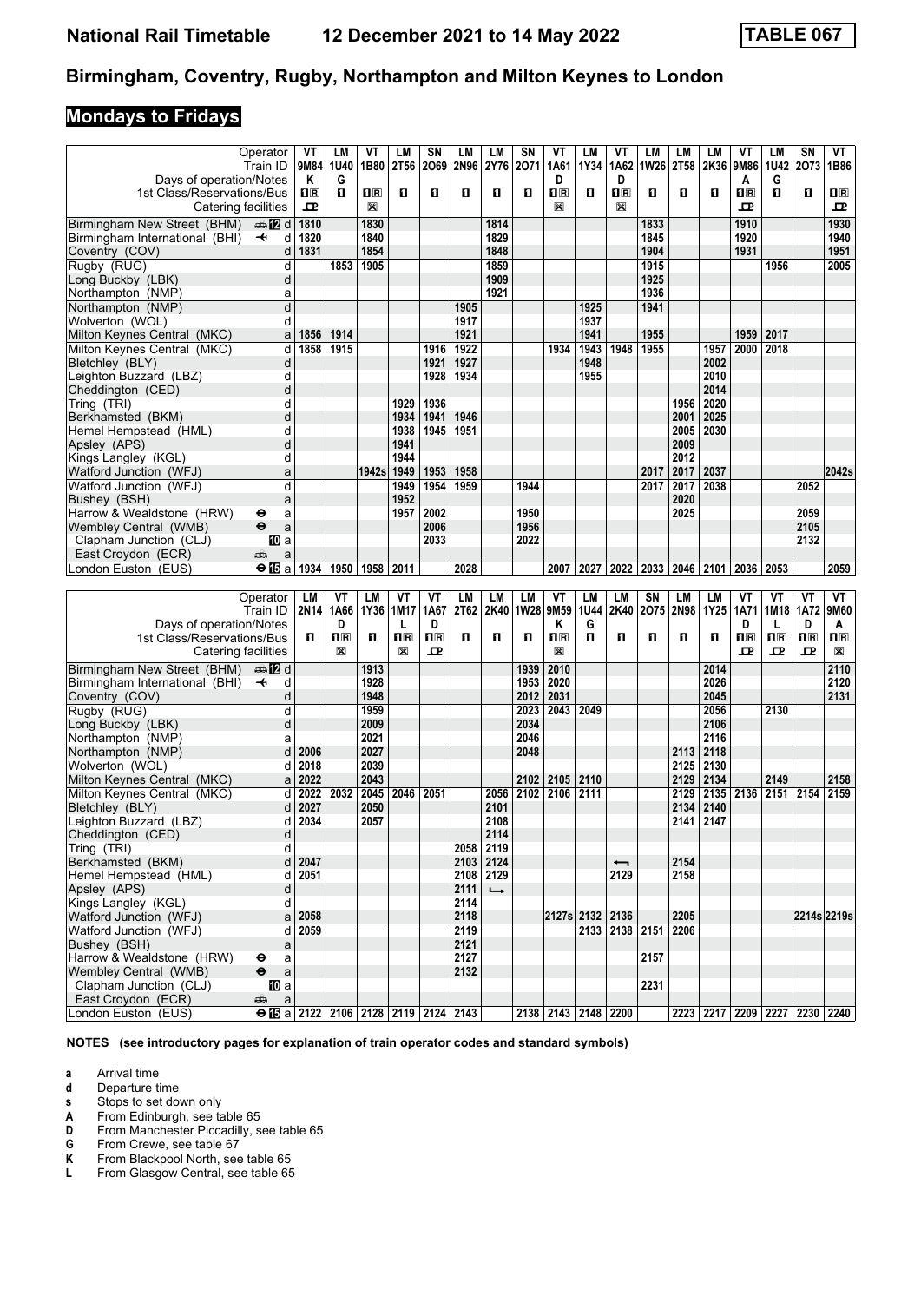# **Mondays to Fridays**

|                                           | Operator                                                                        | ۷T             | LM           | ۷T           | LM                      | SN                      | LM   | LM            | SN   | VT                      | LM                  | VT                       | LM             | LM        | LM   | ۷T                      | LМ          | SΝ                            | VT                      |
|-------------------------------------------|---------------------------------------------------------------------------------|----------------|--------------|--------------|-------------------------|-------------------------|------|---------------|------|-------------------------|---------------------|--------------------------|----------------|-----------|------|-------------------------|-------------|-------------------------------|-------------------------|
|                                           | Train ID                                                                        |                | 9M84 1U40    | 1B80         | <b>2T56</b>             | 2069 2N96               |      | <b>2Y76</b>   | 2071 | 1A61                    | 1Y34                | 1A62                     | <b>1W26</b>    | 2T58      | 2K36 | 9M86                    | 1U42        | 2073                          | 1B86                    |
| Days of operation/Notes                   |                                                                                 | ĸ              | G            |              |                         |                         |      |               |      | D                       |                     | D                        |                |           |      | A                       | G           |                               |                         |
| 1st Class/Reservations/Bus                |                                                                                 | $\mathbf{H}$ R | п            | $\mathbf{H}$ | O                       | O                       | O    | O             | O    | $\overline{\mathbf{H}}$ | O                   | $\overline{\mathbf{B}}$  | O              | п         | П    | $\overline{\mathbf{R}}$ | п           | O.                            | $\Pi$ R                 |
|                                           | Catering facilities                                                             | 모              |              | X            |                         |                         |      |               |      | X                       |                     | $\mathbb{X}$             |                |           |      | 모                       |             |                               | ᇁ                       |
| Birmingham New Street (BHM)               | dan <b>in</b> d                                                                 | 1810           |              | 1830         |                         |                         |      | 1814          |      |                         |                     |                          | 1833           |           |      | 1910                    |             |                               | 1930                    |
| Birmingham International (BHI)            | $\ddot{\phantom{1}}$<br>d                                                       | 1820           |              | 1840         |                         |                         |      | 1829          |      |                         |                     |                          | 1845           |           |      | 1920                    |             |                               | 1940                    |
| Coventry (COV)                            | d                                                                               | 1831           |              | 1854         |                         |                         |      | 1848          |      |                         |                     |                          | 1904           |           |      | 1931                    |             |                               | 1951                    |
| Rugby (RUG)                               | d                                                                               |                | 1853         | 1905         |                         |                         |      | 1859          |      |                         |                     |                          | 1915           |           |      |                         | 1956        |                               | 2005                    |
| Long Buckby (LBK)                         | d                                                                               |                |              |              |                         |                         |      | 1909          |      |                         |                     |                          | 1925           |           |      |                         |             |                               |                         |
| Northampton (NMP)                         |                                                                                 |                |              |              |                         |                         |      | 1921          |      |                         |                     |                          | 1936           |           |      |                         |             |                               |                         |
|                                           | a<br>ď                                                                          |                |              |              |                         |                         |      |               |      |                         |                     |                          |                |           |      |                         |             |                               |                         |
| Northampton (NMP)                         |                                                                                 |                |              |              |                         |                         | 1905 |               |      |                         | 1925                |                          | 1941           |           |      |                         |             |                               |                         |
| Wolverton (WOL)                           | d                                                                               |                |              |              |                         |                         | 1917 |               |      |                         | 1937                |                          |                |           |      |                         |             |                               |                         |
| Milton Keynes Central (MKC)               | a                                                                               | 1856           | 1914         |              |                         |                         | 1921 |               |      |                         | 1941                |                          | 1955           |           |      | 1959                    | 2017        |                               |                         |
| Milton Keynes Central (MKC)               | d                                                                               | 1858           | 1915         |              |                         | 1916                    | 1922 |               |      | 1934                    | 1943                | 1948                     | 1955           |           | 1957 | 2000                    | 2018        |                               |                         |
| Bletchley (BLY)                           | d                                                                               |                |              |              |                         | 1921                    | 1927 |               |      |                         | 1948                |                          |                |           | 2002 |                         |             |                               |                         |
| Leighton Buzzard (LBZ)                    | d                                                                               |                |              |              |                         | 1928                    | 1934 |               |      |                         | 1955                |                          |                |           | 2010 |                         |             |                               |                         |
| Cheddington (CED)                         | d                                                                               |                |              |              |                         |                         |      |               |      |                         |                     |                          |                |           | 2014 |                         |             |                               |                         |
| Tring (TRI)                               | d                                                                               |                |              |              | 1929                    | 1936                    |      |               |      |                         |                     |                          |                | 1956      | 2020 |                         |             |                               |                         |
| Berkhamsted (BKM)                         | d                                                                               |                |              |              | 1934                    | 1941                    | 1946 |               |      |                         |                     |                          |                | 2001      | 2025 |                         |             |                               |                         |
| Hemel Hempstead (HML)                     | d                                                                               |                |              |              | 1938                    | 1945                    | 1951 |               |      |                         |                     |                          |                | 2005      | 2030 |                         |             |                               |                         |
| Apsley (APS)                              | d                                                                               |                |              |              | 1941                    |                         |      |               |      |                         |                     |                          |                | 2009      |      |                         |             |                               |                         |
| Kings Langley (KGL)                       | d                                                                               |                |              |              | 1944                    |                         |      |               |      |                         |                     |                          |                | 2012      |      |                         |             |                               |                         |
| Watford Junction (WFJ)                    | a                                                                               |                |              | 1942s        | 1949                    | 1953                    | 1958 |               |      |                         |                     |                          | 2017           | 2017      | 2037 |                         |             |                               | 2042s                   |
| Watford Junction (WFJ)                    | d                                                                               |                |              |              | 1949                    | 1954                    | 1959 |               | 1944 |                         |                     |                          | 2017           | 2017      | 2038 |                         |             | 2052                          |                         |
| Bushev (BSH)                              | a                                                                               |                |              |              | 1952                    |                         |      |               |      |                         |                     |                          |                | 2020      |      |                         |             |                               |                         |
| Harrow & Wealdstone (HRW)                 | θ<br>a                                                                          |                |              |              | 1957                    | 2002                    |      |               | 1950 |                         |                     |                          |                | 2025      |      |                         |             | 2059                          |                         |
| Wemblev Central (WMB)                     | $\ddot{\mathbf{e}}$<br>a                                                        |                |              |              |                         | 2006                    |      |               | 1956 |                         |                     |                          |                |           |      |                         |             | 2105                          |                         |
| Clapham Junction (CLJ)                    | 100 a                                                                           |                |              |              |                         | 2033                    |      |               | 2022 |                         |                     |                          |                |           |      |                         |             | 2132                          |                         |
| East Croydon (ECR)                        | پیشته<br>a                                                                      |                |              |              |                         |                         |      |               |      |                         |                     |                          |                |           |      |                         |             |                               |                         |
| London Euston (EUS)                       | $\Theta$ is a                                                                   | 1934           | 1950         | 1958         | 2011                    |                         | 2028 |               |      | 2007                    | 2027                | 2022                     | 2033           | 2046 2101 |      | 2036                    | 2053        |                               | 2059                    |
|                                           |                                                                                 |                |              |              |                         |                         |      |               |      |                         |                     |                          |                |           |      |                         |             |                               |                         |
|                                           |                                                                                 |                |              |              |                         |                         |      |               |      |                         |                     |                          |                |           |      |                         |             |                               |                         |
|                                           |                                                                                 |                |              |              |                         |                         |      |               |      |                         |                     |                          |                |           |      |                         |             |                               |                         |
|                                           | Operator                                                                        | LM             | VT           | LМ           | VT                      | VT                      | LM   | LM            | LM   | VT                      | <b>LM</b>           | LM                       | <b>SN</b>      | LM        | LM   | VT                      | VT          | VT                            | VT                      |
|                                           | Train ID                                                                        |                | 2N14   1A66  | 1Y36         | 1M17                    | 1A67                    | 2T62 | 2K40          | 1W28 | 9M59                    | <b>1U44</b>         | 2K40                     | 2075           | 2N98      | 1Y25 | 1A71                    | 1M18        | 1A72                          | 9M60                    |
| Days of operation/Notes                   |                                                                                 |                | D            |              | L                       | D                       |      |               |      | Κ                       | G                   |                          |                |           |      | D                       | L           | D                             | A                       |
| 1st Class/Reservations/Bus                |                                                                                 | 0              | $\mathbf{H}$ | O            | $\overline{\mathbf{R}}$ | $\overline{\mathbf{R}}$ | O    | O             | O    | $\overline{\mathbf{H}}$ | п                   | 0                        | О              | п         | О    | $\overline{\mathbf{H}}$ | $n_{\rm R}$ | $\overline{\mathbf{H}}$ R     | $\overline{\mathbf{R}}$ |
|                                           | Catering facilities                                                             |                | X            |              | X                       | 굔                       |      |               |      | X                       |                     |                          |                |           |      | ᇁ                       | ᇁ           | ᇁ                             | X                       |
| Birmingham New Street (BHM)               | dan <b>in</b> d                                                                 |                |              | 1913         |                         |                         |      |               | 1939 | 2010                    |                     |                          |                |           | 2014 |                         |             |                               | 2110                    |
| Birmingham International (BHI)            | $\overline{\mathbf{t}}$<br>d                                                    |                |              | 1928         |                         |                         |      |               | 1953 | 2020                    |                     |                          |                |           | 2026 |                         |             |                               | 2120                    |
| Coventry (COV)                            | d                                                                               |                |              | 1948         |                         |                         |      |               | 2012 | 2031                    |                     |                          |                |           | 2045 |                         |             |                               | 2131                    |
| Rugby (RUG)                               | d                                                                               |                |              | 1959         |                         |                         |      |               | 2023 | 2043                    | 2049                |                          |                |           | 2056 |                         | 2130        |                               |                         |
| Long Buckby (LBK)                         | d                                                                               |                |              | 2009         |                         |                         |      |               | 2034 |                         |                     |                          |                |           | 2106 |                         |             |                               |                         |
| Northampton (NMP)                         | a                                                                               |                |              | 2021         |                         |                         |      |               | 2046 |                         |                     |                          |                |           | 2116 |                         |             |                               |                         |
| Northampton (NMP)                         | d                                                                               | 2006           |              | 2027         |                         |                         |      |               | 2048 |                         |                     |                          |                | 2113      | 2118 |                         |             |                               |                         |
| Wolverton (WOL)                           | d                                                                               | 2018           |              | 2039         |                         |                         |      |               |      |                         |                     |                          |                | 2125      | 2130 |                         |             |                               |                         |
| Milton Kevnes Central (MKC)               | a                                                                               | 2022           |              | 2043         |                         |                         |      |               | 2102 | 2105                    | 2110                |                          |                | 2129      | 2134 |                         | 2149        |                               | 2158                    |
| Milton Keynes Central (MKC)               | d                                                                               | 2022           | 2032         | 2045         | 2046                    | 2051                    |      | 2056          | 2102 | 2106                    | 2111                |                          |                | 2129      | 2135 | 2136                    | 2151 2154   |                               | 2159                    |
| Bletchley (BLY)                           | d                                                                               | 2027           |              | 2050         |                         |                         |      | 2101          |      |                         |                     |                          |                | 2134      | 2140 |                         |             |                               |                         |
| Leighton Buzzard (LBZ)                    | d                                                                               | 2034           |              | 2057         |                         |                         |      | 2108          |      |                         |                     |                          |                | 2141      | 2147 |                         |             |                               |                         |
| Cheddington (CED)                         | d                                                                               |                |              |              |                         |                         |      | 2114          |      |                         |                     |                          |                |           |      |                         |             |                               |                         |
| Tring (TRI)                               | d                                                                               |                |              |              |                         |                         | 2058 | 2119          |      |                         |                     |                          |                |           |      |                         |             |                               |                         |
| Berkhamsted (BKM)                         | d                                                                               | 2047           |              |              |                         |                         |      | 2103 2124     |      |                         |                     | $\overline{\phantom{0}}$ |                | 2154      |      |                         |             |                               |                         |
| Hemel Hempstead (HML)                     | d                                                                               | 2051           |              |              |                         |                         |      | 2108 2129     |      |                         |                     | 2129                     |                | 2158      |      |                         |             |                               |                         |
| Apsley (APS)                              | d                                                                               |                |              |              |                         |                         | 2111 | $\rightarrow$ |      |                         |                     |                          |                |           |      |                         |             |                               |                         |
|                                           | d                                                                               |                |              |              |                         |                         | 2114 |               |      |                         |                     |                          |                |           |      |                         |             |                               |                         |
| Kings Langley (KGL)                       |                                                                                 |                |              |              |                         |                         |      |               |      |                         |                     |                          |                |           |      |                         |             |                               |                         |
| Watford Junction (WFJ)                    |                                                                                 | a 2058         |              |              |                         |                         | 2118 |               |      |                         | 2127s 2132 2136     |                          |                | 2205      |      |                         |             | 2214s 2219s                   |                         |
| Watford Junction (WFJ)                    | d                                                                               | 2059           |              |              |                         |                         | 2119 |               |      |                         |                     |                          | 2133 2138 2151 | 2206      |      |                         |             |                               |                         |
| Bushey (BSH)                              | a                                                                               |                |              |              |                         |                         | 2121 |               |      |                         |                     |                          |                |           |      |                         |             |                               |                         |
| Harrow & Wealdstone (HRW)                 | ⊖<br>a                                                                          |                |              |              |                         |                         | 2127 |               |      |                         |                     |                          | 2157           |           |      |                         |             |                               |                         |
| Wembley Central (WMB)                     | $\ddot{\boldsymbol{\Theta}}$<br>$\mathsf{a}$                                    |                |              |              |                         |                         | 2132 |               |      |                         |                     |                          |                |           |      |                         |             |                               |                         |
| Clapham Junction (CLJ)                    | [[] a                                                                           |                |              |              |                         |                         |      |               |      |                         |                     |                          | 2231           |           |      |                         |             |                               |                         |
| East Croydon (ECR)<br>London Euston (EUS) | پېښتنه<br>$\mathsf{a}$<br>$\Theta$ is a 2122   2106   2128   2119   2124   2143 |                |              |              |                         |                         |      |               |      |                         | 2138 2143 2148 2200 |                          |                |           |      |                         |             | 2223 2217 2209 2227 2230 2240 |                         |

**NOTES (see introductory pages for explanation of train operator codes and standard symbols)**

**a** Arrival time<br>**d** Departure ti

**d** Departure time<br>**s** Stops to set do

**8** Stops to set down only<br> **A** From Edinburgh, see ta<br> **D** From Manchester Picca **From Edinburgh, see table 65** 

**D** From Manchester Piccadilly, see table 65<br>**G** From Crewe, see table 67

**6** From Crewe, see table 67<br>**K** From Blackpool North, see

**K** From Blackpool North, see table 65<br>**L** From Glasgow Central, see table 65

From Glasgow Central, see table 65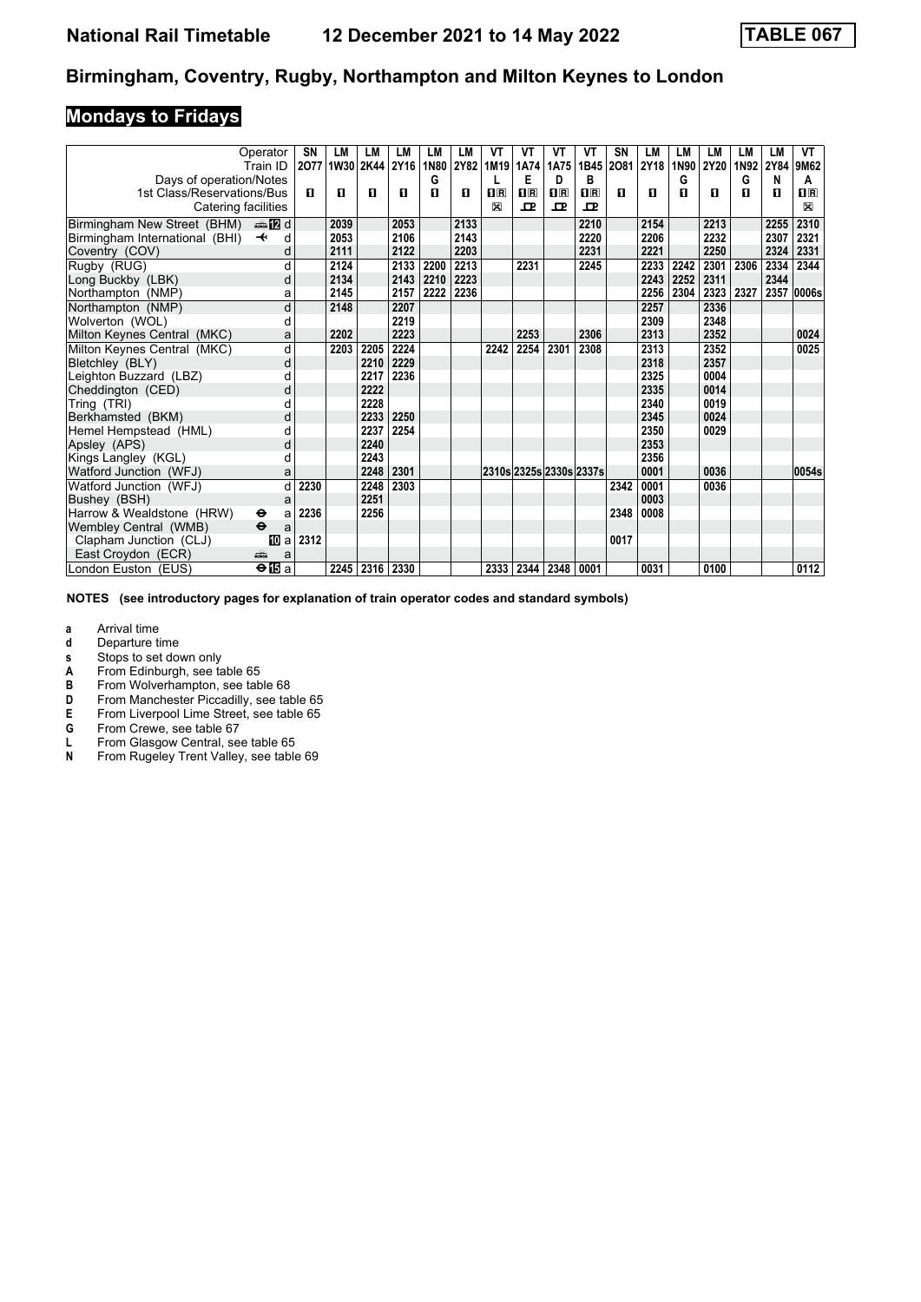## **Mondays to Fridays**

|                                | Operator                     | SΝ   | LМ   | LM             | LM          | LМ   | LM   | VT                                              | VT                      | VT                      | VT   | SN   | LM   | LМ   | LM          | LM   | LМ           | VT                      |
|--------------------------------|------------------------------|------|------|----------------|-------------|------|------|-------------------------------------------------|-------------------------|-------------------------|------|------|------|------|-------------|------|--------------|-------------------------|
|                                | Train ID                     |      |      | 2077 1W30 2K44 | <b>2Y16</b> | 1N80 | 2Y82 | 1M19                                            | 1A74                    | 1A75                    | 1B45 | 2081 | 2Y18 | 1N90 | <b>2Y20</b> | 1N92 | 2Y84         | 9M62                    |
| Days of operation/Notes        |                              |      |      |                |             | G    |      |                                                 | Е                       | D                       | в    |      |      | G    |             | G    | N            | A                       |
| 1st Class/Reservations/Bus     |                              | п    | п    | п              | П           | п    | п    | $\overline{\mathbf{H}}$ $\overline{\mathbf{R}}$ | $\overline{\mathbf{H}}$ | $\overline{\mathbf{R}}$ | nR   | п    | п    | п    | п           | п    | $\mathbf{u}$ | $\overline{\mathbf{H}}$ |
| Catering facilities            |                              |      |      |                |             |      |      | X                                               | ᇁ                       | 모                       | ᅭ    |      |      |      |             |      |              | X                       |
| Birmingham New Street (BHM)    | <b>⊯ 12</b> d                |      | 2039 |                | 2053        |      | 2133 |                                                 |                         |                         | 2210 |      | 2154 |      | 2213        |      | 2255         | 2310                    |
| Birmingham International (BHI) | d<br>$\overline{\mathbf{t}}$ |      | 2053 |                | 2106        |      | 2143 |                                                 |                         |                         | 2220 |      | 2206 |      | 2232        |      | 2307         | 2321                    |
| Coventry (COV)                 | d                            |      | 2111 |                | 2122        |      | 2203 |                                                 |                         |                         | 2231 |      | 2221 |      | 2250        |      | 2324         | 2331                    |
| Rugby (RUG)                    | d                            |      | 2124 |                | 2133        | 2200 | 2213 |                                                 | 2231                    |                         | 2245 |      | 2233 | 2242 | 2301        | 2306 | 2334         | 2344                    |
| Long Buckby (LBK)              | d                            |      | 2134 |                | 2143        | 2210 | 2223 |                                                 |                         |                         |      |      | 2243 | 2252 | 2311        |      | 2344         |                         |
| Northampton (NMP)              | а                            |      | 2145 |                | 2157        | 2222 | 2236 |                                                 |                         |                         |      |      | 2256 | 2304 | 2323        | 2327 |              | 2357 0006s              |
| Northampton (NMP)              | d                            |      | 2148 |                | 2207        |      |      |                                                 |                         |                         |      |      | 2257 |      | 2336        |      |              |                         |
| Wolverton (WOL)                | d                            |      |      |                | 2219        |      |      |                                                 |                         |                         |      |      | 2309 |      | 2348        |      |              |                         |
| Milton Keynes Central (MKC)    | a                            |      | 2202 |                | 2223        |      |      |                                                 | 2253                    |                         | 2306 |      | 2313 |      | 2352        |      |              | 0024                    |
| Milton Keynes Central (MKC)    | d                            |      | 2203 | 2205           | 2224        |      |      | 2242                                            | 2254                    | 2301                    | 2308 |      | 2313 |      | 2352        |      |              | 0025                    |
| Bletchley (BLY)                | d                            |      |      | 2210           | 2229        |      |      |                                                 |                         |                         |      |      | 2318 |      | 2357        |      |              |                         |
| Leighton Buzzard (LBZ)         | d                            |      |      | 2217           | 2236        |      |      |                                                 |                         |                         |      |      | 2325 |      | 0004        |      |              |                         |
| Cheddington (CED)              | d                            |      |      | 2222           |             |      |      |                                                 |                         |                         |      |      | 2335 |      | 0014        |      |              |                         |
| Tring (TRI)                    | d                            |      |      | 2228           |             |      |      |                                                 |                         |                         |      |      | 2340 |      | 0019        |      |              |                         |
| Berkhamsted (BKM)              | d                            |      |      | 2233           | 2250        |      |      |                                                 |                         |                         |      |      | 2345 |      | 0024        |      |              |                         |
| Hemel Hempstead (HML)          | d                            |      |      | 2237           | 2254        |      |      |                                                 |                         |                         |      |      | 2350 |      | 0029        |      |              |                         |
| Apsley (APS)                   | d                            |      |      | 2240           |             |      |      |                                                 |                         |                         |      |      | 2353 |      |             |      |              |                         |
| Kings Langley (KGL)            | d                            |      |      | 2243           |             |      |      |                                                 |                         |                         |      |      | 2356 |      |             |      |              |                         |
| Watford Junction (WFJ)         | a                            |      |      | 2248           | 2301        |      |      |                                                 |                         | 2310s 2325s 2330s 2337s |      |      | 0001 |      | 0036        |      |              | 0054s                   |
| Watford Junction (WFJ)         | d                            | 2230 |      | 2248           | 2303        |      |      |                                                 |                         |                         |      | 2342 | 0001 |      | 0036        |      |              |                         |
| Bushey (BSH)                   | a                            |      |      | 2251           |             |      |      |                                                 |                         |                         |      |      | 0003 |      |             |      |              |                         |
| Harrow & Wealdstone (HRW)      | $\bullet$<br>a               | 2236 |      | 2256           |             |      |      |                                                 |                         |                         |      | 2348 | 0008 |      |             |      |              |                         |
| Wemblev Central (WMB)          | $\ddot{\mathbf{e}}$<br>a     |      |      |                |             |      |      |                                                 |                         |                         |      |      |      |      |             |      |              |                         |
| Clapham Junction (CLJ)         | 吅 a                          | 2312 |      |                |             |      |      |                                                 |                         |                         |      | 0017 |      |      |             |      |              |                         |
| East Croydon (ECR)             | еĤ<br>a                      |      |      |                |             |      |      |                                                 |                         |                         |      |      |      |      |             |      |              |                         |
| London Euston (EUS)            | $\bigoplus a$                |      | 2245 |                | 2316 2330   |      |      | 2333                                            | 2344                    | 2348                    | 0001 |      | 0031 |      | 0100        |      |              | 0112                    |

**NOTES (see introductory pages for explanation of train operator codes and standard symbols)**

**a** Arrival time<br>**d** Departure t

- **d** Departure time
- **v** Stops to set down only<br>**A** From Edinburgh, see ta
- **A** From Edinburgh, see table 65<br>**B** From Wolverhampton, see tab
- **B** From Wolverhampton, see table 68<br>**D** From Manchester Piccadilly, see tal From Manchester Piccadilly, see table 65
- 
- **E** From Liverpool Lime Street, see table 65<br>**G** From Crewe, see table 67
- **6** From Crewe, see table 67<br>**L** From Glasgow Central, se
- **L** From Glasgow Central, see table 65<br>**N** From Rugeley Trent Valley, see table From Rugeley Trent Valley, see table 69
-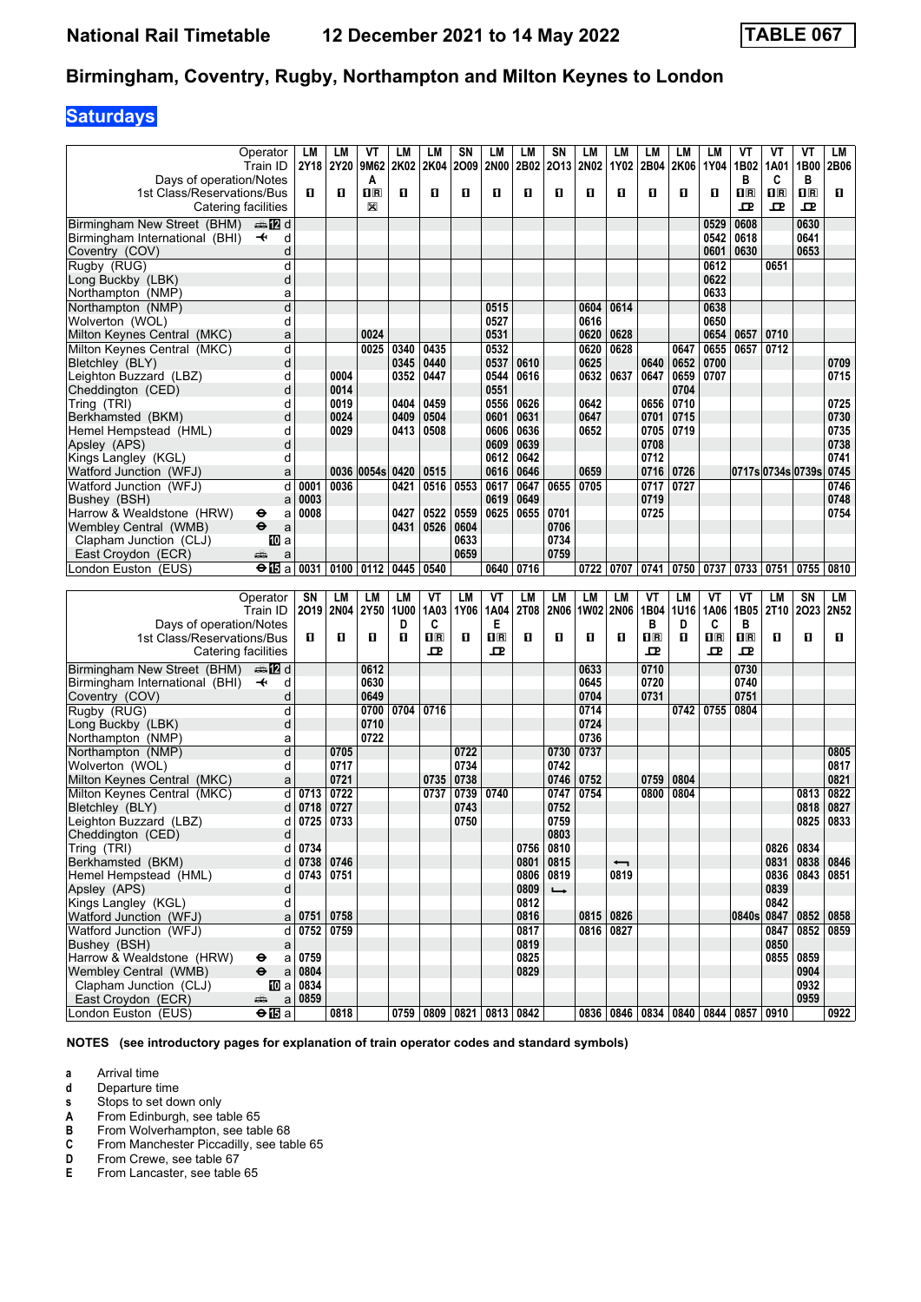# **Saturdays**

|                                | Operator                      | LМ       | LM          | VT             | LM          | LM                      | SN        | LM                      | LM          | SN                | LМ          | LM                       | LМ                      | LМ        | LМ                        | VT                      | ۷T                                              | VT                      | LМ          |
|--------------------------------|-------------------------------|----------|-------------|----------------|-------------|-------------------------|-----------|-------------------------|-------------|-------------------|-------------|--------------------------|-------------------------|-----------|---------------------------|-------------------------|-------------------------------------------------|-------------------------|-------------|
|                                | Train ID                      |          | 2Y18 2Y20   | 9M62           | 2K02        | 2K04                    | 2009      | <b>2N00</b>             | 2B02        | 2013              | <b>2N02</b> | 1Y02                     | 2B04                    | 2K06      | 1Y04                      | 1B02                    | 1A01                                            | 1B00                    | 2B06        |
| Days of operation/Notes        |                               |          |             | A              |             |                         |           |                         |             |                   |             |                          |                         |           |                           | в                       | C                                               | B                       |             |
| 1st Class/Reservations/Bus     |                               | п        | п           | $\mathbf{1}$ R | O           | п                       | O         | O                       | п           | п                 | О           | 0                        | п                       | О         | п                         | $\overline{\mathbf{R}}$ | $\overline{\mathbf{H}}$ $\overline{\mathbf{R}}$ | $\overline{\mathbf{H}}$ | п           |
|                                |                               |          |             |                |             |                         |           |                         |             |                   |             |                          |                         |           |                           |                         |                                                 |                         |             |
| Catering facilities            |                               |          |             | X              |             |                         |           |                         |             |                   |             |                          |                         |           |                           | ᇁ                       | 卫                                               | ᇁ                       |             |
| Birmingham New Street (BHM)    | d≣n <mark>in</mark> 2id       |          |             |                |             |                         |           |                         |             |                   |             |                          |                         |           | 0529                      | 0608                    |                                                 | 0630                    |             |
| Birmingham International (BHI) | $\overline{\phantom{a}}$<br>d |          |             |                |             |                         |           |                         |             |                   |             |                          |                         |           | 0542                      | 0618                    |                                                 | 0641                    |             |
| Coventry (COV)                 | d                             |          |             |                |             |                         |           |                         |             |                   |             |                          |                         |           | 0601                      | 0630                    |                                                 | 0653                    |             |
|                                |                               |          |             |                |             |                         |           |                         |             |                   |             |                          |                         |           |                           |                         |                                                 |                         |             |
| Rugby (RUG)                    | d                             |          |             |                |             |                         |           |                         |             |                   |             |                          |                         |           | 0612                      |                         | 0651                                            |                         |             |
| Long Buckby (LBK)              | d                             |          |             |                |             |                         |           |                         |             |                   |             |                          |                         |           | 0622                      |                         |                                                 |                         |             |
| Northampton (NMP)              | a                             |          |             |                |             |                         |           |                         |             |                   |             |                          |                         |           | 0633                      |                         |                                                 |                         |             |
| Northampton (NMP)              | d                             |          |             |                |             |                         |           | 0515                    |             |                   | 0604        | 0614                     |                         |           | 0638                      |                         |                                                 |                         |             |
| Wolverton (WOL)                | d                             |          |             |                |             |                         |           | 0527                    |             |                   | 0616        |                          |                         |           | 0650                      |                         |                                                 |                         |             |
| Milton Keynes Central (MKC)    | a                             |          |             | 0024           |             |                         |           | 0531                    |             |                   | 0620        | 0628                     |                         |           | 0654                      | 0657                    | 0710                                            |                         |             |
|                                |                               |          |             |                |             |                         |           |                         |             |                   |             |                          |                         |           |                           |                         |                                                 |                         |             |
| Milton Keynes Central (MKC)    | d                             |          |             | 0025           | 0340        | 0435                    |           | 0532                    |             |                   | 0620        | 0628                     |                         | 0647      | 0655                      | 0657                    | 0712                                            |                         |             |
| Bletchley (BLY)                | d                             |          |             |                | 0345        | 0440                    |           | 0537                    | 0610        |                   | 0625        |                          | 0640                    | 0652      | 0700                      |                         |                                                 |                         | 0709        |
| Leighton Buzzard (LBZ)         | d                             |          | 0004        |                | 0352        | 0447                    |           | 0544                    | 0616        |                   | 0632        | 0637                     | 0647                    | 0659      | 0707                      |                         |                                                 |                         | 0715        |
| Cheddington (CED)              | d                             |          | 0014        |                |             |                         |           | 0551                    |             |                   |             |                          |                         | 0704      |                           |                         |                                                 |                         |             |
| Tring (TRI)                    | d                             |          | 0019        |                | 0404        | 0459                    |           | 0556                    | 0626        |                   | 0642        |                          | 0656                    | 0710      |                           |                         |                                                 |                         | 0725        |
| Berkhamsted (BKM)              | d                             |          | 0024        |                | 0409        | 0504                    |           | 0601                    | 0631        |                   | 0647        |                          | 0701                    | 0715      |                           |                         |                                                 |                         | 0730        |
|                                |                               |          |             |                |             |                         |           |                         |             |                   |             |                          |                         |           |                           |                         |                                                 |                         |             |
| Hemel Hempstead (HML)          | d                             |          | 0029        |                | 0413        | 0508                    |           | 0606                    | 0636        |                   | 0652        |                          | 0705                    | 0719      |                           |                         |                                                 |                         | 0735        |
| Apsley (APS)                   | d                             |          |             |                |             |                         |           | 0609                    | 0639        |                   |             |                          | 0708                    |           |                           |                         |                                                 |                         | 0738        |
| Kings Langley (KGL)            | d                             |          |             |                |             |                         |           | 0612                    | 0642        |                   |             |                          | 0712                    |           |                           |                         |                                                 |                         | 0741        |
| Watford Junction (WFJ)         | a                             |          | 0036        | 0054s          | 0420        | 0515                    |           | 0616                    | 0646        |                   | 0659        |                          | 0716                    | 0726      |                           |                         | 0717s 0734s 0739s                               |                         | 0745        |
| Watford Junction (WFJ)         | d                             | 0001     | 0036        |                | 0421        | 0516                    | 0553      | 0617                    | 0647        | 0655              | 0705        |                          | 0717                    | 0727      |                           |                         |                                                 |                         | 0746        |
| Bushey (BSH)                   | a                             | 0003     |             |                |             |                         |           | 0619                    | 0649        |                   |             |                          | 0719                    |           |                           |                         |                                                 |                         | 0748        |
|                                |                               | 0008     |             |                | 0427        |                         | 0559      | 0625                    | 0655        | 0701              |             |                          | 0725                    |           |                           |                         |                                                 |                         | 0754        |
| Harrow & Wealdstone (HRW)      | ⊖<br>a                        |          |             |                |             | 0522                    |           |                         |             |                   |             |                          |                         |           |                           |                         |                                                 |                         |             |
| Wembley Central (WMB)          | $\ddot{\mathbf{e}}$<br>a      |          |             |                | 0431        | 0526                    | 0604      |                         |             | 0706              |             |                          |                         |           |                           |                         |                                                 |                         |             |
| Clapham Junction (CLJ)         | III a                         |          |             |                |             |                         | 0633      |                         |             | 0734              |             |                          |                         |           |                           |                         |                                                 |                         |             |
| East Croydon (ECR)             | يتلبه<br>a                    |          |             |                |             |                         | 0659      |                         |             | 0759              |             |                          |                         |           |                           |                         |                                                 |                         |             |
| London Euston (EUS)            | $\Theta$ <b>E</b> a           | 0031     | 0100        | 0112           | 0445        | 0540                    |           | 0640                    | 0716        |                   | 0722        | 0707                     | 0741                    | 0750      | 0737                      | 0733                    | 0751                                            | 0755                    | 0810        |
|                                |                               |          |             |                |             |                         |           |                         |             |                   |             |                          |                         |           |                           |                         |                                                 |                         |             |
|                                |                               |          |             |                |             |                         |           |                         |             |                   |             |                          |                         |           |                           |                         |                                                 |                         |             |
|                                |                               |          |             |                |             |                         |           |                         |             |                   |             |                          |                         |           |                           |                         |                                                 |                         |             |
|                                | Operator                      | SN       | LM          | <b>LM</b>      | LM          | ۷T                      | <b>LM</b> | VT                      | LM          | LM                | <b>LM</b>   | <b>LM</b>                | VT                      | <b>LM</b> | VT                        | VT                      | LM                                              | SN                      | LМ          |
|                                | Train ID                      |          | 2019 2N04   | 2Y50           | <b>1U00</b> | 1A03                    | 1Y06      | 1A04                    | <b>2T08</b> | 2N06              | 1W02        | <b>2N06</b>              | 1B04                    | 1U16      | 1A06                      | 1B05                    | 2T <sub>10</sub>                                | 2023                    | <b>2N52</b> |
| Days of operation/Notes        |                               |          |             |                | D           | C                       |           | Е                       |             |                   |             |                          | в                       | D         | C                         | в                       |                                                 |                         |             |
| 1st Class/Reservations/Bus     |                               | п        | п           | 0              | O           | $\overline{\mathbf{B}}$ | O         | $\overline{\mathbf{H}}$ | O           | О                 | 0           | O                        | $\overline{\mathbf{H}}$ | п         | $\mathbf{I}^{\mathbb{R}}$ | $\overline{\mathbf{R}}$ | п                                               | O                       | O           |
| Catering facilities            |                               |          |             |                |             | ᇁ                       |           | 굔                       |             |                   |             |                          | ᇁ                       |           | 굔                         | ᇁ                       |                                                 |                         |             |
|                                |                               |          |             |                |             |                         |           |                         |             |                   |             |                          |                         |           |                           |                         |                                                 |                         |             |
| Birmingham New Street (BHM)    | dan Dald                      |          |             | 0612           |             |                         |           |                         |             |                   | 0633        |                          | 0710                    |           |                           | 0730                    |                                                 |                         |             |
| Birmingham International (BHI) | d<br>$\ddotmark$              |          |             | 0630           |             |                         |           |                         |             |                   | 0645        |                          | 0720                    |           |                           | 0740                    |                                                 |                         |             |
| Coventry (COV)                 | d                             |          |             | 0649           |             |                         |           |                         |             |                   | 0704        |                          | 0731                    |           |                           | 0751                    |                                                 |                         |             |
| Rugby (RUG)                    | d                             |          |             | 0700           | 0704        | 0716                    |           |                         |             |                   | 0714        |                          |                         | 0742      | 0755                      | 0804                    |                                                 |                         |             |
| Long Buckby (LBK)              | d                             |          |             | 0710           |             |                         |           |                         |             |                   | 0724        |                          |                         |           |                           |                         |                                                 |                         |             |
|                                |                               |          |             |                |             |                         |           |                         |             |                   |             |                          |                         |           |                           |                         |                                                 |                         |             |
| Northampton (NMP)              | a                             |          |             | 0722           |             |                         |           |                         |             |                   | 0736        |                          |                         |           |                           |                         |                                                 |                         |             |
| Northampton (NMP)              | d                             |          | 0705        |                |             |                         | 0722      |                         |             | 0730              | 0737        |                          |                         |           |                           |                         |                                                 |                         | 0805        |
| Wolverton (WOL)                | d                             |          | 0717        |                |             |                         | 0734      |                         |             | 0742              |             |                          |                         |           |                           |                         |                                                 |                         | 0817        |
| Milton Keynes Central (MKC)    | a                             |          | 0721        |                |             | 0735                    | 0738      |                         |             | 0746              | 0752        |                          | 0759                    | 0804      |                           |                         |                                                 |                         | 0821        |
| Milton Keynes Central (MKC)    | d                             | 0713     | 0722        |                |             | 0737                    | 0739      | 0740                    |             | 0747              | 0754        |                          | 0800                    | 0804      |                           |                         |                                                 | 0813                    | 0822        |
| Bletchley (BLY)                | d                             | 0718     | 0727        |                |             |                         | 0743      |                         |             | 0752              |             |                          |                         |           |                           |                         |                                                 | 0818                    | 0827        |
|                                | d                             | 0725     | 0733        |                |             |                         | 0750      |                         |             | 0759              |             |                          |                         |           |                           |                         |                                                 | 0825                    | 0833        |
| Leighton Buzzard (LBZ)         |                               |          |             |                |             |                         |           |                         |             |                   |             |                          |                         |           |                           |                         |                                                 |                         |             |
| Cheddington (CED)              | d                             |          |             |                |             |                         |           |                         |             | 0803              |             |                          |                         |           |                           |                         |                                                 |                         |             |
| Tring (TRI)                    | d                             | 0734     |             |                |             |                         |           |                         | 0756        | 0810              |             |                          |                         |           |                           |                         | 0826 0834                                       |                         |             |
| Berkhamsted (BKM)              | d                             |          | 0738 0746   |                |             |                         |           |                         | 0801        | 0815              |             | $\overline{\phantom{0}}$ |                         |           |                           |                         |                                                 | 0831   0838   0846      |             |
| Hemel Hempstead (HML)          | d                             |          | 0743   0751 |                |             |                         |           |                         | 0806        | 0819              |             | 0819                     |                         |           |                           |                         |                                                 | 0836 0843 0851          |             |
| Apsley (APS)                   | d                             |          |             |                |             |                         |           |                         | 0809        | $\longrightarrow$ |             |                          |                         |           |                           |                         | 0839                                            |                         |             |
| Kings Langley (KGL)            | d                             |          |             |                |             |                         |           |                         | 0812        |                   |             |                          |                         |           |                           |                         | 0842                                            |                         |             |
| Watford Junction (WFJ)         |                               |          | 0758        |                |             |                         |           |                         | 0816        |                   |             | 0815 0826                |                         |           |                           |                         | 0840s  0847                                     |                         |             |
|                                | a                             | 0751     |             |                |             |                         |           |                         |             |                   |             |                          |                         |           |                           |                         |                                                 | 0852   0858             |             |
| Watford Junction (WFJ)         | d                             |          | 0752   0759 |                |             |                         |           |                         | 0817        |                   |             | 0816 0827                |                         |           |                           |                         | 0847                                            | 0852 0859               |             |
| Bushey (BSH)                   | a                             |          |             |                |             |                         |           |                         | 0819        |                   |             |                          |                         |           |                           |                         | 0850                                            |                         |             |
| Harrow & Wealdstone (HRW)      | a<br>⊖                        | 0759     |             |                |             |                         |           |                         | 0825        |                   |             |                          |                         |           |                           |                         | 0855                                            | 0859                    |             |
| Wembley Central (WMB)          | $\bullet$<br>a                | 0804     |             |                |             |                         |           |                         | 0829        |                   |             |                          |                         |           |                           |                         |                                                 | 0904                    |             |
| Clapham Junction (CLJ)         | 10 a                          | 0834     |             |                |             |                         |           |                         |             |                   |             |                          |                         |           |                           |                         |                                                 | 0932                    |             |
| East Croydon (ECR)             | æ<br>$\overline{e}$ is a      | $a$ 0859 |             |                |             |                         |           |                         |             |                   |             |                          |                         |           |                           |                         |                                                 | 0959                    |             |

**NOTES (see introductory pages for explanation of train operator codes and standard symbols)**

**a** Arrival time<br>**d** Departure ti

**d** Departure time<br>**s** Stops to set do

**8** Stops to set down only<br> **A** From Edinburgh, see ta<br> **B** From Wolverhampton, **From Edinburgh, see table 65** 

**B** From Wolverhampton, see table 68<br>**C** From Manchester Piccadilly, see tak **C** From Manchester Piccadilly, see table 65<br>**D** From Crewe, see table 67

**D** From Crewe, see table 67<br>**E** From Lancaster, see table

From Lancaster, see table 65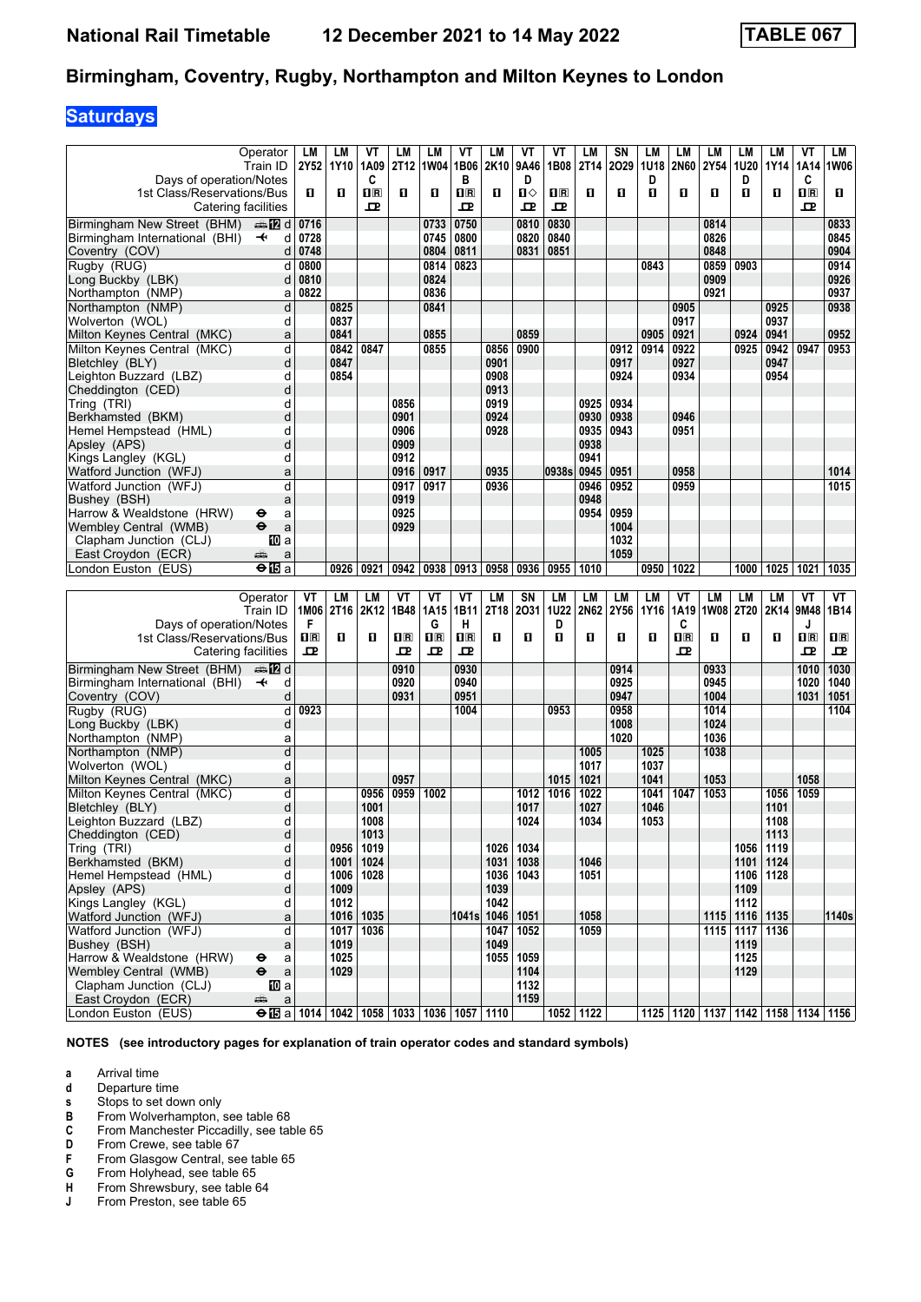## **Saturdays**

|                                           | Operator                                                                 | LM   | LM        | ۷Τ             | LM     | LM             | VT                      | LM   | VT          | VT                      | LM          | SΝ   | LM          | LM                                              | LM   | LM                 | LМ        | VT          | LМ                                             |
|-------------------------------------------|--------------------------------------------------------------------------|------|-----------|----------------|--------|----------------|-------------------------|------|-------------|-------------------------|-------------|------|-------------|-------------------------------------------------|------|--------------------|-----------|-------------|------------------------------------------------|
|                                           | Train ID                                                                 |      | 2Y52 1Y10 | 1A09           | 2T12   | 1W04           | 1B06                    | 2K10 | 9A46        | 1B08                    | <b>2T14</b> | 2029 | <b>1U18</b> | 2N60                                            | 2Y54 | 1U20               | 1Y14      | 1A14        | 1W06                                           |
| Days of operation/Notes                   |                                                                          |      |           | C              |        |                | в                       |      | D           |                         |             |      | D           |                                                 |      | D                  |           | C           |                                                |
|                                           |                                                                          |      |           |                |        |                |                         |      |             |                         |             |      |             |                                                 |      |                    |           |             |                                                |
| 1st Class/Reservations/Bus                |                                                                          | O.   | O         | $\mathbf{1}$ R | O      | O              | $\overline{\mathbf{R}}$ | O    | ்ப          | $\overline{\mathbf{R}}$ | O           | 0    | п           | O                                               | 0    | п                  | O         | $n_{\rm B}$ | п                                              |
|                                           | Catering facilities                                                      |      |           | ᇁ              |        |                | ᇁ                       |      | ᇁ           | ᇁ                       |             |      |             |                                                 |      |                    |           | 굔           |                                                |
| Birmingham New Street (BHM)               | d <b>la</b> d                                                            | 0716 |           |                |        |                | 0750                    |      | 0810        | 0830                    |             |      |             |                                                 | 0814 |                    |           |             |                                                |
|                                           |                                                                          |      |           |                |        | 0733           |                         |      |             |                         |             |      |             |                                                 |      |                    |           |             | 0833                                           |
| Birmingham International (BHI)            | d<br>$\ddot{\phantom{1}}$                                                | 0728 |           |                |        | 0745           | 0800                    |      | 0820        | 0840                    |             |      |             |                                                 | 0826 |                    |           |             | 0845                                           |
| Coventry (COV)                            | d                                                                        | 0748 |           |                |        | 0804           | 0811                    |      | 0831        | 0851                    |             |      |             |                                                 | 0848 |                    |           |             | 0904                                           |
|                                           | d                                                                        | 0800 |           |                |        | 0814           | 0823                    |      |             |                         |             |      | 0843        |                                                 | 0859 | 0903               |           |             | 0914                                           |
| Rugby (RUG)                               |                                                                          |      |           |                |        |                |                         |      |             |                         |             |      |             |                                                 |      |                    |           |             |                                                |
| Long Buckby (LBK)                         | d                                                                        | 0810 |           |                |        | 0824           |                         |      |             |                         |             |      |             |                                                 | 0909 |                    |           |             | 0926                                           |
| Northampton (NMP)                         | a                                                                        | 0822 |           |                |        | 0836           |                         |      |             |                         |             |      |             |                                                 | 0921 |                    |           |             | 0937                                           |
|                                           |                                                                          |      |           |                |        | 0841           |                         |      |             |                         |             |      |             |                                                 |      |                    |           |             | 0938                                           |
| Northampton (NMP)                         | d                                                                        |      | 0825      |                |        |                |                         |      |             |                         |             |      |             | 0905                                            |      |                    | 0925      |             |                                                |
| Wolverton (WOL)                           | d                                                                        |      | 0837      |                |        |                |                         |      |             |                         |             |      |             | 0917                                            |      |                    | 0937      |             |                                                |
| Milton Keynes Central (MKC)               | a                                                                        |      | 0841      |                |        | 0855           |                         |      | 0859        |                         |             |      | 0905        | 0921                                            |      | 0924               | 0941      |             | 0952                                           |
|                                           |                                                                          |      |           |                |        |                |                         |      |             |                         |             |      |             |                                                 |      |                    |           |             |                                                |
| Milton Kevnes Central (MKC)               | d                                                                        |      | 0842      | 0847           |        | 0855           |                         | 0856 | 0900        |                         |             | 0912 | 0914        | 0922                                            |      | 0925               | 0942      | 0947        | 0953                                           |
| Bletchley (BLY)                           | d                                                                        |      | 0847      |                |        |                |                         | 0901 |             |                         |             | 0917 |             | 0927                                            |      |                    | 0947      |             |                                                |
| Leighton Buzzard (LBZ)                    | d                                                                        |      | 0854      |                |        |                |                         | 0908 |             |                         |             | 0924 |             | 0934                                            |      |                    | 0954      |             |                                                |
|                                           |                                                                          |      |           |                |        |                |                         |      |             |                         |             |      |             |                                                 |      |                    |           |             |                                                |
| Cheddington (CED)                         | d                                                                        |      |           |                |        |                |                         | 0913 |             |                         |             |      |             |                                                 |      |                    |           |             |                                                |
| Tring (TRI)                               | d                                                                        |      |           |                | 0856   |                |                         | 0919 |             |                         | 0925        | 0934 |             |                                                 |      |                    |           |             |                                                |
| Berkhamsted (BKM)                         | d                                                                        |      |           |                | 0901   |                |                         | 0924 |             |                         | 0930        | 0938 |             | 0946                                            |      |                    |           |             |                                                |
|                                           |                                                                          |      |           |                |        |                |                         |      |             |                         |             |      |             |                                                 |      |                    |           |             |                                                |
| Hemel Hempstead (HML)                     | d                                                                        |      |           |                | 0906   |                |                         | 0928 |             |                         | 0935        | 0943 |             | 0951                                            |      |                    |           |             |                                                |
| Apsley (APS)                              | d                                                                        |      |           |                | 0909   |                |                         |      |             |                         | 0938        |      |             |                                                 |      |                    |           |             |                                                |
| Kings Langley (KGL)                       | d                                                                        |      |           |                | 0912   |                |                         |      |             |                         | 0941        |      |             |                                                 |      |                    |           |             |                                                |
|                                           |                                                                          |      |           |                |        |                |                         | 0935 |             |                         |             |      |             | 0958                                            |      |                    |           |             |                                                |
| Watford Junction (WFJ)                    | a                                                                        |      |           |                | 0916   | 0917           |                         |      |             | 0938s                   | 0945        | 0951 |             |                                                 |      |                    |           |             | 1014                                           |
| Watford Junction (WFJ)                    | d                                                                        |      |           |                | 0917   | 0917           |                         | 0936 |             |                         | 0946        | 0952 |             | 0959                                            |      |                    |           |             | 1015                                           |
| Bushey (BSH)                              | a                                                                        |      |           |                | 0919   |                |                         |      |             |                         | 0948        |      |             |                                                 |      |                    |           |             |                                                |
|                                           |                                                                          |      |           |                |        |                |                         |      |             |                         |             | 0959 |             |                                                 |      |                    |           |             |                                                |
| Harrow & Wealdstone (HRW)                 | θ<br>a                                                                   |      |           |                | 0925   |                |                         |      |             |                         | 0954        |      |             |                                                 |      |                    |           |             |                                                |
| Wembley Central (WMB)                     | $\ddot{\mathbf{e}}$<br>a                                                 |      |           |                | 0929   |                |                         |      |             |                         |             | 1004 |             |                                                 |      |                    |           |             |                                                |
| Clapham Junction (CLJ)                    | 100 a                                                                    |      |           |                |        |                |                         |      |             |                         |             | 1032 |             |                                                 |      |                    |           |             |                                                |
|                                           |                                                                          |      |           |                |        |                |                         |      |             |                         |             | 1059 |             |                                                 |      |                    |           |             |                                                |
| East Croydon (ECR)                        | پېښ<br>a                                                                 |      |           |                |        |                |                         |      |             |                         |             |      |             |                                                 |      |                    |           |             |                                                |
| London Euston (EUS)                       | $\Theta$ $\overline{\mathbf{E}}$ a                                       |      | 0926      | 0921           | 0942   | 0938           | 0913                    | 0958 | 0936        | 0955                    | 1010        |      | 0950        | 1022                                            |      | 1000               | 1025      | 1021        | 1035                                           |
|                                           |                                                                          |      |           |                |        |                |                         |      |             |                         |             |      |             |                                                 |      |                    |           |             |                                                |
|                                           |                                                                          |      |           |                |        |                |                         |      |             |                         |             |      |             |                                                 |      |                    |           |             |                                                |
|                                           |                                                                          |      |           |                |        |                |                         |      |             |                         |             |      |             |                                                 |      |                    |           |             |                                                |
|                                           | Operator                                                                 | VT   | LM        | LМ             | ۷T     | ۷T             | VT                      | LM   | SN          | <b>LM</b>               | LM          | LM   | LM          | ۷T                                              | LM   | LM                 | LМ        | VT          | VT                                             |
|                                           | Train ID                                                                 | 1M06 | 2T16      | 2K12           | 1B48   | 1A15           | 1B11                    | 2T18 | 2031        | <b>1U22</b>             | 2N62        | 2Y56 | 1Y16        | 1A19                                            | 1W08 | 2T20               |           | 2K14 9M48   | 1B14                                           |
| Days of operation/Notes                   |                                                                          | F    |           |                |        | G              | н                       |      |             | D                       |             |      |             | C                                               |      |                    |           | J           |                                                |
|                                           |                                                                          |      |           |                |        |                |                         |      |             |                         |             |      |             |                                                 |      |                    |           |             |                                                |
| 1st Class/Reservations/Bus                |                                                                          | 1R   | O         | O              | $\P$ R | $\mathbf{H}$ R | $\overline{\mathbf{R}}$ | 0    | O           | п                       | O           | 0    | п           | $\overline{\mathbf{H}}$ $\overline{\mathbf{R}}$ | О    | п                  | O         | $n_{\rm R}$ | $\mathbf{H}$                                   |
|                                           | Catering facilities                                                      | ᇁ    |           |                | ᇁ      | 굔              | 모                       |      |             |                         |             |      |             | 굔                                               |      |                    |           | 굔           | 굔                                              |
|                                           |                                                                          |      |           |                |        |                |                         |      |             |                         |             |      |             |                                                 |      |                    |           |             |                                                |
| Birmingham New Street (BHM)               | ana 122 d                                                                |      |           |                | 0910   |                | 0930                    |      |             |                         |             | 0914 |             |                                                 | 0933 |                    |           | 1010        | 1030                                           |
| Birmingham International (BHI)            | $\ddotmark$<br>d                                                         |      |           |                | 0920   |                | 0940                    |      |             |                         |             | 0925 |             |                                                 | 0945 |                    |           | 1020        | 1040                                           |
| Coventry (COV)                            | d                                                                        |      |           |                | 0931   |                | 0951                    |      |             |                         |             | 0947 |             |                                                 | 1004 |                    |           | 1031        | 1051                                           |
|                                           |                                                                          |      |           |                |        |                |                         |      |             |                         |             |      |             |                                                 |      |                    |           |             |                                                |
| Rugby (RUG)                               | d                                                                        | 0923 |           |                |        |                | 1004                    |      |             | 0953                    |             | 0958 |             |                                                 | 1014 |                    |           |             | 1104                                           |
| Long Buckby (LBK)                         | d                                                                        |      |           |                |        |                |                         |      |             |                         |             | 1008 |             |                                                 | 1024 |                    |           |             |                                                |
| Northampton (NMP)                         | a                                                                        |      |           |                |        |                |                         |      |             |                         |             | 1020 |             |                                                 | 1036 |                    |           |             |                                                |
| Northampton (NMP)                         | d                                                                        |      |           |                |        |                |                         |      |             |                         | 1005        |      | 1025        |                                                 | 1038 |                    |           |             |                                                |
|                                           |                                                                          |      |           |                |        |                |                         |      |             |                         |             |      |             |                                                 |      |                    |           |             |                                                |
| Wolverton (WOL)                           | d                                                                        |      |           |                |        |                |                         |      |             |                         | 1017        |      | 1037        |                                                 |      |                    |           |             |                                                |
| Milton Keynes Central (MKC)               | a                                                                        |      |           |                | 0957   |                |                         |      |             | 1015                    | 1021        |      | 1041        |                                                 | 1053 |                    |           | 1058        |                                                |
| Milton Keynes Central (MKC)               | d                                                                        |      |           | 0956           | 0959   | 1002           |                         |      | 1012        | 1016                    | 1022        |      | 1041        | 1047                                            | 1053 |                    | 1056      | 1059        |                                                |
|                                           |                                                                          |      |           |                |        |                |                         |      |             |                         |             |      |             |                                                 |      |                    |           |             |                                                |
| Bletchley (BLY)                           | d                                                                        |      |           | 1001           |        |                |                         |      | 1017        |                         | 1027        |      | 1046        |                                                 |      |                    | 1101      |             |                                                |
| Leighton Buzzard (LBZ)                    | d                                                                        |      |           | 1008           |        |                |                         |      | 1024        |                         | 1034        |      | 1053        |                                                 |      |                    | 1108      |             |                                                |
| Cheddington (CED)                         | d                                                                        |      |           | 1013           |        |                |                         |      |             |                         |             |      |             |                                                 |      |                    | 1113      |             |                                                |
|                                           | d                                                                        |      | 0956      |                |        |                |                         | 1026 | 1034        |                         |             |      |             |                                                 |      |                    |           |             |                                                |
| Tring (TRI)                               |                                                                          |      |           | 1019           |        |                |                         |      |             |                         |             |      |             |                                                 |      |                    | 1056 1119 |             |                                                |
| Berkhamsted (BKM)                         | d                                                                        |      | 1001      | 1024           |        |                |                         |      | 1031   1038 |                         | 1046        |      |             |                                                 |      |                    | 1101 1124 |             |                                                |
| Hemel Hempstead (HML)                     | d                                                                        |      | 1006      | 1028           |        |                |                         | 1036 | 1043        |                         | 1051        |      |             |                                                 |      |                    | 1106 1128 |             |                                                |
| Apsley (APS)                              | d                                                                        |      | 1009      |                |        |                |                         | 1039 |             |                         |             |      |             |                                                 |      | 1109               |           |             |                                                |
|                                           |                                                                          |      |           |                |        |                |                         |      |             |                         |             |      |             |                                                 |      |                    |           |             |                                                |
| Kings Langley (KGL)                       | d                                                                        |      | 1012      |                |        |                |                         | 1042 |             |                         |             |      |             |                                                 |      | 1112               |           |             |                                                |
| Watford Junction (WFJ)                    | a                                                                        |      |           | 1016 1035      |        |                | 1041s 1046 1051         |      |             |                         | 1058        |      |             |                                                 |      | 1115   1116   1135 |           |             | 1140s                                          |
| Watford Junction (WFJ)                    | d                                                                        |      | 1017      | 1036           |        |                |                         | 1047 | 1052        |                         | 1059        |      |             |                                                 |      | 1115 1117 1136     |           |             |                                                |
| Bushev (BSH)                              |                                                                          |      |           |                |        |                |                         |      |             |                         |             |      |             |                                                 |      |                    |           |             |                                                |
|                                           | a                                                                        |      | 1019      |                |        |                |                         | 1049 |             |                         |             |      |             |                                                 |      | 1119               |           |             |                                                |
| Harrow & Wealdstone (HRW)                 | ⊖<br>a                                                                   |      | 1025      |                |        |                |                         |      | 1055   1059 |                         |             |      |             |                                                 |      | 1125               |           |             |                                                |
| Wembley Central (WMB)                     | $\bullet$<br>$\mathsf{a}$                                                |      | 1029      |                |        |                |                         |      | 1104        |                         |             |      |             |                                                 |      | 1129               |           |             |                                                |
| Clapham Junction (CLJ)                    | 吅 a                                                                      |      |           |                |        |                |                         |      | 1132        |                         |             |      |             |                                                 |      |                    |           |             |                                                |
|                                           |                                                                          |      |           |                |        |                |                         |      |             |                         |             |      |             |                                                 |      |                    |           |             |                                                |
| East Croydon (ECR)<br>London Euston (EUS) | a<br>æ<br>$\Theta$ is a   1014   1042   1058   1033   1036   1057   1110 |      |           |                |        |                |                         |      | 1159        |                         | 1052 1122   |      |             |                                                 |      |                    |           |             | 1125   1120   1137   1142   1158   1134   1156 |

**NOTES (see introductory pages for explanation of train operator codes and standard symbols)**

**a** Arrival time<br>**d** Departure ti

**d** Departure time<br>**s** Stops to set do

**S** Stops to set down only<br> **B** From Wolverhampton,<br> **C** From Manchester Picca **B** From Wolverhampton, see table 68

**C** From Manchester Piccadilly, see table 65

**D** From Crewe, see table 67<br>**F** From Glasgow Central, se

**F** From Glasgow Central, see table 65<br>**G** From Holyhead, see table 65

**6** From Holyhead, see table 65<br>**H** From Shrewsbury, see table 6

**+** From Shrewsbury, see table 64<br>**J** From Preston, see table 65

From Preston, see table 65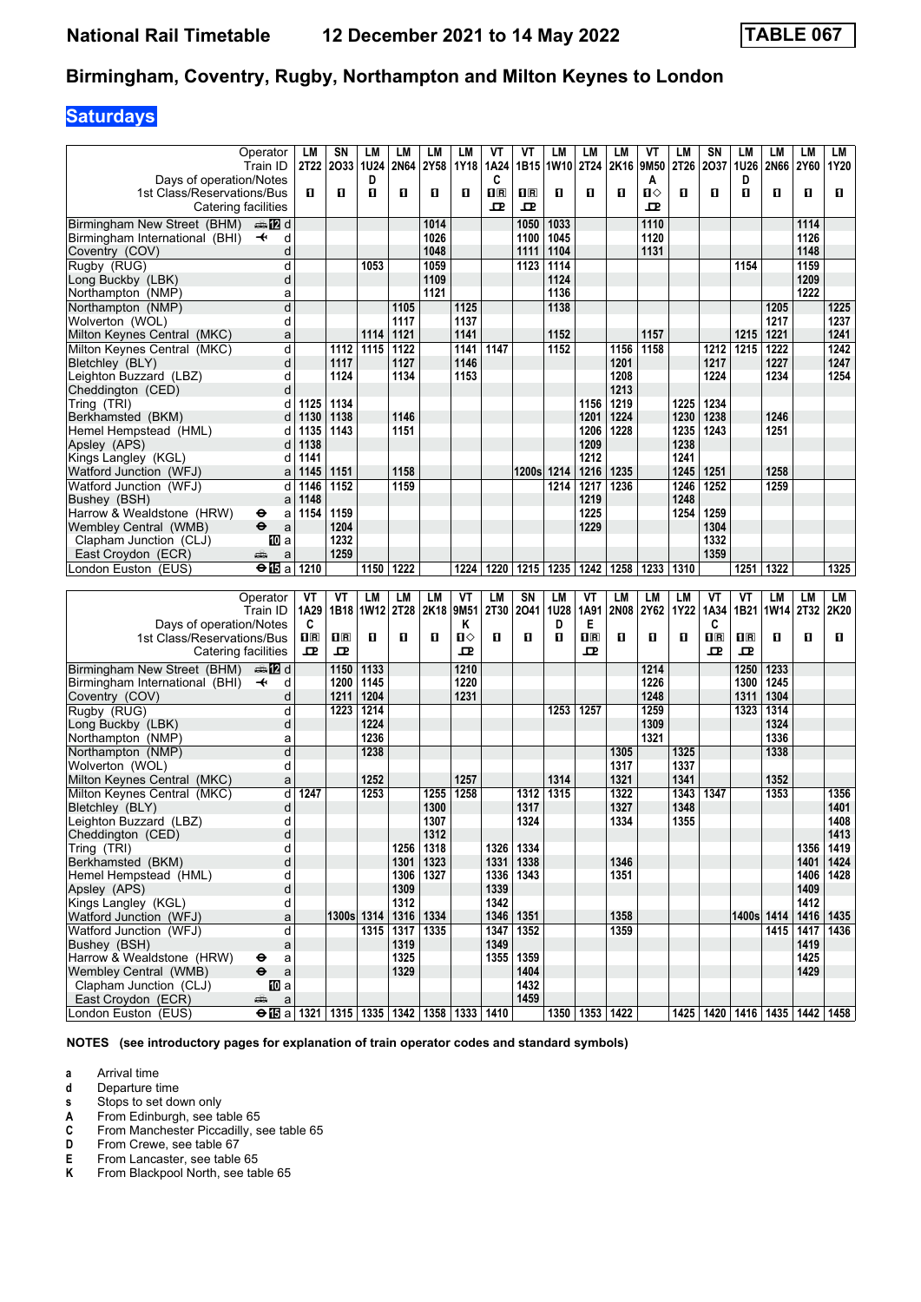# **Saturdays**

|                                                               | Operator                                                   | LM                  | SΝ           | LМ   | LM                  | LM   | LM           | VT               | VT                  | LM        | LM               | LM           | ٧T      | LM           | SN               | LМ               | LМ                        | LM                         | LM                                      |
|---------------------------------------------------------------|------------------------------------------------------------|---------------------|--------------|------|---------------------|------|--------------|------------------|---------------------|-----------|------------------|--------------|---------|--------------|------------------|------------------|---------------------------|----------------------------|-----------------------------------------|
|                                                               | Train ID                                                   |                     | 2T22 2033    | 1U24 | 2N64                | 2Y58 | 1Y18         | 1A24             |                     | 1B15 1W10 | 2T24             | 2K16         | 9M50    | 2T26         | 2037             | 1U26             | 2N66                      | 2Y60                       | 1Y20                                    |
| Days of operation/Notes                                       |                                                            |                     |              | D    |                     |      |              | C                |                     |           |                  |              | A       |              |                  | D                |                           |                            |                                         |
| 1st Class/Reservations/Bus                                    |                                                            | 0                   | O            | O    | 0                   | O    | O            | $n_{\rm R}$<br>ᇁ | $n_{\rm R}$<br>굔    | O         | п                | 0            | ்ப<br>고 | 0            | O                | п                | 0                         | O                          | п                                       |
| Birmingham New Street (BHM)                                   | Catering facilities<br><b>en 12</b> d                      |                     |              |      |                     | 1014 |              |                  | 1050                | 1033      |                  |              | 1110    |              |                  |                  |                           | 1114                       |                                         |
| Birmingham International (BHI)                                | d<br>$\ddot{\phantom{1}}$                                  |                     |              |      |                     | 1026 |              |                  | 1100                | 1045      |                  |              | 1120    |              |                  |                  |                           | 1126                       |                                         |
| Coventry (COV)                                                | d                                                          |                     |              |      |                     | 1048 |              |                  | 1111                | 1104      |                  |              | 1131    |              |                  |                  |                           | 1148                       |                                         |
| Rugby (RUG)                                                   | d                                                          |                     |              | 1053 |                     | 1059 |              |                  | 1123                | 1114      |                  |              |         |              |                  | 1154             |                           | 1159                       |                                         |
| Long Buckby (LBK)                                             | d                                                          |                     |              |      |                     | 1109 |              |                  |                     | 1124      |                  |              |         |              |                  |                  |                           | 1209                       |                                         |
| Northampton (NMP)                                             | a                                                          |                     |              |      |                     | 1121 |              |                  |                     | 1136      |                  |              |         |              |                  |                  |                           | 1222                       |                                         |
| Northampton (NMP)                                             | $\overline{\mathsf{d}}$                                    |                     |              |      | 1105                |      | 1125         |                  |                     | 1138      |                  |              |         |              |                  |                  | 1205                      |                            | 1225                                    |
| Wolverton (WOL)                                               | d                                                          |                     |              |      | 1117                |      | 1137         |                  |                     |           |                  |              |         |              |                  |                  | 1217                      |                            | 1237                                    |
| Milton Keynes Central (MKC)                                   | a<br>d                                                     |                     |              | 1114 | 1121                |      | 1141         |                  |                     | 1152      |                  |              | 1157    |              |                  | 1215             | 1221                      |                            | 1241                                    |
| Milton Keynes Central (MKC)<br>Bletchley (BLY)                | d                                                          |                     | 1112<br>1117 | 1115 | 1122<br>1127        |      | 1141<br>1146 | 1147             |                     | 1152      |                  | 1156<br>1201 | 1158    |              | 1212<br>1217     | 1215             | 1222<br>1227              |                            | 1242<br>1247                            |
| Leighton Buzzard (LBZ)                                        | d                                                          |                     | 1124         |      | 1134                |      | 1153         |                  |                     |           |                  | 1208         |         |              | 1224             |                  | 1234                      |                            | 1254                                    |
| Cheddington (CED)                                             | d                                                          |                     |              |      |                     |      |              |                  |                     |           |                  | 1213         |         |              |                  |                  |                           |                            |                                         |
| Tring (TRI)                                                   | d                                                          | 1125                | 1134         |      |                     |      |              |                  |                     |           | 1156             | 1219         |         | 1225         | 1234             |                  |                           |                            |                                         |
| Berkhamsted (BKM)                                             | d                                                          | 1130                | 1138         |      | 1146                |      |              |                  |                     |           | 1201             | 1224         |         | 1230         | 1238             |                  | 1246                      |                            |                                         |
| Hemel Hempstead (HML)                                         | d                                                          | 1135                | 1143         |      | 1151                |      |              |                  |                     |           | 1206             | 1228         |         | 1235         | 1243             |                  | 1251                      |                            |                                         |
| Apsley (APS)                                                  | d                                                          | 1138                |              |      |                     |      |              |                  |                     |           | 1209             |              |         | 1238         |                  |                  |                           |                            |                                         |
| Kings Langley (KGL)                                           | d                                                          | 1141                |              |      |                     |      |              |                  |                     |           | 1212             |              |         | 1241         |                  |                  |                           |                            |                                         |
| Watford Junction (WFJ)                                        | a                                                          | 1145                | 1151         |      | 1158                |      |              |                  | 1200s 1214          |           | 1216             | 1235         |         | 1245         | 1251             |                  | 1258                      |                            |                                         |
| Watford Junction (WFJ)                                        | d                                                          | 1146<br>1148        | 1152         |      | 1159                |      |              |                  |                     | 1214      | 1217<br>1219     | 1236         |         | 1246<br>1248 | 1252             |                  | 1259                      |                            |                                         |
| Bushey (BSH)<br>Harrow & Wealdstone (HRW)                     | a<br>a<br>⊖                                                | 1154                | 1159         |      |                     |      |              |                  |                     |           | 1225             |              |         | 1254         | 1259             |                  |                           |                            |                                         |
| Wembley Central (WMB)                                         | $\ddot{\mathbf{e}}$<br>a                                   |                     | 1204         |      |                     |      |              |                  |                     |           | 1229             |              |         |              | 1304             |                  |                           |                            |                                         |
| Clapham Junction (CLJ)                                        | 100 a                                                      |                     | 1232         |      |                     |      |              |                  |                     |           |                  |              |         |              | 1332             |                  |                           |                            |                                         |
| East Croydon (ECR)                                            | æ<br>a                                                     |                     | 1259         |      |                     |      |              |                  |                     |           |                  |              |         |              | 1359             |                  |                           |                            |                                         |
| London Euston (EUS)                                           | <b>⊖ l⊡</b> a l                                            | 1210                |              | 1150 | 1222                |      | 1224         | 1220             | 1215                | 1235      | 1242             | 1258         | 1233    | 1310         |                  | 1251             | 1322                      |                            | 1325                                    |
|                                                               |                                                            |                     |              |      |                     |      |              |                  |                     |           |                  |              |         |              |                  |                  |                           |                            |                                         |
|                                                               |                                                            |                     |              |      |                     |      |              |                  |                     |           |                  |              |         |              |                  |                  |                           |                            |                                         |
|                                                               | Operator                                                   | VT                  | VT           | LM   | LM                  | LM   | VT           | LM               | SN                  | LM        | VT               | LM           | LM      | LM           | VT               | VT               | LM                        | LM                         | LM                                      |
|                                                               | Train ID                                                   | 1A29                | 1B18         | 1W12 | 2T28                | 2K18 | 9M51         | 2T30             | 2041                | 1U28      | 1A91             | <b>2N08</b>  | 2Y62    | 1Y22         | 1A34             |                  | 1B21 1W14                 | 2T32                       | 2K20                                    |
| Days of operation/Notes<br>1st Class/Reservations/Bus         |                                                            | C<br>1 <sub>R</sub> | $\Pi$ R      | O    | 0                   | O    | Κ<br>்ப      | 0                | О                   | D<br>O    | Е<br>$n_{\rm R}$ | 0            | О       | п            | C<br>$n_{\rm R}$ | $n_{\mathbb{R}}$ | п                         | O                          | П                                       |
|                                                               | Catering facilities                                        | ᇁ                   | 고            |      |                     |      | 모            |                  |                     |           | ᅭ                |              |         |              | 굔                | 굔                |                           |                            |                                         |
|                                                               | ana 122 d                                                  |                     | 1150         | 1133 |                     |      | 1210         |                  |                     |           |                  |              | 1214    |              |                  | 1250             |                           |                            |                                         |
| Birmingham New Street (BHM)<br>Birmingham International (BHI) | $\ddot{\phantom{1}}$<br>d                                  |                     | 1200         | 1145 |                     |      | 1220         |                  |                     |           |                  |              | 1226    |              |                  | 1300             | $\overline{1233}$<br>1245 |                            |                                         |
| Coventry (COV)                                                | d                                                          |                     | 1211         | 1204 |                     |      | 1231         |                  |                     |           |                  |              | 1248    |              |                  | 1311             | 1304                      |                            |                                         |
| Rugby (RUG)                                                   | d                                                          |                     | 1223         | 1214 |                     |      |              |                  |                     | 1253      | 1257             |              | 1259    |              |                  | 1323             | 1314                      |                            |                                         |
| Long Buckby (LBK)                                             | d                                                          |                     |              | 1224 |                     |      |              |                  |                     |           |                  |              | 1309    |              |                  |                  | 1324                      |                            |                                         |
| Northampton (NMP)                                             | a                                                          |                     |              | 1236 |                     |      |              |                  |                     |           |                  |              | 1321    |              |                  |                  | 1336                      |                            |                                         |
| Northampton (NMP)                                             | d                                                          |                     |              | 1238 |                     |      |              |                  |                     |           |                  | 1305         |         | 1325         |                  |                  | 1338                      |                            |                                         |
| Wolverton (WOL)                                               | d                                                          |                     |              |      |                     |      |              |                  |                     |           |                  | 1317         |         | 1337         |                  |                  |                           |                            |                                         |
| Milton Keynes Central (MKC)                                   | a<br>d                                                     |                     |              | 1252 |                     | 1255 | 1257         |                  | 1312                | 1314      |                  | 1321         |         | 1341         |                  |                  | 1352                      |                            |                                         |
| Milton Keynes Central (MKC)<br>Bletchley (BLY)                | d                                                          | 1247                |              | 1253 |                     | 1300 | 1258         |                  | 1317                | 1315      |                  | 1322<br>1327 |         | 1343<br>1348 | 1347             |                  | 1353                      |                            | 1356<br>1401                            |
| Leighton Buzzard (LBZ)                                        | d                                                          |                     |              |      |                     | 1307 |              |                  | 1324                |           |                  | 1334         |         | 1355         |                  |                  |                           |                            | 1408                                    |
| Cheddington (CED)                                             | d                                                          |                     |              |      |                     | 1312 |              |                  |                     |           |                  |              |         |              |                  |                  |                           |                            | 1413                                    |
| Tring (TRI)                                                   | d                                                          |                     |              |      | 1256                | 1318 |              | 1326             | 1334                |           |                  |              |         |              |                  |                  |                           | 1356                       | 1419                                    |
| Berkhamsted (BKM)                                             | d                                                          |                     |              |      | 1301                | 1323 |              | 1331             | 1338                |           |                  | 1346         |         |              |                  |                  |                           | 1401                       | 1424                                    |
| Hemel Hempstead (HML)                                         | d                                                          |                     |              |      | 1306                | 1327 |              | 1336             | 1343                |           |                  | 1351         |         |              |                  |                  |                           | 1406                       | 1428                                    |
| Apsley (APS)                                                  | d                                                          |                     |              |      | 1309                |      |              | 1339             |                     |           |                  |              |         |              |                  |                  |                           | 1409                       |                                         |
| Kings Langley (KGL)                                           | d                                                          |                     |              |      | 1312                |      |              | 1342             |                     |           |                  |              |         |              |                  |                  |                           | 1412                       |                                         |
| Watford Junction (WFJ)                                        | a                                                          |                     | 1300s 1314   | 1315 | 1316   1334         |      |              | 1347             | 1346   1351<br>1352 |           |                  | 1358<br>1359 |         |              |                  | 1400s 1414       |                           | 1416   1435                |                                         |
| Watford Junction (WFJ)<br>Bushey (BSH)                        | d<br>a                                                     |                     |              |      | 1317   1335<br>1319 |      |              | 1349             |                     |           |                  |              |         |              |                  |                  |                           | 1415   1417   1436<br>1419 |                                         |
| Harrow & Wealdstone (HRW)                                     | ⊖<br>a                                                     |                     |              |      | 1325                |      |              | 1355             | 1359                |           |                  |              |         |              |                  |                  |                           | 1425                       |                                         |
| Wembley Central (WMB)                                         | θ<br>$\mathsf a$                                           |                     |              |      | 1329                |      |              |                  | 1404                |           |                  |              |         |              |                  |                  |                           | 1429                       |                                         |
| Clapham Junction (CLJ)                                        | [[] a                                                      |                     |              |      |                     |      |              |                  | 1432                |           |                  |              |         |              |                  |                  |                           |                            |                                         |
| East Croydon (ECR)<br>London Euston (EUS)                     | a<br>æ<br>$\Theta$ is a 1321 1315 1335 1342 1358 1333 1410 |                     |              |      |                     |      |              |                  | 1459                |           | 1350 1353 1422   |              |         |              |                  |                  |                           |                            | 1425   1420   1416   1435   1442   1458 |

**NOTES (see introductory pages for explanation of train operator codes and standard symbols)**

**a** Arrival time<br>**d** Departure ti

**d** Departure time<br>**s** Stops to set do

**8** Stops to set down only<br>**A** From Edinburgh, see ta<br>**C** From Manchester Picca **From Edinburgh, see table 65** 

**C** From Manchester Piccadilly, see table 65<br> **D** From Crewe, see table 67

**D** From Crewe, see table 67<br>**E** From Lancaster, see table

**E** From Lancaster, see table 65<br>**K** From Blackpool North, see tal From Blackpool North, see table 65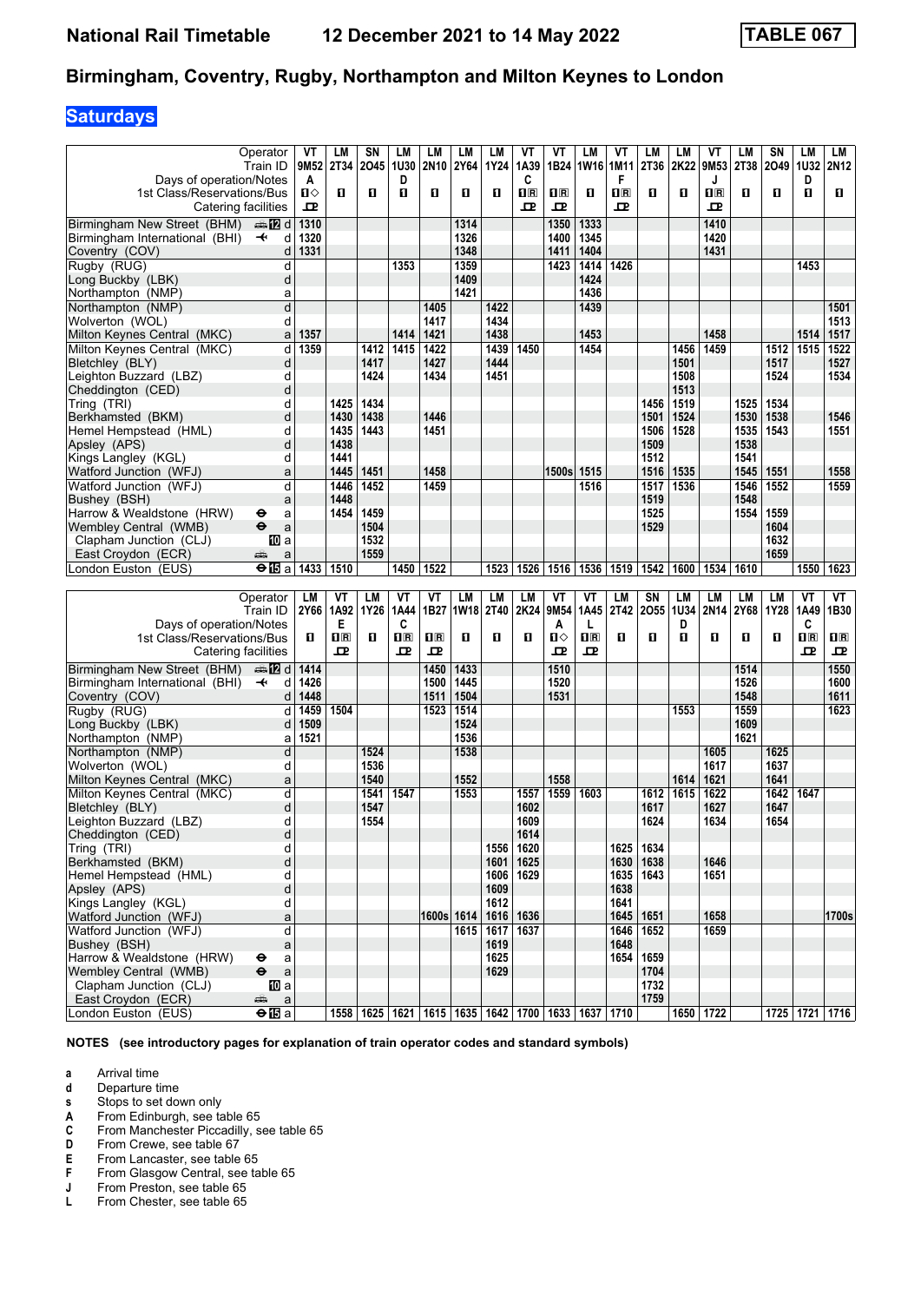# **Saturdays**

|                                |                           |                  |                         |      |             |                         |             |             |                         | VT             |                         | VT                      |      |             | ۷T                      |      |           |             |                         |
|--------------------------------|---------------------------|------------------|-------------------------|------|-------------|-------------------------|-------------|-------------|-------------------------|----------------|-------------------------|-------------------------|------|-------------|-------------------------|------|-----------|-------------|-------------------------|
|                                | Operator                  | VT               | LM                      | SN   | LM          | LM                      | <b>LM</b>   | LM          | VT                      |                | LM                      |                         | LM   | LM          |                         | LM   | SΝ        | LM          | LM                      |
|                                | Train ID                  | 9M <sub>52</sub> | 2T34                    | 2045 | 1U30        | 2N <sub>10</sub>        | 2Y64        | 1Y24        | 1A39                    | 1B24           | 1W16                    | 1M11                    | 2T36 | 2K22        | 9M53                    | 2T38 | 2049 1032 |             | 2N <sub>12</sub>        |
| Days of operation/Notes        |                           | A                |                         |      | D           |                         |             |             | C                       |                |                         | F                       |      |             | J                       |      |           | D           |                         |
| 1st Class/Reservations/Bus     |                           | ்ப               | п                       | O    | 0           | п                       | п           | 0           | $\overline{\mathbf{R}}$ | $\mathbf{H}$ R | п                       | $\overline{\mathbf{B}}$ | О    | п           | $\overline{\mathbf{R}}$ | п    | п         | O           | п                       |
|                                | Catering facilities       | ᇁ                |                         |      |             |                         |             |             | 굔                       | ᇁ              |                         | ᇁ                       |      |             | ᇁ                       |      |           |             |                         |
| Birmingham New Street (BHM)    | dan <b>in in</b> d        | 1310             |                         |      |             |                         | 1314        |             |                         | 1350           | 1333                    |                         |      |             | 1410                    |      |           |             |                         |
|                                |                           |                  |                         |      |             |                         |             |             |                         |                |                         |                         |      |             |                         |      |           |             |                         |
| Birmingham International (BHI) | d<br>$\ddot{\phantom{1}}$ | 1320             |                         |      |             |                         | 1326        |             |                         | 1400           | 1345                    |                         |      |             | 1420                    |      |           |             |                         |
| Coventry (COV)                 | d                         | 1331             |                         |      |             |                         | 1348        |             |                         | 1411           | 1404                    |                         |      |             | 1431                    |      |           |             |                         |
| Rugby (RUG)                    | d                         |                  |                         |      | 1353        |                         | 1359        |             |                         | 1423           | 1414                    | 1426                    |      |             |                         |      |           | 1453        |                         |
| Long Buckby (LBK)              | d                         |                  |                         |      |             |                         | 1409        |             |                         |                | 1424                    |                         |      |             |                         |      |           |             |                         |
| Northampton (NMP)              | a                         |                  |                         |      |             |                         | 1421        |             |                         |                | 1436                    |                         |      |             |                         |      |           |             |                         |
| Northampton (NMP)              | d                         |                  |                         |      |             | 1405                    |             | 1422        |                         |                | 1439                    |                         |      |             |                         |      |           |             | 1501                    |
|                                |                           |                  |                         |      |             |                         |             |             |                         |                |                         |                         |      |             |                         |      |           |             |                         |
| Wolverton (WOL)                | d                         |                  |                         |      |             | 1417                    |             | 1434        |                         |                |                         |                         |      |             |                         |      |           |             | 1513                    |
| Milton Keynes Central (MKC)    | a                         | 1357             |                         |      | 1414        | 1421                    |             | 1438        |                         |                | 1453                    |                         |      |             | 1458                    |      |           | 1514        | 1517                    |
| Milton Keynes Central (MKC)    | d                         | 1359             |                         | 1412 | 1415        | 1422                    |             | 1439        | 1450                    |                | 1454                    |                         |      | 1456        | 1459                    |      | 1512      | 1515        | 1522                    |
| Bletchley (BLY)                | d                         |                  |                         | 1417 |             | 1427                    |             | 1444        |                         |                |                         |                         |      | 1501        |                         |      | 1517      |             | 1527                    |
| Leighton Buzzard (LBZ)         | d                         |                  |                         | 1424 |             | 1434                    |             | 1451        |                         |                |                         |                         |      | 1508        |                         |      | 1524      |             | 1534                    |
| Cheddington (CED)              | d                         |                  |                         |      |             |                         |             |             |                         |                |                         |                         |      | 1513        |                         |      |           |             |                         |
|                                |                           |                  |                         |      |             |                         |             |             |                         |                |                         |                         |      |             |                         |      |           |             |                         |
| Tring (TRI)                    | d                         |                  | 1425                    | 1434 |             |                         |             |             |                         |                |                         |                         | 1456 | 1519        |                         | 1525 | 1534      |             |                         |
| Berkhamsted (BKM)              | d                         |                  | 1430                    | 1438 |             | 1446                    |             |             |                         |                |                         |                         | 1501 | 1524        |                         | 1530 | 1538      |             | 1546                    |
| Hemel Hempstead (HML)          | d                         |                  | 1435                    | 1443 |             | 1451                    |             |             |                         |                |                         |                         | 1506 | 1528        |                         | 1535 | 1543      |             | 1551                    |
| Apsley (APS)                   | d                         |                  | 1438                    |      |             |                         |             |             |                         |                |                         |                         | 1509 |             |                         | 1538 |           |             |                         |
| Kings Langley (KGL)            | d                         |                  | 1441                    |      |             |                         |             |             |                         |                |                         |                         | 1512 |             |                         | 1541 |           |             |                         |
| Watford Junction (WFJ)         | a                         |                  | 1445                    | 1451 |             | 1458                    |             |             |                         | 1500s          | 1515                    |                         | 1516 | 1535        |                         | 1545 | 1551      |             | 1558                    |
|                                |                           |                  |                         |      |             |                         |             |             |                         |                |                         |                         |      |             |                         |      |           |             |                         |
| Watford Junction (WFJ)         | d                         |                  | 1446                    | 1452 |             | 1459                    |             |             |                         |                | 1516                    |                         | 1517 | 1536        |                         | 1546 | 1552      |             | 1559                    |
| Bushey (BSH)                   | a                         |                  | 1448                    |      |             |                         |             |             |                         |                |                         |                         | 1519 |             |                         | 1548 |           |             |                         |
| Harrow & Wealdstone (HRW)      | a<br>⊖                    |                  | 1454                    | 1459 |             |                         |             |             |                         |                |                         |                         | 1525 |             |                         | 1554 | 1559      |             |                         |
| Wembley Central (WMB)          | $\ddot{\mathbf{e}}$<br>a  |                  |                         | 1504 |             |                         |             |             |                         |                |                         |                         | 1529 |             |                         |      | 1604      |             |                         |
| Clapham Junction (CLJ)         | IIII a                    |                  |                         | 1532 |             |                         |             |             |                         |                |                         |                         |      |             |                         |      | 1632      |             |                         |
| East Croydon (ECR)             | æ<br>a                    |                  |                         | 1559 |             |                         |             |             |                         |                |                         |                         |      |             |                         |      | 1659      |             |                         |
| London Euston (EUS)            |                           |                  |                         |      |             | 1522                    |             |             |                         |                |                         |                         | 1542 |             |                         |      |           |             |                         |
|                                | $\bigoplus$ a             | 1433             | 1510                    |      | 1450        |                         |             | 1523        | 1526                    | 1516           | 1536                    | 1519                    |      | 1600        | 1534                    | 1610 |           | 1550        | 1623                    |
|                                |                           |                  |                         |      |             |                         |             |             |                         |                |                         |                         |      |             |                         |      |           |             |                         |
|                                |                           |                  |                         |      |             |                         |             |             |                         |                |                         |                         |      |             |                         |      |           |             |                         |
|                                | Operator                  | LM               | ۷T                      | LМ   | VT          | ۷T                      | LM          | <b>LM</b>   | LM                      | VT             | VT                      | LM                      | SN   | LM          | LM                      | LM   | LM        | VT          | VT                      |
|                                | Train ID                  | 2Y66             | 1A92                    | 1Y26 | 1A44        | 1B27                    | <b>1W18</b> | <b>2T40</b> | 2K24                    | 9M54           | 1A45                    | 2T42                    | 2055 | <b>1U34</b> | 2N14                    | 2Y68 | 1Y28      | 1A49        | 1B30                    |
| Days of operation/Notes        |                           |                  | Е                       |      | C           |                         |             |             |                         | A              | L                       |                         |      | D           |                         |      |           | C           |                         |
| 1st Class/Reservations/Bus     |                           | O                | $\overline{\mathbf{B}}$ | O    | $n_{\rm R}$ | $\mathbf{1} \mathbf{R}$ | п           | 0           | 0                       | п⇔             | $\overline{\mathbf{H}}$ | 0                       | О    | п           | 0                       | O    | 0         | $n_{\rm R}$ | $\mathbf{1} \mathbf{R}$ |
|                                |                           |                  |                         |      |             |                         |             |             |                         |                |                         |                         |      |             |                         |      |           |             |                         |
| Catering facilities            |                           |                  | ᇁ                       |      | ᇁ           | 굔                       |             |             |                         | ᇁ              | 굔                       |                         |      |             |                         |      |           | 굔           | ᇁ                       |
| Birmingham New Street (BHM)    | d <b>late</b>             | 1414             |                         |      |             | 1450                    | 1433        |             |                         | 1510           |                         |                         |      |             |                         | 1514 |           |             | 1550                    |
| Birmingham International (BHI) | $\ddot{\phantom{1}}$<br>d | 1426             |                         |      |             | 1500                    | 1445        |             |                         | 1520           |                         |                         |      |             |                         | 1526 |           |             | 1600                    |
| Coventry (COV)                 | d                         | 1448             |                         |      |             | 1511                    | 1504        |             |                         | 1531           |                         |                         |      |             |                         | 1548 |           |             | 1611                    |
|                                |                           |                  |                         |      |             |                         |             |             |                         |                |                         |                         |      |             |                         |      |           |             |                         |
| Rugby (RUG)                    | d                         | 1459             | 1504                    |      |             | 1523                    | 1514        |             |                         |                |                         |                         |      | 1553        |                         | 1559 |           |             | 1623                    |
| Long Buckby (LBK)              | d                         | 1509             |                         |      |             |                         | 1524        |             |                         |                |                         |                         |      |             |                         | 1609 |           |             |                         |
| Northampton (NMP)              | a                         | 1521             |                         |      |             |                         | 1536        |             |                         |                |                         |                         |      |             |                         | 1621 |           |             |                         |
| Northampton (NMP)              | d                         |                  |                         | 1524 |             |                         | 1538        |             |                         |                |                         |                         |      |             | 1605                    |      | 1625      |             |                         |
| Wolverton (WOL)                | d                         |                  |                         | 1536 |             |                         |             |             |                         |                |                         |                         |      |             | 1617                    |      | 1637      |             |                         |
| Milton Keynes Central (MKC)    | a                         |                  |                         | 1540 |             |                         | 1552        |             |                         | 1558           |                         |                         |      | 1614        | 1621                    |      | 1641      |             |                         |
| Milton Keynes Central (MKC)    | d                         |                  |                         | 1541 | 1547        |                         | 1553        |             | 1557                    | 1559           | 1603                    |                         | 1612 | 1615        | 1622                    |      | 1642      | 1647        |                         |
|                                |                           |                  |                         |      |             |                         |             |             |                         |                |                         |                         |      |             |                         |      |           |             |                         |
| Bletchley (BLY)                | d                         |                  |                         | 1547 |             |                         |             |             | 1602                    |                |                         |                         | 1617 |             | 1627                    |      | 1647      |             |                         |
| Leighton Buzzard (LBZ)         | d                         |                  |                         | 1554 |             |                         |             |             | 1609                    |                |                         |                         | 1624 |             | 1634                    |      | 1654      |             |                         |
| Cheddington (CED)              | α                         |                  |                         |      |             |                         |             |             | 1614                    |                |                         |                         |      |             |                         |      |           |             |                         |
| Tring (TRI)                    | d                         |                  |                         |      |             |                         |             | 1556        | 1620                    |                |                         | 1625                    | 1634 |             |                         |      |           |             |                         |
| Berkhamsted (BKM)              | d                         |                  |                         |      |             |                         |             | 1601        | 1625                    |                |                         | 1630                    | 1638 |             | 1646                    |      |           |             |                         |
| Hemel Hempstead (HML)          | d                         |                  |                         |      |             |                         |             | 1606        | 1629                    |                |                         | 1635                    | 1643 |             | 1651                    |      |           |             |                         |
| Apsley (APS)                   | d                         |                  |                         |      |             |                         |             | 1609        |                         |                |                         | 1638                    |      |             |                         |      |           |             |                         |
| Kings Langley (KGL)            | d                         |                  |                         |      |             |                         |             | 1612        |                         |                |                         | 1641                    |      |             |                         |      |           |             |                         |
|                                |                           |                  |                         |      |             |                         |             |             |                         |                |                         |                         |      |             |                         |      |           |             |                         |
| Watford Junction (WFJ)         | a                         |                  |                         |      |             | 1600s 1614              |             |             | 1616   1636             |                |                         | 1645                    | 1651 |             | 1658                    |      |           |             | 1700s                   |
| Watford Junction (WFJ)         | d                         |                  |                         |      |             |                         | 1615        | 1617        | 1637                    |                |                         | 1646                    | 1652 |             | 1659                    |      |           |             |                         |
| Bushey (BSH)                   | $\mathsf{a}$              |                  |                         |      |             |                         |             | 1619        |                         |                |                         | 1648                    |      |             |                         |      |           |             |                         |
| Harrow & Wealdstone (HRW)      | $\mathsf{a}$<br>⊖         |                  |                         |      |             |                         |             | 1625        |                         |                |                         | 1654                    | 1659 |             |                         |      |           |             |                         |
| Wembley Central (WMB)          | $\bullet$<br>$\mathsf a$  |                  |                         |      |             |                         |             | 1629        |                         |                |                         |                         | 1704 |             |                         |      |           |             |                         |
| Clapham Junction (CLJ)         | 吅 a                       |                  |                         |      |             |                         |             |             |                         |                |                         |                         | 1732 |             |                         |      |           |             |                         |
| East Croydon (ECR)             | $\mathsf a$<br>æ          |                  |                         |      |             |                         |             |             |                         |                |                         |                         | 1759 |             | 1650 1722               |      |           |             |                         |

**NOTES (see introductory pages for explanation of train operator codes and standard symbols)**

- **a** Arrival time<br>**d** Departure ti
- **d** Departure time<br>**s** Stops to set do
- 
- **From Edinburgh, see table 65**
- **8** Stops to set down only<br> **A** From Edinburgh, see ta<br> **C** From Manchester Picca **C** From Manchester Piccadilly, see table 65<br>**D** From Crewe, see table 67
- **D** From Crewe, see table 67<br>**E** From Lancaster, see table
- **E** From Lancaster, see table 65<br>**F** From Glasgow Central, see ta
- **F** From Glasgow Central, see table 65<br>**J** From Preston, see table 65
- **J** From Preston, see table 65<br>**L** From Chester, see table 65
- From Chester, see table 65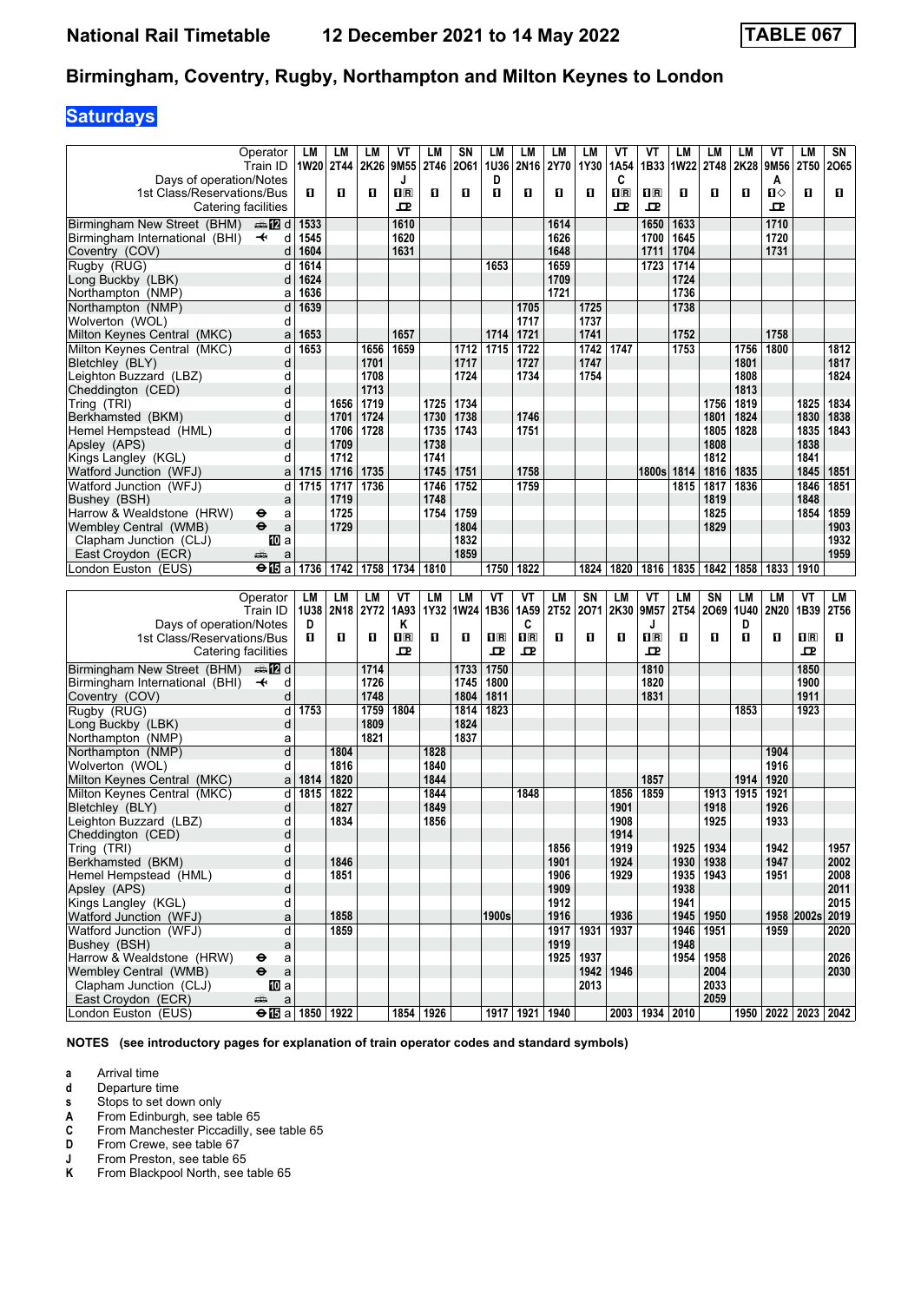# **Saturdays**

|                                           | Operator                                                  | LM        | LМ          | LМ   | ۷T                                              | LM        | SN          | LM             | LМ                 | LM        | LM   | ۷T                      | ۷T                      | LM        | LM          | LM        | ۷T           | LM                        | SΝ   |
|-------------------------------------------|-----------------------------------------------------------|-----------|-------------|------|-------------------------------------------------|-----------|-------------|----------------|--------------------|-----------|------|-------------------------|-------------------------|-----------|-------------|-----------|--------------|---------------------------|------|
|                                           | Train ID                                                  | 1W20 2T44 |             | 2K26 | 9M55                                            | 2T46      | 2061        | 1U36           | 2N16               | 2Y70      | 1Y30 | 1A <sub>54</sub>        | 1B33                    | 1W22 2T48 |             | 2K28      | 9M56         | <b>2T50</b>               | 2065 |
| Days of operation/Notes                   |                                                           |           |             |      | J                                               |           |             | D              |                    |           |      | C                       |                         |           |             |           | A            |                           |      |
| 1st Class/Reservations/Bus                |                                                           | п         | п           | O    | $\overline{\mathbf{H}}$ $\overline{\mathbf{R}}$ | п         | O           | п              | п                  | п         | п    | $\overline{\mathbf{B}}$ | $\overline{\mathbf{H}}$ | O         | O           | п         | $\mathbf{u}$ | п                         | O    |
|                                           |                                                           |           |             |      |                                                 |           |             |                |                    |           |      |                         |                         |           |             |           |              |                           |      |
| Catering facilities                       |                                                           |           |             |      | ᇁ                                               |           |             |                |                    |           |      | ᇁ                       | ᇁ                       |           |             |           | ᇁ            |                           |      |
| Birmingham New Street (BHM)               | dan <b>in in</b> d                                        | 1533      |             |      | 1610                                            |           |             |                |                    | 1614      |      |                         | 1650                    | 1633      |             |           | 1710         |                           |      |
| Birmingham International (BHI)            | $\ddot{\phantom{1}}$<br>d                                 | 1545      |             |      | 1620                                            |           |             |                |                    | 1626      |      |                         | 1700                    | 1645      |             |           | 1720         |                           |      |
|                                           |                                                           |           |             |      |                                                 |           |             |                |                    |           |      |                         |                         |           |             |           |              |                           |      |
| Coventry (COV)                            | d                                                         | 1604      |             |      | 1631                                            |           |             |                |                    | 1648      |      |                         | 1711                    | 1704      |             |           | 1731         |                           |      |
| Rugby (RUG)                               | d                                                         | 1614      |             |      |                                                 |           |             | 1653           |                    | 1659      |      |                         | 1723                    | 1714      |             |           |              |                           |      |
| Long Buckby (LBK)                         | d                                                         | 1624      |             |      |                                                 |           |             |                |                    | 1709      |      |                         |                         | 1724      |             |           |              |                           |      |
| Northampton (NMP)                         | a                                                         | 1636      |             |      |                                                 |           |             |                |                    | 1721      |      |                         |                         | 1736      |             |           |              |                           |      |
| Northampton (NMP)                         | d                                                         | 1639      |             |      |                                                 |           |             |                | 1705               |           | 1725 |                         |                         | 1738      |             |           |              |                           |      |
|                                           |                                                           |           |             |      |                                                 |           |             |                |                    |           |      |                         |                         |           |             |           |              |                           |      |
| Wolverton (WOL)                           | d                                                         |           |             |      |                                                 |           |             |                | 1717               |           | 1737 |                         |                         |           |             |           |              |                           |      |
| Milton Keynes Central (MKC)               | a                                                         | 1653      |             |      | 1657                                            |           |             | 1714           | 1721               |           | 1741 |                         |                         | 1752      |             |           | 1758         |                           |      |
| Milton Kevnes Central (MKC)               | d                                                         | 1653      |             | 1656 | 1659                                            |           | 1712        | 1715           | 1722               |           | 1742 | 1747                    |                         | 1753      |             | 1756      | 1800         |                           | 1812 |
| Bletchley (BLY)                           | d                                                         |           |             | 1701 |                                                 |           | 1717        |                | 1727               |           | 1747 |                         |                         |           |             | 1801      |              |                           | 1817 |
| Leighton Buzzard (LBZ)                    | d                                                         |           |             | 1708 |                                                 |           | 1724        |                | 1734               |           | 1754 |                         |                         |           |             | 1808      |              |                           | 1824 |
|                                           | d                                                         |           |             | 1713 |                                                 |           |             |                |                    |           |      |                         |                         |           |             | 1813      |              |                           |      |
| Cheddington (CED)                         |                                                           |           |             |      |                                                 |           |             |                |                    |           |      |                         |                         |           |             |           |              |                           |      |
| Tring (TRI)                               | d                                                         |           | 1656        | 1719 |                                                 | 1725      | 1734        |                |                    |           |      |                         |                         |           | 1756        | 1819      |              | 1825                      | 1834 |
| Berkhamsted (BKM)                         | d                                                         |           | 1701        | 1724 |                                                 | 1730      | 1738        |                | 1746               |           |      |                         |                         |           | 1801        | 1824      |              | 1830                      | 1838 |
| Hemel Hempstead (HML)                     | d                                                         |           | 1706        | 1728 |                                                 | 1735      | 1743        |                | 1751               |           |      |                         |                         |           | 1805        | 1828      |              | 1835                      | 1843 |
| Apsley (APS)                              | d                                                         |           | 1709        |      |                                                 | 1738      |             |                |                    |           |      |                         |                         |           | 1808        |           |              | 1838                      |      |
| Kings Langley (KGL)                       | d                                                         |           | 1712        |      |                                                 | 1741      |             |                |                    |           |      |                         |                         |           | 1812        |           |              | 1841                      |      |
|                                           |                                                           |           |             |      |                                                 |           |             |                |                    |           |      |                         |                         |           |             |           |              |                           |      |
| Watford Junction (WFJ)                    | a                                                         | 1715      | 1716        | 1735 |                                                 | 1745      | 1751        |                | 1758               |           |      |                         | 1800s                   | 1814      | 1816        | 1835      |              | 1845                      | 1851 |
| Watford Junction (WFJ)                    | d                                                         | 1715      | 1717        | 1736 |                                                 | 1746      | 1752        |                | 1759               |           |      |                         |                         | 1815      | 1817        | 1836      |              | 1846                      | 1851 |
| Bushey (BSH)                              | a                                                         |           | 1719        |      |                                                 | 1748      |             |                |                    |           |      |                         |                         |           | 1819        |           |              | 1848                      |      |
| Harrow & Wealdstone (HRW)                 | θ<br>a                                                    |           | 1725        |      |                                                 | 1754      | 1759        |                |                    |           |      |                         |                         |           | 1825        |           |              | 1854                      | 1859 |
| Wemblev Central (WMB)                     | $\ddot{\mathbf{e}}$<br>a                                  |           | 1729        |      |                                                 |           | 1804        |                |                    |           |      |                         |                         |           | 1829        |           |              |                           | 1903 |
|                                           |                                                           |           |             |      |                                                 |           |             |                |                    |           |      |                         |                         |           |             |           |              |                           |      |
| Clapham Junction (CLJ)                    | <b>ID</b> a                                               |           |             |      |                                                 |           | 1832        |                |                    |           |      |                         |                         |           |             |           |              |                           | 1932 |
| East Croydon (ECR)                        | يتتبه<br>a                                                |           |             |      |                                                 |           | 1859        |                |                    |           |      |                         |                         |           |             |           |              |                           | 1959 |
| London Euston (EUS)                       | $\Theta$ in a                                             | 1736      | 1742        | 1758 | 1734                                            | 1810      |             | 1750           | 1822               |           | 1824 | 1820                    | 1816                    | 1835      | 1842        | 1858      | 1833         | 1910                      |      |
|                                           |                                                           |           |             |      |                                                 |           |             |                |                    |           |      |                         |                         |           |             |           |              |                           |      |
|                                           |                                                           |           |             |      |                                                 |           |             |                |                    |           |      |                         |                         |           |             |           |              |                           |      |
|                                           |                                                           |           |             |      |                                                 |           |             |                |                    |           |      |                         |                         |           |             |           |              |                           |      |
|                                           | Operator                                                  | LM        | LM          | LМ   | ۷T                                              | LM        | <b>LM</b>   | VT             | VT                 | <b>LM</b> | SN   | <b>LM</b>               | VT                      | LM        | SN          | <b>LM</b> | LМ           | VT                        | LM   |
|                                           | Train ID                                                  | 1U38      | <b>2N18</b> | 2Y72 | 1A93                                            | 1Y32      | <b>1W24</b> | 1B36           | 1A59               | 2T52      | 2071 | 2K30                    | 9M57                    | 2T54      | 2069        | 1U40      | 2N20         | 1B39                      | 2T56 |
| Days of operation/Notes                   |                                                           | D         |             |      | Κ                                               |           |             |                | C                  |           |      |                         | J                       |           |             | D         |              |                           |      |
| 1st Class/Reservations/Bus                |                                                           | п         | O           | O    | $\overline{\mathbf{H}}$ $\overline{\mathbf{R}}$ | п         | O           | 1 <sup>R</sup> | 1 <sup>R</sup>     | п         | п    | 0                       | $\overline{\mathbf{R}}$ | O         | O           | п         | O            | $\overline{\mathbf{H}}$   | п    |
|                                           |                                                           |           |             |      | ᇁ                                               |           |             | ᇁ              | ᇁ                  |           |      |                         | ᇁ                       |           |             |           |              | 굔                         |      |
| Catering facilities                       |                                                           |           |             |      |                                                 |           |             |                |                    |           |      |                         |                         |           |             |           |              |                           |      |
| Birmingham New Street (BHM)               | ana 122 d                                                 |           |             | 1714 |                                                 |           | 1733        | 1750           |                    |           |      |                         | 1810                    |           |             |           |              | 1850                      |      |
| Birmingham International (BHI)            | d<br>$\ddotmark$                                          |           |             | 1726 |                                                 |           | 1745        | 1800           |                    |           |      |                         | 1820                    |           |             |           |              | 1900                      |      |
|                                           | d                                                         |           |             | 1748 |                                                 |           | 1804        | 1811           |                    |           |      |                         | 1831                    |           |             |           |              | 1911                      |      |
| Coventry (COV)                            | d                                                         |           |             | 1759 | 1804                                            |           | 1814        | 1823           |                    |           |      |                         |                         |           |             | 1853      |              |                           |      |
| Rugby (RUG)                               |                                                           | 1753      |             |      |                                                 |           |             |                |                    |           |      |                         |                         |           |             |           |              | 1923                      |      |
| Long Buckby (LBK)                         | d                                                         |           |             | 1809 |                                                 |           | 1824        |                |                    |           |      |                         |                         |           |             |           |              |                           |      |
| Northampton (NMP)                         | а                                                         |           |             | 1821 |                                                 |           | 1837        |                |                    |           |      |                         |                         |           |             |           |              |                           |      |
| Northampton (NMP)                         | d                                                         |           | 1804        |      |                                                 | 1828      |             |                |                    |           |      |                         |                         |           |             |           | 1904         |                           |      |
| Wolverton (WOL)                           | d                                                         |           | 1816        |      |                                                 | 1840      |             |                |                    |           |      |                         |                         |           |             |           | 1916         |                           |      |
| Milton Keynes Central (MKC)               | a                                                         | 1814      | 1820        |      |                                                 | 1844      |             |                |                    |           |      |                         | 1857                    |           |             | 1914      | 1920         |                           |      |
| Milton Keynes Central (MKC)               | d                                                         | 1815      | 1822        |      |                                                 | 1844      |             |                | 1848               |           |      | 1856                    | 1859                    |           | 1913        | 1915      | 1921         |                           |      |
|                                           |                                                           |           |             |      |                                                 |           |             |                |                    |           |      |                         |                         |           |             |           |              |                           |      |
| Bletchley (BLY)                           | d                                                         |           | 1827        |      |                                                 | 1849      |             |                |                    |           |      | 1901                    |                         |           | 1918        |           | 1926         |                           |      |
| Leighton Buzzard (LBZ)                    | d                                                         |           | 1834        |      |                                                 | 1856      |             |                |                    |           |      | 1908                    |                         |           | 1925        |           | 1933         |                           |      |
| Cheddington (CED)                         | d                                                         |           |             |      |                                                 |           |             |                |                    |           |      | 1914                    |                         |           |             |           |              |                           |      |
| Tring (TRI)                               | d                                                         |           |             |      |                                                 |           |             |                |                    | 1856      |      | 1919                    |                         | 1925      | 1934        |           | 1942         |                           | 1957 |
| Berkhamsted (BKM)                         | d                                                         |           | 1846        |      |                                                 |           |             |                |                    | 1901      |      | 1924                    |                         |           | 1930   1938 |           | 1947         |                           | 2002 |
| Hemel Hempstead (HML)                     | d                                                         |           | 1851        |      |                                                 |           |             |                |                    | 1906      |      | 1929                    |                         |           |             |           | 1951         |                           |      |
|                                           |                                                           |           |             |      |                                                 |           |             |                |                    |           |      |                         |                         |           | 1935   1943 |           |              |                           | 2008 |
| Apsley (APS)                              | d                                                         |           |             |      |                                                 |           |             |                |                    | 1909      |      |                         |                         | 1938      |             |           |              |                           | 2011 |
| Kings Langley (KGL)                       | d                                                         |           |             |      |                                                 |           |             |                |                    | 1912      |      |                         |                         | 1941      |             |           |              |                           | 2015 |
| Watford Junction (WFJ)                    | a                                                         |           | 1858        |      |                                                 |           |             | 1900s          |                    | 1916      |      | 1936                    |                         | 1945      | 1950        |           |              | 1958 2002s                | 2019 |
| Watford Junction (WFJ)                    | d                                                         |           | 1859        |      |                                                 |           |             |                |                    | 1917      | 1931 | 1937                    |                         | 1946      | 1951        |           | 1959         |                           | 2020 |
| Bushey (BSH)                              | a                                                         |           |             |      |                                                 |           |             |                |                    | 1919      |      |                         |                         | 1948      |             |           |              |                           |      |
| Harrow & Wealdstone (HRW)                 | ⊖                                                         |           |             |      |                                                 |           |             |                |                    | 1925      | 1937 |                         |                         | 1954      |             |           |              |                           |      |
|                                           | a                                                         |           |             |      |                                                 |           |             |                |                    |           |      |                         |                         |           | 1958        |           |              |                           | 2026 |
| Wembley Central (WMB)                     | $\ddot{\bm{\Theta}}$<br>$\mathsf a$                       |           |             |      |                                                 |           |             |                |                    |           | 1942 | 1946                    |                         |           | 2004        |           |              |                           | 2030 |
| Clapham Junction (CLJ)                    | [[] a                                                     |           |             |      |                                                 |           |             |                |                    |           | 2013 |                         |                         |           | 2033        |           |              |                           |      |
| East Croydon (ECR)<br>London Euston (EUS) | æ<br>$\mathsf{a}$<br>$\Theta$ $\overline{16}$ a 1850 1922 |           |             |      |                                                 | 1854 1926 |             |                | 1917   1921   1940 |           |      |                         | 2003 1934 2010          |           | 2059        |           |              | 1950   2022   2023   2042 |      |

**NOTES (see introductory pages for explanation of train operator codes and standard symbols)**

**a** Arrival time<br>**d** Departure ti

**d** Departure time<br>**s** Stops to set do

**8** Stops to set down only<br>**A** From Edinburgh, see ta<br>**C** From Manchester Picca From Edinburgh, see table 65

**C** From Manchester Piccadilly, see table 65<br>**D** From Crewe, see table 67

**D** From Crewe, see table 67<br>**J** From Preston, see table 6 **J** From Preston, see table 65<br>**K** From Blackpool North, see t

From Blackpool North, see table 65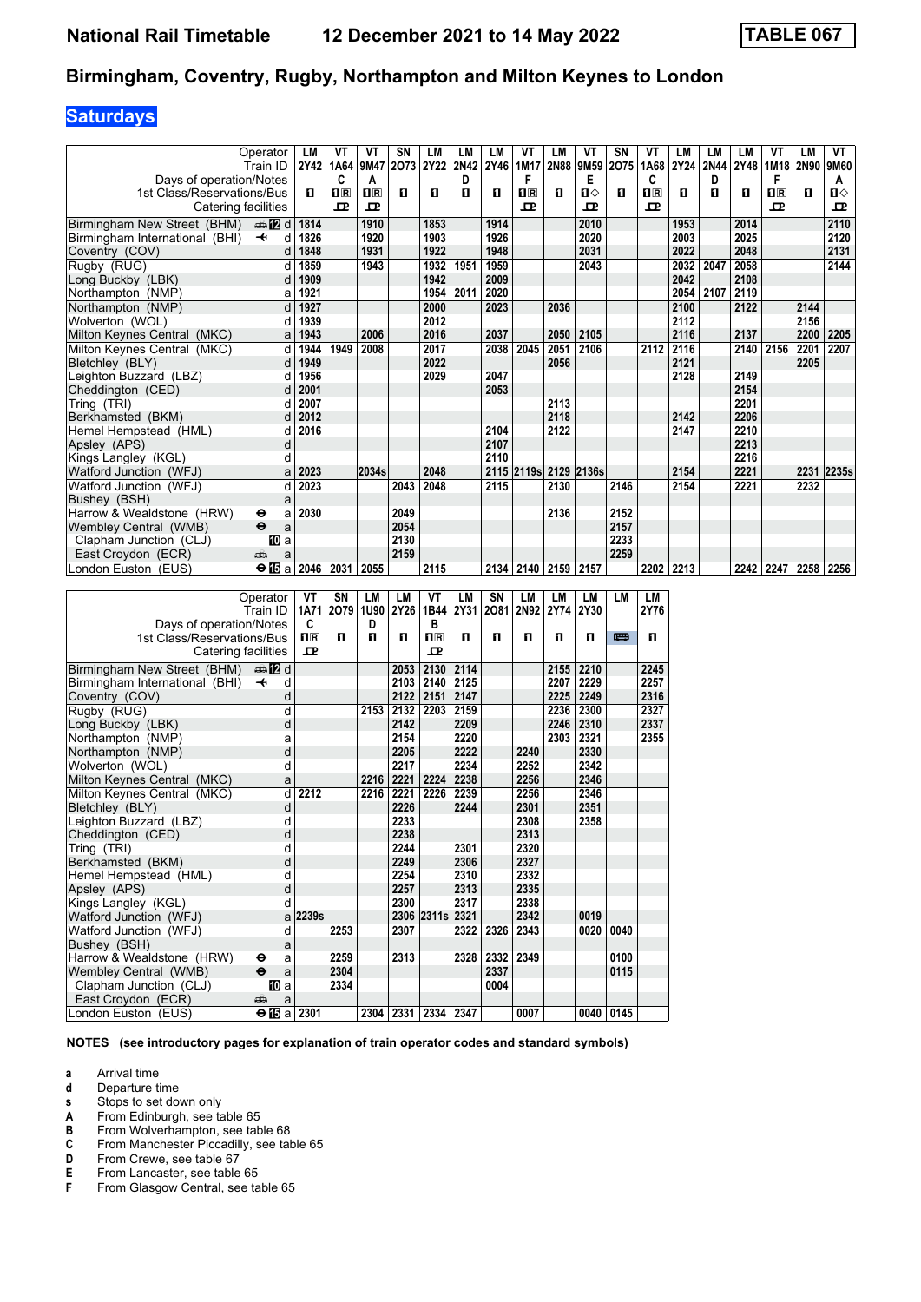## **Saturdays**

|                                                   | Operator<br>Train ID                   | LM                      | ۷T<br>2Y42   1A64 | VT<br> 9M47  | SΝ<br>2073     | LM<br>2Y22      | LМ<br>2N42   | LM<br>2Y46 | VT<br>1M17       | LМ        | VT<br>2N88 9M59       | SN<br>2075  | VT<br>1A68            | LМ<br>2Y24 | LM<br>2N44 | LM<br>2Y48   | ۷T<br>1M18       | LM<br>2N90 | VT<br>9M60 |
|---------------------------------------------------|----------------------------------------|-------------------------|-------------------|--------------|----------------|-----------------|--------------|------------|------------------|-----------|-----------------------|-------------|-----------------------|------------|------------|--------------|------------------|------------|------------|
| Days of operation/Notes                           |                                        |                         | C                 | A            |                |                 | D            |            | F                |           | Е                     |             | C                     |            | D          |              | F                |            | A          |
| 1st Class/Reservations/Bus<br>Catering facilities |                                        | П                       | $\Pi$ R<br>ᇁ      | $\Pi$ R<br>굔 | O              | п               | O            | 0          | $n_{\rm R}$<br>ᇁ | п         | $\mathbf{u}$<br>ᇁ     | O           | $n_{\mathbb{R}}$<br>굔 | п          | 0          | O            | $n_{\rm R}$<br>ᇁ | П          | П⇔<br>굔    |
| Birmingham New Street (BHM)                       | dan <b>in in</b> d                     | 1814                    |                   | 1910         |                | 1853            |              | 1914       |                  |           | 2010                  |             |                       | 1953       |            | 2014         |                  |            | 2110       |
| Birmingham International (BHI)                    | $\overline{\phantom{a}}$<br>d          | 1826                    |                   | 1920         |                | 1903            |              | 1926       |                  |           | 2020                  |             |                       | 2003       |            | 2025         |                  |            | 2120       |
| Coventry (COV)                                    | d                                      | 1848                    |                   | 1931         |                | 1922            |              | 1948       |                  |           | 2031                  |             |                       | 2022       |            | 2048         |                  |            | 2131       |
| Rugby (RUG)                                       | d                                      | 1859                    |                   | 1943         |                | 1932            | 1951         | 1959       |                  |           | 2043                  |             |                       | 2032       | 2047       | 2058         |                  |            | 2144       |
| Long Buckby (LBK)                                 | d                                      | 1909                    |                   |              |                | 1942            |              | 2009       |                  |           |                       |             |                       | 2042       |            | 2108         |                  |            |            |
| Northampton (NMP)                                 | a                                      | 1921                    |                   |              |                | 1954            | 2011         | 2020       |                  |           |                       |             |                       | 2054       | 2107       | 2119         |                  |            |            |
| Northampton (NMP)                                 | d                                      | 1927                    |                   |              |                | 2000            |              | 2023       |                  | 2036      |                       |             |                       | 2100       |            | 2122         |                  | 2144       |            |
| Wolverton (WOL)                                   | d                                      | 1939                    |                   |              |                | 2012            |              |            |                  |           |                       |             |                       | 2112       |            |              |                  | 2156       |            |
| Milton Keynes Central (MKC)                       | a                                      | 1943                    |                   | 2006         |                | 2016            |              | 2037       |                  | 2050      | 2105                  |             |                       | 2116       |            | 2137         |                  | 2200       | 2205       |
| Milton Kevnes Central (MKC)                       | d                                      | 1944                    | 1949              | 2008         |                | 2017            |              | 2038       | 2045             | 2051      | 2106                  |             | 2112                  | 2116       |            | 2140         | 2156             | 2201       | 2207       |
| Bletchley (BLY)                                   | d                                      | 1949                    |                   |              |                | 2022            |              |            |                  | 2056      |                       |             |                       | 2121       |            |              |                  | 2205       |            |
| Leighton Buzzard (LBZ)                            | d                                      | 1956                    |                   |              |                | 2029            |              | 2047       |                  |           |                       |             |                       | 2128       |            | 2149         |                  |            |            |
| Cheddington (CED)                                 | d                                      | 2001                    |                   |              |                |                 |              | 2053       |                  |           |                       |             |                       |            |            | 2154         |                  |            |            |
| Tring (TRI)                                       | d                                      | 2007                    |                   |              |                |                 |              |            |                  | 2113      |                       |             |                       |            |            | 2201         |                  |            |            |
| Berkhamsted (BKM)                                 | d                                      | 2012                    |                   |              |                |                 |              |            |                  | 2118      |                       |             |                       | 2142       |            | 2206         |                  |            |            |
| Hemel Hempstead (HML)                             | d                                      | 2016                    |                   |              |                |                 |              | 2104       |                  | 2122      |                       |             |                       | 2147       |            | 2210         |                  |            |            |
| Apsley (APS)                                      | d                                      |                         |                   |              |                |                 |              | 2107       |                  |           |                       |             |                       |            |            | 2213         |                  |            |            |
| Kings Langley (KGL)<br>Watford Junction (WFJ)     | d                                      | 2023                    |                   | 2034s        |                | 2048            |              | 2110       |                  |           | 2115 2119s 2129 2136s |             |                       | 2154       |            | 2216<br>2221 |                  |            | 2231 2235s |
| Watford Junction (WFJ)                            | a<br>d                                 | 2023                    |                   |              | 2043           | 2048            |              | 2115       |                  | 2130      |                       | 2146        |                       | 2154       |            | 2221         |                  | 2232       |            |
| Bushey (BSH)                                      | a                                      |                         |                   |              |                |                 |              |            |                  |           |                       |             |                       |            |            |              |                  |            |            |
| Harrow & Wealdstone (HRW)                         | ⊖<br>a                                 | 2030                    |                   |              | 2049           |                 |              |            |                  | 2136      |                       | 2152        |                       |            |            |              |                  |            |            |
| Wembley Central (WMB)                             | $\ddot{\mathbf{e}}$<br>a               |                         |                   |              | 2054           |                 |              |            |                  |           |                       | 2157        |                       |            |            |              |                  |            |            |
| Clapham Junction (CLJ)                            | <b>ID</b> a                            |                         |                   |              | 2130           |                 |              |            |                  |           |                       | 2233        |                       |            |            |              |                  |            |            |
| East Croydon (ECR)                                | پېښتنه<br>a                            |                         |                   |              | 2159           |                 |              |            |                  |           |                       | 2259        |                       |            |            |              |                  |            |            |
| London Euston (EUS)                               | $\Theta$ $\overline{\mathbf{E}}$ a     | 2046                    | 2031              | 2055         |                | 2115            |              | 2134       | 2140             |           | 2159 2157             |             | 2202                  | 2213       |            | 2242         | 2247             | 2258       | 2256       |
|                                                   |                                        |                         |                   |              |                |                 |              |            |                  |           |                       |             |                       |            |            |              |                  |            |            |
|                                                   |                                        |                         |                   |              |                |                 |              |            |                  |           |                       |             |                       |            |            |              |                  |            |            |
|                                                   | Operator                               | VT                      | SN                | LМ           | LM             | VT              | LM           | SN         | LM               | LМ        | LM                    | <b>LM</b>   | LM                    |            |            |              |                  |            |            |
|                                                   | Train ID                               | 1A71                    | 2079 1U90         |              | <b>2Y26</b>    | 1B44            | 2Y31         | 2081       |                  | 2N92 2Y74 | 2Y30                  |             | 2Y76                  |            |            |              |                  |            |            |
| Days of operation/Notes                           |                                        | C                       |                   | D            |                | В               |              |            |                  |           |                       |             |                       |            |            |              |                  |            |            |
| 1st Class/Reservations/Bus                        |                                        | $\overline{\mathbf{H}}$ | п                 | 0            | 0              | $n_{\rm R}$     | п            | 0          | п                | п         | п                     | 四           | п                     |            |            |              |                  |            |            |
| Catering facilities                               |                                        | 굔                       |                   |              |                | ᇁ               |              |            |                  |           |                       |             |                       |            |            |              |                  |            |            |
| Birmingham New Street (BHM)                       | dan Dald                               |                         |                   |              | 2053           | 2130            | 2114         |            |                  | 2155      | 2210                  |             | 2245                  |            |            |              |                  |            |            |
| Birmingham International (BHI)                    | $\ddot{\phantom{1}}$<br>d              |                         |                   |              | 2103           | 2140            | 2125         |            |                  | 2207      | 2229                  |             | 2257                  |            |            |              |                  |            |            |
| Coventry (COV)                                    | d                                      |                         |                   |              | 2122           | 2151            | 2147         |            |                  | 2225      | 2249                  |             | 2316                  |            |            |              |                  |            |            |
| Rugby (RUG)                                       | d                                      |                         |                   | 2153         | 2132           | 2203            | 2159         |            |                  | 2236      | 2300                  |             | 2327                  |            |            |              |                  |            |            |
| Long Buckby (LBK)                                 | d                                      |                         |                   |              | 2142           |                 | 2209         |            |                  | 2246      | 2310                  |             | 2337                  |            |            |              |                  |            |            |
| Northampton (NMP)                                 | a                                      |                         |                   |              | 2154           |                 | 2220         |            |                  | 2303      | 2321                  |             | 2355                  |            |            |              |                  |            |            |
| Northampton (NMP)                                 | d                                      |                         |                   |              | 2205           |                 | 2222         |            | 2240             |           | 2330                  |             |                       |            |            |              |                  |            |            |
| Wolverton (WOL)                                   | d                                      |                         |                   |              | 2217           |                 | 2234         |            | 2252             |           | 2342                  |             |                       |            |            |              |                  |            |            |
| Milton Keynes Central (MKC)                       | a                                      |                         |                   | 2216         | 2221           | 2224            | 2238         |            | 2256             |           | 2346                  |             |                       |            |            |              |                  |            |            |
| Milton Keynes Central (MKC)                       | d                                      | 2212                    |                   | 2216         | 2221           | 2226            | 2239         |            | 2256             |           | 2346                  |             |                       |            |            |              |                  |            |            |
| Bletchley (BLY)                                   | d                                      |                         |                   |              | 2226           |                 | 2244         |            | 2301             |           | 2351                  |             |                       |            |            |              |                  |            |            |
| Leighton Buzzard (LBZ)                            | d                                      |                         |                   |              | 2233           |                 |              |            | 2308             |           | 2358                  |             |                       |            |            |              |                  |            |            |
| Cheddington (CED)                                 | d                                      |                         |                   |              | 2238           |                 |              |            | 2313             |           |                       |             |                       |            |            |              |                  |            |            |
| Tring (TRI)                                       | d                                      |                         |                   |              | 2244           |                 | 2301         |            | 2320             |           |                       |             |                       |            |            |              |                  |            |            |
| Berkhamsted (BKM)                                 | þ<br>d                                 |                         |                   |              | 2249           |                 | 2306         |            | 2327             |           |                       |             |                       |            |            |              |                  |            |            |
| Hemel Hempstead (HML)                             | þ                                      |                         |                   |              | 2254<br>2257   |                 | 2310<br>2313 |            | 2332<br>2335     |           |                       |             |                       |            |            |              |                  |            |            |
| Apsley (APS)<br>Kings Langley (KGL)               | d                                      |                         |                   |              | 2300           |                 | 2317         |            | 2338             |           |                       |             |                       |            |            |              |                  |            |            |
| Watford Junction (WFJ)                            |                                        | a 2239s                 |                   |              |                | 2306 2311s 2321 |              |            | 2342             |           | 0019                  |             |                       |            |            |              |                  |            |            |
| Watford Junction (WFJ)                            | d                                      |                         | 2253              |              | 2307           |                 |              | 2322 2326  | 2343             |           |                       | 0020 0040   |                       |            |            |              |                  |            |            |
| Bushev (BSH)                                      | a                                      |                         |                   |              |                |                 |              |            |                  |           |                       |             |                       |            |            |              |                  |            |            |
| Harrow & Wealdstone (HRW)                         | $\mathsf{a}$<br>⊖                      |                         | 2259              |              | 2313           |                 | 2328         | 2332       | 2349             |           |                       | 0100        |                       |            |            |              |                  |            |            |
| Wembley Central (WMB)                             | $\ddot{\bm{\Theta}}$<br>$\mathsf{a}$   |                         | 2304              |              |                |                 |              | 2337       |                  |           |                       | 0115        |                       |            |            |              |                  |            |            |
| Clapham Junction (CLJ)                            | [[] a                                  |                         | 2334              |              |                |                 |              | 0004       |                  |           |                       |             |                       |            |            |              |                  |            |            |
| East Croydon (ECR)<br>London Euston (EUS)         | $\mathsf a$<br>æ<br>$\Theta$ is a 2301 |                         |                   | 2304         | 2331 2334 2347 |                 |              |            | 0007             |           |                       | 0040   0145 |                       |            |            |              |                  |            |            |

**NOTES (see introductory pages for explanation of train operator codes and standard symbols)**

**a** Arrival time<br>**d** Departure ti

**d** Departure time<br>**s** Stops to set do Stops to set down only

**A** From Edinburgh, see table 65<br>**B** From Wolverhampton, see tab

**B** From Wolverhampton, see table 68<br>**C** From Manchester Piccadilly, see tal **C** From Manchester Piccadilly, see table 65<br>**D** From Crewe, see table 67

**D** From Crewe, see table 67<br>**E** From Lancaster, see table<br>**F** From Glasgow Central, se From Lancaster, see table 65

From Glasgow Central, see table 65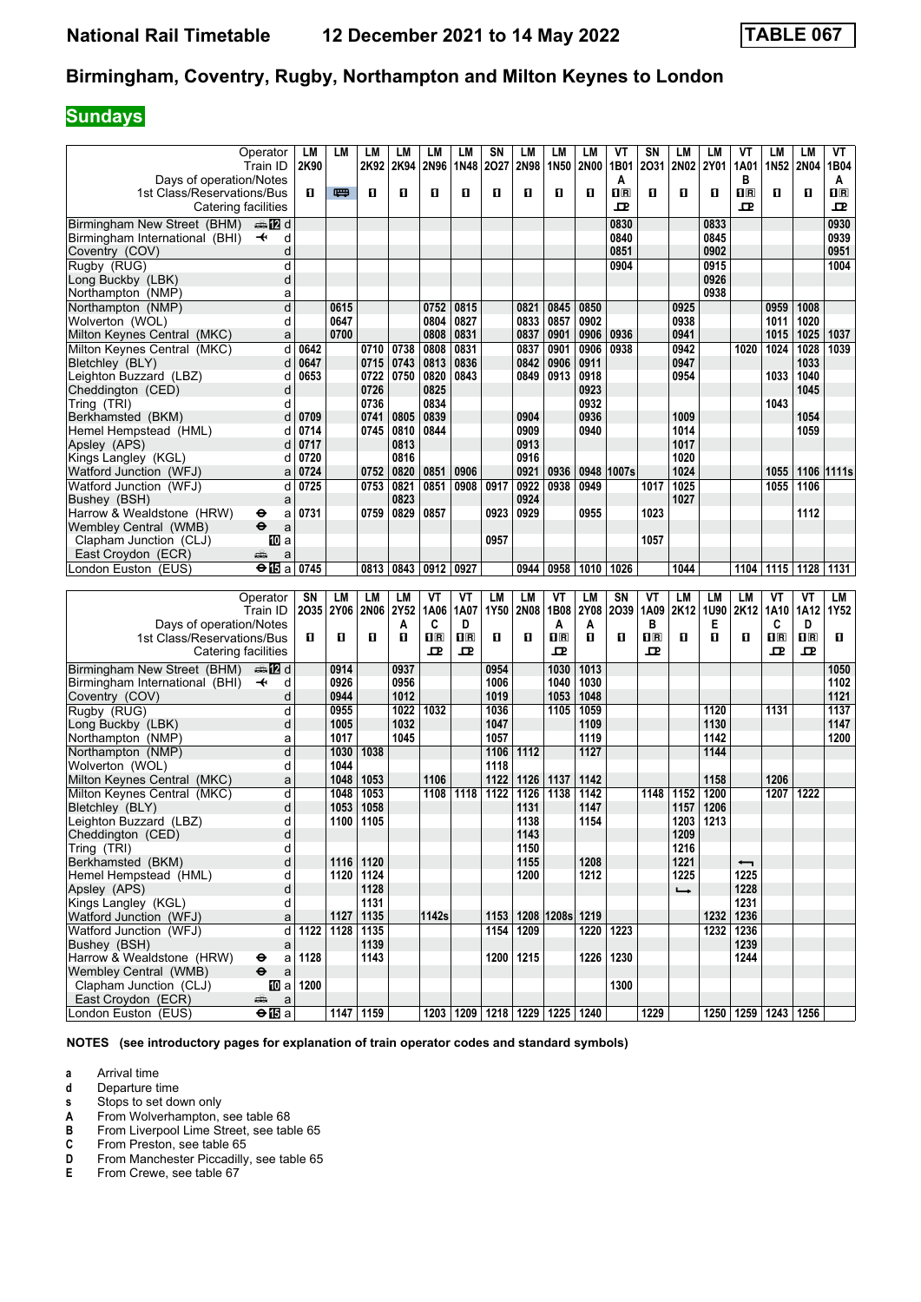# **Sundays**

|                                           | Operator                                                    | LM   | LM        | LМ          | LM   | LM                      | LM                            | SN   | LM        | LM               | LM           | ۷T             | SN               | LM            | LM   | VT                       | LМ                                              | LM                      | VT          |
|-------------------------------------------|-------------------------------------------------------------|------|-----------|-------------|------|-------------------------|-------------------------------|------|-----------|------------------|--------------|----------------|------------------|---------------|------|--------------------------|-------------------------------------------------|-------------------------|-------------|
|                                           | Train ID                                                    | 2K90 |           | 2K92        | 2K94 | 2N96                    | 1N48                          | 2027 | 2N98      | 1N <sub>50</sub> | <b>2N00</b>  | 1B01           | 2031             | 2N02          | 2Y01 | 1A01                     | 1N52                                            | <b>2N04</b>             | 1B04        |
| Days of operation/Notes                   |                                                             |      |           |             |      |                         |                               |      |           |                  |              | A              |                  |               |      | в                        |                                                 |                         | A           |
| 1st Class/Reservations/Bus                |                                                             | п    | 四         | 0           | O    | п                       | O                             | O    | п         | п                | п            | $\mathbf{I}$ R | п                | п             | O    | $\overline{\mathbf{H}}$  | п                                               | O                       | $n_{\rm R}$ |
|                                           |                                                             |      |           |             |      |                         |                               |      |           |                  |              |                |                  |               |      |                          |                                                 |                         |             |
|                                           | Catering facilities                                         |      |           |             |      |                         |                               |      |           |                  |              | 모              |                  |               |      | 모                        |                                                 |                         | 굔           |
| Birmingham New Street (BHM)               | dan <b>in</b> d                                             |      |           |             |      |                         |                               |      |           |                  |              | 0830           |                  |               | 0833 |                          |                                                 |                         | 0930        |
| Birmingham International (BHI)            | $\overline{\phantom{a}}$<br>d                               |      |           |             |      |                         |                               |      |           |                  |              | 0840           |                  |               | 0845 |                          |                                                 |                         | 0939        |
|                                           |                                                             |      |           |             |      |                         |                               |      |           |                  |              |                |                  |               |      |                          |                                                 |                         |             |
| Coventry (COV)                            | d                                                           |      |           |             |      |                         |                               |      |           |                  |              | 0851           |                  |               | 0902 |                          |                                                 |                         | 0951        |
| Rugby (RUG)                               | d                                                           |      |           |             |      |                         |                               |      |           |                  |              | 0904           |                  |               | 0915 |                          |                                                 |                         | 1004        |
| Long Buckby (LBK)                         | d                                                           |      |           |             |      |                         |                               |      |           |                  |              |                |                  |               | 0926 |                          |                                                 |                         |             |
| Northampton (NMP)                         | a                                                           |      |           |             |      |                         |                               |      |           |                  |              |                |                  |               | 0938 |                          |                                                 |                         |             |
|                                           | $\overline{\mathsf{d}}$                                     |      | 0615      |             |      |                         | 0815                          |      |           | 0845             |              |                |                  |               |      |                          |                                                 |                         |             |
| Northampton (NMP)                         |                                                             |      |           |             |      | 0752                    |                               |      | 0821      |                  | 0850         |                |                  | 0925          |      |                          | 0959                                            | 1008                    |             |
| Wolverton (WOL)                           | d                                                           |      | 0647      |             |      | 0804                    | 0827                          |      | 0833      | 0857             | 0902         |                |                  | 0938          |      |                          | 1011                                            | 1020                    |             |
| Milton Keynes Central (MKC)               | a                                                           |      | 0700      |             |      | 0808                    | 0831                          |      | 0837      | 0901             | 0906         | 0936           |                  | 0941          |      |                          | 1015                                            | 1025                    | 1037        |
| Milton Keynes Central (MKC)               | d                                                           | 0642 |           | 0710        | 0738 | 0808                    | 0831                          |      | 0837      | 0901             | 0906         | 0938           |                  | 0942          |      | 1020                     | 1024                                            | 1028                    | 1039        |
| Bletchley (BLY)                           | d                                                           | 0647 |           | 0715        | 0743 | 0813                    | 0836                          |      | 0842      | 0906             | 0911         |                |                  | 0947          |      |                          |                                                 | 1033                    |             |
|                                           |                                                             |      |           |             |      |                         |                               |      |           |                  |              |                |                  |               |      |                          |                                                 |                         |             |
| Leighton Buzzard (LBZ)                    | d                                                           | 0653 |           | 0722        | 0750 | 0820                    | 0843                          |      | 0849      | 0913             | 0918         |                |                  | 0954          |      |                          | 1033                                            | 1040                    |             |
| Cheddington (CED)                         | d                                                           |      |           | 0726        |      | 0825                    |                               |      |           |                  | 0923         |                |                  |               |      |                          |                                                 | 1045                    |             |
| Tring (TRI)                               | d                                                           |      |           | 0736        |      | 0834                    |                               |      |           |                  | 0932         |                |                  |               |      |                          | 1043                                            |                         |             |
| Berkhamsted (BKM)                         | d                                                           | 0709 |           | 0741        | 0805 | 0839                    |                               |      | 0904      |                  | 0936         |                |                  | 1009          |      |                          |                                                 | 1054                    |             |
| Hemel Hempstead (HML)                     | d                                                           | 0714 |           | 0745        | 0810 | 0844                    |                               |      | 0909      |                  | 0940         |                |                  | 1014          |      |                          |                                                 | 1059                    |             |
|                                           |                                                             |      |           |             |      |                         |                               |      |           |                  |              |                |                  |               |      |                          |                                                 |                         |             |
| Apsley (APS)                              | d                                                           | 0717 |           |             | 0813 |                         |                               |      | 0913      |                  |              |                |                  | 1017          |      |                          |                                                 |                         |             |
| Kings Langley (KGL)                       | d                                                           | 0720 |           |             | 0816 |                         |                               |      | 0916      |                  |              |                |                  | 1020          |      |                          |                                                 |                         |             |
| Watford Junction (WFJ)                    | a                                                           | 0724 |           | 0752        | 0820 | 0851                    | 0906                          |      | 0921      | 0936             |              | 0948 1007s     |                  | 1024          |      |                          | 1055                                            | 1106 11111s             |             |
| Watford Junction (WFJ)                    | d                                                           | 0725 |           | 0753        | 0821 | 0851                    | 0908                          | 0917 | 0922      | 0938             | 0949         |                | 1017             | 1025          |      |                          | 1055                                            | 1106                    |             |
|                                           |                                                             |      |           |             | 0823 |                         |                               |      | 0924      |                  |              |                |                  | 1027          |      |                          |                                                 |                         |             |
| Bushey (BSH)                              | a                                                           |      |           |             |      |                         |                               |      |           |                  |              |                |                  |               |      |                          |                                                 |                         |             |
| Harrow & Wealdstone (HRW)                 | θ<br>a                                                      | 0731 |           | 0759        | 0829 | 0857                    |                               | 0923 | 0929      |                  | 0955         |                | 1023             |               |      |                          |                                                 | 1112                    |             |
| Wembley Central (WMB)                     | $\ddot{\boldsymbol{\Theta}}$<br>a                           |      |           |             |      |                         |                               |      |           |                  |              |                |                  |               |      |                          |                                                 |                         |             |
| Clapham Junction (CLJ)                    | 100 a                                                       |      |           |             |      |                         |                               | 0957 |           |                  |              |                | 1057             |               |      |                          |                                                 |                         |             |
| East Croydon (ECR)                        | æ<br>a                                                      |      |           |             |      |                         |                               |      |           |                  |              |                |                  |               |      |                          |                                                 |                         |             |
| London Euston (EUS)                       | $\Theta$ in a                                               | 0745 |           | 0813        | 0843 | 0912                    | 0927                          |      | 0944      | 0958             |              |                |                  | 1044          |      |                          | 1115 1128                                       |                         |             |
|                                           |                                                             |      |           |             |      |                         |                               |      |           |                  | 1010         | 1026           |                  |               |      | 1104                     |                                                 |                         | 1131        |
|                                           |                                                             |      |           |             |      |                         |                               |      |           |                  |              |                |                  |               |      |                          |                                                 |                         |             |
|                                           |                                                             |      |           |             |      |                         |                               |      |           |                  |              |                |                  |               |      |                          |                                                 |                         |             |
|                                           | Operator                                                    | SN   | LM        | LМ          | LM   | VT                      | VT                            | LM   | LM        | VT               | LM           | SN             | VT               | LM            | LM   | LM                       | VT                                              | VT                      | LM          |
|                                           |                                                             |      | 2035 2Y06 | <b>2N06</b> | 2Y52 | 1A06                    | 1A07                          | 1Y50 | 2N08      |                  | 2Y08         | 2039           | 1A09             | 2K12          | 1U90 | 2K12                     | 1A10                                            | 1A12                    | 1Y52        |
|                                           | Train ID                                                    |      |           |             |      |                         |                               |      |           | 1B08             |              |                |                  |               |      |                          |                                                 |                         |             |
| Days of operation/Notes                   |                                                             |      |           |             | Α    | C                       | D                             |      |           | A                | A            |                | B                |               | Е    |                          | C                                               | D                       |             |
| 1st Class/Reservations/Bus                |                                                             | п    | п         | п           | О    | $\overline{\mathbf{B}}$ | $n_{\mathbb{R}}$              | п    | п         | $n_{\mathbb{R}}$ | $\mathbf{u}$ | п              | $n_{\mathbb{R}}$ | п             | п    | п                        | $\overline{\mathbf{H}}$ $\overline{\mathbf{R}}$ | $\overline{\mathbf{H}}$ | п           |
|                                           | Catering facilities                                         |      |           |             |      | ᇁ                       | 모                             |      |           | ᅭ                |              |                | ᇁ                |               |      |                          | ᇁ                                               | ᇁ                       |             |
|                                           |                                                             |      |           |             |      |                         |                               |      |           |                  |              |                |                  |               |      |                          |                                                 |                         |             |
| Birmingham New Street (BHM)               | ana na d                                                    |      | 0914      |             | 0937 |                         |                               | 0954 |           | 1030             | 1013         |                |                  |               |      |                          |                                                 |                         | 1050        |
| Birmingham International (BHI)            | $\ddot{\phantom{1}}$<br>d                                   |      | 0926      |             | 0956 |                         |                               | 1006 |           | 1040             | 1030         |                |                  |               |      |                          |                                                 |                         | 1102        |
| Coventry (COV)                            | d                                                           |      | 0944      |             | 1012 |                         |                               | 1019 |           | 1053             | 1048         |                |                  |               |      |                          |                                                 |                         | 1121        |
| Rugby (RUG)                               | d                                                           |      | 0955      |             | 1022 | 1032                    |                               | 1036 |           | 1105             | 1059         |                |                  |               | 1120 |                          | 1131                                            |                         | 1137        |
| Long Buckby (LBK)                         | d                                                           |      | 1005      |             | 1032 |                         |                               | 1047 |           |                  | 1109         |                |                  |               | 1130 |                          |                                                 |                         | 1147        |
|                                           | a                                                           |      | 1017      |             | 1045 |                         |                               | 1057 |           |                  | 1119         |                |                  |               | 1142 |                          |                                                 |                         | 1200        |
| Northampton (NMP)                         |                                                             |      |           |             |      |                         |                               |      |           |                  |              |                |                  |               |      |                          |                                                 |                         |             |
| Northampton (NMP)                         | d                                                           |      | 1030      | 1038        |      |                         |                               | 1106 | 1112      |                  | 1127         |                |                  |               | 1144 |                          |                                                 |                         |             |
| Wolverton (WOL)                           | d                                                           |      | 1044      |             |      |                         |                               | 1118 |           |                  |              |                |                  |               |      |                          |                                                 |                         |             |
| Milton Keynes Central (MKC)               | a                                                           |      | 1048      | 1053        |      | 1106                    |                               | 1122 | 1126      | 1137             | 1142         |                |                  |               | 1158 |                          | 1206                                            |                         |             |
| Milton Keynes Central (MKC)               | d                                                           |      | 1048      | 1053        |      | 1108                    | 1118                          | 1122 | 1126      | 1138             | 1142         |                | 1148             | 1152          | 1200 |                          | 1207                                            | 1222                    |             |
| Bletchley (BLY)                           | d                                                           |      | 1053      | 1058        |      |                         |                               |      | 1131      |                  | 1147         |                |                  | 1157          | 1206 |                          |                                                 |                         |             |
|                                           |                                                             |      |           |             |      |                         |                               |      |           |                  |              |                |                  |               |      |                          |                                                 |                         |             |
| Leighton Buzzard (LBZ)                    | d                                                           |      | 1100      | 1105        |      |                         |                               |      | 1138      |                  | 1154         |                |                  | 1203          | 1213 |                          |                                                 |                         |             |
| Cheddington (CED)                         | d                                                           |      |           |             |      |                         |                               |      | 1143      |                  |              |                |                  | 1209          |      |                          |                                                 |                         |             |
| Tring (TRI)                               | d                                                           |      |           |             |      |                         |                               |      | 1150      |                  |              |                |                  | 1216          |      |                          |                                                 |                         |             |
| Berkhamsted (BKM)                         | d                                                           |      | 1116      | 1120        |      |                         |                               |      | 1155      |                  | 1208         |                |                  | 1221          |      | $\overline{\phantom{0}}$ |                                                 |                         |             |
| Hemel Hempstead (HML)                     | d                                                           |      |           | 1120 1124   |      |                         |                               |      | 1200      |                  | 1212         |                |                  | 1225          |      | 1225                     |                                                 |                         |             |
|                                           |                                                             |      |           |             |      |                         |                               |      |           |                  |              |                |                  |               |      |                          |                                                 |                         |             |
| Apsley (APS)                              | d                                                           |      |           | 1128        |      |                         |                               |      |           |                  |              |                |                  | $\rightarrow$ |      | 1228                     |                                                 |                         |             |
| Kings Langley (KGL)                       | d                                                           |      |           | 1131        |      |                         |                               |      |           |                  |              |                |                  |               |      | 1231                     |                                                 |                         |             |
| Watford Junction (WFJ)                    | a                                                           |      | 1127      | 1135        |      | 1142s                   |                               | 1153 |           | 1208 1208s 1219  |              |                |                  |               |      | 1232 1236                |                                                 |                         |             |
| Watford Junction (WFJ)                    | d                                                           | 1122 | 1128      | 1135        |      |                         |                               |      | 1154 1209 |                  | 1220         | 1223           |                  |               |      | 1232 1236                |                                                 |                         |             |
| Bushey (BSH)                              | a                                                           |      |           | 1139        |      |                         |                               |      |           |                  |              |                |                  |               |      | 1239                     |                                                 |                         |             |
|                                           |                                                             |      |           |             |      |                         |                               |      |           |                  |              |                |                  |               |      |                          |                                                 |                         |             |
| Harrow & Wealdstone (HRW)                 | a<br>⊖                                                      | 1128 |           | 1143        |      |                         |                               | 1200 | 1215      |                  | 1226         | 1230           |                  |               |      | 1244                     |                                                 |                         |             |
| Wembley Central (WMB)                     | $\ddot{\mathbf{e}}$<br>a                                    |      |           |             |      |                         |                               |      |           |                  |              |                |                  |               |      |                          |                                                 |                         |             |
| Clapham Junction (CLJ)                    | [10] a                                                      | 1200 |           |             |      |                         |                               |      |           |                  |              | 1300           |                  |               |      |                          |                                                 |                         |             |
| East Croydon (ECR)<br>London Euston (EUS) | æ<br>$\mathsf{a}$<br>$\overline{+ \mathbf{E} \mathbf{B}}$ a |      |           | 1147 1159   |      |                         | 1203 1209 1218 1229 1225 1240 |      |           |                  |              |                | 1229             |               |      |                          | 1250   1259   1243   1256                       |                         |             |

**NOTES (see introductory pages for explanation of train operator codes and standard symbols)**

**a** Arrival time<br>**d** Departure ti

**d** Departure time<br>**s** Stops to set do

From Wolverhampton, see table 68

**8** Stops to set down only<br> **A** From Wolverhampton,<br> **B** From Liverpool Lime St **B** From Liverpool Lime Street, see table 65<br>**C** From Preston, see table 65

**C** From Preston, see table 65<sup></sup><br>**D** From Manchester Piccadilly **D** From Manchester Piccadilly, see table 65<br>**E** From Crewe, see table 67

From Crewe, see table 67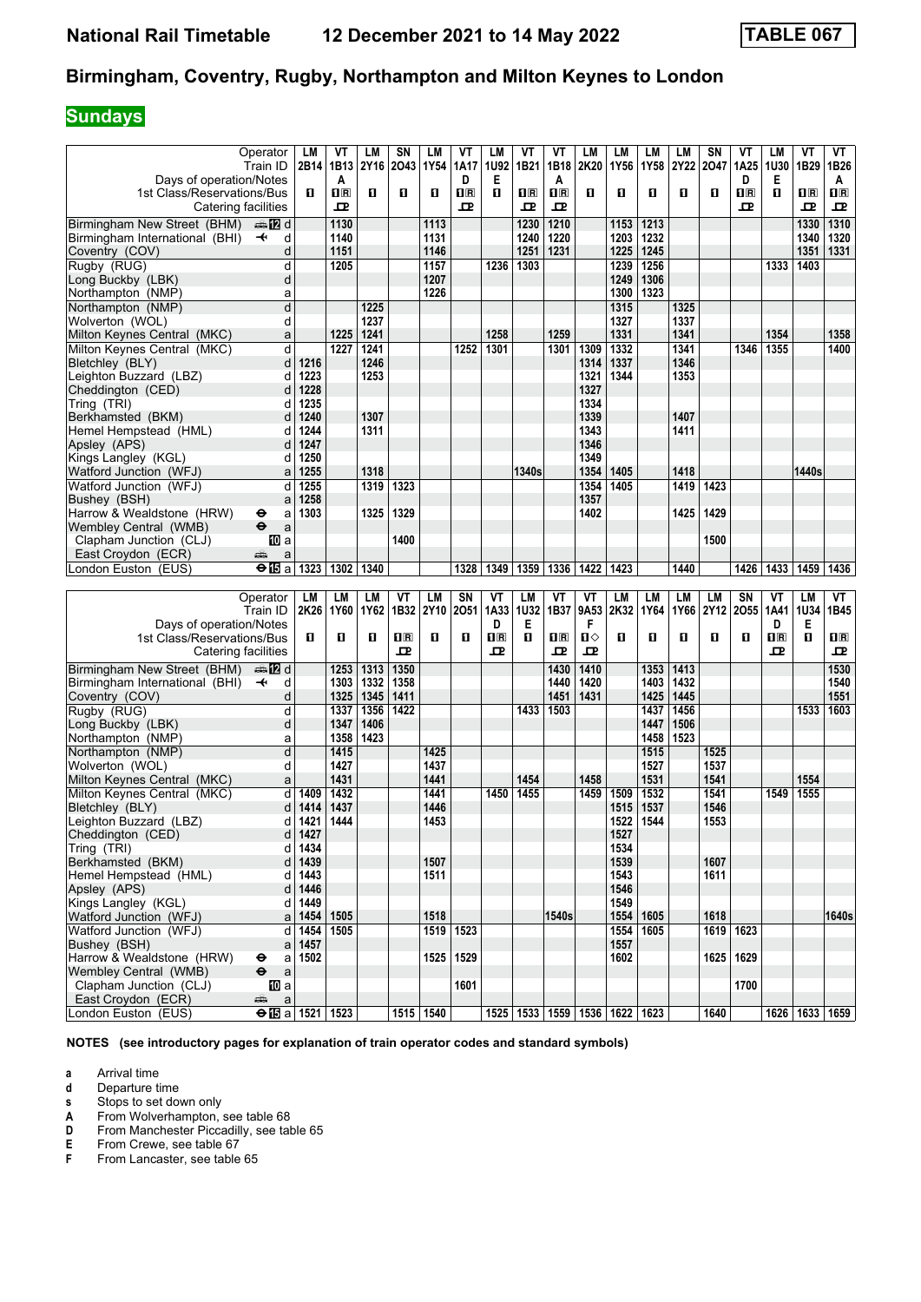# **Sundays**

|                                           | Operator                                            | LM   | ٧T                      | LМ   | SΝ                      | LM        | VT        | LM                      | VT                 | VT                      | LM                 | LM        | LM           | LM           | SN        | VT           | LМ                                              | VT                      | VT          |
|-------------------------------------------|-----------------------------------------------------|------|-------------------------|------|-------------------------|-----------|-----------|-------------------------|--------------------|-------------------------|--------------------|-----------|--------------|--------------|-----------|--------------|-------------------------------------------------|-------------------------|-------------|
|                                           | Train ID                                            |      | 2B14 1B13               | 2Y16 | 2043                    | 1Y54      | 1A17      | 1U92                    | 1B21               | 1B18                    | 2K20               | 1Y56      | 1Y58         | 2Y22         | 2047      | 1A25         | <b>1U30</b>                                     | 1B29                    | 1B26        |
| Days of operation/Notes                   |                                                     |      | A                       |      |                         |           | D         | Е                       |                    | A                       |                    |           |              |              |           | D            | Е                                               |                         | Α           |
| 1st Class/Reservations/Bus                |                                                     | п    | $\overline{\mathbf{B}}$ | O    | 0                       | п         | $\Box$    | п                       | 1R                 | $\overline{\mathbf{R}}$ | O                  | O         | $\mathbf{u}$ | $\mathbf{u}$ | п         | $\mathbf{H}$ | п                                               | $\overline{\mathbf{H}}$ | $\Pi$ R     |
|                                           |                                                     |      | 고                       |      |                         |           | ᇁ         |                         | ᇁ                  |                         |                    |           |              |              |           | ᇁ            |                                                 | ᇁ                       |             |
|                                           | Catering facilities                                 |      |                         |      |                         |           |           |                         |                    | ᅭ                       |                    |           |              |              |           |              |                                                 |                         | ᇁ           |
| Birmingham New Street (BHM)               | ana 122 d                                           |      | 1130                    |      |                         | 1113      |           |                         | 1230               | 1210                    |                    | 1153      | 1213         |              |           |              |                                                 | 1330                    | 1310        |
| Birmingham International (BHI)            | $\overline{\mathbf{t}}$<br>d                        |      | 1140                    |      |                         | 1131      |           |                         | 1240               | 1220                    |                    | 1203      | 1232         |              |           |              |                                                 | 1340                    | 1320        |
| Coventry (COV)                            | d                                                   |      | 1151                    |      |                         |           |           |                         |                    | 1231                    |                    |           | 1245         |              |           |              |                                                 | 1351                    | 1331        |
|                                           |                                                     |      |                         |      |                         | 1146      |           |                         | 1251               |                         |                    | 1225      |              |              |           |              |                                                 |                         |             |
| Rugby (RUG)                               | d                                                   |      | 1205                    |      |                         | 1157      |           | 1236                    | 1303               |                         |                    | 1239      | 1256         |              |           |              | 1333                                            | 1403                    |             |
| Long Buckby (LBK)                         | d                                                   |      |                         |      |                         | 1207      |           |                         |                    |                         |                    | 1249      | 1306         |              |           |              |                                                 |                         |             |
| Northampton (NMP)                         | a                                                   |      |                         |      |                         | 1226      |           |                         |                    |                         |                    | 1300      | 1323         |              |           |              |                                                 |                         |             |
| Northampton (NMP)                         | d                                                   |      |                         | 1225 |                         |           |           |                         |                    |                         |                    | 1315      |              | 1325         |           |              |                                                 |                         |             |
|                                           |                                                     |      |                         |      |                         |           |           |                         |                    |                         |                    |           |              |              |           |              |                                                 |                         |             |
| Wolverton (WOL)                           | d                                                   |      |                         | 1237 |                         |           |           |                         |                    |                         |                    | 1327      |              | 1337         |           |              |                                                 |                         |             |
| Milton Keynes Central (MKC)               | a                                                   |      | 1225                    | 1241 |                         |           |           | 1258                    |                    | 1259                    |                    | 1331      |              | 1341         |           |              | 1354                                            |                         | 1358        |
| Milton Keynes Central (MKC)               | d                                                   |      | 1227                    | 1241 |                         |           | 1252      | 1301                    |                    | 1301                    | 1309               | 1332      |              | 1341         |           | 1346         | 1355                                            |                         | 1400        |
| Bletchley (BLY)                           | d                                                   | 1216 |                         | 1246 |                         |           |           |                         |                    |                         | 1314               | 1337      |              | 1346         |           |              |                                                 |                         |             |
|                                           |                                                     |      |                         |      |                         |           |           |                         |                    |                         |                    |           |              |              |           |              |                                                 |                         |             |
| Leighton Buzzard (LBZ)                    | d                                                   | 1223 |                         | 1253 |                         |           |           |                         |                    |                         | 1321               | 1344      |              | 1353         |           |              |                                                 |                         |             |
| Cheddington (CED)                         | d                                                   | 1228 |                         |      |                         |           |           |                         |                    |                         | 1327               |           |              |              |           |              |                                                 |                         |             |
| Tring (TRI)                               | d                                                   | 1235 |                         |      |                         |           |           |                         |                    |                         | 1334               |           |              |              |           |              |                                                 |                         |             |
| Berkhamsted (BKM)                         | d                                                   | 1240 |                         | 1307 |                         |           |           |                         |                    |                         | 1339               |           |              | 1407         |           |              |                                                 |                         |             |
|                                           |                                                     |      |                         | 1311 |                         |           |           |                         |                    |                         | 1343               |           |              |              |           |              |                                                 |                         |             |
| Hemel Hempstead (HML)                     | d                                                   | 1244 |                         |      |                         |           |           |                         |                    |                         |                    |           |              | 1411         |           |              |                                                 |                         |             |
| Apsley (APS)                              | d                                                   | 1247 |                         |      |                         |           |           |                         |                    |                         | 1346               |           |              |              |           |              |                                                 |                         |             |
| Kings Langley (KGL)                       | d                                                   | 1250 |                         |      |                         |           |           |                         |                    |                         | 1349               |           |              |              |           |              |                                                 |                         |             |
| Watford Junction (WFJ)                    | a                                                   | 1255 |                         | 1318 |                         |           |           |                         | 1340s              |                         | 1354               | 1405      |              | 1418         |           |              |                                                 | 1440s                   |             |
| Watford Junction (WFJ)                    | d                                                   | 1255 |                         | 1319 | 1323                    |           |           |                         |                    |                         | 1354               | 1405      |              | 1419         | 1423      |              |                                                 |                         |             |
|                                           |                                                     |      |                         |      |                         |           |           |                         |                    |                         |                    |           |              |              |           |              |                                                 |                         |             |
| Bushey (BSH)                              | a                                                   | 1258 |                         |      |                         |           |           |                         |                    |                         | 1357               |           |              |              |           |              |                                                 |                         |             |
| Harrow & Wealdstone (HRW)                 | ⊖<br>a                                              | 1303 |                         | 1325 | 1329                    |           |           |                         |                    |                         | 1402               |           |              | 1425         | 1429      |              |                                                 |                         |             |
| Wembley Central (WMB)                     | $\ddot{\mathbf{e}}$<br>a                            |      |                         |      |                         |           |           |                         |                    |                         |                    |           |              |              |           |              |                                                 |                         |             |
| Clapham Junction (CLJ)                    | <b>ID</b> a                                         |      |                         |      | 1400                    |           |           |                         |                    |                         |                    |           |              |              | 1500      |              |                                                 |                         |             |
| East Croydon (ECR)                        | پېښتو<br>a                                          |      |                         |      |                         |           |           |                         |                    |                         |                    |           |              |              |           |              |                                                 |                         |             |
| London Euston (EUS)                       |                                                     |      |                         |      |                         |           |           |                         |                    |                         |                    |           |              |              |           |              |                                                 |                         |             |
|                                           | <b>⊖ l⊡</b> a l                                     | 1323 | 1302                    | 1340 |                         |           | 1328      | 1349                    | 1359               | 1336                    | 1422               | 1423      |              | 1440         |           | 1426         | 1433                                            | 1459                    | 1436        |
|                                           |                                                     |      |                         |      |                         |           |           |                         |                    |                         |                    |           |              |              |           |              |                                                 |                         |             |
|                                           |                                                     |      |                         |      |                         |           |           |                         |                    |                         |                    |           |              |              |           |              |                                                 |                         |             |
|                                           | Operator                                            | LM   | LM                      | LМ   | VT                      | LM        | <b>SN</b> | VT                      | LM                 | VT                      | VT                 | <b>LM</b> | LM           | LM           | <b>LM</b> | SN           | VT                                              | LM                      | VT          |
|                                           |                                                     |      |                         |      |                         |           |           |                         |                    |                         |                    |           |              |              |           |              |                                                 |                         |             |
|                                           | Train ID                                            | 2K26 | 1Y60                    | 1Y62 | 1B32 2Y10               |           | 2051      | 1A33                    | 1U32               | 1B37                    | 9A53               | 2K32      | 1Y64         | 1Y66         | 2Y12      | 2055         | 1A41                                            | 1U34                    | 1B45        |
| Days of operation/Notes                   |                                                     |      |                         |      |                         |           |           | D                       | E                  |                         | F                  |           |              |              |           |              | D                                               | Е                       |             |
| 1st Class/Reservations/Bus                |                                                     | п    | O                       | п    | $\overline{\mathbf{H}}$ | п         | п         | $\overline{\mathbf{R}}$ | п                  | $\overline{\mathbf{H}}$ | Ⅱ◇                 | O         | п            | п            | п         | п            | $\overline{\mathbf{H}}$ $\overline{\mathbf{R}}$ | $\mathbf{u}$            | $n_{\rm R}$ |
|                                           | Catering facilities                                 |      |                         |      | ᇁ                       |           |           | 굔                       |                    | 굔                       | 굔                  |           |              |              |           |              | ᇁ                                               |                         | ᇁ           |
|                                           |                                                     |      |                         |      |                         |           |           |                         |                    |                         |                    |           |              |              |           |              |                                                 |                         |             |
| Birmingham New Street (BHM)               | ana 122 d                                           |      | 1253                    | 1313 | 1350                    |           |           |                         |                    | 1430                    | 1410               |           | 1353         | 1413         |           |              |                                                 |                         | 1530        |
| Birmingham International (BHI)            | $\overline{\mathbf{t}}$<br>d                        |      | 1303                    | 1332 | 1358                    |           |           |                         |                    | 1440                    | 1420               |           | 1403         | 1432         |           |              |                                                 |                         | 1540        |
| Coventry (COV)                            | d                                                   |      | 1325                    | 1345 | 1411                    |           |           |                         |                    | 1451                    | 1431               |           | 1425         | 1445         |           |              |                                                 |                         | 1551        |
|                                           | d                                                   |      |                         | 1356 |                         |           |           |                         | 1433               |                         |                    |           | 1437         | 1456         |           |              |                                                 |                         | 1603        |
| Rugby (RUG)                               |                                                     |      | 1337                    |      | 1422                    |           |           |                         |                    | 1503                    |                    |           |              |              |           |              |                                                 | 1533                    |             |
| Long Buckby (LBK)                         | d                                                   |      | 1347                    | 1406 |                         |           |           |                         |                    |                         |                    |           | 1447         | 1506         |           |              |                                                 |                         |             |
| Northampton (NMP)                         | а                                                   |      | 1358                    | 1423 |                         |           |           |                         |                    |                         |                    |           | 1458         | 1523         |           |              |                                                 |                         |             |
| Northampton (NMP)                         | d                                                   |      | 1415                    |      |                         | 1425      |           |                         |                    |                         |                    |           | 1515         |              | 1525      |              |                                                 |                         |             |
| Wolverton (WOL)                           | d                                                   |      | 1427                    |      |                         | 1437      |           |                         |                    |                         |                    |           | 1527         |              | 1537      |              |                                                 |                         |             |
| Milton Keynes Central (MKC)               | a                                                   |      | 1431                    |      |                         | 1441      |           |                         | 1454               |                         | 1458               |           | 1531         |              | 1541      |              |                                                 | 1554                    |             |
|                                           |                                                     |      |                         |      |                         |           |           |                         |                    |                         |                    |           |              |              |           |              |                                                 |                         |             |
| Milton Keynes Central (MKC)               | d                                                   | 1409 | 1432                    |      |                         | 1441      |           | 1450                    | 1455               |                         | 1459               | 1509      | 1532         |              | 1541      |              | 1549                                            | 1555                    |             |
| Bletchley (BLY)                           | d                                                   | 1414 | 1437                    |      |                         | 1446      |           |                         |                    |                         |                    | 1515      | 1537         |              | 1546      |              |                                                 |                         |             |
| Leighton Buzzard (LBZ)                    | d                                                   | 1421 | 1444                    |      |                         | 1453      |           |                         |                    |                         |                    | 1522      | 1544         |              | 1553      |              |                                                 |                         |             |
| Cheddington (CED)                         | d                                                   | 1427 |                         |      |                         |           |           |                         |                    |                         |                    | 1527      |              |              |           |              |                                                 |                         |             |
| Tring (TRI)                               | d                                                   | 1434 |                         |      |                         |           |           |                         |                    |                         |                    | 1534      |              |              |           |              |                                                 |                         |             |
|                                           |                                                     |      |                         |      |                         |           |           |                         |                    |                         |                    |           |              |              |           |              |                                                 |                         |             |
| Berkhamsted (BKM)                         | d                                                   | 1439 |                         |      |                         | 1507      |           |                         |                    |                         |                    | 1539      |              |              | 1607      |              |                                                 |                         |             |
| Hemel Hempstead (HML)                     | d                                                   | 1443 |                         |      |                         | 1511      |           |                         |                    |                         |                    | 1543      |              |              | 1611      |              |                                                 |                         |             |
| Apsley (APS)                              | d                                                   | 1446 |                         |      |                         |           |           |                         |                    |                         |                    | 1546      |              |              |           |              |                                                 |                         |             |
| Kings Langley (KGL)                       | d                                                   | 1449 |                         |      |                         |           |           |                         |                    |                         |                    | 1549      |              |              |           |              |                                                 |                         |             |
| Watford Junction (WFJ)                    | a                                                   | 1454 | 1505                    |      |                         | 1518      |           |                         |                    | 1540s                   |                    | 1554      | 1605         |              | 1618      |              |                                                 |                         | 1640s       |
|                                           |                                                     |      |                         |      |                         |           |           |                         |                    |                         |                    |           |              |              |           |              |                                                 |                         |             |
| Watford Junction (WFJ)                    | d                                                   | 1454 | 1505                    |      |                         |           | 1519 1523 |                         |                    |                         |                    | 1554      | 1605         |              |           | 1619 1623    |                                                 |                         |             |
| Bushey (BSH)                              | a                                                   | 1457 |                         |      |                         |           |           |                         |                    |                         |                    | 1557      |              |              |           |              |                                                 |                         |             |
| Harrow & Wealdstone (HRW)                 | a<br>⊖                                              | 1502 |                         |      |                         | 1525      | 1529      |                         |                    |                         |                    | 1602      |              |              |           | 1625 1629    |                                                 |                         |             |
| Wembley Central (WMB)                     | $\mathsf a$<br>$\ddot{\bm{\Theta}}$                 |      |                         |      |                         |           |           |                         |                    |                         |                    |           |              |              |           |              |                                                 |                         |             |
| Clapham Junction (CLJ)                    |                                                     |      |                         |      |                         |           | 1601      |                         |                    |                         |                    |           |              |              |           | 1700         |                                                 |                         |             |
|                                           | [10] a                                              |      |                         |      |                         |           |           |                         |                    |                         |                    |           |              |              |           |              |                                                 |                         |             |
| East Croydon (ECR)<br>London Euston (EUS) | $\mathsf{a}$<br>æ<br>$\Theta$ <b>ig</b> a 1521 1523 |      |                         |      |                         | 1515 1540 |           |                         | 1525   1533   1559 |                         | 1536   1622   1623 |           |              |              | 1640      |              |                                                 | 1626   1633   1659      |             |

**NOTES (see introductory pages for explanation of train operator codes and standard symbols)**

**a** Arrival time<br>**d** Departure ti

**d** Departure time<br>**s** Stops to set do

**S** Stops to set down only<br> **A** From Wolverhampton,<br> **D** From Manchester Picca

**A** From Wolverhampton, see table 68

**D** From Manchester Piccadilly, see table 65

**E** From Crewe, see table 67<br>**F** From Lancaster, see table From Lancaster, see table 65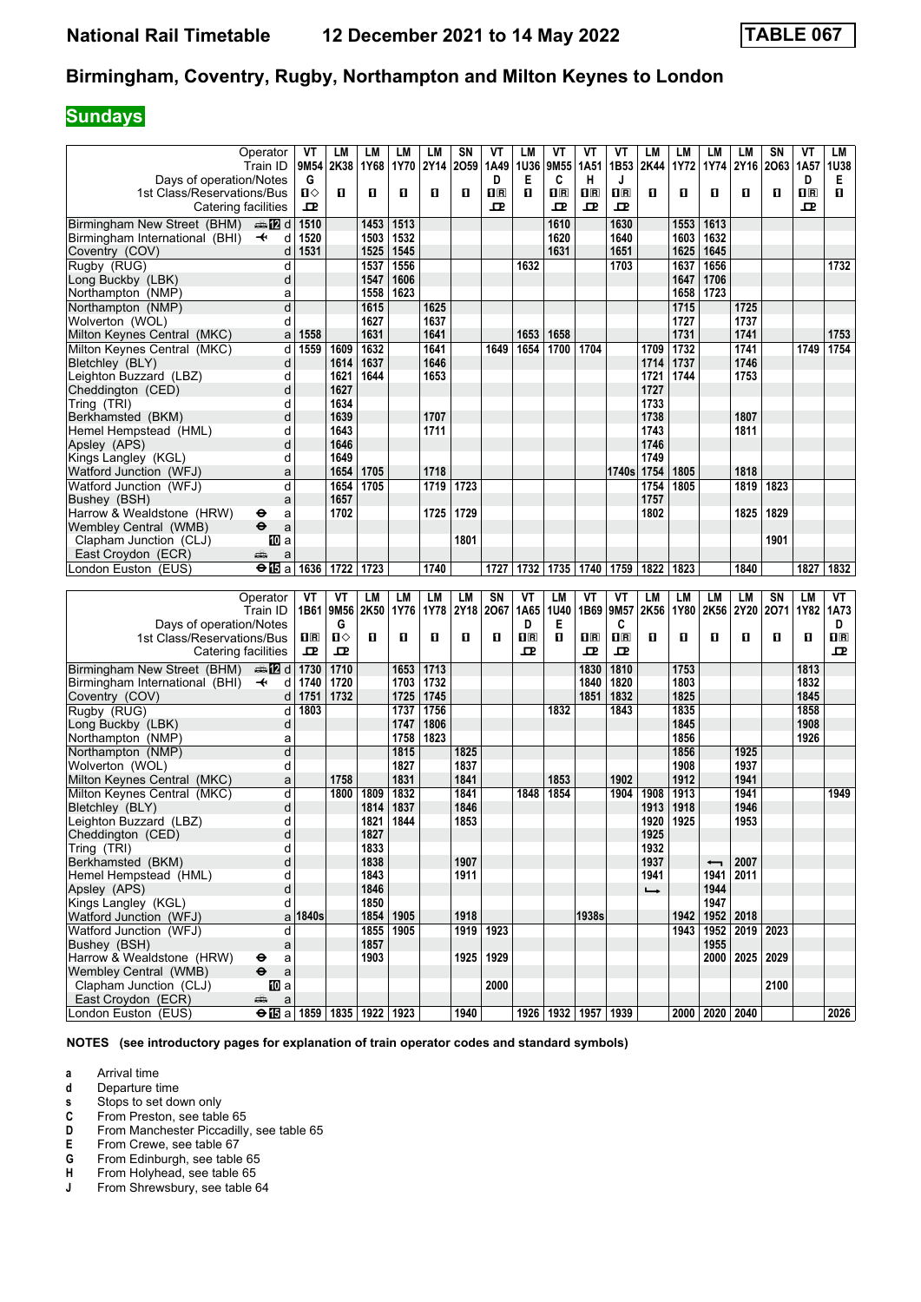# **Sundays**

|                                              | Operator                     | VT        | LM          | LМ   | LM           | LM           | SN   | VT                      | LM                           | VT                      | VT                      | VT                      | LM            | LM           | LM                       | LМ             | SΝ        | ۷T           | LM                                                  |
|----------------------------------------------|------------------------------|-----------|-------------|------|--------------|--------------|------|-------------------------|------------------------------|-------------------------|-------------------------|-------------------------|---------------|--------------|--------------------------|----------------|-----------|--------------|-----------------------------------------------------|
|                                              | Train ID                     | 9M54      | 2K38        | 1Y68 | 1Y70         | 2Y14         | 2059 | 1A49                    | 1U36                         | 9M55                    | 1A51                    | 1B53                    | 2K44          | 1Y72         | 1Y74                     |                | 2Y16 2O63 | 1A57         | 1U38                                                |
| Days of operation/Notes                      |                              | G         |             |      |              |              |      | D                       | Е                            | C                       | н                       | J                       |               |              |                          |                |           | D            | Е                                                   |
| 1st Class/Reservations/Bus                   |                              | ்ப        | п           | O    | O            | п            | п    | $\overline{\mathbf{R}}$ | п                            | $\overline{\mathbf{H}}$ | $\overline{\mathbf{H}}$ | $\overline{\mathbf{B}}$ | O             | п            | O                        | п              | п         | $n_{\rm R}$  | п                                                   |
| Catering facilities                          |                              | ᇁ         |             |      |              |              |      | ᇁ                       |                              | ᇁ                       | 모                       | 굔                       |               |              |                          |                |           | 굔            |                                                     |
| Birmingham New Street (BHM)                  | d <b>late</b>                | 1510      |             | 1453 | 1513         |              |      |                         |                              | 1610                    |                         | 1630                    |               | 1553         | 1613                     |                |           |              |                                                     |
| Birmingham International (BHI)               | $\overline{\mathbf{t}}$<br>d | 1520      |             | 1503 | 1532         |              |      |                         |                              | 1620                    |                         | 1640                    |               | 1603         | 1632                     |                |           |              |                                                     |
| Coventry (COV)                               | d                            | 1531      |             | 1525 | 1545         |              |      |                         |                              | 1631                    |                         | 1651                    |               | 1625         | 1645                     |                |           |              |                                                     |
| Rugby (RUG)                                  | d                            |           |             | 1537 | 1556         |              |      |                         | 1632                         |                         |                         | 1703                    |               | 1637         | 1656                     |                |           |              | 1732                                                |
| Long Buckby (LBK)                            | d                            |           |             | 1547 | 1606         |              |      |                         |                              |                         |                         |                         |               | 1647         | 1706                     |                |           |              |                                                     |
| Northampton (NMP)                            | a                            |           |             | 1558 | 1623         |              |      |                         |                              |                         |                         |                         |               | 1658         | 1723                     |                |           |              |                                                     |
| Northampton (NMP)                            | d                            |           |             | 1615 |              | 1625         |      |                         |                              |                         |                         |                         |               | 1715         |                          | 1725           |           |              |                                                     |
| Wolverton (WOL)                              | d                            |           |             | 1627 |              | 1637         |      |                         |                              |                         |                         |                         |               | 1727         |                          | 1737           |           |              |                                                     |
| Milton Keynes Central (MKC)                  | a                            | 1558      |             | 1631 |              | 1641         |      |                         | 1653                         | 1658                    |                         |                         |               | 1731         |                          | 1741           |           |              | 1753                                                |
| Milton Keynes Central (MKC)                  | d                            | 1559      | 1609        | 1632 |              | 1641         |      | 1649                    | 1654                         | 1700                    | 1704                    |                         | 1709          | 1732         |                          | 1741           |           | 1749         | 1754                                                |
| Bletchley (BLY)                              | d                            |           | 1614        | 1637 |              | 1646         |      |                         |                              |                         |                         |                         | 1714          | 1737         |                          | 1746           |           |              |                                                     |
| Leighton Buzzard (LBZ)                       | d                            |           | 1621        | 1644 |              | 1653         |      |                         |                              |                         |                         |                         | 1721          | 1744         |                          | 1753           |           |              |                                                     |
| Cheddington (CED)                            | d                            |           | 1627        |      |              |              |      |                         |                              |                         |                         |                         | 1727          |              |                          |                |           |              |                                                     |
| Tring (TRI)                                  | d                            |           | 1634        |      |              |              |      |                         |                              |                         |                         |                         | 1733          |              |                          |                |           |              |                                                     |
| Berkhamsted (BKM)                            | d                            |           | 1639        |      |              | 1707         |      |                         |                              |                         |                         |                         | 1738          |              |                          | 1807           |           |              |                                                     |
| Hemel Hempstead (HML)                        | d                            |           | 1643        |      |              | 1711         |      |                         |                              |                         |                         |                         | 1743          |              |                          | 1811           |           |              |                                                     |
| Apsley (APS)                                 | d                            |           | 1646        |      |              |              |      |                         |                              |                         |                         |                         | 1746          |              |                          |                |           |              |                                                     |
| Kings Langley (KGL)                          | d                            |           | 1649        |      |              |              |      |                         |                              |                         |                         |                         | 1749          |              |                          |                |           |              |                                                     |
| Watford Junction (WFJ)                       | a                            |           | 1654        | 1705 |              | 1718         |      |                         |                              |                         |                         | 1740s                   | 1754          | 1805         |                          | 1818           |           |              |                                                     |
| Watford Junction (WFJ)                       | d                            |           | 1654        | 1705 |              | 1719         | 1723 |                         |                              |                         |                         |                         | 1754          | 1805         |                          | 1819           | 1823      |              |                                                     |
| Bushey (BSH)                                 | a                            |           | 1657        |      |              |              |      |                         |                              |                         |                         |                         | 1757          |              |                          |                |           |              |                                                     |
| Harrow & Wealdstone (HRW)                    | θ<br>a                       |           | 1702        |      |              | 1725         | 1729 |                         |                              |                         |                         |                         | 1802          |              |                          | 1825           | 1829      |              |                                                     |
| Wembley Central (WMB)                        | $\ddot{\mathbf{e}}$<br>a     |           |             |      |              |              |      |                         |                              |                         |                         |                         |               |              |                          |                |           |              |                                                     |
| Clapham Junction (CLJ)                       | 100 a                        |           |             |      |              |              | 1801 |                         |                              |                         |                         |                         |               |              |                          |                | 1901      |              |                                                     |
| East Croydon (ECR)                           | æ<br>a                       |           |             |      |              |              |      |                         |                              |                         |                         |                         |               |              |                          |                |           |              |                                                     |
| London Euston (EUS)                          | <b>⊖ l⊡</b> a l              | 1636      | $1722$ 1723 |      |              | 1740         |      | 1727                    | 1732                         | 1735                    | 1740                    | 1759                    | 1822          | 1823         |                          | 1840           |           | 1827         | 1832                                                |
|                                              |                              |           |             |      |              |              |      |                         |                              |                         |                         |                         |               |              |                          |                |           |              |                                                     |
|                                              |                              |           |             |      |              |              |      |                         |                              |                         |                         |                         |               |              |                          |                |           |              |                                                     |
|                                              | Operator                     | VT        | VT          | LM   | LM           | LM           | LM   | <b>SN</b>               | VT                           | LM                      | VT                      | VT                      | LM            | LM           | LM                       | LM             | SN        | LM           | VT                                                  |
|                                              | Train ID                     |           | 1B61 9M56   | 2K50 | 1Y76         | 1Y78         | 2Y18 | 2067                    | 1A65                         | 1U40                    | 1B69                    | 9M57                    | 2K56          | 1Y80         | 2K56                     | 2Y20 2071      |           | 1Y82         | 1A73                                                |
| Days of operation/Notes                      |                              |           | G           |      |              |              |      |                         | D                            | Е                       |                         | C                       |               |              |                          |                |           |              | D                                                   |
| 1st Class/Reservations/Bus                   |                              | 10 R<br>모 | п⇔<br>모     | п    | O            | п            | п    | 0                       | $\overline{\mathbf{H}}$<br>ᇁ | п                       | 1R<br>ᇁ                 | $n_{\rm R}$<br>굔        | O             | п            | O                        | П              | п         | O            | $\Pi$ <sub><math>\bar{\mathbf{R}}</math></sub><br>ᇁ |
| Catering facilities                          |                              |           |             |      |              |              |      |                         |                              |                         |                         |                         |               |              |                          |                |           |              |                                                     |
| Birmingham New Street (BHM)                  | de <b>tz</b> di              | 1730      | 1710        |      | 1653         | 1713         |      |                         |                              |                         | 1830                    | 1810                    |               | 1753         |                          |                |           | 1813         |                                                     |
| Birmingham International (BHI)               | $\overline{\mathbf{t}}$<br>d | 1740      | 1720        |      | 1703         | 1732         |      |                         |                              |                         | 1840                    | 1820                    |               | 1803         |                          |                |           | 1832         |                                                     |
| Coventry (COV)                               | d                            | 1751      | 1732        |      | 1725         | 1745         |      |                         |                              |                         | 1851                    | 1832                    |               | 1825         |                          |                |           | 1845         |                                                     |
| Rugby (RUG)                                  | d                            | 1803      |             |      | 1737         | 1756<br>1806 |      |                         |                              | 1832                    |                         | 1843                    |               | 1835<br>1845 |                          |                |           | 1858         |                                                     |
| Long Buckby (LBK)<br>Northampton (NMP)       | d<br>а                       |           |             |      | 1747<br>1758 | 1823         |      |                         |                              |                         |                         |                         |               | 1856         |                          |                |           | 1908<br>1926 |                                                     |
| Northampton (NMP)                            | d                            |           |             |      | 1815         |              | 1825 |                         |                              |                         |                         |                         |               | 1856         |                          | 1925           |           |              |                                                     |
| Wolverton (WOL)                              | d                            |           |             |      | 1827         |              | 1837 |                         |                              |                         |                         |                         |               | 1908         |                          | 1937           |           |              |                                                     |
| Milton Keynes Central (MKC)                  | a                            |           | 1758        |      | 1831         |              | 1841 |                         |                              | 1853                    |                         | 1902                    |               | 1912         |                          | 1941           |           |              |                                                     |
| Milton Keynes Central (MKC)                  | d                            |           | 1800        | 1809 | 1832         |              | 1841 |                         | 1848                         | 1854                    |                         | 1904                    | 1908          | 1913         |                          | 1941           |           |              | 1949                                                |
| Bletchley (BLY)                              | d                            |           |             | 1814 | 1837         |              | 1846 |                         |                              |                         |                         |                         | 1913          | 1918         |                          | 1946           |           |              |                                                     |
| Leighton Buzzard (LBZ)                       | d                            |           |             | 1821 | 1844         |              | 1853 |                         |                              |                         |                         |                         | 1920          | 1925         |                          | 1953           |           |              |                                                     |
| Cheddington (CED)                            | d                            |           |             | 1827 |              |              |      |                         |                              |                         |                         |                         | 1925          |              |                          |                |           |              |                                                     |
| Tring (TRI)                                  | d                            |           |             | 1833 |              |              |      |                         |                              |                         |                         |                         | 1932          |              |                          |                |           |              |                                                     |
| Berkhamsted (BKM)                            | d                            |           |             | 1838 |              |              | 1907 |                         |                              |                         |                         |                         | 1937          |              | $\overline{\phantom{0}}$ | 2007           |           |              |                                                     |
| Hemel Hempstead (HML)                        | d                            |           |             | 1843 |              |              | 1911 |                         |                              |                         |                         |                         | 1941          |              |                          | 1941 2011      |           |              |                                                     |
| Apsley (APS)                                 | d                            |           |             | 1846 |              |              |      |                         |                              |                         |                         |                         | $\rightarrow$ |              | 1944                     |                |           |              |                                                     |
| Kings Langley (KGL)                          | d                            |           |             | 1850 |              |              |      |                         |                              |                         |                         |                         |               |              | 1947                     |                |           |              |                                                     |
| Watford Junction (WFJ)                       |                              | a 1840s   |             |      | 1854   1905  |              | 1918 |                         |                              |                         | 1938s                   |                         |               | 1942         |                          | 1952 2018      |           |              |                                                     |
| Watford Junction (WFJ)                       | d                            |           |             |      | 1855 1905    |              |      | 1919 1923               |                              |                         |                         |                         |               | 1943         |                          | 1952 2019 2023 |           |              |                                                     |
| Bushey (BSH)                                 | a                            |           |             | 1857 |              |              |      |                         |                              |                         |                         |                         |               |              | 1955                     |                |           |              |                                                     |
| Harrow & Wealdstone (HRW)                    | $\bullet$<br>a               |           |             | 1903 |              |              | 1925 | 1929                    |                              |                         |                         |                         |               |              | 2000                     | 2025           | 2029      |              |                                                     |
| Wembley Central (WMB)                        | $\mathsf{a}$<br>$\bullet$    |           |             |      |              |              |      |                         |                              |                         |                         |                         |               |              |                          |                |           |              |                                                     |
| Clapham Junction (CLJ)<br>East Croydon (ECR) | <b>TO</b> a<br>æ<br>a        |           |             |      |              |              |      | 2000                    |                              |                         |                         |                         |               |              |                          |                | 2100      |              |                                                     |

**NOTES (see introductory pages for explanation of train operator codes and standard symbols)**

**a** Arrival time<br>**d** Departure ti

**d** Departure time<br>**s** Stops to set do

**s** Stops to set down only<br>**C** From Preston, see table

**C** From Preston, see table 65<br>**D** From Manchester Piccadilly **D** From Manchester Piccadilly, see table 65<br>**E** From Crewe, see table 67

**E** From Crewe, see table 67<br>**G** From Edinburgh, see table

**4** From Edinburgh, see table 65<br>**H** From Holyhead, see table 65 **+** From Holyhead, see table 65<br>**+** From Shrewsbury, see table 6

From Shrewsbury, see table 64